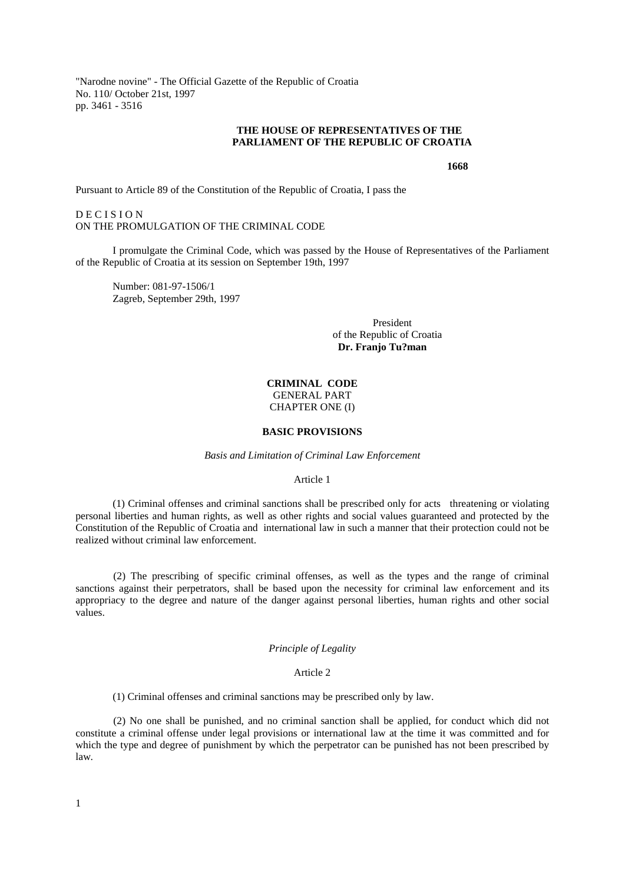"Narodne novine" - The Official Gazette of the Republic of Croatia No. 110/ October 21st, 1997 pp. 3461 - 3516

# **THE HOUSE OF REPRESENTATIVES OF THE PARLIAMENT OF THE REPUBLIC OF CROATIA**

# **1668**

Pursuant to Article 89 of the Constitution of the Republic of Croatia, I pass the

# D E C I S I O N ON THE PROMULGATION OF THE CRIMINAL CODE

I promulgate the Criminal Code, which was passed by the House of Representatives of the Parliament of the Republic of Croatia at its session on September 19th, 1997

Number: 081-97-1506/1 Zagreb, September 29th, 1997

> President of the Republic of Croatia **Dr. Franjo Tu?man**

## **CRIMINAL CODE** GENERAL PART CHAPTER ONE (I)

# **BASIC PROVISIONS**

*Basis and Limitation of Criminal Law Enforcement*

#### Article 1

(1) Criminal offenses and criminal sanctions shall be prescribed only for acts threatening or violating personal liberties and human rights, as well as other rights and social values guaranteed and protected by the Constitution of the Republic of Croatia and international law in such a manner that their protection could not be realized without criminal law enforcement.

(2) The prescribing of specific criminal offenses, as well as the types and the range of criminal sanctions against their perpetrators, shall be based upon the necessity for criminal law enforcement and its appropriacy to the degree and nature of the danger against personal liberties, human rights and other social values.

# *Principle of Legality*

### Article 2

(1) Criminal offenses and criminal sanctions may be prescribed only by law.

(2) No one shall be punished, and no criminal sanction shall be applied, for conduct which did not constitute a criminal offense under legal provisions or international law at the time it was committed and for which the type and degree of punishment by which the perpetrator can be punished has not been prescribed by law.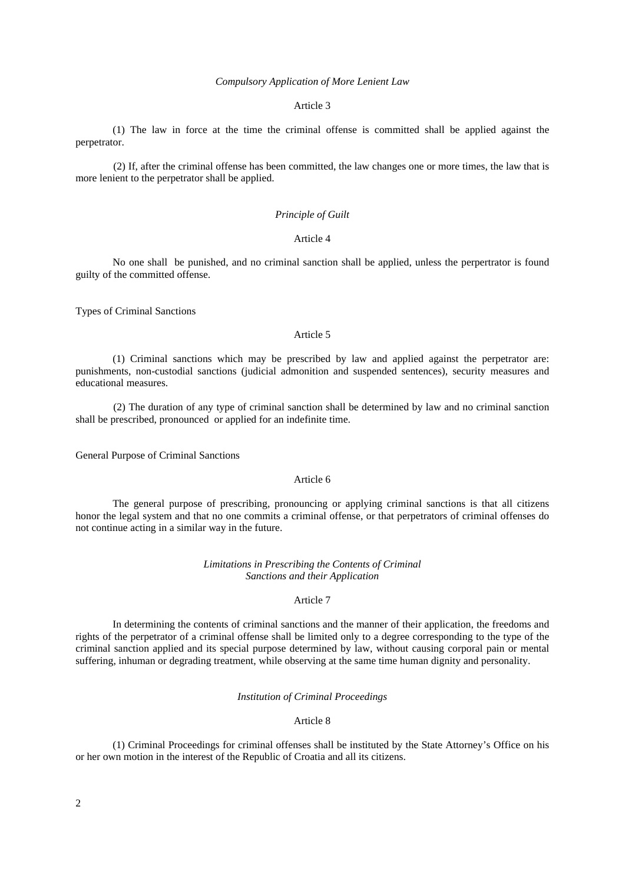### *Compulsory Application of More Lenient Law*

### Article 3

(1) The law in force at the time the criminal offense is committed shall be applied against the perpetrator.

(2) If, after the criminal offense has been committed, the law changes one or more times, the law that is more lenient to the perpetrator shall be applied.

### *Principle of Guilt*

# Article 4

No one shall be punished, and no criminal sanction shall be applied, unless the perpertrator is found guilty of the committed offense.

Types of Criminal Sanctions

#### Article 5

(1) Criminal sanctions which may be prescribed by law and applied against the perpetrator are: punishments, non-custodial sanctions (judicial admonition and suspended sentences), security measures and educational measures.

(2) The duration of any type of criminal sanction shall be determined by law and no criminal sanction shall be prescribed, pronounced or applied for an indefinite time.

General Purpose of Criminal Sanctions

# Article 6

The general purpose of prescribing, pronouncing or applying criminal sanctions is that all citizens honor the legal system and that no one commits a criminal offense, or that perpetrators of criminal offenses do not continue acting in a similar way in the future.

### *Limitations in Prescribing the Contents of Criminal Sanctions and their Application*

#### Article 7

In determining the contents of criminal sanctions and the manner of their application, the freedoms and rights of the perpetrator of a criminal offense shall be limited only to a degree corresponding to the type of the criminal sanction applied and its special purpose determined by law, without causing corporal pain or mental suffering, inhuman or degrading treatment, while observing at the same time human dignity and personality.

*Institution of Criminal Proceedings*

Article 8

(1) Criminal Proceedings for criminal offenses shall be instituted by the State Attorney's Office on his or her own motion in the interest of the Republic of Croatia and all its citizens.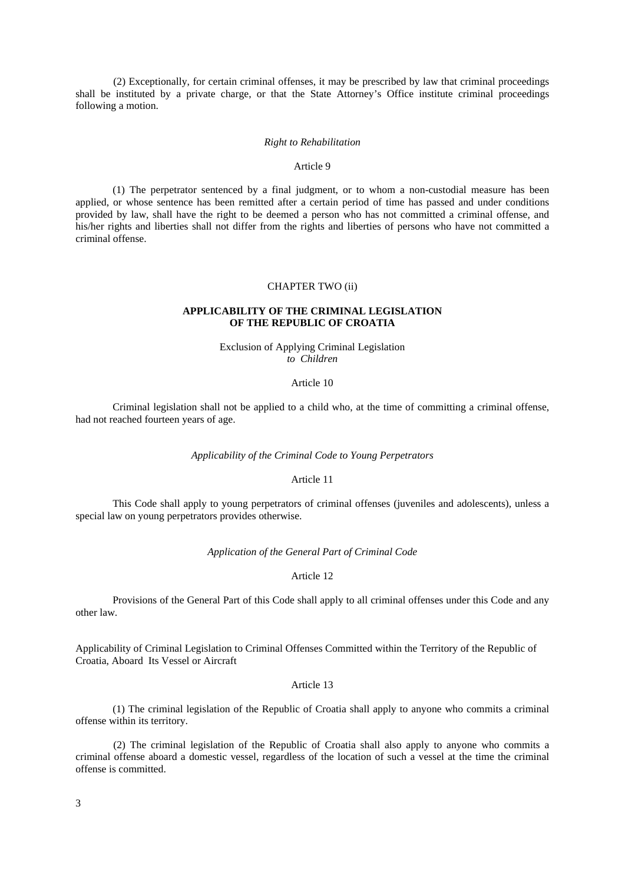(2) Exceptionally, for certain criminal offenses, it may be prescribed by law that criminal proceedings shall be instituted by a private charge, or that the State Attorney's Office institute criminal proceedings following a motion.

#### *Right to Rehabilitation*

# Article 9

(1) The perpetrator sentenced by a final judgment, or to whom a non-custodial measure has been applied, or whose sentence has been remitted after a certain period of time has passed and under conditions provided by law, shall have the right to be deemed a person who has not committed a criminal offense, and his/her rights and liberties shall not differ from the rights and liberties of persons who have not committed a criminal offense.

### CHAPTER TWO (ii)

### **APPLICABILITY OF THE CRIMINAL LEGISLATION OF THE REPUBLIC OF CROATIA**

### Exclusion of Applying Criminal Legislation *to Children*

### Article 10

Criminal legislation shall not be applied to a child who, at the time of committing a criminal offense, had not reached fourteen years of age.

*Applicability of the Criminal Code to Young Perpetrators*

### Article 11

This Code shall apply to young perpetrators of criminal offenses (juveniles and adolescents), unless a special law on young perpetrators provides otherwise.

*Application of the General Part of Criminal Code*

#### Article 12

Provisions of the General Part of this Code shall apply to all criminal offenses under this Code and any other law.

Applicability of Criminal Legislation to Criminal Offenses Committed within the Territory of the Republic of Croatia, Aboard Its Vessel or Aircraft

# Article 13

(1) The criminal legislation of the Republic of Croatia shall apply to anyone who commits a criminal offense within its territory.

(2) The criminal legislation of the Republic of Croatia shall also apply to anyone who commits a criminal offense aboard a domestic vessel, regardless of the location of such a vessel at the time the criminal offense is committed.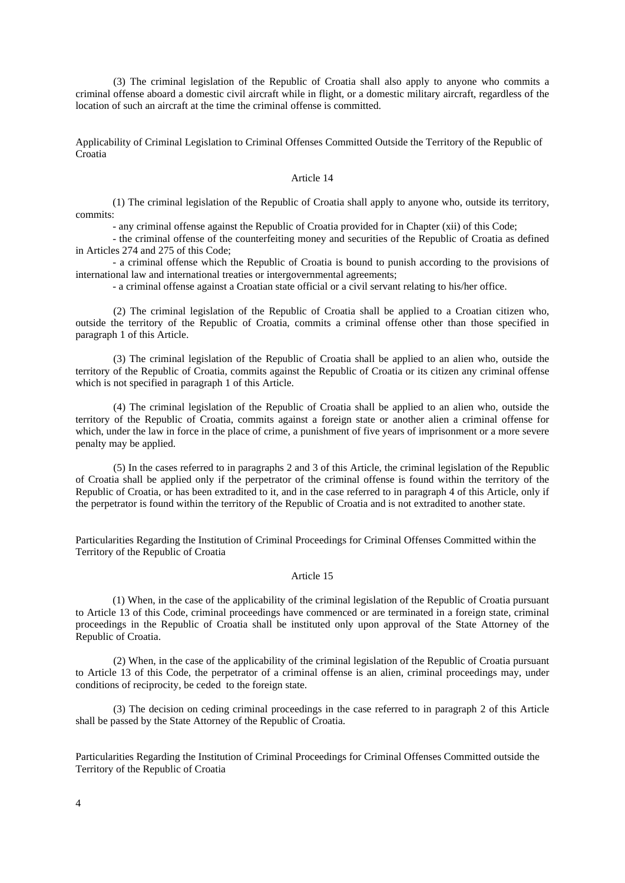(3) The criminal legislation of the Republic of Croatia shall also apply to anyone who commits a criminal offense aboard a domestic civil aircraft while in flight, or a domestic military aircraft, regardless of the location of such an aircraft at the time the criminal offense is committed.

Applicability of Criminal Legislation to Criminal Offenses Committed Outside the Territory of the Republic of Croatia

# Article 14

(1) The criminal legislation of the Republic of Croatia shall apply to anyone who, outside its territory, commits:

- any criminal offense against the Republic of Croatia provided for in Chapter (xii) of this Code;

- the criminal offense of the counterfeiting money and securities of the Republic of Croatia as defined in Articles 274 and 275 of this Code;

- a criminal offense which the Republic of Croatia is bound to punish according to the provisions of international law and international treaties or intergovernmental agreements;

- a criminal offense against a Croatian state official or a civil servant relating to his/her office.

(2) The criminal legislation of the Republic of Croatia shall be applied to a Croatian citizen who, outside the territory of the Republic of Croatia, commits a criminal offense other than those specified in paragraph 1 of this Article.

(3) The criminal legislation of the Republic of Croatia shall be applied to an alien who, outside the territory of the Republic of Croatia, commits against the Republic of Croatia or its citizen any criminal offense which is not specified in paragraph 1 of this Article.

(4) The criminal legislation of the Republic of Croatia shall be applied to an alien who, outside the territory of the Republic of Croatia, commits against a foreign state or another alien a criminal offense for which, under the law in force in the place of crime, a punishment of five years of imprisonment or a more severe penalty may be applied.

(5) In the cases referred to in paragraphs 2 and 3 of this Article, the criminal legislation of the Republic of Croatia shall be applied only if the perpetrator of the criminal offense is found within the territory of the Republic of Croatia, or has been extradited to it, and in the case referred to in paragraph 4 of this Article, only if the perpetrator is found within the territory of the Republic of Croatia and is not extradited to another state.

Particularities Regarding the Institution of Criminal Proceedings for Criminal Offenses Committed within the Territory of the Republic of Croatia

### Article 15

(1) When, in the case of the applicability of the criminal legislation of the Republic of Croatia pursuant to Article 13 of this Code, criminal proceedings have commenced or are terminated in a foreign state, criminal proceedings in the Republic of Croatia shall be instituted only upon approval of the State Attorney of the Republic of Croatia.

(2) When, in the case of the applicability of the criminal legislation of the Republic of Croatia pursuant to Article 13 of this Code, the perpetrator of a criminal offense is an alien, criminal proceedings may, under conditions of reciprocity, be ceded to the foreign state.

(3) The decision on ceding criminal proceedings in the case referred to in paragraph 2 of this Article shall be passed by the State Attorney of the Republic of Croatia.

Particularities Regarding the Institution of Criminal Proceedings for Criminal Offenses Committed outside the Territory of the Republic of Croatia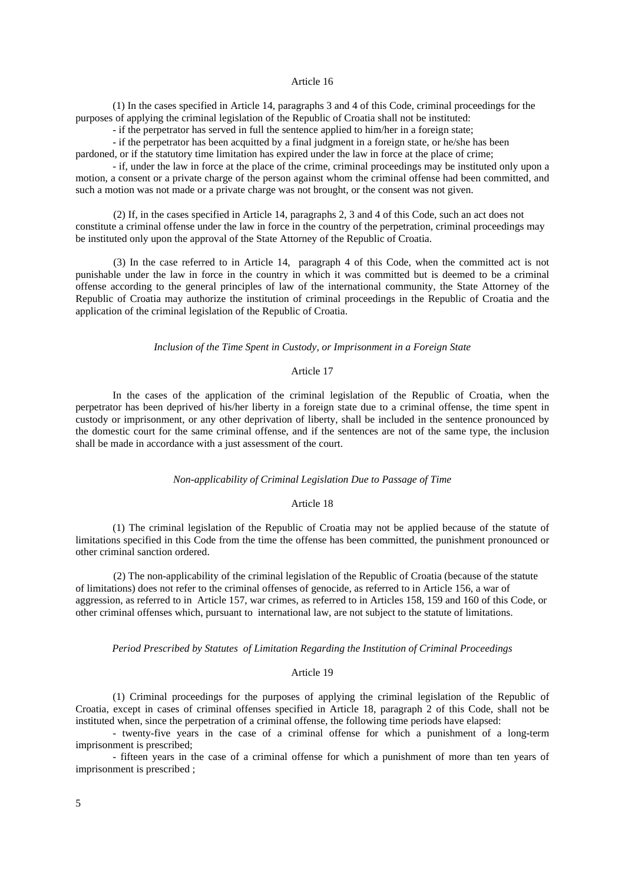#### Article 16

(1) In the cases specified in Article 14, paragraphs 3 and 4 of this Code, criminal proceedings for the purposes of applying the criminal legislation of the Republic of Croatia shall not be instituted:

- if the perpetrator has served in full the sentence applied to him/her in a foreign state;

- if the perpetrator has been acquitted by a final judgment in a foreign state, or he/she has been

pardoned, or if the statutory time limitation has expired under the law in force at the place of crime;

- if, under the law in force at the place of the crime, criminal proceedings may be instituted only upon a motion, a consent or a private charge of the person against whom the criminal offense had been committed, and such a motion was not made or a private charge was not brought, or the consent was not given.

(2) If, in the cases specified in Article 14, paragraphs 2, 3 and 4 of this Code, such an act does not constitute a criminal offense under the law in force in the country of the perpetration, criminal proceedings may be instituted only upon the approval of the State Attorney of the Republic of Croatia.

(3) In the case referred to in Article 14, paragraph 4 of this Code, when the committed act is not punishable under the law in force in the country in which it was committed but is deemed to be a criminal offense according to the general principles of law of the international community, the State Attorney of the Republic of Croatia may authorize the institution of criminal proceedings in the Republic of Croatia and the application of the criminal legislation of the Republic of Croatia.

### *Inclusion of the Time Spent in Custody, or Imprisonment in a Foreign State*

### Article 17

In the cases of the application of the criminal legislation of the Republic of Croatia, when the perpetrator has been deprived of his/her liberty in a foreign state due to a criminal offense, the time spent in custody or imprisonment, or any other deprivation of liberty, shall be included in the sentence pronounced by the domestic court for the same criminal offense, and if the sentences are not of the same type, the inclusion shall be made in accordance with a just assessment of the court.

# *Non-applicability of Criminal Legislation Due to Passage of Time*

### Article 18

(1) The criminal legislation of the Republic of Croatia may not be applied because of the statute of limitations specified in this Code from the time the offense has been committed, the punishment pronounced or other criminal sanction ordered.

(2) The non-applicability of the criminal legislation of the Republic of Croatia (because of the statute of limitations) does not refer to the criminal offenses of genocide, as referred to in Article 156, a war of aggression, as referred to in Article 157, war crimes, as referred to in Articles 158, 159 and 160 of this Code, or other criminal offenses which, pursuant to international law, are not subject to the statute of limitations.

# *Period Prescribed by Statutes of Limitation Regarding the Institution of Criminal Proceedings*

#### Article 19

(1) Criminal proceedings for the purposes of applying the criminal legislation of the Republic of Croatia, except in cases of criminal offenses specified in Article 18, paragraph 2 of this Code, shall not be instituted when, since the perpetration of a criminal offense, the following time periods have elapsed:

- twenty-five years in the case of a criminal offense for which a punishment of a long-term imprisonment is prescribed;

- fifteen years in the case of a criminal offense for which a punishment of more than ten years of imprisonment is prescribed ;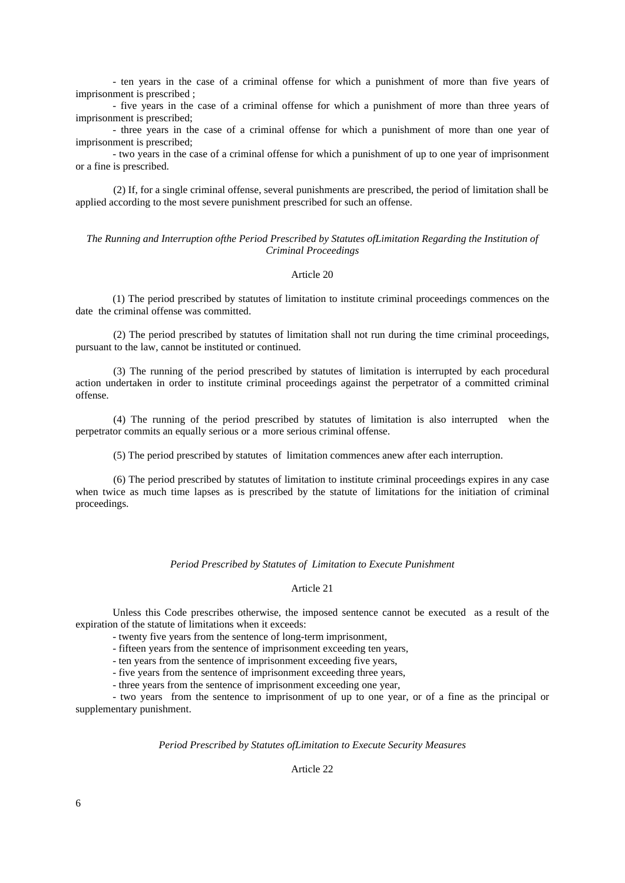- ten years in the case of a criminal offense for which a punishment of more than five years of imprisonment is prescribed ;

- five years in the case of a criminal offense for which a punishment of more than three years of imprisonment is prescribed;

- three years in the case of a criminal offense for which a punishment of more than one year of imprisonment is prescribed;

- two years in the case of a criminal offense for which a punishment of up to one year of imprisonment or a fine is prescribed.

(2) If, for a single criminal offense, several punishments are prescribed, the period of limitation shall be applied according to the most severe punishment prescribed for such an offense.

*The Running and Interruption ofthe Period Prescribed by Statutes ofLimitation Regarding the Institution of Criminal Proceedings*

# Article 20

(1) The period prescribed by statutes of limitation to institute criminal proceedings commences on the date the criminal offense was committed.

(2) The period prescribed by statutes of limitation shall not run during the time criminal proceedings, pursuant to the law, cannot be instituted or continued.

(3) The running of the period prescribed by statutes of limitation is interrupted by each procedural action undertaken in order to institute criminal proceedings against the perpetrator of a committed criminal offense.

(4) The running of the period prescribed by statutes of limitation is also interrupted when the perpetrator commits an equally serious or a more serious criminal offense.

(5) The period prescribed by statutes of limitation commences anew after each interruption.

(6) The period prescribed by statutes of limitation to institute criminal proceedings expires in any case when twice as much time lapses as is prescribed by the statute of limitations for the initiation of criminal proceedings.

### *Period Prescribed by Statutes of Limitation to Execute Punishment*

#### Article 21

Unless this Code prescribes otherwise, the imposed sentence cannot be executed as a result of the expiration of the statute of limitations when it exceeds:

- twenty five years from the sentence of long-term imprisonment,

- fifteen years from the sentence of imprisonment exceeding ten years,

- ten years from the sentence of imprisonment exceeding five years,

- five years from the sentence of imprisonment exceeding three years,

- three years from the sentence of imprisonment exceeding one year,

- two years from the sentence to imprisonment of up to one year, or of a fine as the principal or supplementary punishment.

## *Period Prescribed by Statutes ofLimitation to Execute Security Measures*

# Article 22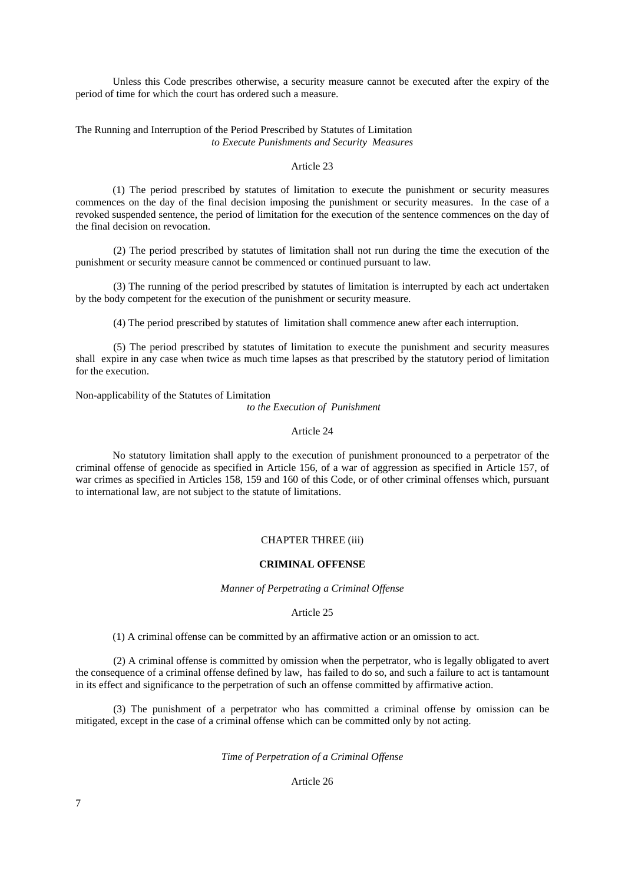Unless this Code prescribes otherwise, a security measure cannot be executed after the expiry of the period of time for which the court has ordered such a measure.

The Running and Interruption of the Period Prescribed by Statutes of Limitation *to Execute Punishments and Security Measures*

# Article 23

(1) The period prescribed by statutes of limitation to execute the punishment or security measures commences on the day of the final decision imposing the punishment or security measures. In the case of a revoked suspended sentence, the period of limitation for the execution of the sentence commences on the day of the final decision on revocation.

(2) The period prescribed by statutes of limitation shall not run during the time the execution of the punishment or security measure cannot be commenced or continued pursuant to law.

(3) The running of the period prescribed by statutes of limitation is interrupted by each act undertaken by the body competent for the execution of the punishment or security measure.

(4) The period prescribed by statutes of limitation shall commence anew after each interruption.

(5) The period prescribed by statutes of limitation to execute the punishment and security measures shall expire in any case when twice as much time lapses as that prescribed by the statutory period of limitation for the execution.

Non-applicability of the Statutes of Limitation

*to the Execution of Punishment*

# Article 24

No statutory limitation shall apply to the execution of punishment pronounced to a perpetrator of the criminal offense of genocide as specified in Article 156, of a war of aggression as specified in Article 157, of war crimes as specified in Articles 158, 159 and 160 of this Code, or of other criminal offenses which, pursuant to international law, are not subject to the statute of limitations.

#### CHAPTER THREE (iii)

### **CRIMINAL OFFENSE**

*Manner of Perpetrating a Criminal Offense*

Article 25

(1) A criminal offense can be committed by an affirmative action or an omission to act.

(2) A criminal offense is committed by omission when the perpetrator, who is legally obligated to avert the consequence of a criminal offense defined by law, has failed to do so, and such a failure to act is tantamount in its effect and significance to the perpetration of such an offense committed by affirmative action.

(3) The punishment of a perpetrator who has committed a criminal offense by omission can be mitigated, except in the case of a criminal offense which can be committed only by not acting.

*Time of Perpetration of a Criminal Offense*

Article 26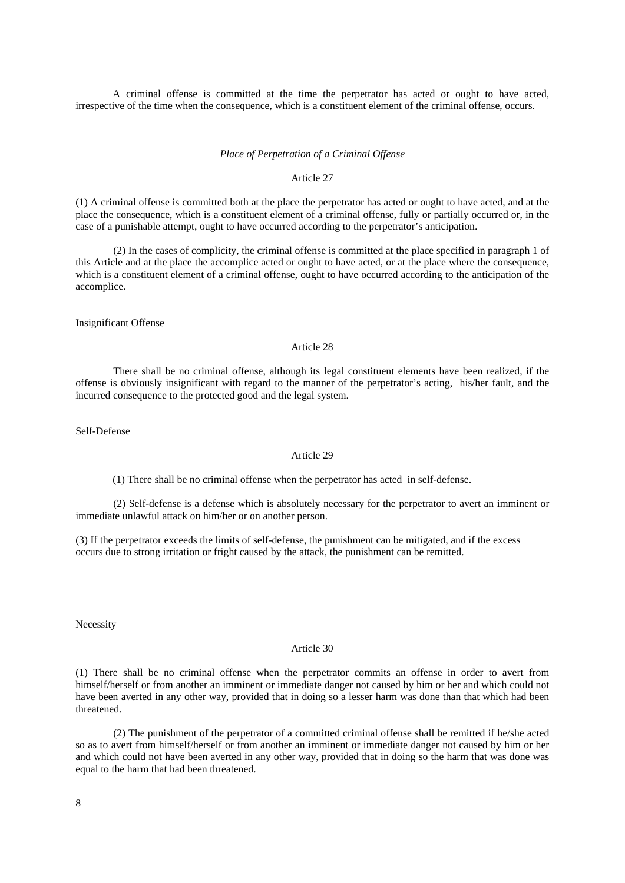A criminal offense is committed at the time the perpetrator has acted or ought to have acted, irrespective of the time when the consequence, which is a constituent element of the criminal offense, occurs.

### *Place of Perpetration of a Criminal Offense*

# Article 27

(1) A criminal offense is committed both at the place the perpetrator has acted or ought to have acted, and at the place the consequence, which is a constituent element of a criminal offense, fully or partially occurred or, in the case of a punishable attempt, ought to have occurred according to the perpetrator's anticipation.

(2) In the cases of complicity, the criminal offense is committed at the place specified in paragraph 1 of this Article and at the place the accomplice acted or ought to have acted, or at the place where the consequence, which is a constituent element of a criminal offense, ought to have occurred according to the anticipation of the accomplice.

#### Insignificant Offense

### Article 28

There shall be no criminal offense, although its legal constituent elements have been realized, if the offense is obviously insignificant with regard to the manner of the perpetrator's acting, his/her fault, and the incurred consequence to the protected good and the legal system.

Self-Defense

#### Article 29

(1) There shall be no criminal offense when the perpetrator has acted in self-defense.

(2) Self-defense is a defense which is absolutely necessary for the perpetrator to avert an imminent or immediate unlawful attack on him/her or on another person.

(3) If the perpetrator exceeds the limits of self-defense, the punishment can be mitigated, and if the excess occurs due to strong irritation or fright caused by the attack, the punishment can be remitted.

Necessity

### Article 30

(1) There shall be no criminal offense when the perpetrator commits an offense in order to avert from himself/herself or from another an imminent or immediate danger not caused by him or her and which could not have been averted in any other way, provided that in doing so a lesser harm was done than that which had been threatened.

(2) The punishment of the perpetrator of a committed criminal offense shall be remitted if he/she acted so as to avert from himself/herself or from another an imminent or immediate danger not caused by him or her and which could not have been averted in any other way, provided that in doing so the harm that was done was equal to the harm that had been threatened.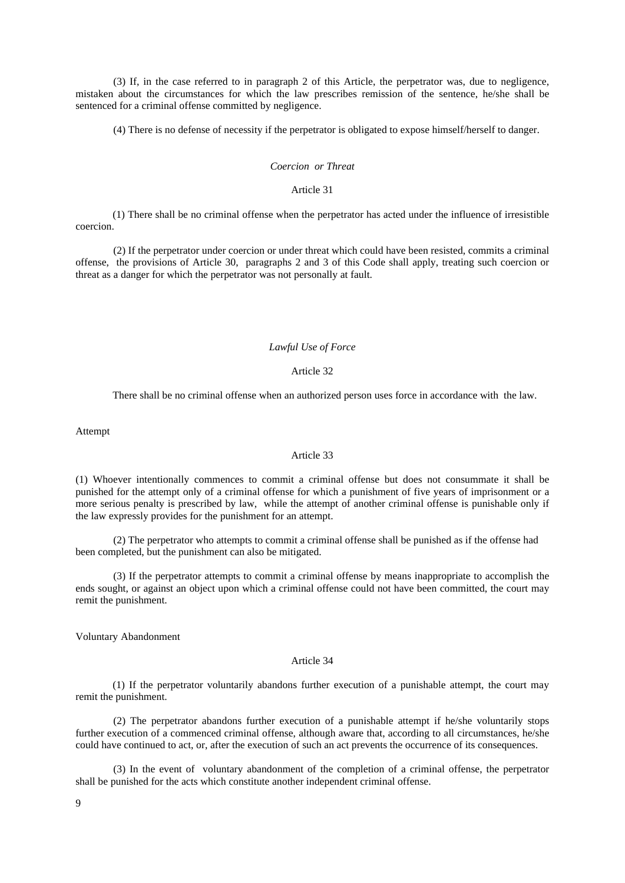(3) If, in the case referred to in paragraph 2 of this Article, the perpetrator was, due to negligence, mistaken about the circumstances for which the law prescribes remission of the sentence, he/she shall be sentenced for a criminal offense committed by negligence.

(4) There is no defense of necessity if the perpetrator is obligated to expose himself/herself to danger.

## *Coercion or Threat*

### Article 31

(1) There shall be no criminal offense when the perpetrator has acted under the influence of irresistible coercion.

(2) If the perpetrator under coercion or under threat which could have been resisted, commits a criminal offense, the provisions of Article 30, paragraphs 2 and 3 of this Code shall apply, treating such coercion or threat as a danger for which the perpetrator was not personally at fault.

#### *Lawful Use of Force*

### Article 32

There shall be no criminal offense when an authorized person uses force in accordance with the law.

Attempt

# Article 33

(1) Whoever intentionally commences to commit a criminal offense but does not consummate it shall be punished for the attempt only of a criminal offense for which a punishment of five years of imprisonment or a more serious penalty is prescribed by law, while the attempt of another criminal offense is punishable only if the law expressly provides for the punishment for an attempt.

(2) The perpetrator who attempts to commit a criminal offense shall be punished as if the offense had been completed, but the punishment can also be mitigated.

(3) If the perpetrator attempts to commit a criminal offense by means inappropriate to accomplish the ends sought, or against an object upon which a criminal offense could not have been committed, the court may remit the punishment.

Voluntary Abandonment

## Article 34

(1) If the perpetrator voluntarily abandons further execution of a punishable attempt, the court may remit the punishment.

(2) The perpetrator abandons further execution of a punishable attempt if he/she voluntarily stops further execution of a commenced criminal offense, although aware that, according to all circumstances, he/she could have continued to act, or, after the execution of such an act prevents the occurrence of its consequences.

(3) In the event of voluntary abandonment of the completion of a criminal offense, the perpetrator shall be punished for the acts which constitute another independent criminal offense.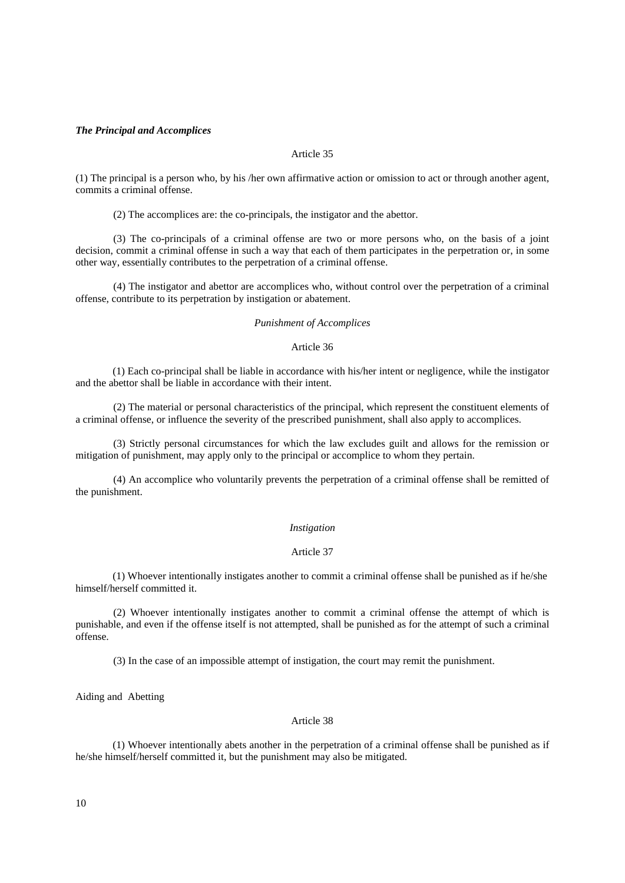#### *The Principal and Accomplices*

## Article 35

(1) The principal is a person who, by his /her own affirmative action or omission to act or through another agent, commits a criminal offense.

(2) The accomplices are: the co-principals, the instigator and the abettor.

(3) The co-principals of a criminal offense are two or more persons who, on the basis of a joint decision, commit a criminal offense in such a way that each of them participates in the perpetration or, in some other way, essentially contributes to the perpetration of a criminal offense.

(4) The instigator and abettor are accomplices who, without control over the perpetration of a criminal offense, contribute to its perpetration by instigation or abatement.

#### *Punishment of Accomplices*

#### Article 36

(1) Each co-principal shall be liable in accordance with his/her intent or negligence, while the instigator and the abettor shall be liable in accordance with their intent.

(2) The material or personal characteristics of the principal, which represent the constituent elements of a criminal offense, or influence the severity of the prescribed punishment, shall also apply to accomplices.

(3) Strictly personal circumstances for which the law excludes guilt and allows for the remission or mitigation of punishment, may apply only to the principal or accomplice to whom they pertain.

(4) An accomplice who voluntarily prevents the perpetration of a criminal offense shall be remitted of the punishment.

#### *Instigation*

#### Article 37

(1) Whoever intentionally instigates another to commit a criminal offense shall be punished as if he/she himself/herself committed it.

(2) Whoever intentionally instigates another to commit a criminal offense the attempt of which is punishable, and even if the offense itself is not attempted, shall be punished as for the attempt of such a criminal offense.

(3) In the case of an impossible attempt of instigation, the court may remit the punishment.

Aiding and Abetting

### Article 38

(1) Whoever intentionally abets another in the perpetration of a criminal offense shall be punished as if he/she himself/herself committed it, but the punishment may also be mitigated.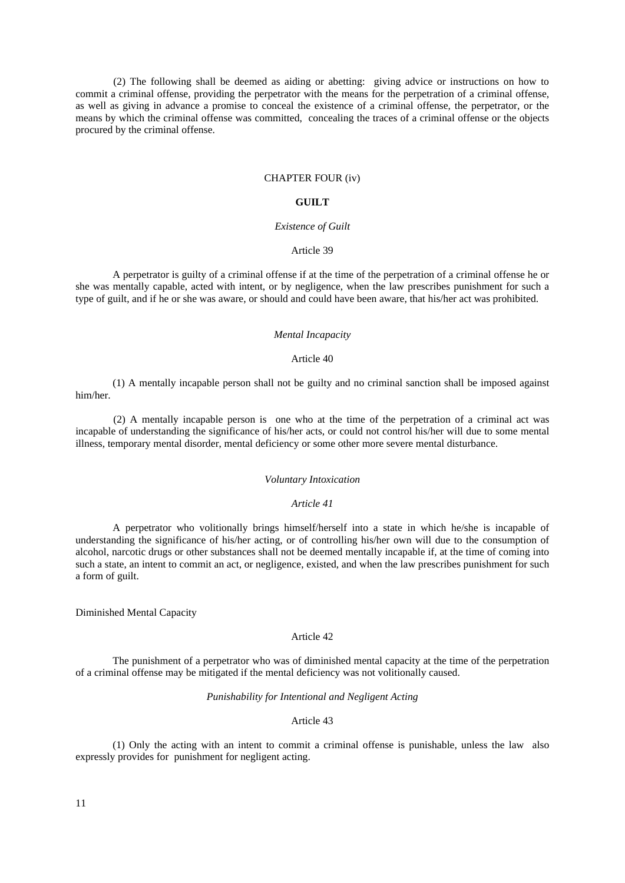(2) The following shall be deemed as aiding or abetting: giving advice or instructions on how to commit a criminal offense, providing the perpetrator with the means for the perpetration of a criminal offense, as well as giving in advance a promise to conceal the existence of a criminal offense, the perpetrator, or the means by which the criminal offense was committed, concealing the traces of a criminal offense or the objects procured by the criminal offense.

### CHAPTER FOUR (iv)

### **GUILT**

## *Existence of Guilt*

### Article 39

A perpetrator is guilty of a criminal offense if at the time of the perpetration of a criminal offense he or she was mentally capable, acted with intent, or by negligence, when the law prescribes punishment for such a type of guilt, and if he or she was aware, or should and could have been aware, that his/her act was prohibited.

#### *Mental Incapacity*

#### Article 40

(1) A mentally incapable person shall not be guilty and no criminal sanction shall be imposed against him/her.

(2) A mentally incapable person is one who at the time of the perpetration of a criminal act was incapable of understanding the significance of his/her acts, or could not control his/her will due to some mental illness, temporary mental disorder, mental deficiency or some other more severe mental disturbance.

#### *Voluntary Intoxication*

*Article 41*

A perpetrator who volitionally brings himself/herself into a state in which he/she is incapable of understanding the significance of his/her acting, or of controlling his/her own will due to the consumption of alcohol, narcotic drugs or other substances shall not be deemed mentally incapable if, at the time of coming into such a state, an intent to commit an act, or negligence, existed, and when the law prescribes punishment for such a form of guilt.

Diminished Mental Capacity

### Article 42

The punishment of a perpetrator who was of diminished mental capacity at the time of the perpetration of a criminal offense may be mitigated if the mental deficiency was not volitionally caused.

*Punishability for Intentional and Negligent Acting* 

# Article 43

(1) Only the acting with an intent to commit a criminal offense is punishable, unless the law also expressly provides for punishment for negligent acting.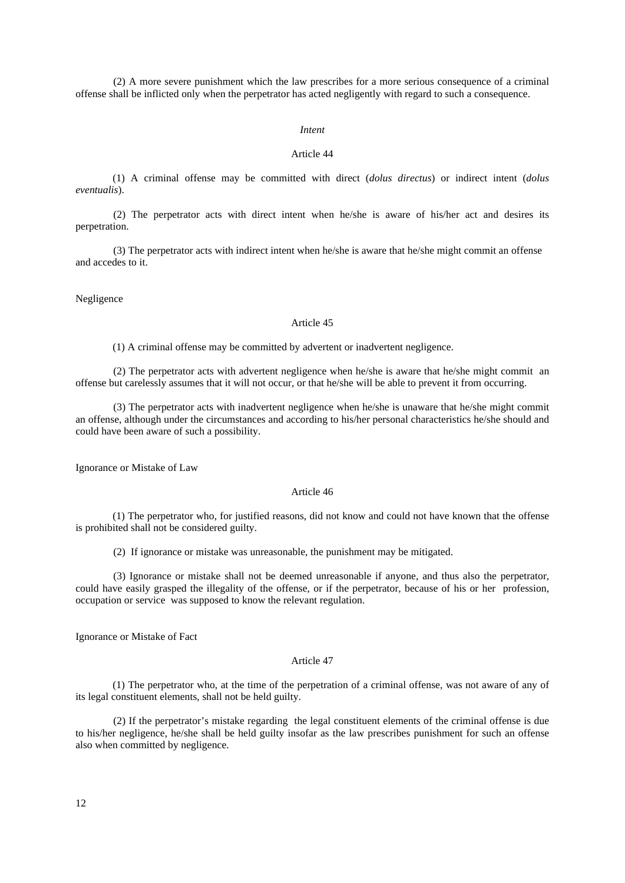(2) A more severe punishment which the law prescribes for a more serious consequence of a criminal offense shall be inflicted only when the perpetrator has acted negligently with regard to such a consequence.

#### *Intent*

### Article 44

(1) A criminal offense may be committed with direct (*dolus directus*) or indirect intent (*dolus eventualis*).

(2) The perpetrator acts with direct intent when he/she is aware of his/her act and desires its perpetration.

(3) The perpetrator acts with indirect intent when he/she is aware that he/she might commit an offense and accedes to it.

Negligence

#### Article 45

(1) A criminal offense may be committed by advertent or inadvertent negligence.

(2) The perpetrator acts with advertent negligence when he/she is aware that he/she might commit an offense but carelessly assumes that it will not occur, or that he/she will be able to prevent it from occurring.

(3) The perpetrator acts with inadvertent negligence when he/she is unaware that he/she might commit an offense, although under the circumstances and according to his/her personal characteristics he/she should and could have been aware of such a possibility.

Ignorance or Mistake of Law

# Article 46

(1) The perpetrator who, for justified reasons, did not know and could not have known that the offense is prohibited shall not be considered guilty.

(2) If ignorance or mistake was unreasonable, the punishment may be mitigated.

(3) Ignorance or mistake shall not be deemed unreasonable if anyone, and thus also the perpetrator, could have easily grasped the illegality of the offense, or if the perpetrator, because of his or her profession, occupation or service was supposed to know the relevant regulation.

Ignorance or Mistake of Fact

## Article 47

(1) The perpetrator who, at the time of the perpetration of a criminal offense, was not aware of any of its legal constituent elements, shall not be held guilty.

(2) If the perpetrator's mistake regarding the legal constituent elements of the criminal offense is due to his/her negligence, he/she shall be held guilty insofar as the law prescribes punishment for such an offense also when committed by negligence.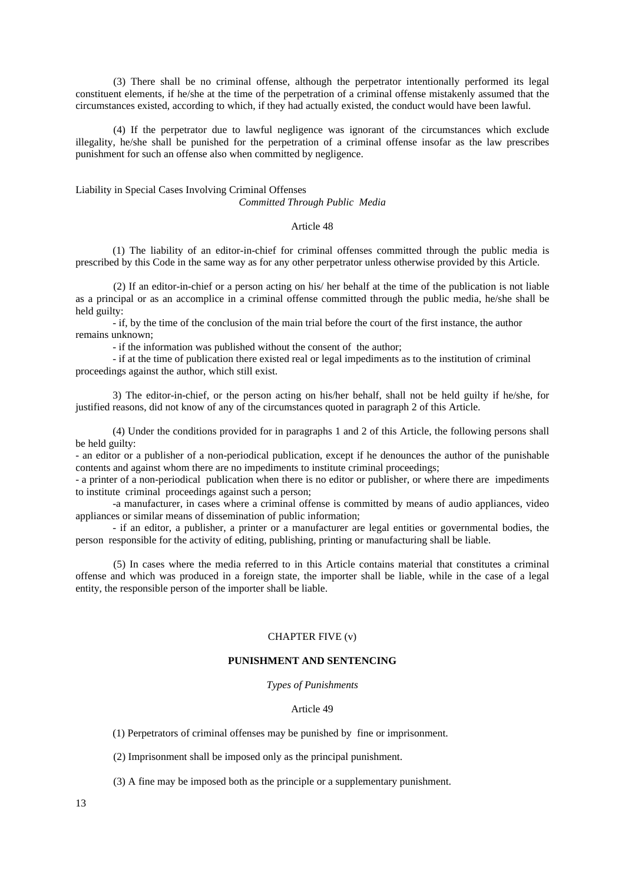(3) There shall be no criminal offense, although the perpetrator intentionally performed its legal constituent elements, if he/she at the time of the perpetration of a criminal offense mistakenly assumed that the circumstances existed, according to which, if they had actually existed, the conduct would have been lawful.

(4) If the perpetrator due to lawful negligence was ignorant of the circumstances which exclude illegality, he/she shall be punished for the perpetration of a criminal offense insofar as the law prescribes punishment for such an offense also when committed by negligence.

### Liability in Special Cases Involving Criminal Offenses *Committed Through Public Media*

### Article 48

(1) The liability of an editor-in-chief for criminal offenses committed through the public media is prescribed by this Code in the same way as for any other perpetrator unless otherwise provided by this Article.

(2) If an editor-in-chief or a person acting on his/ her behalf at the time of the publication is not liable as a principal or as an accomplice in a criminal offense committed through the public media, he/she shall be held guilty:

- if, by the time of the conclusion of the main trial before the court of the first instance, the author remains unknown;

- if the information was published without the consent of the author;

- if at the time of publication there existed real or legal impediments as to the institution of criminal proceedings against the author, which still exist.

3) The editor-in-chief, or the person acting on his/her behalf, shall not be held guilty if he/she, for justified reasons, did not know of any of the circumstances quoted in paragraph 2 of this Article.

(4) Under the conditions provided for in paragraphs 1 and 2 of this Article, the following persons shall be held guilty:

- an editor or a publisher of a non-periodical publication, except if he denounces the author of the punishable contents and against whom there are no impediments to institute criminal proceedings;

- a printer of a non-periodical publication when there is no editor or publisher, or where there are impediments to institute criminal proceedings against such a person;

-a manufacturer, in cases where a criminal offense is committed by means of audio appliances, video appliances or similar means of dissemination of public information;

- if an editor, a publisher, a printer or a manufacturer are legal entities or governmental bodies, the person responsible for the activity of editing, publishing, printing or manufacturing shall be liable.

(5) In cases where the media referred to in this Article contains material that constitutes a criminal offense and which was produced in a foreign state, the importer shall be liable, while in the case of a legal entity, the responsible person of the importer shall be liable.

### CHAPTER FIVE (v)

# **PUNISHMENT AND SENTENCING**

*Types of Punishments*

#### Article 49

(1) Perpetrators of criminal offenses may be punished by fine or imprisonment.

(2) Imprisonment shall be imposed only as the principal punishment.

(3) A fine may be imposed both as the principle or a supplementary punishment.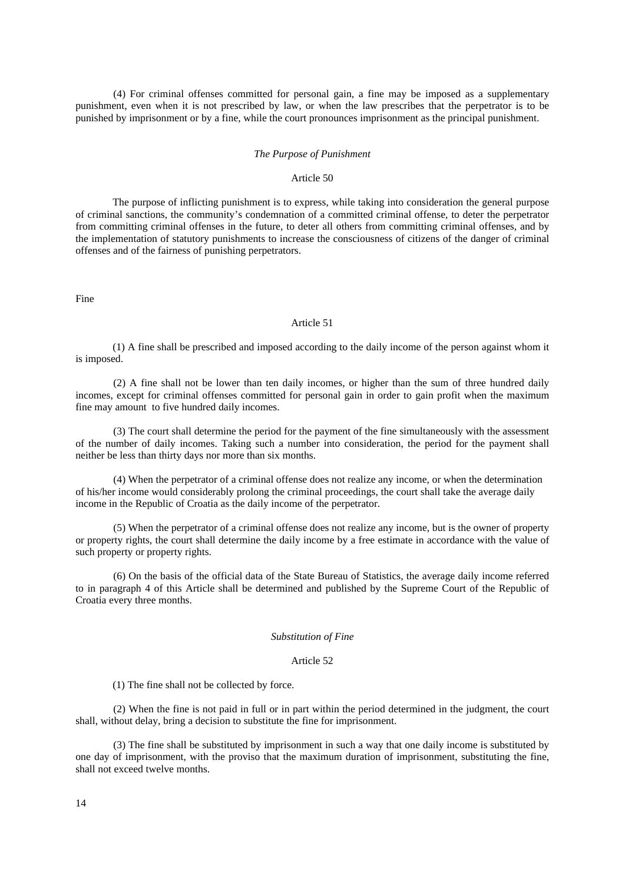(4) For criminal offenses committed for personal gain, a fine may be imposed as a supplementary punishment, even when it is not prescribed by law, or when the law prescribes that the perpetrator is to be punished by imprisonment or by a fine, while the court pronounces imprisonment as the principal punishment.

### *The Purpose of Punishment*

# Article 50

The purpose of inflicting punishment is to express, while taking into consideration the general purpose of criminal sanctions, the community's condemnation of a committed criminal offense, to deter the perpetrator from committing criminal offenses in the future, to deter all others from committing criminal offenses, and by the implementation of statutory punishments to increase the consciousness of citizens of the danger of criminal offenses and of the fairness of punishing perpetrators.

Fine

#### Article 51

(1) A fine shall be prescribed and imposed according to the daily income of the person against whom it is imposed.

(2) A fine shall not be lower than ten daily incomes, or higher than the sum of three hundred daily incomes, except for criminal offenses committed for personal gain in order to gain profit when the maximum fine may amount to five hundred daily incomes.

(3) The court shall determine the period for the payment of the fine simultaneously with the assessment of the number of daily incomes. Taking such a number into consideration, the period for the payment shall neither be less than thirty days nor more than six months.

(4) When the perpetrator of a criminal offense does not realize any income, or when the determination of his/her income would considerably prolong the criminal proceedings, the court shall take the average daily income in the Republic of Croatia as the daily income of the perpetrator.

(5) When the perpetrator of a criminal offense does not realize any income, but is the owner of property or property rights, the court shall determine the daily income by a free estimate in accordance with the value of such property or property rights.

(6) On the basis of the official data of the State Bureau of Statistics, the average daily income referred to in paragraph 4 of this Article shall be determined and published by the Supreme Court of the Republic of Croatia every three months.

### *Substitution of Fine*

# Article 52

(1) The fine shall not be collected by force.

(2) When the fine is not paid in full or in part within the period determined in the judgment, the court shall, without delay, bring a decision to substitute the fine for imprisonment.

(3) The fine shall be substituted by imprisonment in such a way that one daily income is substituted by one day of imprisonment, with the proviso that the maximum duration of imprisonment, substituting the fine, shall not exceed twelve months.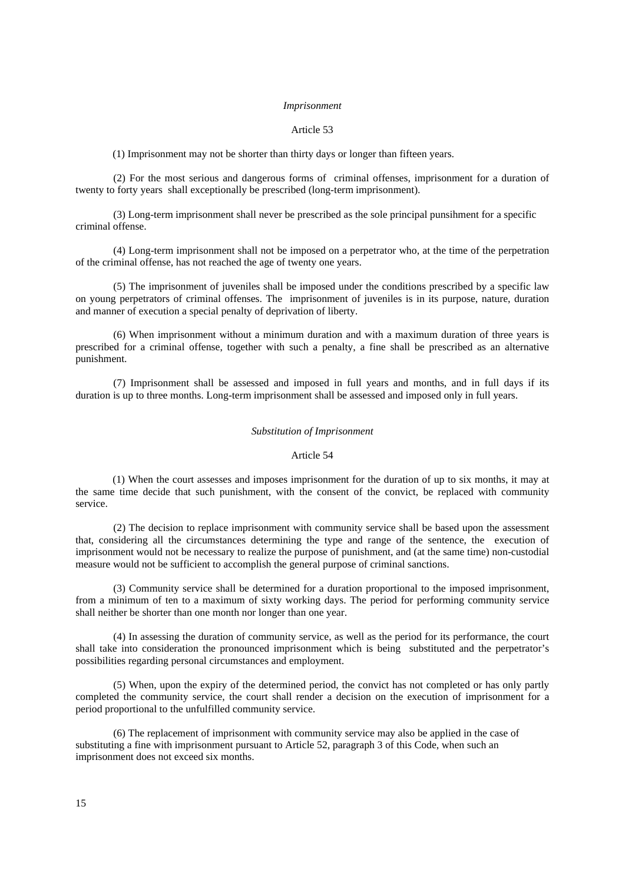#### *Imprisonment*

### Article 53

(1) Imprisonment may not be shorter than thirty days or longer than fifteen years.

(2) For the most serious and dangerous forms of criminal offenses, imprisonment for a duration of twenty to forty years shall exceptionally be prescribed (long-term imprisonment).

(3) Long-term imprisonment shall never be prescribed as the sole principal punsihment for a specific criminal offense.

(4) Long-term imprisonment shall not be imposed on a perpetrator who, at the time of the perpetration of the criminal offense, has not reached the age of twenty one years.

(5) The imprisonment of juveniles shall be imposed under the conditions prescribed by a specific law on young perpetrators of criminal offenses. The imprisonment of juveniles is in its purpose, nature, duration and manner of execution a special penalty of deprivation of liberty.

(6) When imprisonment without a minimum duration and with a maximum duration of three years is prescribed for a criminal offense, together with such a penalty, a fine shall be prescribed as an alternative punishment.

(7) Imprisonment shall be assessed and imposed in full years and months, and in full days if its duration is up to three months. Long-term imprisonment shall be assessed and imposed only in full years.

### *Substitution of Imprisonment*

### Article 54

(1) When the court assesses and imposes imprisonment for the duration of up to six months, it may at the same time decide that such punishment, with the consent of the convict, be replaced with community service.

(2) The decision to replace imprisonment with community service shall be based upon the assessment that, considering all the circumstances determining the type and range of the sentence, the execution of imprisonment would not be necessary to realize the purpose of punishment, and (at the same time) non-custodial measure would not be sufficient to accomplish the general purpose of criminal sanctions.

(3) Community service shall be determined for a duration proportional to the imposed imprisonment, from a minimum of ten to a maximum of sixty working days. The period for performing community service shall neither be shorter than one month nor longer than one year.

(4) In assessing the duration of community service, as well as the period for its performance, the court shall take into consideration the pronounced imprisonment which is being substituted and the perpetrator's possibilities regarding personal circumstances and employment.

(5) When, upon the expiry of the determined period, the convict has not completed or has only partly completed the community service, the court shall render a decision on the execution of imprisonment for a period proportional to the unfulfilled community service.

(6) The replacement of imprisonment with community service may also be applied in the case of substituting a fine with imprisonment pursuant to Article 52, paragraph 3 of this Code, when such an imprisonment does not exceed six months.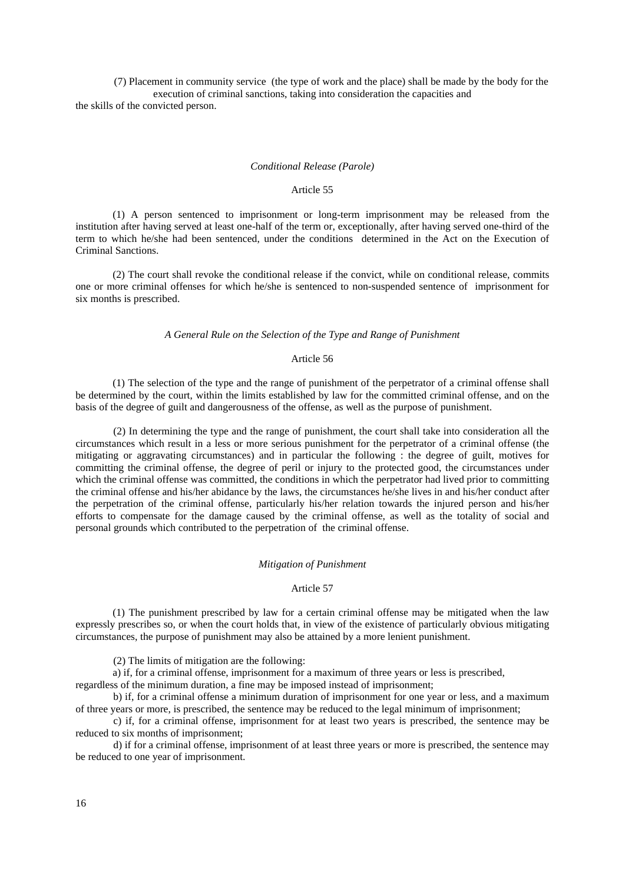(7) Placement in community service (the type of work and the place) shall be made by the body for the execution of criminal sanctions, taking into consideration the capacities and the skills of the convicted person.

### *Conditional Release (Parole)*

### Article 55

(1) A person sentenced to imprisonment or long-term imprisonment may be released from the institution after having served at least one-half of the term or, exceptionally, after having served one-third of the term to which he/she had been sentenced, under the conditions determined in the Act on the Execution of Criminal Sanctions.

(2) The court shall revoke the conditional release if the convict, while on conditional release, commits one or more criminal offenses for which he/she is sentenced to non-suspended sentence of imprisonment for six months is prescribed.

#### *A General Rule on the Selection of the Type and Range of Punishment*

#### Article 56

(1) The selection of the type and the range of punishment of the perpetrator of a criminal offense shall be determined by the court, within the limits established by law for the committed criminal offense, and on the basis of the degree of guilt and dangerousness of the offense, as well as the purpose of punishment.

(2) In determining the type and the range of punishment, the court shall take into consideration all the circumstances which result in a less or more serious punishment for the perpetrator of a criminal offense (the mitigating or aggravating circumstances) and in particular the following : the degree of guilt, motives for committing the criminal offense, the degree of peril or injury to the protected good, the circumstances under which the criminal offense was committed, the conditions in which the perpetrator had lived prior to committing the criminal offense and his/her abidance by the laws, the circumstances he/she lives in and his/her conduct after the perpetration of the criminal offense, particularly his/her relation towards the injured person and his/her efforts to compensate for the damage caused by the criminal offense, as well as the totality of social and personal grounds which contributed to the perpetration of the criminal offense.

#### *Mitigation of Punishment*

#### Article 57

(1) The punishment prescribed by law for a certain criminal offense may be mitigated when the law expressly prescribes so, or when the court holds that, in view of the existence of particularly obvious mitigating circumstances, the purpose of punishment may also be attained by a more lenient punishment.

(2) The limits of mitigation are the following:

a) if, for a criminal offense, imprisonment for a maximum of three years or less is prescribed,

regardless of the minimum duration, a fine may be imposed instead of imprisonment;

b) if, for a criminal offense a minimum duration of imprisonment for one year or less, and a maximum of three years or more, is prescribed, the sentence may be reduced to the legal minimum of imprisonment;

c) if, for a criminal offense, imprisonment for at least two years is prescribed, the sentence may be reduced to six months of imprisonment;

d) if for a criminal offense, imprisonment of at least three years or more is prescribed, the sentence may be reduced to one year of imprisonment.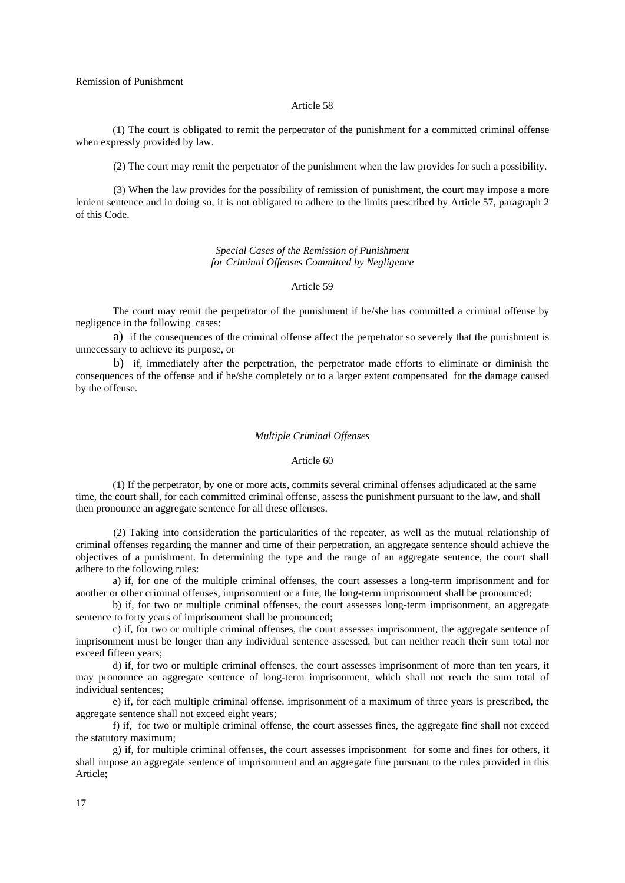### Remission of Punishment

#### Article 58

(1) The court is obligated to remit the perpetrator of the punishment for a committed criminal offense when expressly provided by law.

(2) The court may remit the perpetrator of the punishment when the law provides for such a possibility.

(3) When the law provides for the possibility of remission of punishment, the court may impose a more lenient sentence and in doing so, it is not obligated to adhere to the limits prescribed by Article 57, paragraph 2 of this Code.

> *Special Cases of the Remission of Punishment for Criminal Offenses Committed by Negligence*

### Article 59

The court may remit the perpetrator of the punishment if he/she has committed a criminal offense by negligence in the following cases:

a) if the consequences of the criminal offense affect the perpetrator so severely that the punishment is unnecessary to achieve its purpose, or

b) if, immediately after the perpetration, the perpetrator made efforts to eliminate or diminish the consequences of the offense and if he/she completely or to a larger extent compensated for the damage caused by the offense.

### *Multiple Criminal Offenses*

### Article 60

(1) If the perpetrator, by one or more acts, commits several criminal offenses adjudicated at the same time, the court shall, for each committed criminal offense, assess the punishment pursuant to the law, and shall then pronounce an aggregate sentence for all these offenses.

(2) Taking into consideration the particularities of the repeater, as well as the mutual relationship of criminal offenses regarding the manner and time of their perpetration, an aggregate sentence should achieve the objectives of a punishment. In determining the type and the range of an aggregate sentence, the court shall adhere to the following rules:

a) if, for one of the multiple criminal offenses, the court assesses a long-term imprisonment and for another or other criminal offenses, imprisonment or a fine, the long-term imprisonment shall be pronounced;

b) if, for two or multiple criminal offenses, the court assesses long-term imprisonment, an aggregate sentence to forty years of imprisonment shall be pronounced;

c) if, for two or multiple criminal offenses, the court assesses imprisonment, the aggregate sentence of imprisonment must be longer than any individual sentence assessed, but can neither reach their sum total nor exceed fifteen years;

d) if, for two or multiple criminal offenses, the court assesses imprisonment of more than ten years, it may pronounce an aggregate sentence of long-term imprisonment, which shall not reach the sum total of individual sentences;

e) if, for each multiple criminal offense, imprisonment of a maximum of three years is prescribed, the aggregate sentence shall not exceed eight years;

f) if, for two or multiple criminal offense, the court assesses fines, the aggregate fine shall not exceed the statutory maximum;

g) if, for multiple criminal offenses, the court assesses imprisonment for some and fines for others, it shall impose an aggregate sentence of imprisonment and an aggregate fine pursuant to the rules provided in this Article;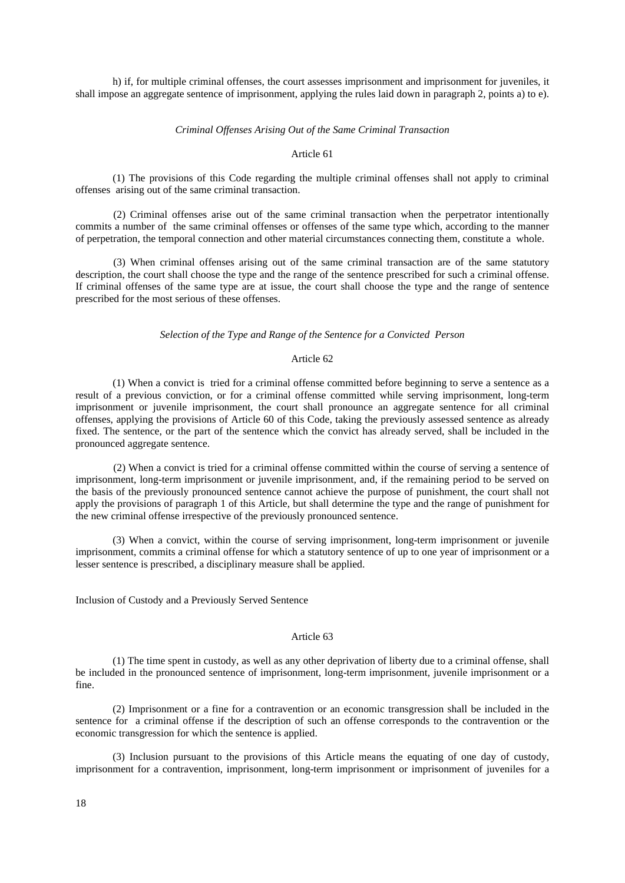h) if, for multiple criminal offenses, the court assesses imprisonment and imprisonment for juveniles, it shall impose an aggregate sentence of imprisonment, applying the rules laid down in paragraph 2, points a) to e).

#### *Criminal Offenses Arising Out of the Same Criminal Transaction*

## Article 61

(1) The provisions of this Code regarding the multiple criminal offenses shall not apply to criminal offenses arising out of the same criminal transaction.

(2) Criminal offenses arise out of the same criminal transaction when the perpetrator intentionally commits a number of the same criminal offenses or offenses of the same type which, according to the manner of perpetration, the temporal connection and other material circumstances connecting them, constitute a whole.

(3) When criminal offenses arising out of the same criminal transaction are of the same statutory description, the court shall choose the type and the range of the sentence prescribed for such a criminal offense. If criminal offenses of the same type are at issue, the court shall choose the type and the range of sentence prescribed for the most serious of these offenses.

#### *Selection of the Type and Range of the Sentence for a Convicted Person*

#### Article 62

(1) When a convict is tried for a criminal offense committed before beginning to serve a sentence as a result of a previous conviction, or for a criminal offense committed while serving imprisonment, long-term imprisonment or juvenile imprisonment, the court shall pronounce an aggregate sentence for all criminal offenses, applying the provisions of Article 60 of this Code, taking the previously assessed sentence as already fixed. The sentence, or the part of the sentence which the convict has already served, shall be included in the pronounced aggregate sentence.

(2) When a convict is tried for a criminal offense committed within the course of serving a sentence of imprisonment, long-term imprisonment or juvenile imprisonment, and, if the remaining period to be served on the basis of the previously pronounced sentence cannot achieve the purpose of punishment, the court shall not apply the provisions of paragraph 1 of this Article, but shall determine the type and the range of punishment for the new criminal offense irrespective of the previously pronounced sentence.

(3) When a convict, within the course of serving imprisonment, long-term imprisonment or juvenile imprisonment, commits a criminal offense for which a statutory sentence of up to one year of imprisonment or a lesser sentence is prescribed, a disciplinary measure shall be applied.

Inclusion of Custody and a Previously Served Sentence

### Article 63

(1) The time spent in custody, as well as any other deprivation of liberty due to a criminal offense, shall be included in the pronounced sentence of imprisonment, long-term imprisonment, juvenile imprisonment or a fine.

(2) Imprisonment or a fine for a contravention or an economic transgression shall be included in the sentence for a criminal offense if the description of such an offense corresponds to the contravention or the economic transgression for which the sentence is applied.

(3) Inclusion pursuant to the provisions of this Article means the equating of one day of custody, imprisonment for a contravention, imprisonment, long-term imprisonment or imprisonment of juveniles for a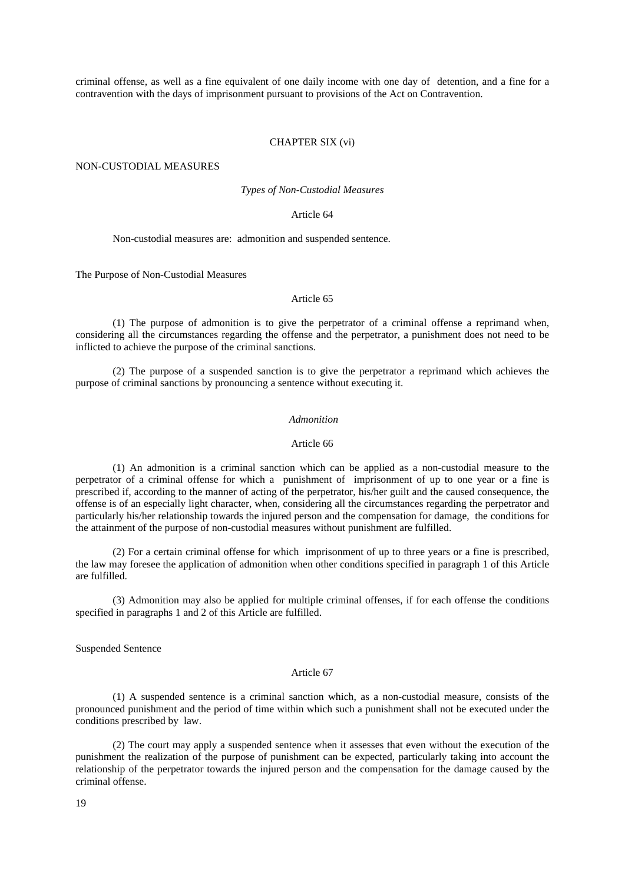criminal offense, as well as a fine equivalent of one daily income with one day of detention, and a fine for a contravention with the days of imprisonment pursuant to provisions of the Act on Contravention.

### CHAPTER SIX (vi)

NON-CUSTODIAL MEASURES

# *Types of Non-Custodial Measures*

### Article 64

Non-custodial measures are: admonition and suspended sentence.

The Purpose of Non-Custodial Measures

### Article 65

(1) The purpose of admonition is to give the perpetrator of a criminal offense a reprimand when, considering all the circumstances regarding the offense and the perpetrator, a punishment does not need to be inflicted to achieve the purpose of the criminal sanctions.

(2) The purpose of a suspended sanction is to give the perpetrator a reprimand which achieves the purpose of criminal sanctions by pronouncing a sentence without executing it.

### *Admonition*

### Article 66

(1) An admonition is a criminal sanction which can be applied as a non-custodial measure to the perpetrator of a criminal offense for which a punishment of imprisonment of up to one year or a fine is prescribed if, according to the manner of acting of the perpetrator, his/her guilt and the caused consequence, the offense is of an especially light character, when, considering all the circumstances regarding the perpetrator and particularly his/her relationship towards the injured person and the compensation for damage, the conditions for the attainment of the purpose of non-custodial measures without punishment are fulfilled.

(2) For a certain criminal offense for which imprisonment of up to three years or a fine is prescribed, the law may foresee the application of admonition when other conditions specified in paragraph 1 of this Article are fulfilled.

(3) Admonition may also be applied for multiple criminal offenses, if for each offense the conditions specified in paragraphs 1 and 2 of this Article are fulfilled.

Suspended Sentence

### Article 67

(1) A suspended sentence is a criminal sanction which, as a non-custodial measure, consists of the pronounced punishment and the period of time within which such a punishment shall not be executed under the conditions prescribed by law.

(2) The court may apply a suspended sentence when it assesses that even without the execution of the punishment the realization of the purpose of punishment can be expected, particularly taking into account the relationship of the perpetrator towards the injured person and the compensation for the damage caused by the criminal offense.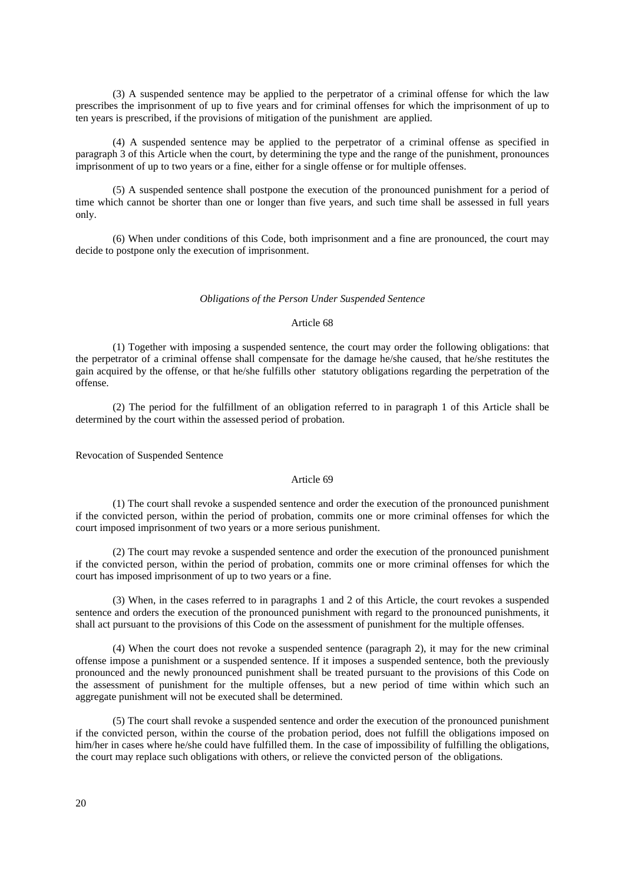(3) A suspended sentence may be applied to the perpetrator of a criminal offense for which the law prescribes the imprisonment of up to five years and for criminal offenses for which the imprisonment of up to ten years is prescribed, if the provisions of mitigation of the punishment are applied.

(4) A suspended sentence may be applied to the perpetrator of a criminal offense as specified in paragraph 3 of this Article when the court, by determining the type and the range of the punishment, pronounces imprisonment of up to two years or a fine, either for a single offense or for multiple offenses.

(5) A suspended sentence shall postpone the execution of the pronounced punishment for a period of time which cannot be shorter than one or longer than five years, and such time shall be assessed in full years only.

(6) When under conditions of this Code, both imprisonment and a fine are pronounced, the court may decide to postpone only the execution of imprisonment.

#### *Obligations of the Person Under Suspended Sentence*

#### Article 68

(1) Together with imposing a suspended sentence, the court may order the following obligations: that the perpetrator of a criminal offense shall compensate for the damage he/she caused, that he/she restitutes the gain acquired by the offense, or that he/she fulfills other statutory obligations regarding the perpetration of the offense.

(2) The period for the fulfillment of an obligation referred to in paragraph 1 of this Article shall be determined by the court within the assessed period of probation.

Revocation of Suspended Sentence

# Article 69

(1) The court shall revoke a suspended sentence and order the execution of the pronounced punishment if the convicted person, within the period of probation, commits one or more criminal offenses for which the court imposed imprisonment of two years or a more serious punishment.

(2) The court may revoke a suspended sentence and order the execution of the pronounced punishment if the convicted person, within the period of probation, commits one or more criminal offenses for which the court has imposed imprisonment of up to two years or a fine.

(3) When, in the cases referred to in paragraphs 1 and 2 of this Article, the court revokes a suspended sentence and orders the execution of the pronounced punishment with regard to the pronounced punishments, it shall act pursuant to the provisions of this Code on the assessment of punishment for the multiple offenses.

(4) When the court does not revoke a suspended sentence (paragraph 2), it may for the new criminal offense impose a punishment or a suspended sentence. If it imposes a suspended sentence, both the previously pronounced and the newly pronounced punishment shall be treated pursuant to the provisions of this Code on the assessment of punishment for the multiple offenses, but a new period of time within which such an aggregate punishment will not be executed shall be determined.

(5) The court shall revoke a suspended sentence and order the execution of the pronounced punishment if the convicted person, within the course of the probation period, does not fulfill the obligations imposed on him/her in cases where he/she could have fulfilled them. In the case of impossibility of fulfilling the obligations, the court may replace such obligations with others, or relieve the convicted person of the obligations.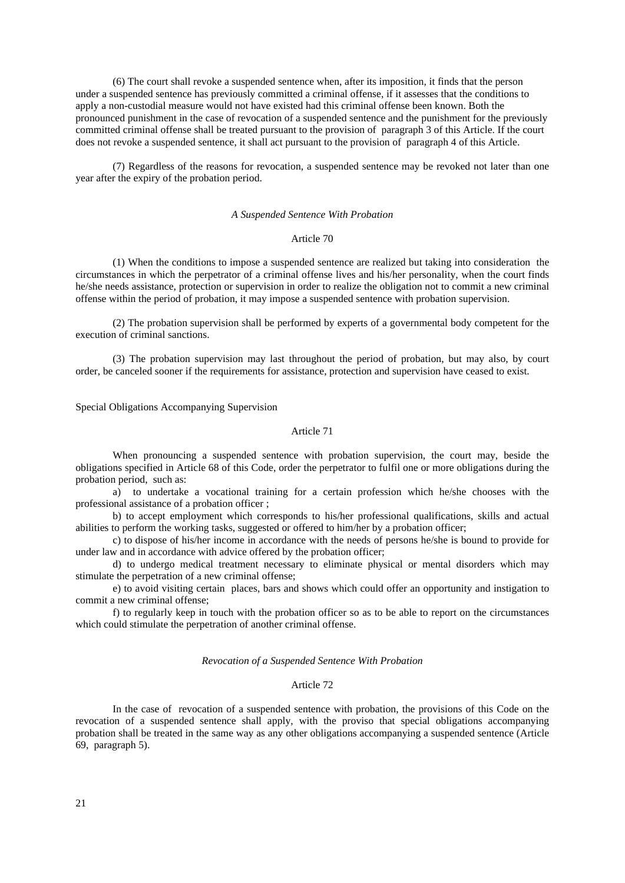(6) The court shall revoke a suspended sentence when, after its imposition, it finds that the person under a suspended sentence has previously committed a criminal offense, if it assesses that the conditions to apply a non-custodial measure would not have existed had this criminal offense been known. Both the pronounced punishment in the case of revocation of a suspended sentence and the punishment for the previously committed criminal offense shall be treated pursuant to the provision of paragraph 3 of this Article. If the court does not revoke a suspended sentence, it shall act pursuant to the provision of paragraph 4 of this Article.

(7) Regardless of the reasons for revocation, a suspended sentence may be revoked not later than one year after the expiry of the probation period.

### *A Suspended Sentence With Probation*

# Article 70

(1) When the conditions to impose a suspended sentence are realized but taking into consideration the circumstances in which the perpetrator of a criminal offense lives and his/her personality, when the court finds he/she needs assistance, protection or supervision in order to realize the obligation not to commit a new criminal offense within the period of probation, it may impose a suspended sentence with probation supervision.

(2) The probation supervision shall be performed by experts of a governmental body competent for the execution of criminal sanctions.

(3) The probation supervision may last throughout the period of probation, but may also, by court order, be canceled sooner if the requirements for assistance, protection and supervision have ceased to exist.

# Special Obligations Accompanying Supervision

# Article 71

When pronouncing a suspended sentence with probation supervision, the court may, beside the obligations specified in Article 68 of this Code, order the perpetrator to fulfil one or more obligations during the probation period, such as:

a) to undertake a vocational training for a certain profession which he/she chooses with the professional assistance of a probation officer ;

b) to accept employment which corresponds to his/her professional qualifications, skills and actual abilities to perform the working tasks, suggested or offered to him/her by a probation officer;

c) to dispose of his/her income in accordance with the needs of persons he/she is bound to provide for under law and in accordance with advice offered by the probation officer;

d) to undergo medical treatment necessary to eliminate physical or mental disorders which may stimulate the perpetration of a new criminal offense;

e) to avoid visiting certain places, bars and shows which could offer an opportunity and instigation to commit a new criminal offense;

f) to regularly keep in touch with the probation officer so as to be able to report on the circumstances which could stimulate the perpetration of another criminal offense.

# *Revocation of a Suspended Sentence With Probation*

### Article 72

In the case of revocation of a suspended sentence with probation, the provisions of this Code on the revocation of a suspended sentence shall apply, with the proviso that special obligations accompanying probation shall be treated in the same way as any other obligations accompanying a suspended sentence (Article 69, paragraph 5).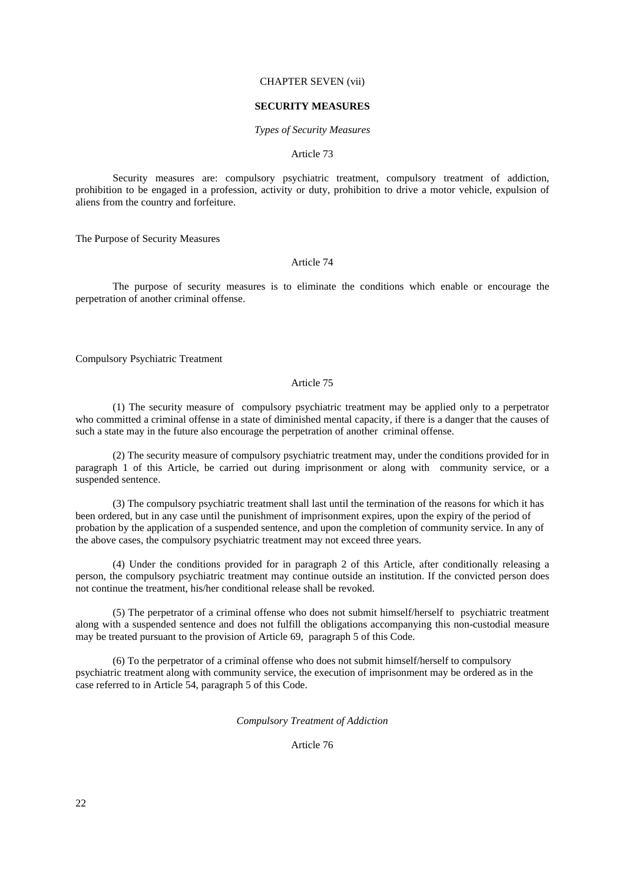### CHAPTER SEVEN (vii)

### **SECURITY MEASURES**

#### *Types of Security Measures*

## Article 73

Security measures are: compulsory psychiatric treatment, compulsory treatment of addiction, prohibition to be engaged in a profession, activity or duty, prohibition to drive a motor vehicle, expulsion of aliens from the country and forfeiture.

The Purpose of Security Measures

# Article 74

The purpose of security measures is to eliminate the conditions which enable or encourage the perpetration of another criminal offense.

Compulsory Psychiatric Treatment

# Article 75

(1) The security measure of compulsory psychiatric treatment may be applied only to a perpetrator who committed a criminal offense in a state of diminished mental capacity, if there is a danger that the causes of such a state may in the future also encourage the perpetration of another criminal offense.

(2) The security measure of compulsory psychiatric treatment may, under the conditions provided for in paragraph 1 of this Article, be carried out during imprisonment or along with community service, or a suspended sentence.

(3) The compulsory psychiatric treatment shall last until the termination of the reasons for which it has been ordered, but in any case until the punishment of imprisonment expires, upon the expiry of the period of probation by the application of a suspended sentence, and upon the completion of community service. In any of the above cases, the compulsory psychiatric treatment may not exceed three years.

(4) Under the conditions provided for in paragraph 2 of this Article, after conditionally releasing a person, the compulsory psychiatric treatment may continue outside an institution. If the convicted person does not continue the treatment, his/her conditional release shall be revoked.

(5) The perpetrator of a criminal offense who does not submit himself/herself to psychiatric treatment along with a suspended sentence and does not fulfill the obligations accompanying this non-custodial measure may be treated pursuant to the provision of Article 69, paragraph 5 of this Code.

(6) To the perpetrator of a criminal offense who does not submit himself/herself to compulsory psychiatric treatment along with community service, the execution of imprisonment may be ordered as in the case referred to in Article 54, paragraph 5 of this Code.

*Compulsory Treatment of Addiction* 

Article 76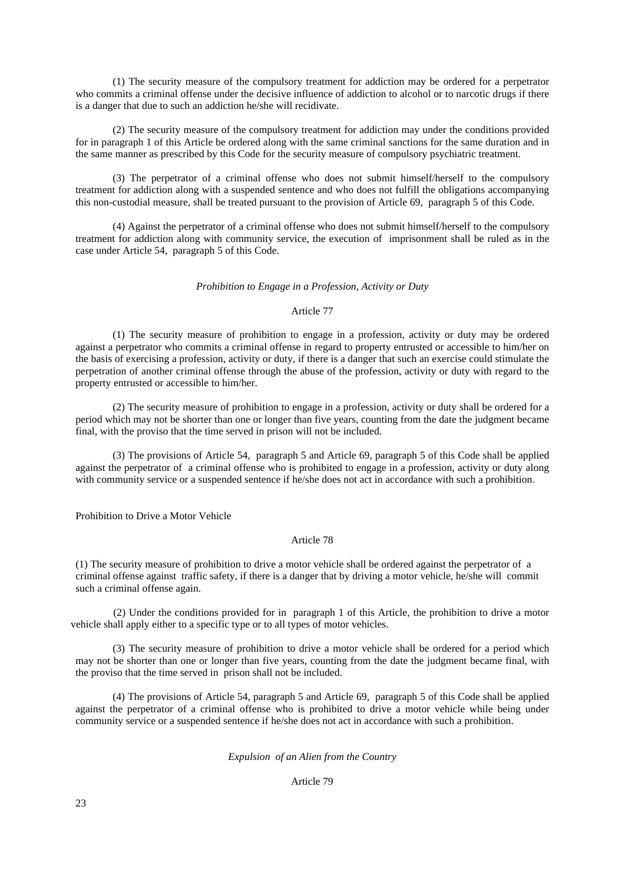(1) The security measure of the compulsory treatment for addiction may be ordered for a perpetrator who commits a criminal offense under the decisive influence of addiction to alcohol or to narcotic drugs if there is a danger that due to such an addiction he/she will recidivate.

(2) The security measure of the compulsory treatment for addiction may under the conditions provided for in paragraph 1 of this Article be ordered along with the same criminal sanctions for the same duration and in the same manner as prescribed by this Code for the security measure of compulsory psychiatric treatment.

(3) The perpetrator of a criminal offense who does not submit himself/herself to the compulsory treatment for addiction along with a suspended sentence and who does not fulfill the obligations accompanying this non-custodial measure, shall be treated pursuant to the provision of Article 69, paragraph 5 of this Code.

(4) Against the perpetrator of a criminal offense who does not submit himself/herself to the compulsory treatment for addiction along with community service, the execution of imprisonment shall be ruled as in the case under Article 54, paragraph 5 of this Code.

# *Prohibition to Engage in a Profession, Activity or Duty*

### Article 77

(1) The security measure of prohibition to engage in a profession, activity or duty may be ordered against a perpetrator who commits a criminal offense in regard to property entrusted or accessible to him/her on the basis of exercising a profession, activity or duty, if there is a danger that such an exercise could stimulate the perpetration of another criminal offense through the abuse of the profession, activity or duty with regard to the property entrusted or accessible to him/her.

(2) The security measure of prohibition to engage in a profession, activity or duty shall be ordered for a period which may not be shorter than one or longer than five years, counting from the date the judgment became final, with the proviso that the time served in prison will not be included.

(3) The provisions of Article 54, paragraph 5 and Article 69, paragraph 5 of this Code shall be applied against the perpetrator of a criminal offense who is prohibited to engage in a profession, activity or duty along with community service or a suspended sentence if he/she does not act in accordance with such a prohibition.

Prohibition to Drive a Motor Vehicle

# Article 78

(1) The security measure of prohibition to drive a motor vehicle shall be ordered against the perpetrator of a criminal offense against traffic safety, if there is a danger that by driving a motor vehicle, he/she will commit such a criminal offense again.

(2) Under the conditions provided for in paragraph 1 of this Article, the prohibition to drive a motor vehicle shall apply either to a specific type or to all types of motor vehicles.

(3) The security measure of prohibition to drive a motor vehicle shall be ordered for a period which may not be shorter than one or longer than five years, counting from the date the judgment became final, with the proviso that the time served in prison shall not be included.

(4) The provisions of Article 54, paragraph 5 and Article 69, paragraph 5 of this Code shall be applied against the perpetrator of a criminal offense who is prohibited to drive a motor vehicle while being under community service or a suspended sentence if he/she does not act in accordance with such a prohibition.

### *Expulsion of an Alien from the Country*

Article 79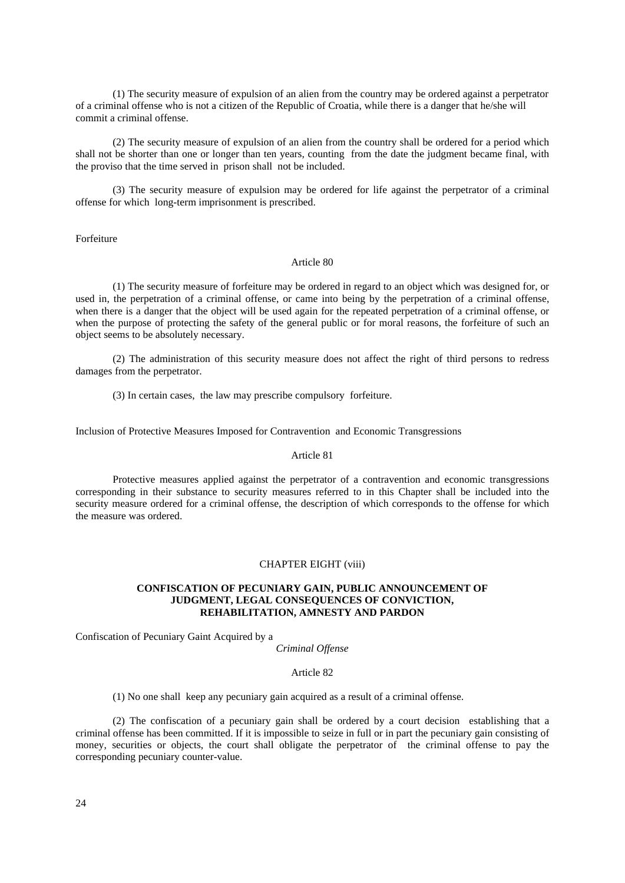(1) The security measure of expulsion of an alien from the country may be ordered against a perpetrator of a criminal offense who is not a citizen of the Republic of Croatia, while there is a danger that he/she will commit a criminal offense.

(2) The security measure of expulsion of an alien from the country shall be ordered for a period which shall not be shorter than one or longer than ten years, counting from the date the judgment became final, with the proviso that the time served in prison shall not be included.

(3) The security measure of expulsion may be ordered for life against the perpetrator of a criminal offense for which long-term imprisonment is prescribed.

# Forfeiture

### Article 80

(1) The security measure of forfeiture may be ordered in regard to an object which was designed for, or used in, the perpetration of a criminal offense, or came into being by the perpetration of a criminal offense, when there is a danger that the object will be used again for the repeated perpetration of a criminal offense, or when the purpose of protecting the safety of the general public or for moral reasons, the forfeiture of such an object seems to be absolutely necessary.

(2) The administration of this security measure does not affect the right of third persons to redress damages from the perpetrator.

(3) In certain cases, the law may prescribe compulsory forfeiture.

Inclusion of Protective Measures Imposed for Contravention and Economic Transgressions

#### Article 81

Protective measures applied against the perpetrator of a contravention and economic transgressions corresponding in their substance to security measures referred to in this Chapter shall be included into the security measure ordered for a criminal offense, the description of which corresponds to the offense for which the measure was ordered.

#### CHAPTER EIGHT (viii)

### **CONFISCATION OF PECUNIARY GAIN, PUBLIC ANNOUNCEMENT OF JUDGMENT, LEGAL CONSEQUENCES OF CONVICTION, REHABILITATION, AMNESTY AND PARDON**

Confiscation of Pecuniary Gaint Acquired by a

*Criminal Offense*

### Article 82

(1) No one shall keep any pecuniary gain acquired as a result of a criminal offense.

(2) The confiscation of a pecuniary gain shall be ordered by a court decision establishing that a criminal offense has been committed. If it is impossible to seize in full or in part the pecuniary gain consisting of money, securities or objects, the court shall obligate the perpetrator of the criminal offense to pay the corresponding pecuniary counter-value.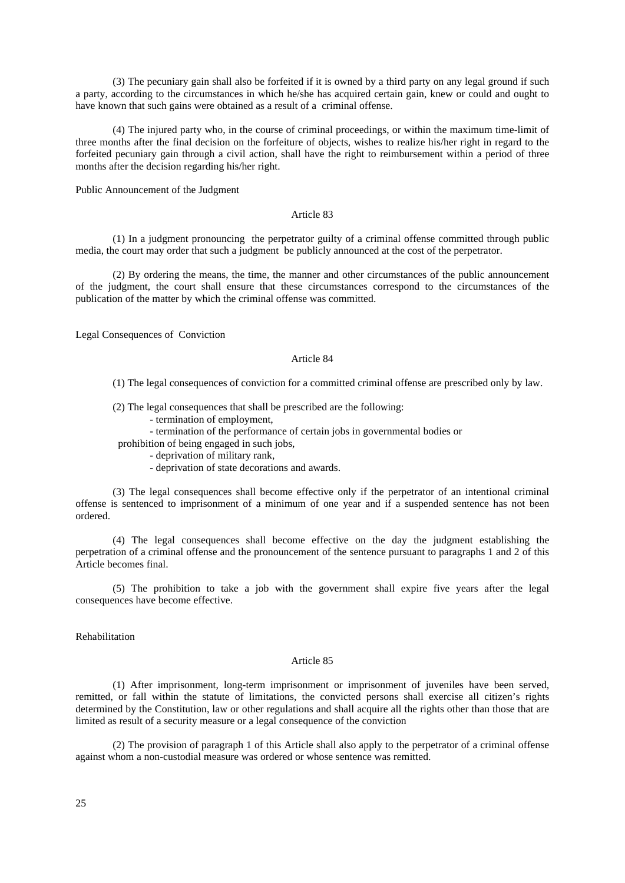(3) The pecuniary gain shall also be forfeited if it is owned by a third party on any legal ground if such a party, according to the circumstances in which he/she has acquired certain gain, knew or could and ought to have known that such gains were obtained as a result of a criminal offense.

(4) The injured party who, in the course of criminal proceedings, or within the maximum time-limit of three months after the final decision on the forfeiture of objects, wishes to realize his/her right in regard to the forfeited pecuniary gain through a civil action, shall have the right to reimbursement within a period of three months after the decision regarding his/her right.

Public Announcement of the Judgment

# Article 83

(1) In a judgment pronouncing the perpetrator guilty of a criminal offense committed through public media, the court may order that such a judgment be publicly announced at the cost of the perpetrator.

(2) By ordering the means, the time, the manner and other circumstances of the public announcement of the judgment, the court shall ensure that these circumstances correspond to the circumstances of the publication of the matter by which the criminal offense was committed.

Legal Consequences of Conviction

#### Article 84

(1) The legal consequences of conviction for a committed criminal offense are prescribed only by law.

(2) The legal consequences that shall be prescribed are the following:

- termination of employment,
- termination of the performance of certain jobs in governmental bodies or

prohibition of being engaged in such jobs,

- deprivation of military rank,
- deprivation of state decorations and awards.

(3) The legal consequences shall become effective only if the perpetrator of an intentional criminal offense is sentenced to imprisonment of a minimum of one year and if a suspended sentence has not been ordered.

(4) The legal consequences shall become effective on the day the judgment establishing the perpetration of a criminal offense and the pronouncement of the sentence pursuant to paragraphs 1 and 2 of this Article becomes final.

(5) The prohibition to take a job with the government shall expire five years after the legal consequences have become effective.

### Rehabilitation

## Article 85

(1) After imprisonment, long-term imprisonment or imprisonment of juveniles have been served, remitted, or fall within the statute of limitations, the convicted persons shall exercise all citizen's rights determined by the Constitution, law or other regulations and shall acquire all the rights other than those that are limited as result of a security measure or a legal consequence of the conviction

(2) The provision of paragraph 1 of this Article shall also apply to the perpetrator of a criminal offense against whom a non-custodial measure was ordered or whose sentence was remitted.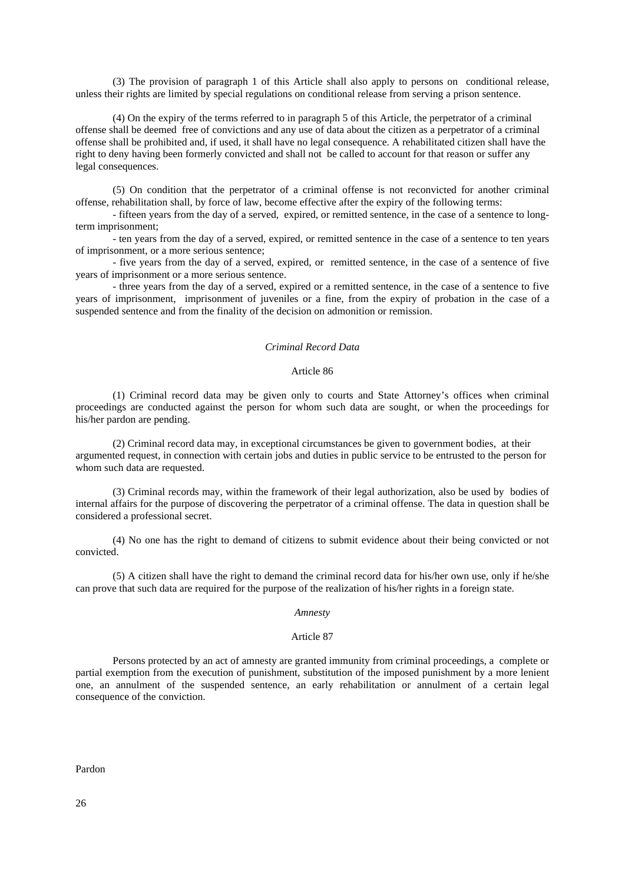(3) The provision of paragraph 1 of this Article shall also apply to persons on conditional release, unless their rights are limited by special regulations on conditional release from serving a prison sentence.

(4) On the expiry of the terms referred to in paragraph 5 of this Article, the perpetrator of a criminal offense shall be deemed free of convictions and any use of data about the citizen as a perpetrator of a criminal offense shall be prohibited and, if used, it shall have no legal consequence. A rehabilitated citizen shall have the right to deny having been formerly convicted and shall not be called to account for that reason or suffer any legal consequences.

(5) On condition that the perpetrator of a criminal offense is not reconvicted for another criminal offense, rehabilitation shall, by force of law, become effective after the expiry of the following terms:

- fifteen years from the day of a served, expired, or remitted sentence, in the case of a sentence to longterm imprisonment;

- ten years from the day of a served, expired, or remitted sentence in the case of a sentence to ten years of imprisonment, or a more serious sentence;

- five years from the day of a served, expired, or remitted sentence, in the case of a sentence of five years of imprisonment or a more serious sentence.

- three years from the day of a served, expired or a remitted sentence, in the case of a sentence to five years of imprisonment, imprisonment of juveniles or a fine, from the expiry of probation in the case of a suspended sentence and from the finality of the decision on admonition or remission.

#### *Criminal Record Data*

### Article 86

(1) Criminal record data may be given only to courts and State Attorney's offices when criminal proceedings are conducted against the person for whom such data are sought, or when the proceedings for his/her pardon are pending.

(2) Criminal record data may, in exceptional circumstances be given to government bodies, at their argumented request, in connection with certain jobs and duties in public service to be entrusted to the person for whom such data are requested.

(3) Criminal records may, within the framework of their legal authorization, also be used by bodies of internal affairs for the purpose of discovering the perpetrator of a criminal offense. The data in question shall be considered a professional secret.

(4) No one has the right to demand of citizens to submit evidence about their being convicted or not convicted.

(5) A citizen shall have the right to demand the criminal record data for his/her own use, only if he/she can prove that such data are required for the purpose of the realization of his/her rights in a foreign state.

# *Amnesty*

#### Article 87

Persons protected by an act of amnesty are granted immunity from criminal proceedings, a complete or partial exemption from the execution of punishment, substitution of the imposed punishment by a more lenient one, an annulment of the suspended sentence, an early rehabilitation or annulment of a certain legal consequence of the conviction.

Pardon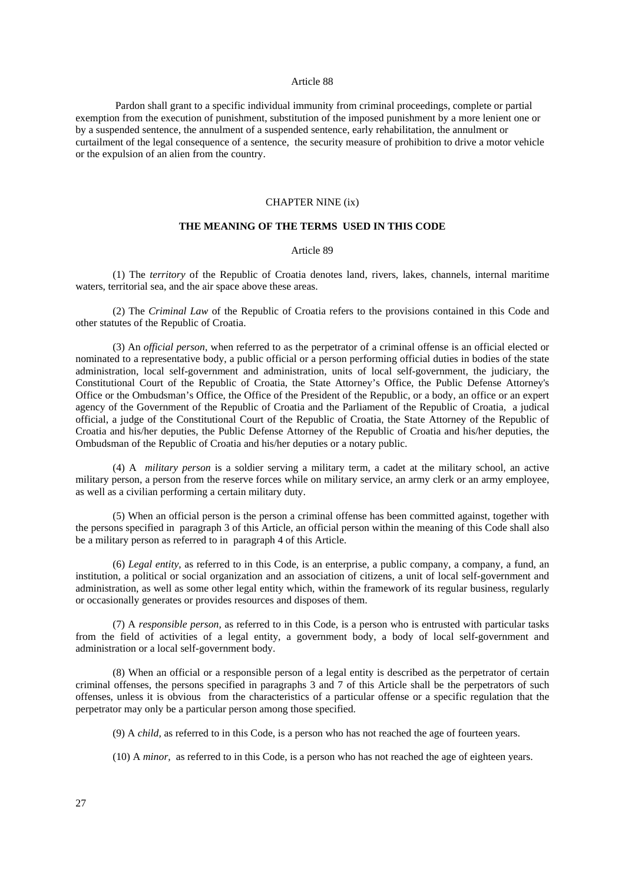### Article 88

Pardon shall grant to a specific individual immunity from criminal proceedings, complete or partial exemption from the execution of punishment, substitution of the imposed punishment by a more lenient one or by a suspended sentence, the annulment of a suspended sentence, early rehabilitation, the annulment or curtailment of the legal consequence of a sentence, the security measure of prohibition to drive a motor vehicle or the expulsion of an alien from the country.

# CHAPTER NINE (ix)

# **THE MEANING OF THE TERMS USED IN THIS CODE**

# Article 89

(1) The *territory* of the Republic of Croatia denotes land, rivers, lakes, channels, internal maritime waters, territorial sea, and the air space above these areas.

(2) The *Criminal Law* of the Republic of Croatia refers to the provisions contained in this Code and other statutes of the Republic of Croatia.

(3) An *official person*, when referred to as the perpetrator of a criminal offense is an official elected or nominated to a representative body, a public official or a person performing official duties in bodies of the state administration, local self-government and administration, units of local self-government, the judiciary, the Constitutional Court of the Republic of Croatia, the State Attorney's Office, the Public Defense Attorney's Office or the Ombudsman's Office, the Office of the President of the Republic, or a body, an office or an expert agency of the Government of the Republic of Croatia and the Parliament of the Republic of Croatia, a judical official, a judge of the Constitutional Court of the Republic of Croatia, the State Attorney of the Republic of Croatia and his/her deputies, the Public Defense Attorney of the Republic of Croatia and his/her deputies, the Ombudsman of the Republic of Croatia and his/her deputies or a notary public.

(4) A *military person* is a soldier serving a military term, a cadet at the military school, an active military person, a person from the reserve forces while on military service, an army clerk or an army employee, as well as a civilian performing a certain military duty.

(5) When an official person is the person a criminal offense has been committed against, together with the persons specified in paragraph 3 of this Article, an official person within the meaning of this Code shall also be a military person as referred to in paragraph 4 of this Article.

(6) *Legal entity,* as referred to in this Code, is an enterprise, a public company, a company, a fund, an institution, a political or social organization and an association of citizens, a unit of local self-government and administration, as well as some other legal entity which, within the framework of its regular business, regularly or occasionally generates or provides resources and disposes of them.

(7) A *responsible person,* as referred to in this Code, is a person who is entrusted with particular tasks from the field of activities of a legal entity, a government body, a body of local self-government and administration or a local self-government body.

(8) When an official or a responsible person of a legal entity is described as the perpetrator of certain criminal offenses, the persons specified in paragraphs 3 and 7 of this Article shall be the perpetrators of such offenses, unless it is obvious from the characteristics of a particular offense or a specific regulation that the perpetrator may only be a particular person among those specified.

(9) A *child,* as referred to in this Code, is a person who has not reached the age of fourteen years.

(10) A *minor,* as referred to in this Code, is a person who has not reached the age of eighteen years.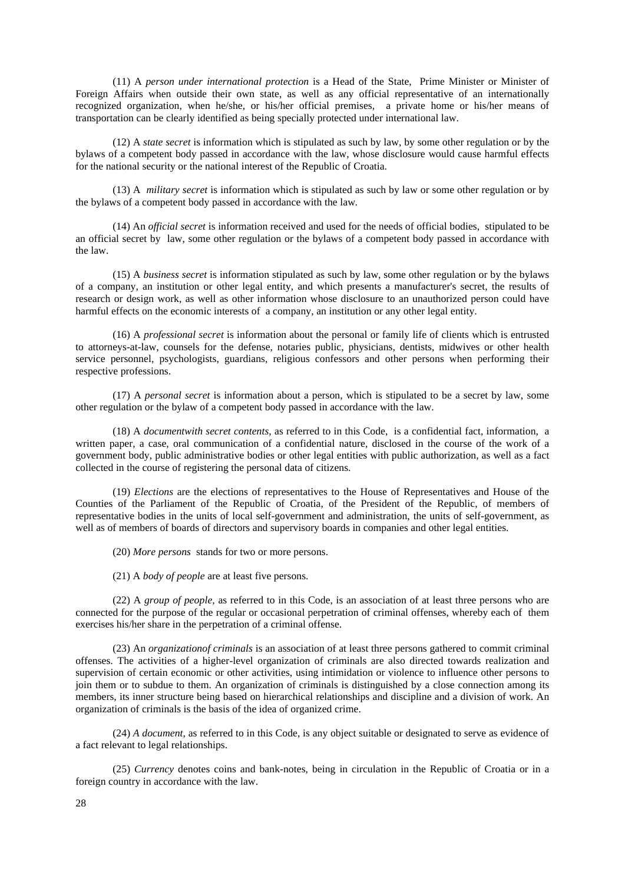(11) A *person under international protection* is a Head of the State, Prime Minister or Minister of Foreign Affairs when outside their own state, as well as any official representative of an internationally recognized organization, when he/she, or his/her official premises, a private home or his/her means of transportation can be clearly identified as being specially protected under international law.

(12) A *state secret* is information which is stipulated as such by law, by some other regulation or by the bylaws of a competent body passed in accordance with the law, whose disclosure would cause harmful effects for the national security or the national interest of the Republic of Croatia.

(13) A *military secret* is information which is stipulated as such by law or some other regulation or by the bylaws of a competent body passed in accordance with the law.

(14) An *official secret* is information received and used for the needs of official bodies, stipulated to be an official secret by law, some other regulation or the bylaws of a competent body passed in accordance with the law.

(15) A *business secret* is information stipulated as such by law, some other regulation or by the bylaws of a company, an institution or other legal entity, and which presents a manufacturer's secret, the results of research or design work, as well as other information whose disclosure to an unauthorized person could have harmful effects on the economic interests of a company, an institution or any other legal entity.

(16) A *professional secret* is information about the personal or family life of clients which is entrusted to attorneys-at-law, counsels for the defense, notaries public, physicians, dentists, midwives or other health service personnel, psychologists, guardians, religious confessors and other persons when performing their respective professions.

(17) A *personal secret* is information about a person, which is stipulated to be a secret by law, some other regulation or the bylaw of a competent body passed in accordance with the law.

(18) A *documentwith secret contents,* as referred to in this Code, is a confidential fact, information, a written paper, a case, oral communication of a confidential nature, disclosed in the course of the work of a government body, public administrative bodies or other legal entities with public authorization, as well as a fact collected in the course of registering the personal data of citizens.

(19) *Elections* are the elections of representatives to the House of Representatives and House of the Counties of the Parliament of the Republic of Croatia, of the President of the Republic, of members of representative bodies in the units of local self-government and administration, the units of self-government, as well as of members of boards of directors and supervisory boards in companies and other legal entities.

(20) *More persons* stands for two or more persons.

(21) A *body of people* are at least five persons.

(22) A *group of people,* as referred to in this Code, is an association of at least three persons who are connected for the purpose of the regular or occasional perpetration of criminal offenses, whereby each of them exercises his/her share in the perpetration of a criminal offense.

(23) An *organizationof criminals* is an association of at least three persons gathered to commit criminal offenses. The activities of a higher-level organization of criminals are also directed towards realization and supervision of certain economic or other activities, using intimidation or violence to influence other persons to join them or to subdue to them. An organization of criminals is distinguished by a close connection among its members, its inner structure being based on hierarchical relationships and discipline and a division of work. An organization of criminals is the basis of the idea of organized crime.

(24) *A document*, as referred to in this Code, is any object suitable or designated to serve as evidence of a fact relevant to legal relationships.

(25) *Currency* denotes coins and bank-notes, being in circulation in the Republic of Croatia or in a foreign country in accordance with the law.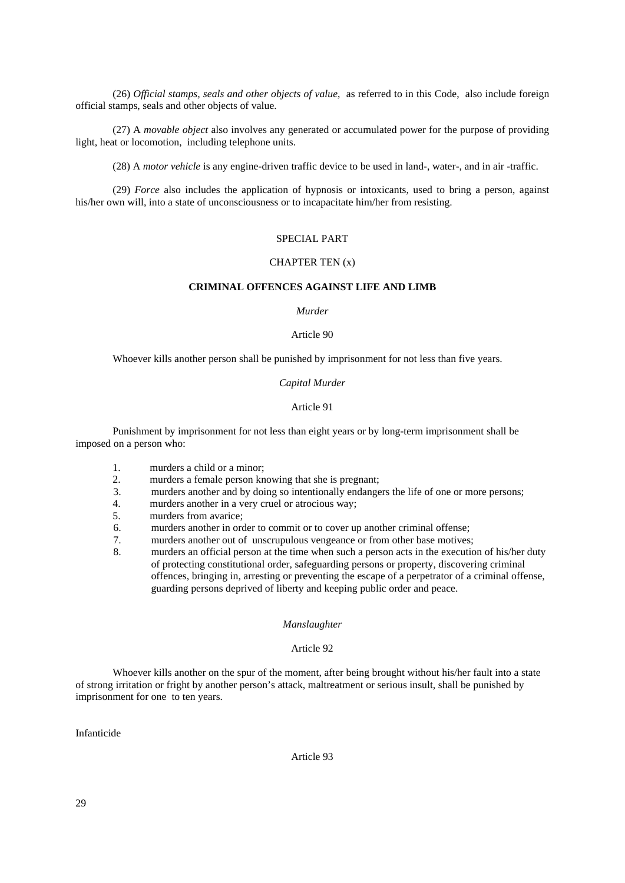(26) *Official stamps, seals and other objects of value*, as referred to in this Code, also include foreign official stamps, seals and other objects of value.

(27) A *movable object* also involves any generated or accumulated power for the purpose of providing light, heat or locomotion, including telephone units.

(28) A *motor vehicle* is any engine-driven traffic device to be used in land-, water-, and in air -traffic.

(29) *Force* also includes the application of hypnosis or intoxicants, used to bring a person, against his/her own will, into a state of unconsciousness or to incapacitate him/her from resisting.

# SPECIAL PART

# CHAPTER TEN (x)

# **CRIMINAL OFFENCES AGAINST LIFE AND LIMB**

*Murder*

#### Article 90

Whoever kills another person shall be punished by imprisonment for not less than five years.

### *Capital Murder*

# Article 91

Punishment by imprisonment for not less than eight years or by long-term imprisonment shall be imposed on a person who:

- 1. murders a child or a minor;
- 2. murders a female person knowing that she is pregnant;
- 3. murders another and by doing so intentionally endangers the life of one or more persons;
- 4. murders another in a very cruel or atrocious way;
- 5. murders from avarice;
- 6. murders another in order to commit or to cover up another criminal offense;
- 7. murders another out of unscrupulous vengeance or from other base motives;
- 8. murders an official person at the time when such a person acts in the execution of his/her duty of protecting constitutional order, safeguarding persons or property, discovering criminal offences, bringing in, arresting or preventing the escape of a perpetrator of a criminal offense, guarding persons deprived of liberty and keeping public order and peace.

### *Manslaughter*

## Article 92

Whoever kills another on the spur of the moment, after being brought without his/her fault into a state of strong irritation or fright by another person's attack, maltreatment or serious insult, shall be punished by imprisonment for one to ten years.

Infanticide

Article 93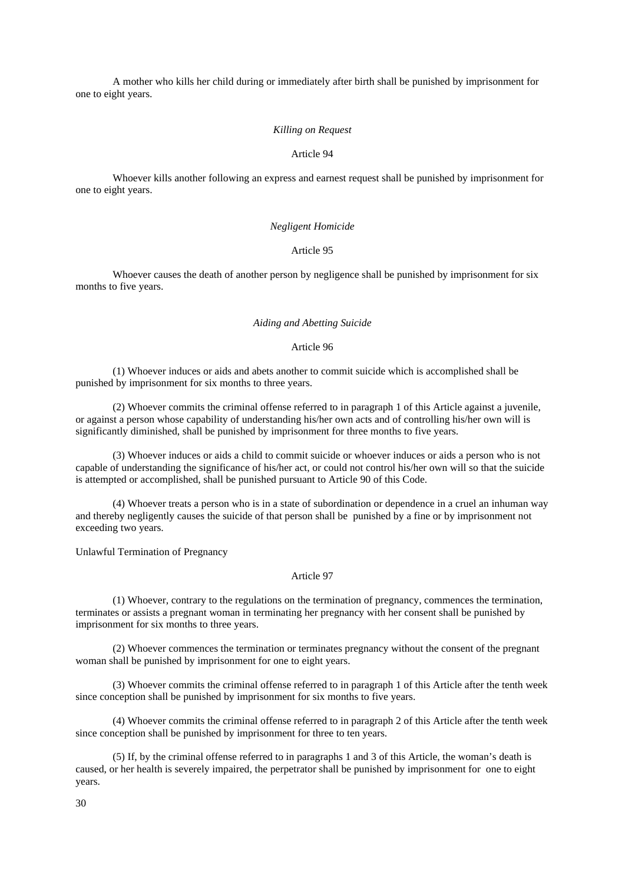A mother who kills her child during or immediately after birth shall be punished by imprisonment for one to eight years.

#### *Killing on Request*

### Article 94

Whoever kills another following an express and earnest request shall be punished by imprisonment for one to eight years.

### *Negligent Homicide*

### Article 95

Whoever causes the death of another person by negligence shall be punished by imprisonment for six months to five years.

#### *Aiding and Abetting Suicide*

### Article 96

(1) Whoever induces or aids and abets another to commit suicide which is accomplished shall be punished by imprisonment for six months to three years.

(2) Whoever commits the criminal offense referred to in paragraph 1 of this Article against a juvenile, or against a person whose capability of understanding his/her own acts and of controlling his/her own will is significantly diminished, shall be punished by imprisonment for three months to five years.

(3) Whoever induces or aids a child to commit suicide or whoever induces or aids a person who is not capable of understanding the significance of his/her act, or could not control his/her own will so that the suicide is attempted or accomplished, shall be punished pursuant to Article 90 of this Code.

(4) Whoever treats a person who is in a state of subordination or dependence in a cruel an inhuman way and thereby negligently causes the suicide of that person shall be punished by a fine or by imprisonment not exceeding two years.

Unlawful Termination of Pregnancy

### Article 97

(1) Whoever, contrary to the regulations on the termination of pregnancy, commences the termination, terminates or assists a pregnant woman in terminating her pregnancy with her consent shall be punished by imprisonment for six months to three years.

(2) Whoever commences the termination or terminates pregnancy without the consent of the pregnant woman shall be punished by imprisonment for one to eight years.

(3) Whoever commits the criminal offense referred to in paragraph 1 of this Article after the tenth week since conception shall be punished by imprisonment for six months to five years.

(4) Whoever commits the criminal offense referred to in paragraph 2 of this Article after the tenth week since conception shall be punished by imprisonment for three to ten years.

(5) If, by the criminal offense referred to in paragraphs 1 and 3 of this Article, the woman's death is caused, or her health is severely impaired, the perpetrator shall be punished by imprisonment for one to eight years.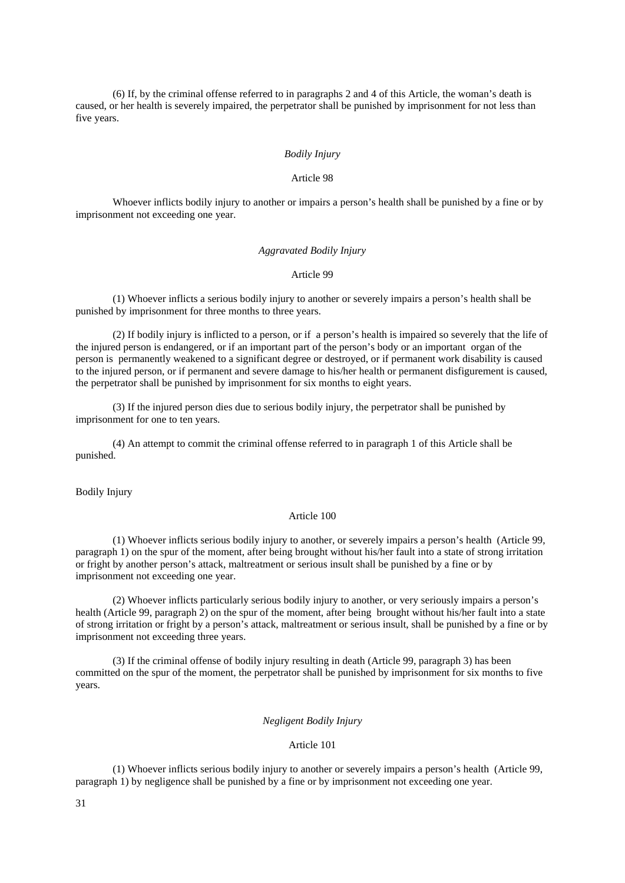(6) If, by the criminal offense referred to in paragraphs 2 and 4 of this Article, the woman's death is caused, or her health is severely impaired, the perpetrator shall be punished by imprisonment for not less than five years.

# *Bodily Injury*

### Article 98

Whoever inflicts bodily injury to another or impairs a person's health shall be punished by a fine or by imprisonment not exceeding one year.

### *Aggravated Bodily Injury*

# Article 99

(1) Whoever inflicts a serious bodily injury to another or severely impairs a person's health shall be punished by imprisonment for three months to three years.

(2) If bodily injury is inflicted to a person, or if a person's health is impaired so severely that the life of the injured person is endangered, or if an important part of the person's body or an important organ of the person is permanently weakened to a significant degree or destroyed, or if permanent work disability is caused to the injured person, or if permanent and severe damage to his/her health or permanent disfigurement is caused, the perpetrator shall be punished by imprisonment for six months to eight years.

(3) If the injured person dies due to serious bodily injury, the perpetrator shall be punished by imprisonment for one to ten years.

(4) An attempt to commit the criminal offense referred to in paragraph 1 of this Article shall be punished.

Bodily Injury

### Article 100

(1) Whoever inflicts serious bodily injury to another, or severely impairs a person's health (Article 99, paragraph 1) on the spur of the moment, after being brought without his/her fault into a state of strong irritation or fright by another person's attack, maltreatment or serious insult shall be punished by a fine or by imprisonment not exceeding one year.

(2) Whoever inflicts particularly serious bodily injury to another, or very seriously impairs a person's health (Article 99, paragraph 2) on the spur of the moment, after being brought without his/her fault into a state of strong irritation or fright by a person's attack, maltreatment or serious insult, shall be punished by a fine or by imprisonment not exceeding three years.

(3) If the criminal offense of bodily injury resulting in death (Article 99, paragraph 3) has been committed on the spur of the moment, the perpetrator shall be punished by imprisonment for six months to five years.

### *Negligent Bodily Injury*

## Article 101

(1) Whoever inflicts serious bodily injury to another or severely impairs a person's health (Article 99, paragraph 1) by negligence shall be punished by a fine or by imprisonment not exceeding one year.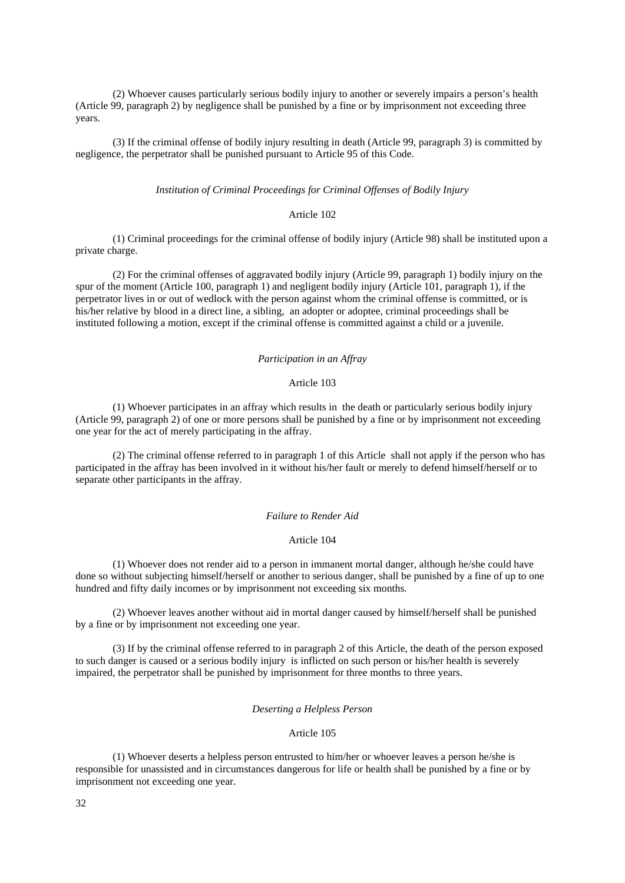(2) Whoever causes particularly serious bodily injury to another or severely impairs a person's health (Article 99, paragraph 2) by negligence shall be punished by a fine or by imprisonment not exceeding three years.

(3) If the criminal offense of bodily injury resulting in death (Article 99, paragraph 3) is committed by negligence, the perpetrator shall be punished pursuant to Article 95 of this Code.

# *Institution of Criminal Proceedings for Criminal Offenses of Bodily Injury*

# Article 102

(1) Criminal proceedings for the criminal offense of bodily injury (Article 98) shall be instituted upon a private charge.

(2) For the criminal offenses of aggravated bodily injury (Article 99, paragraph 1) bodily injury on the spur of the moment (Article 100, paragraph 1) and negligent bodily injury (Article 101, paragraph 1), if the perpetrator lives in or out of wedlock with the person against whom the criminal offense is committed, or is his/her relative by blood in a direct line, a sibling, an adopter or adoptee, criminal proceedings shall be instituted following a motion, except if the criminal offense is committed against a child or a juvenile.

#### *Participation in an Affray*

## Article 103

(1) Whoever participates in an affray which results in the death or particularly serious bodily injury (Article 99, paragraph 2) of one or more persons shall be punished by a fine or by imprisonment not exceeding one year for the act of merely participating in the affray.

(2) The criminal offense referred to in paragraph 1 of this Article shall not apply if the person who has participated in the affray has been involved in it without his/her fault or merely to defend himself/herself or to separate other participants in the affray.

### *Failure to Render Aid*

# Article 104

(1) Whoever does not render aid to a person in immanent mortal danger, although he/she could have done so without subjecting himself/herself or another to serious danger, shall be punished by a fine of up to one hundred and fifty daily incomes or by imprisonment not exceeding six months.

(2) Whoever leaves another without aid in mortal danger caused by himself/herself shall be punished by a fine or by imprisonment not exceeding one year.

(3) If by the criminal offense referred to in paragraph 2 of this Article, the death of the person exposed to such danger is caused or a serious bodily injury is inflicted on such person or his/her health is severely impaired, the perpetrator shall be punished by imprisonment for three months to three years.

### *Deserting a Helpless Person*

# Article 105

(1) Whoever deserts a helpless person entrusted to him/her or whoever leaves a person he/she is responsible for unassisted and in circumstances dangerous for life or health shall be punished by a fine or by imprisonment not exceeding one year.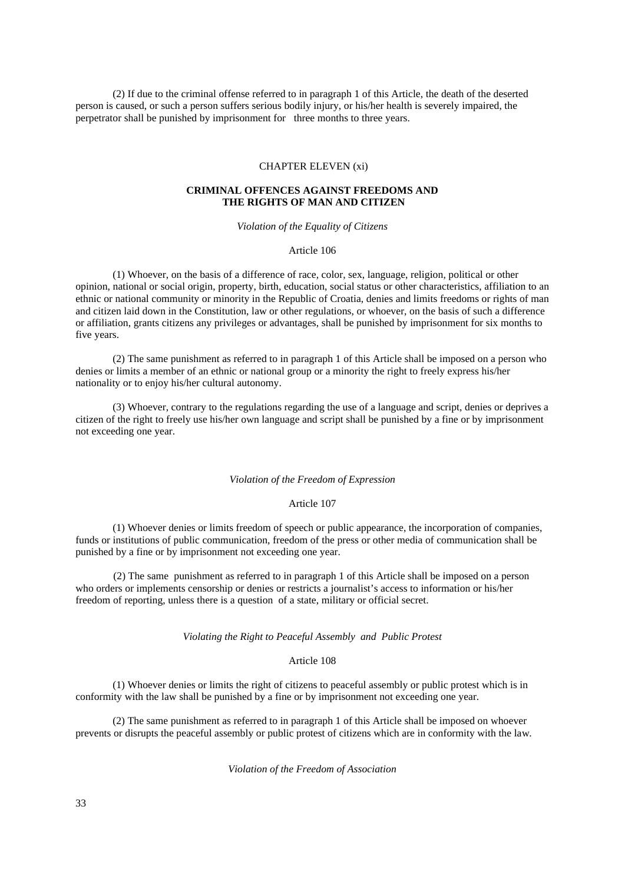(2) If due to the criminal offense referred to in paragraph 1 of this Article, the death of the deserted person is caused, or such a person suffers serious bodily injury, or his/her health is severely impaired, the perpetrator shall be punished by imprisonment for three months to three years.

### CHAPTER ELEVEN (xi)

## **CRIMINAL OFFENCES AGAINST FREEDOMS AND THE RIGHTS OF MAN AND CITIZEN**

*Violation of the Equality of Citizens*

# Article 106

(1) Whoever, on the basis of a difference of race, color, sex, language, religion, political or other opinion, national or social origin, property, birth, education, social status or other characteristics, affiliation to an ethnic or national community or minority in the Republic of Croatia, denies and limits freedoms or rights of man and citizen laid down in the Constitution, law or other regulations, or whoever, on the basis of such a difference or affiliation, grants citizens any privileges or advantages, shall be punished by imprisonment for six months to five years.

(2) The same punishment as referred to in paragraph 1 of this Article shall be imposed on a person who denies or limits a member of an ethnic or national group or a minority the right to freely express his/her nationality or to enjoy his/her cultural autonomy.

(3) Whoever, contrary to the regulations regarding the use of a language and script, denies or deprives a citizen of the right to freely use his/her own language and script shall be punished by a fine or by imprisonment not exceeding one year.

#### *Violation of the Freedom of Expression*

# Article 107

(1) Whoever denies or limits freedom of speech or public appearance, the incorporation of companies, funds or institutions of public communication, freedom of the press or other media of communication shall be punished by a fine or by imprisonment not exceeding one year.

(2) The same punishment as referred to in paragraph 1 of this Article shall be imposed on a person who orders or implements censorship or denies or restricts a journalist's access to information or his/her freedom of reporting, unless there is a question of a state, military or official secret.

### *Violating the Right to Peaceful Assembly and Public Protest*

# Article 108

(1) Whoever denies or limits the right of citizens to peaceful assembly or public protest which is in conformity with the law shall be punished by a fine or by imprisonment not exceeding one year.

(2) The same punishment as referred to in paragraph 1 of this Article shall be imposed on whoever prevents or disrupts the peaceful assembly or public protest of citizens which are in conformity with the law.

*Violation of the Freedom of Association*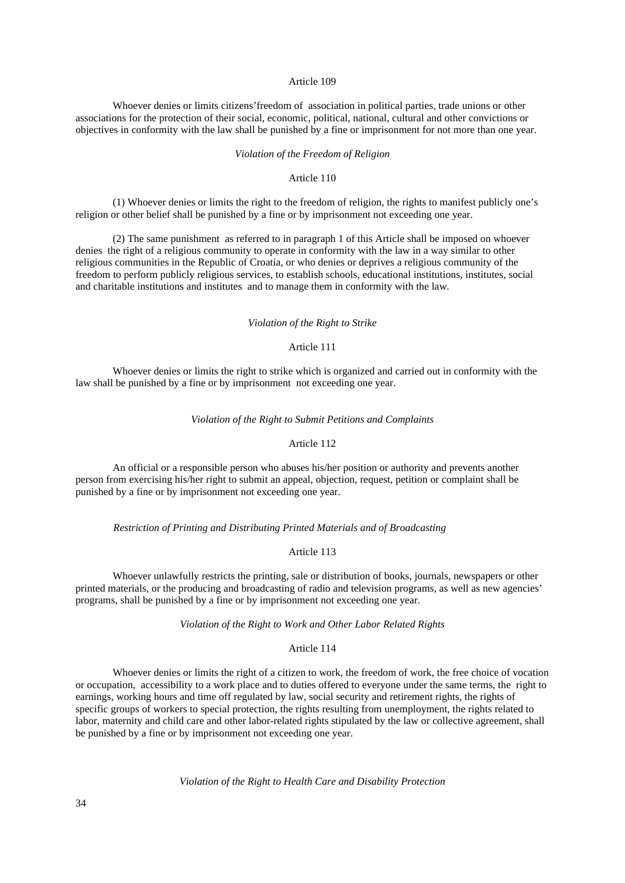#### Article 109

Whoever denies or limits citizens'freedom of association in political parties, trade unions or other associations for the protection of their social, economic, political, national, cultural and other convictions or objectives in conformity with the law shall be punished by a fine or imprisonment for not more than one year.

### *Violation of the Freedom of Religion*

# Article 110

(1) Whoever denies or limits the right to the freedom of religion, the rights to manifest publicly one's religion or other belief shall be punished by a fine or by imprisonment not exceeding one year.

(2) The same punishment as referred to in paragraph 1 of this Article shall be imposed on whoever denies the right of a religious community to operate in conformity with the law in a way similar to other religious communities in the Republic of Croatia, or who denies or deprives a religious community of the freedom to perform publicly religious services, to establish schools, educational institutions, institutes, social and charitable institutions and institutes and to manage them in conformity with the law.

#### *Violation of the Right to Strike*

### Article 111

Whoever denies or limits the right to strike which is organized and carried out in conformity with the law shall be punished by a fine or by imprisonment not exceeding one year.

### *Violation of the Right to Submit Petitions and Complaints*

# Article 112

An official or a responsible person who abuses his/her position or authority and prevents another person from exercising his/her right to submit an appeal, objection, request, petition or complaint shall be punished by a fine or by imprisonment not exceeding one year.

### *Restriction of Printing and Distributing Printed Materials and of Broadcasting*

### Article 113

Whoever unlawfully restricts the printing, sale or distribution of books, journals, newspapers or other printed materials, or the producing and broadcasting of radio and television programs, as well as new agencies' programs, shall be punished by a fine or by imprisonment not exceeding one year.

## *Violation of the Right to Work and Other Labor Related Rights*

# Article 114

Whoever denies or limits the right of a citizen to work, the freedom of work, the free choice of vocation or occupation, accessibility to a work place and to duties offered to everyone under the same terms, the right to earnings, working hours and time off regulated by law, social security and retirement rights, the rights of specific groups of workers to special protection, the rights resulting from unemployment, the rights related to labor, maternity and child care and other labor-related rights stipulated by the law or collective agreement, shall be punished by a fine or by imprisonment not exceeding one year.

*Violation of the Right to Health Care and Disability Protection*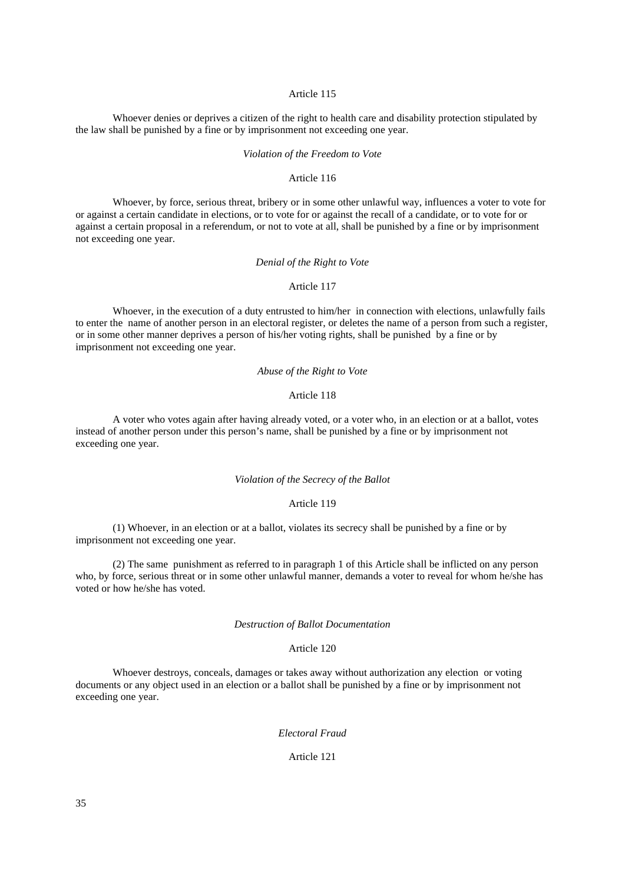#### Article 115

Whoever denies or deprives a citizen of the right to health care and disability protection stipulated by the law shall be punished by a fine or by imprisonment not exceeding one year.

### *Violation of the Freedom to Vote*

# Article 116

Whoever, by force, serious threat, bribery or in some other unlawful way, influences a voter to vote for or against a certain candidate in elections, or to vote for or against the recall of a candidate, or to vote for or against a certain proposal in a referendum, or not to vote at all, shall be punished by a fine or by imprisonment not exceeding one year.

# *Denial of the Right to Vote*

Article 117

Whoever, in the execution of a duty entrusted to him/her in connection with elections, unlawfully fails to enter the name of another person in an electoral register, or deletes the name of a person from such a register, or in some other manner deprives a person of his/her voting rights, shall be punished by a fine or by imprisonment not exceeding one year.

#### *Abuse of the Right to Vote*

## Article 118

A voter who votes again after having already voted, or a voter who, in an election or at a ballot, votes instead of another person under this person's name, shall be punished by a fine or by imprisonment not exceeding one year.

### *Violation of the Secrecy of the Ballot*

### Article 119

(1) Whoever, in an election or at a ballot, violates its secrecy shall be punished by a fine or by imprisonment not exceeding one year.

(2) The same punishment as referred to in paragraph 1 of this Article shall be inflicted on any person who, by force, serious threat or in some other unlawful manner, demands a voter to reveal for whom he/she has voted or how he/she has voted.

## *Destruction of Ballot Documentation*

# Article 120

Whoever destroys, conceals, damages or takes away without authorization any election or voting documents or any object used in an election or a ballot shall be punished by a fine or by imprisonment not exceeding one year.

*Electoral Fraud*

Article 121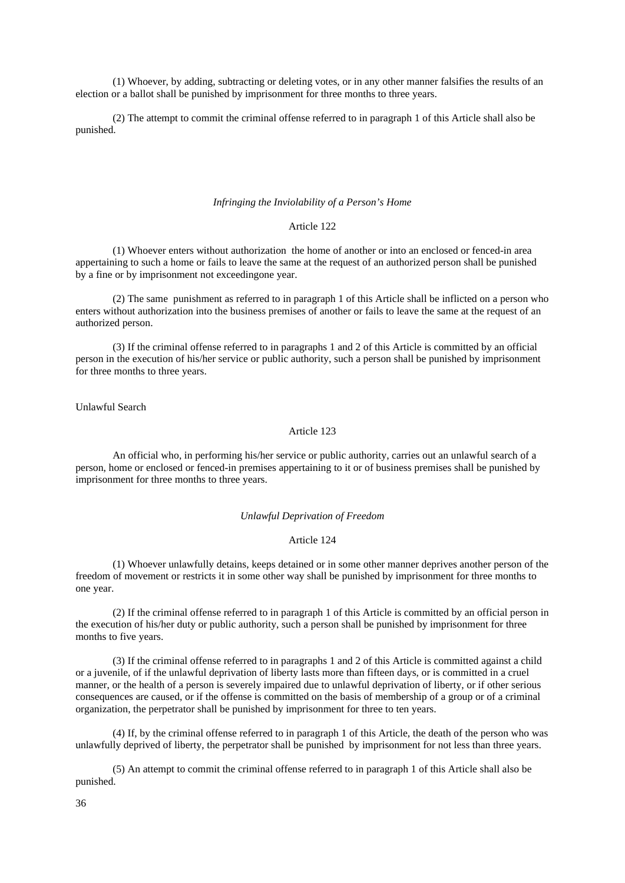(1) Whoever, by adding, subtracting or deleting votes, or in any other manner falsifies the results of an election or a ballot shall be punished by imprisonment for three months to three years.

(2) The attempt to commit the criminal offense referred to in paragraph 1 of this Article shall also be punished.

#### *Infringing the Inviolability of a Person's Home*

# Article 122

(1) Whoever enters without authorization the home of another or into an enclosed or fenced-in area appertaining to such a home or fails to leave the same at the request of an authorized person shall be punished by a fine or by imprisonment not exceedingone year.

(2) The same punishment as referred to in paragraph 1 of this Article shall be inflicted on a person who enters without authorization into the business premises of another or fails to leave the same at the request of an authorized person.

(3) If the criminal offense referred to in paragraphs 1 and 2 of this Article is committed by an official person in the execution of his/her service or public authority, such a person shall be punished by imprisonment for three months to three years.

Unlawful Search

# Article 123

An official who, in performing his/her service or public authority, carries out an unlawful search of a person, home or enclosed or fenced-in premises appertaining to it or of business premises shall be punished by imprisonment for three months to three years.

### *Unlawful Deprivation of Freedom*

# Article 124

(1) Whoever unlawfully detains, keeps detained or in some other manner deprives another person of the freedom of movement or restricts it in some other way shall be punished by imprisonment for three months to one year.

(2) If the criminal offense referred to in paragraph 1 of this Article is committed by an official person in the execution of his/her duty or public authority, such a person shall be punished by imprisonment for three months to five years.

(3) If the criminal offense referred to in paragraphs 1 and 2 of this Article is committed against a child or a juvenile, of if the unlawful deprivation of liberty lasts more than fifteen days, or is committed in a cruel manner, or the health of a person is severely impaired due to unlawful deprivation of liberty, or if other serious consequences are caused, or if the offense is committed on the basis of membership of a group or of a criminal organization, the perpetrator shall be punished by imprisonment for three to ten years.

(4) If, by the criminal offense referred to in paragraph 1 of this Article, the death of the person who was unlawfully deprived of liberty, the perpetrator shall be punished by imprisonment for not less than three years.

(5) An attempt to commit the criminal offense referred to in paragraph 1 of this Article shall also be punished.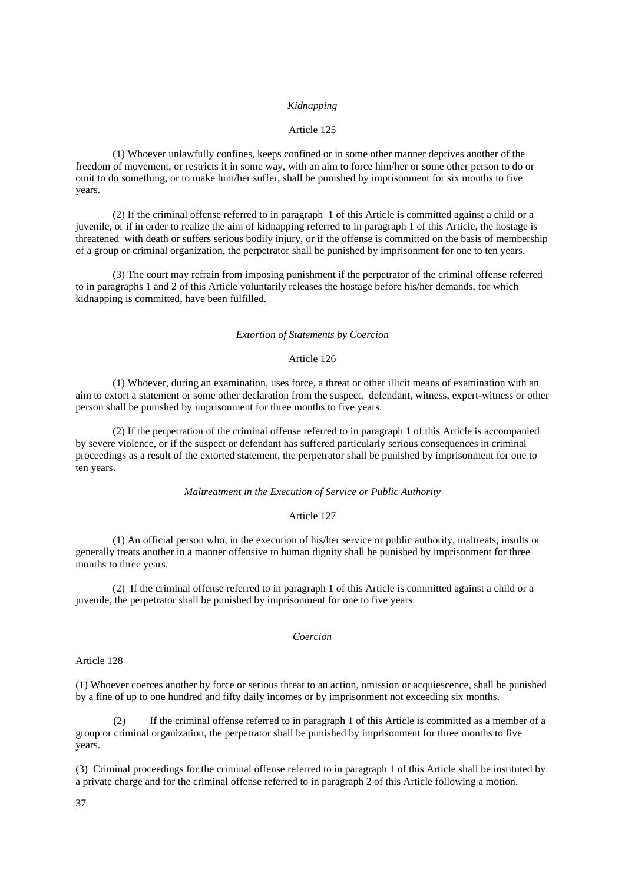#### *Kidnapping*

#### Article 125

(1) Whoever unlawfully confines, keeps confined or in some other manner deprives another of the freedom of movement, or restricts it in some way, with an aim to force him/her or some other person to do or omit to do something, or to make him/her suffer, shall be punished by imprisonment for six months to five years.

(2) If the criminal offense referred to in paragraph 1 of this Article is committed against a child or a juvenile, or if in order to realize the aim of kidnapping referred to in paragraph 1 of this Article, the hostage is threatened with death or suffers serious bodily injury, or if the offense is committed on the basis of membership of a group or criminal organization, the perpetrator shall be punished by imprisonment for one to ten years.

(3) The court may refrain from imposing punishment if the perpetrator of the criminal offense referred to in paragraphs 1 and 2 of this Article voluntarily releases the hostage before his/her demands, for which kidnapping is committed, have been fulfilled.

#### *Extortion of Statements by Coercion*

#### Article 126

(1) Whoever, during an examination, uses force, a threat or other illicit means of examination with an aim to extort a statement or some other declaration from the suspect, defendant, witness, expert-witness or other person shall be punished by imprisonment for three months to five years.

(2) If the perpetration of the criminal offense referred to in paragraph 1 of this Article is accompanied by severe violence, or if the suspect or defendant has suffered particularly serious consequences in criminal proceedings as a result of the extorted statement, the perpetrator shall be punished by imprisonment for one to ten years.

# *Maltreatment in the Execution of Service or Public Authority*

## Article 127

(1) An official person who, in the execution of his/her service or public authority, maltreats, insults or generally treats another in a manner offensive to human dignity shall be punished by imprisonment for three months to three years.

(2) If the criminal offense referred to in paragraph 1 of this Article is committed against a child or a juvenile, the perpetrator shall be punished by imprisonment for one to five years.

## *Coercion*

## Article 128

(1) Whoever coerces another by force or serious threat to an action, omission or acquiescence, shall be punished by a fine of up to one hundred and fifty daily incomes or by imprisonment not exceeding six months.

(2) If the criminal offense referred to in paragraph 1 of this Article is committed as a member of a group or criminal organization, the perpetrator shall be punished by imprisonment for three months to five years.

(3) Criminal proceedings for the criminal offense referred to in paragraph 1 of this Article shall be instituted by a private charge and for the criminal offense referred to in paragraph 2 of this Article following a motion.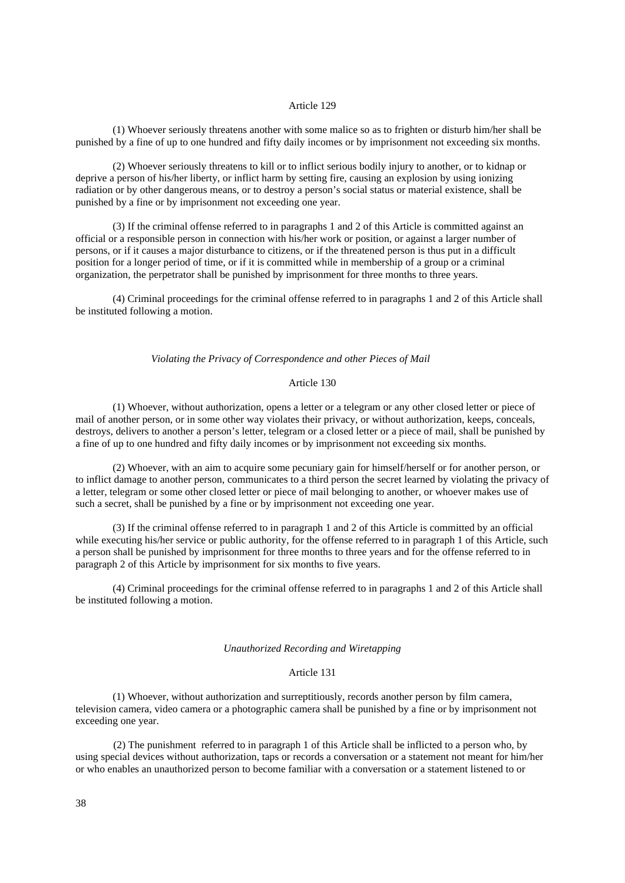#### Article 129

(1) Whoever seriously threatens another with some malice so as to frighten or disturb him/her shall be punished by a fine of up to one hundred and fifty daily incomes or by imprisonment not exceeding six months.

(2) Whoever seriously threatens to kill or to inflict serious bodily injury to another, or to kidnap or deprive a person of his/her liberty, or inflict harm by setting fire, causing an explosion by using ionizing radiation or by other dangerous means, or to destroy a person's social status or material existence, shall be punished by a fine or by imprisonment not exceeding one year.

(3) If the criminal offense referred to in paragraphs 1 and 2 of this Article is committed against an official or a responsible person in connection with his/her work or position, or against a larger number of persons, or if it causes a major disturbance to citizens, or if the threatened person is thus put in a difficult position for a longer period of time, or if it is committed while in membership of a group or a criminal organization, the perpetrator shall be punished by imprisonment for three months to three years.

(4) Criminal proceedings for the criminal offense referred to in paragraphs 1 and 2 of this Article shall be instituted following a motion.

#### *Violating the Privacy of Correspondence and other Pieces of Mail*

# Article 130

(1) Whoever, without authorization, opens a letter or a telegram or any other closed letter or piece of mail of another person, or in some other way violates their privacy, or without authorization, keeps, conceals, destroys, delivers to another a person's letter, telegram or a closed letter or a piece of mail, shall be punished by a fine of up to one hundred and fifty daily incomes or by imprisonment not exceeding six months.

(2) Whoever, with an aim to acquire some pecuniary gain for himself/herself or for another person, or to inflict damage to another person, communicates to a third person the secret learned by violating the privacy of a letter, telegram or some other closed letter or piece of mail belonging to another, or whoever makes use of such a secret, shall be punished by a fine or by imprisonment not exceeding one year.

(3) If the criminal offense referred to in paragraph 1 and 2 of this Article is committed by an official while executing his/her service or public authority, for the offense referred to in paragraph 1 of this Article, such a person shall be punished by imprisonment for three months to three years and for the offense referred to in paragraph 2 of this Article by imprisonment for six months to five years.

(4) Criminal proceedings for the criminal offense referred to in paragraphs 1 and 2 of this Article shall be instituted following a motion.

# *Unauthorized Recording and Wiretapping*

# Article 131

(1) Whoever, without authorization and surreptitiously, records another person by film camera, television camera, video camera or a photographic camera shall be punished by a fine or by imprisonment not exceeding one year.

(2) The punishment referred to in paragraph 1 of this Article shall be inflicted to a person who, by using special devices without authorization, taps or records a conversation or a statement not meant for him/her or who enables an unauthorized person to become familiar with a conversation or a statement listened to or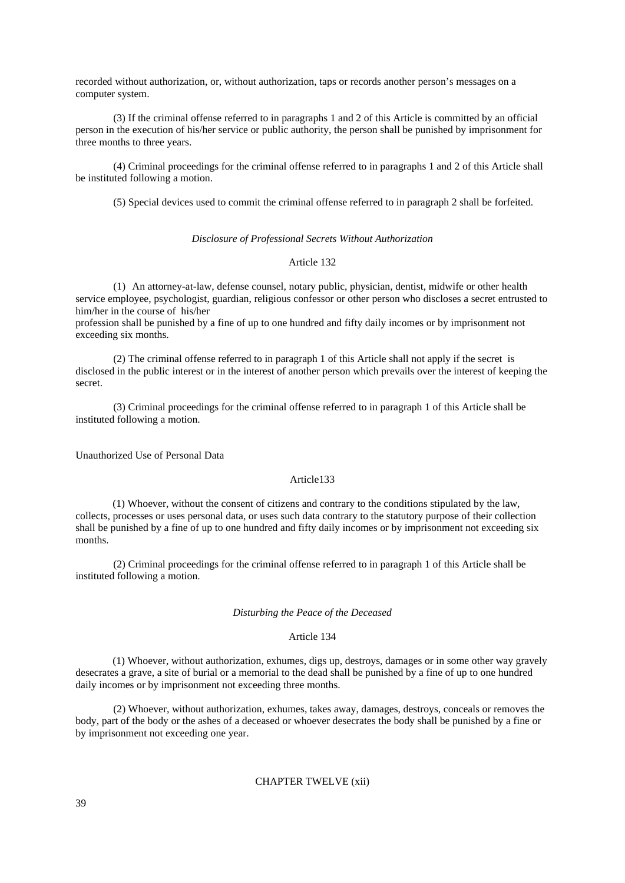recorded without authorization, or, without authorization, taps or records another person's messages on a computer system.

(3) If the criminal offense referred to in paragraphs 1 and 2 of this Article is committed by an official person in the execution of his/her service or public authority, the person shall be punished by imprisonment for three months to three years.

(4) Criminal proceedings for the criminal offense referred to in paragraphs 1 and 2 of this Article shall be instituted following a motion.

(5) Special devices used to commit the criminal offense referred to in paragraph 2 shall be forfeited.

# *Disclosure of Professional Secrets Without Authorization*

# Article 132

(1) An attorney-at-law, defense counsel, notary public, physician, dentist, midwife or other health service employee, psychologist, guardian, religious confessor or other person who discloses a secret entrusted to him/her in the course of his/her

profession shall be punished by a fine of up to one hundred and fifty daily incomes or by imprisonment not exceeding six months.

(2) The criminal offense referred to in paragraph 1 of this Article shall not apply if the secret is disclosed in the public interest or in the interest of another person which prevails over the interest of keeping the secret.

(3) Criminal proceedings for the criminal offense referred to in paragraph 1 of this Article shall be instituted following a motion.

Unauthorized Use of Personal Data

# Article133

(1) Whoever, without the consent of citizens and contrary to the conditions stipulated by the law, collects, processes or uses personal data, or uses such data contrary to the statutory purpose of their collection shall be punished by a fine of up to one hundred and fifty daily incomes or by imprisonment not exceeding six months.

(2) Criminal proceedings for the criminal offense referred to in paragraph 1 of this Article shall be instituted following a motion.

# *Disturbing the Peace of the Deceased*

# Article 134

(1) Whoever, without authorization, exhumes, digs up, destroys, damages or in some other way gravely desecrates a grave, a site of burial or a memorial to the dead shall be punished by a fine of up to one hundred daily incomes or by imprisonment not exceeding three months.

(2) Whoever, without authorization, exhumes, takes away, damages, destroys, conceals or removes the body, part of the body or the ashes of a deceased or whoever desecrates the body shall be punished by a fine or by imprisonment not exceeding one year.

CHAPTER TWELVE (xii)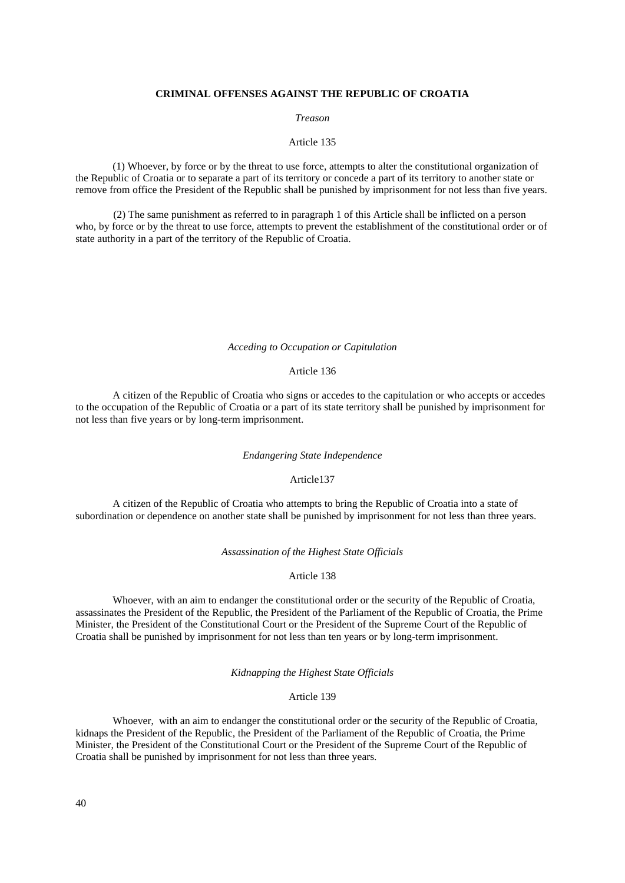#### **CRIMINAL OFFENSES AGAINST THE REPUBLIC OF CROATIA**

*Treason*

#### Article 135

(1) Whoever, by force or by the threat to use force, attempts to alter the constitutional organization of the Republic of Croatia or to separate a part of its territory or concede a part of its territory to another state or remove from office the President of the Republic shall be punished by imprisonment for not less than five years.

(2) The same punishment as referred to in paragraph 1 of this Article shall be inflicted on a person who, by force or by the threat to use force, attempts to prevent the establishment of the constitutional order or of state authority in a part of the territory of the Republic of Croatia.

#### *Acceding to Occupation or Capitulation*

### Article 136

A citizen of the Republic of Croatia who signs or accedes to the capitulation or who accepts or accedes to the occupation of the Republic of Croatia or a part of its state territory shall be punished by imprisonment for not less than five years or by long-term imprisonment.

## *Endangering State Independence*

### Article137

A citizen of the Republic of Croatia who attempts to bring the Republic of Croatia into a state of subordination or dependence on another state shall be punished by imprisonment for not less than three years.

#### *Assassination of the Highest State Officials*

#### Article 138

Whoever, with an aim to endanger the constitutional order or the security of the Republic of Croatia, assassinates the President of the Republic, the President of the Parliament of the Republic of Croatia, the Prime Minister, the President of the Constitutional Court or the President of the Supreme Court of the Republic of Croatia shall be punished by imprisonment for not less than ten years or by long-term imprisonment.

# *Kidnapping the Highest State Officials*

## Article 139

Whoever, with an aim to endanger the constitutional order or the security of the Republic of Croatia, kidnaps the President of the Republic, the President of the Parliament of the Republic of Croatia, the Prime Minister, the President of the Constitutional Court or the President of the Supreme Court of the Republic of Croatia shall be punished by imprisonment for not less than three years.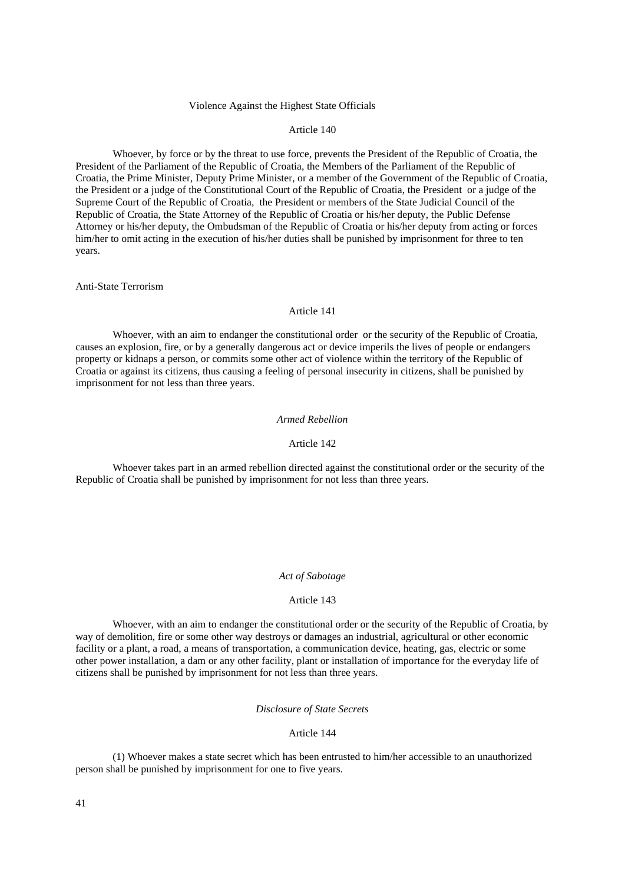## Violence Against the Highest State Officials

#### Article 140

Whoever, by force or by the threat to use force, prevents the President of the Republic of Croatia, the President of the Parliament of the Republic of Croatia, the Members of the Parliament of the Republic of Croatia, the Prime Minister, Deputy Prime Minister, or a member of the Government of the Republic of Croatia, the President or a judge of the Constitutional Court of the Republic of Croatia, the President or a judge of the Supreme Court of the Republic of Croatia, the President or members of the State Judicial Council of the Republic of Croatia, the State Attorney of the Republic of Croatia or his/her deputy, the Public Defense Attorney or his/her deputy, the Ombudsman of the Republic of Croatia or his/her deputy from acting or forces him/her to omit acting in the execution of his/her duties shall be punished by imprisonment for three to ten years.

Anti-State Terrorism

# Article 141

Whoever, with an aim to endanger the constitutional order or the security of the Republic of Croatia, causes an explosion, fire, or by a generally dangerous act or device imperils the lives of people or endangers property or kidnaps a person, or commits some other act of violence within the territory of the Republic of Croatia or against its citizens, thus causing a feeling of personal insecurity in citizens, shall be punished by imprisonment for not less than three years.

# *Armed Rebellion*

## Article 142

Whoever takes part in an armed rebellion directed against the constitutional order or the security of the Republic of Croatia shall be punished by imprisonment for not less than three years.

#### *Act of Sabotage*

#### Article 143

Whoever, with an aim to endanger the constitutional order or the security of the Republic of Croatia, by way of demolition, fire or some other way destroys or damages an industrial, agricultural or other economic facility or a plant, a road, a means of transportation, a communication device, heating, gas, electric or some other power installation, a dam or any other facility, plant or installation of importance for the everyday life of citizens shall be punished by imprisonment for not less than three years.

#### *Disclosure of State Secrets*

# Article 144

(1) Whoever makes a state secret which has been entrusted to him/her accessible to an unauthorized person shall be punished by imprisonment for one to five years.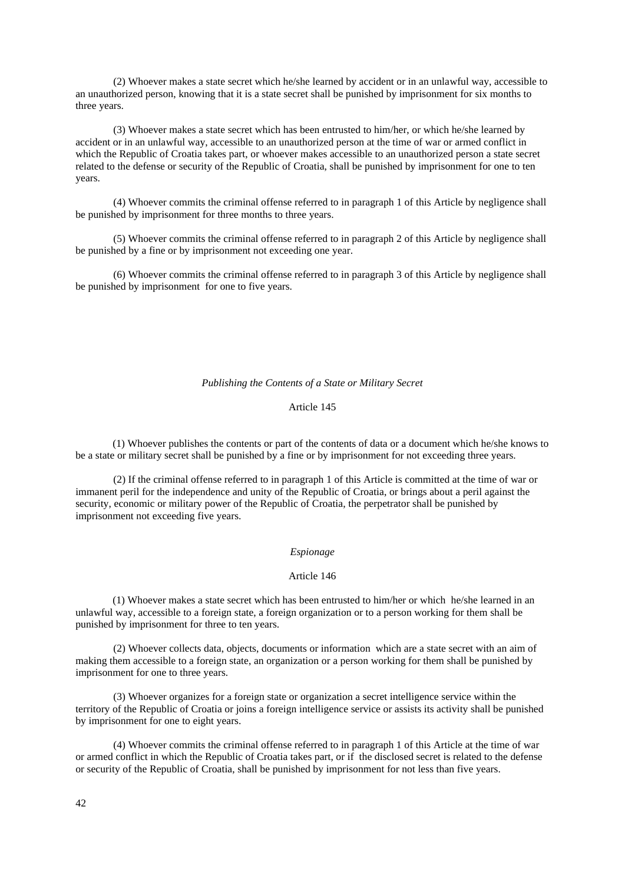(2) Whoever makes a state secret which he/she learned by accident or in an unlawful way, accessible to an unauthorized person, knowing that it is a state secret shall be punished by imprisonment for six months to three years.

(3) Whoever makes a state secret which has been entrusted to him/her, or which he/she learned by accident or in an unlawful way, accessible to an unauthorized person at the time of war or armed conflict in which the Republic of Croatia takes part, or whoever makes accessible to an unauthorized person a state secret related to the defense or security of the Republic of Croatia, shall be punished by imprisonment for one to ten years.

(4) Whoever commits the criminal offense referred to in paragraph 1 of this Article by negligence shall be punished by imprisonment for three months to three years.

(5) Whoever commits the criminal offense referred to in paragraph 2 of this Article by negligence shall be punished by a fine or by imprisonment not exceeding one year.

(6) Whoever commits the criminal offense referred to in paragraph 3 of this Article by negligence shall be punished by imprisonment for one to five years.

## *Publishing the Contents of a State or Military Secret*

# Article 145

(1) Whoever publishes the contents or part of the contents of data or a document which he/she knows to be a state or military secret shall be punished by a fine or by imprisonment for not exceeding three years.

(2) If the criminal offense referred to in paragraph 1 of this Article is committed at the time of war or immanent peril for the independence and unity of the Republic of Croatia, or brings about a peril against the security, economic or military power of the Republic of Croatia, the perpetrator shall be punished by imprisonment not exceeding five years.

#### *Espionage*

#### Article 146

(1) Whoever makes a state secret which has been entrusted to him/her or which he/she learned in an unlawful way, accessible to a foreign state, a foreign organization or to a person working for them shall be punished by imprisonment for three to ten years.

(2) Whoever collects data, objects, documents or information which are a state secret with an aim of making them accessible to a foreign state, an organization or a person working for them shall be punished by imprisonment for one to three years.

(3) Whoever organizes for a foreign state or organization a secret intelligence service within the territory of the Republic of Croatia or joins a foreign intelligence service or assists its activity shall be punished by imprisonment for one to eight years.

(4) Whoever commits the criminal offense referred to in paragraph 1 of this Article at the time of war or armed conflict in which the Republic of Croatia takes part, or if the disclosed secret is related to the defense or security of the Republic of Croatia, shall be punished by imprisonment for not less than five years.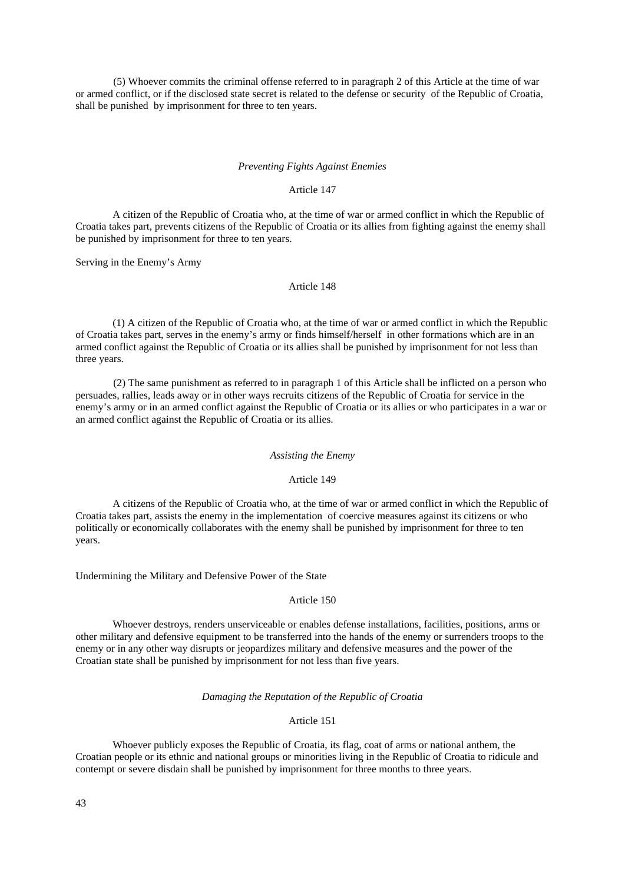(5) Whoever commits the criminal offense referred to in paragraph 2 of this Article at the time of war or armed conflict, or if the disclosed state secret is related to the defense or security of the Republic of Croatia, shall be punished by imprisonment for three to ten years.

# *Preventing Fights Against Enemies*

# Article 147

A citizen of the Republic of Croatia who, at the time of war or armed conflict in which the Republic of Croatia takes part, prevents citizens of the Republic of Croatia or its allies from fighting against the enemy shall be punished by imprisonment for three to ten years.

Serving in the Enemy's Army

# Article 148

(1) A citizen of the Republic of Croatia who, at the time of war or armed conflict in which the Republic of Croatia takes part, serves in the enemy's army or finds himself/herself in other formations which are in an armed conflict against the Republic of Croatia or its allies shall be punished by imprisonment for not less than three years.

(2) The same punishment as referred to in paragraph 1 of this Article shall be inflicted on a person who persuades, rallies, leads away or in other ways recruits citizens of the Republic of Croatia for service in the enemy's army or in an armed conflict against the Republic of Croatia or its allies or who participates in a war or an armed conflict against the Republic of Croatia or its allies.

## *Assisting the Enemy*

## Article 149

A citizens of the Republic of Croatia who, at the time of war or armed conflict in which the Republic of Croatia takes part, assists the enemy in the implementation of coercive measures against its citizens or who politically or economically collaborates with the enemy shall be punished by imprisonment for three to ten years.

Undermining the Military and Defensive Power of the State

#### Article 150

Whoever destroys, renders unserviceable or enables defense installations, facilities, positions, arms or other military and defensive equipment to be transferred into the hands of the enemy or surrenders troops to the enemy or in any other way disrupts or jeopardizes military and defensive measures and the power of the Croatian state shall be punished by imprisonment for not less than five years.

# *Damaging the Reputation of the Republic of Croatia*

# Article 151

Whoever publicly exposes the Republic of Croatia, its flag, coat of arms or national anthem, the Croatian people or its ethnic and national groups or minorities living in the Republic of Croatia to ridicule and contempt or severe disdain shall be punished by imprisonment for three months to three years.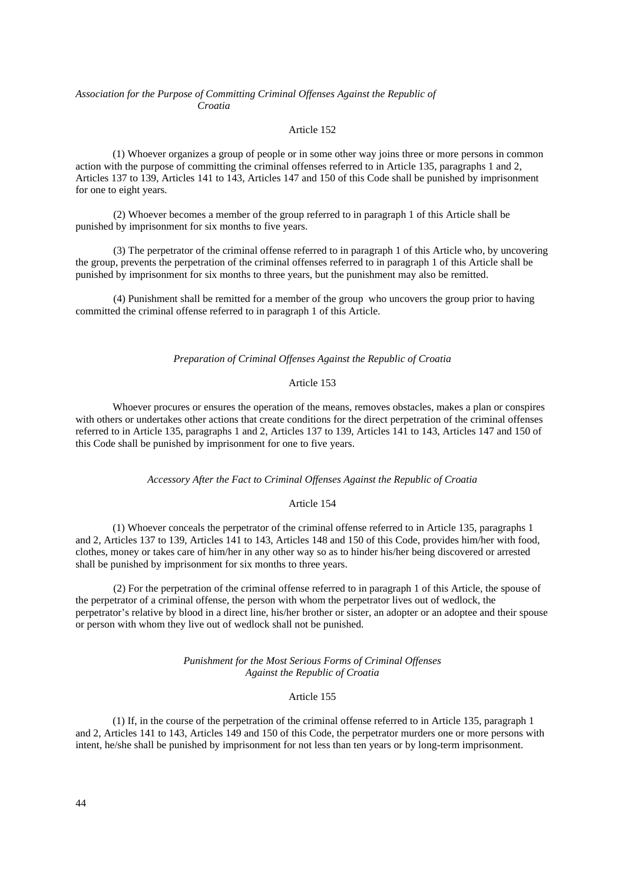## *Association for the Purpose of Committing Criminal Offenses Against the Republic of Croatia*

## Article 152

(1) Whoever organizes a group of people or in some other way joins three or more persons in common action with the purpose of committing the criminal offenses referred to in Article 135, paragraphs 1 and 2, Articles 137 to 139, Articles 141 to 143, Articles 147 and 150 of this Code shall be punished by imprisonment for one to eight years.

(2) Whoever becomes a member of the group referred to in paragraph 1 of this Article shall be punished by imprisonment for six months to five years.

(3) The perpetrator of the criminal offense referred to in paragraph 1 of this Article who, by uncovering the group, prevents the perpetration of the criminal offenses referred to in paragraph 1 of this Article shall be punished by imprisonment for six months to three years, but the punishment may also be remitted.

(4) Punishment shall be remitted for a member of the group who uncovers the group prior to having committed the criminal offense referred to in paragraph 1 of this Article.

#### *Preparation of Criminal Offenses Against the Republic of Croatia*

# Article 153

Whoever procures or ensures the operation of the means, removes obstacles, makes a plan or conspires with others or undertakes other actions that create conditions for the direct perpetration of the criminal offenses referred to in Article 135, paragraphs 1 and 2, Articles 137 to 139, Articles 141 to 143, Articles 147 and 150 of this Code shall be punished by imprisonment for one to five years.

## *Accessory After the Fact to Criminal Offenses Against the Republic of Croatia*

# Article 154

(1) Whoever conceals the perpetrator of the criminal offense referred to in Article 135, paragraphs 1 and 2, Articles 137 to 139, Articles 141 to 143, Articles 148 and 150 of this Code, provides him/her with food, clothes, money or takes care of him/her in any other way so as to hinder his/her being discovered or arrested shall be punished by imprisonment for six months to three years.

(2) For the perpetration of the criminal offense referred to in paragraph 1 of this Article, the spouse of the perpetrator of a criminal offense, the person with whom the perpetrator lives out of wedlock, the perpetrator's relative by blood in a direct line, his/her brother or sister, an adopter or an adoptee and their spouse or person with whom they live out of wedlock shall not be punished.

> *Punishment for the Most Serious Forms of Criminal Offenses Against the Republic of Croatia*

## Article 155

(1) If, in the course of the perpetration of the criminal offense referred to in Article 135, paragraph 1 and 2, Articles 141 to 143, Articles 149 and 150 of this Code, the perpetrator murders one or more persons with intent, he/she shall be punished by imprisonment for not less than ten years or by long-term imprisonment.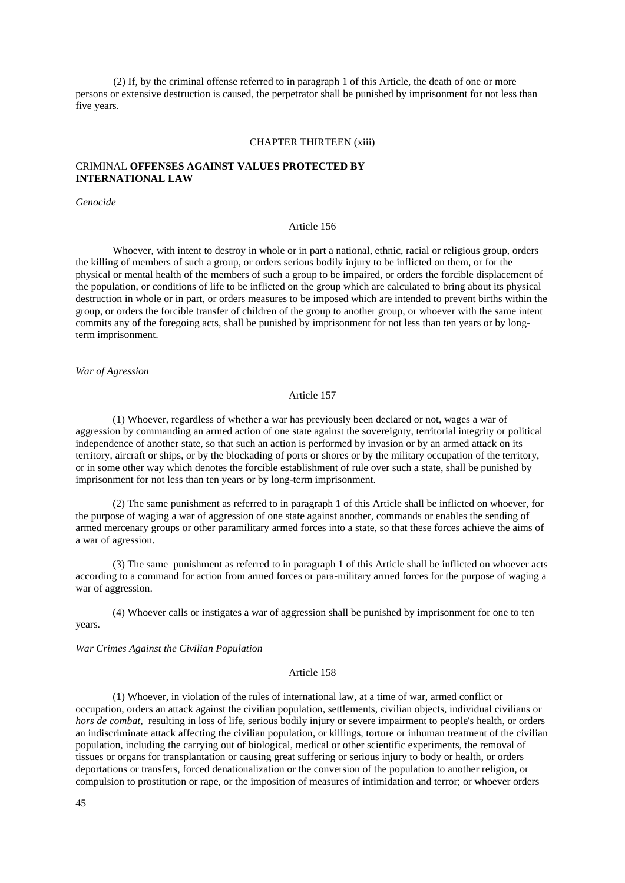(2) If, by the criminal offense referred to in paragraph 1 of this Article, the death of one or more persons or extensive destruction is caused, the perpetrator shall be punished by imprisonment for not less than five years.

#### CHAPTER THIRTEEN (xiii)

# CRIMINAL **OFFENSES AGAINST VALUES PROTECTED BY INTERNATIONAL LAW**

*Genocide*

## Article 156

Whoever, with intent to destroy in whole or in part a national, ethnic, racial or religious group, orders the killing of members of such a group, or orders serious bodily injury to be inflicted on them, or for the physical or mental health of the members of such a group to be impaired, or orders the forcible displacement of the population, or conditions of life to be inflicted on the group which are calculated to bring about its physical destruction in whole or in part, or orders measures to be imposed which are intended to prevent births within the group, or orders the forcible transfer of children of the group to another group, or whoever with the same intent commits any of the foregoing acts, shall be punished by imprisonment for not less than ten years or by longterm imprisonment.

*War of Agression*

# Article 157

(1) Whoever, regardless of whether a war has previously been declared or not, wages a war of aggression by commanding an armed action of one state against the sovereignty, territorial integrity or political independence of another state, so that such an action is performed by invasion or by an armed attack on its territory, aircraft or ships, or by the blockading of ports or shores or by the military occupation of the territory, or in some other way which denotes the forcible establishment of rule over such a state, shall be punished by imprisonment for not less than ten years or by long-term imprisonment.

(2) The same punishment as referred to in paragraph 1 of this Article shall be inflicted on whoever, for the purpose of waging a war of aggression of one state against another, commands or enables the sending of armed mercenary groups or other paramilitary armed forces into a state, so that these forces achieve the aims of a war of agression.

(3) The same punishment as referred to in paragraph 1 of this Article shall be inflicted on whoever acts according to a command for action from armed forces or para-military armed forces for the purpose of waging a war of aggression.

(4) Whoever calls or instigates a war of aggression shall be punished by imprisonment for one to ten years.

*War Crimes Against the Civilian Population*

### Article 158

(1) Whoever, in violation of the rules of international law, at a time of war, armed conflict or occupation, orders an attack against the civilian population, settlements, civilian objects, individual civilians or *hors de combat*, resulting in loss of life, serious bodily injury or severe impairment to people's health, or orders an indiscriminate attack affecting the civilian population, or killings, torture or inhuman treatment of the civilian population, including the carrying out of biological, medical or other scientific experiments, the removal of tissues or organs for transplantation or causing great suffering or serious injury to body or health, or orders deportations or transfers, forced denationalization or the conversion of the population to another religion, or compulsion to prostitution or rape, or the imposition of measures of intimidation and terror; or whoever orders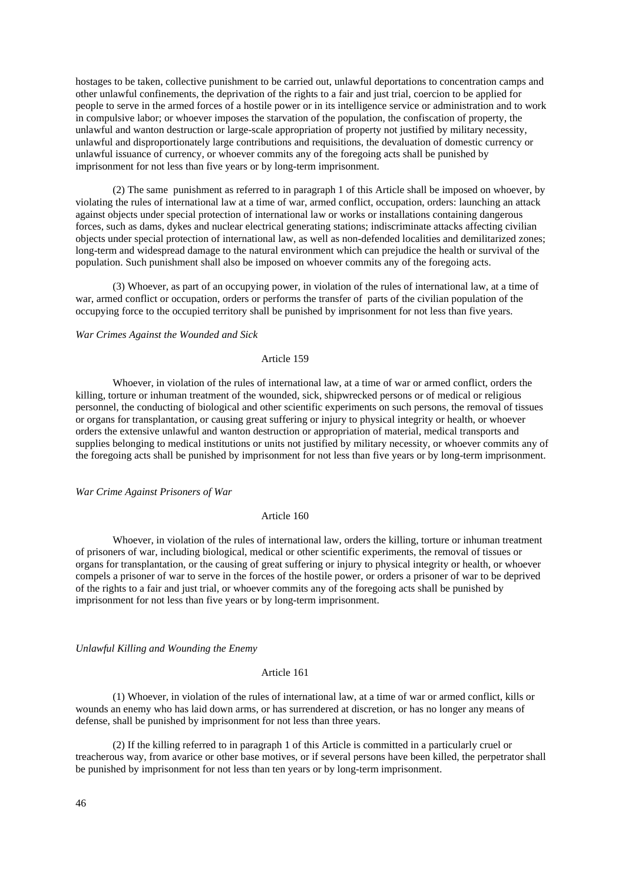hostages to be taken, collective punishment to be carried out, unlawful deportations to concentration camps and other unlawful confinements, the deprivation of the rights to a fair and just trial, coercion to be applied for people to serve in the armed forces of a hostile power or in its intelligence service or administration and to work in compulsive labor; or whoever imposes the starvation of the population, the confiscation of property, the unlawful and wanton destruction or large-scale appropriation of property not justified by military necessity, unlawful and disproportionately large contributions and requisitions, the devaluation of domestic currency or unlawful issuance of currency, or whoever commits any of the foregoing acts shall be punished by imprisonment for not less than five years or by long-term imprisonment.

(2) The same punishment as referred to in paragraph 1 of this Article shall be imposed on whoever, by violating the rules of international law at a time of war, armed conflict, occupation, orders: launching an attack against objects under special protection of international law or works or installations containing dangerous forces, such as dams, dykes and nuclear electrical generating stations; indiscriminate attacks affecting civilian objects under special protection of international law, as well as non-defended localities and demilitarized zones; long-term and widespread damage to the natural environment which can prejudice the health or survival of the population. Such punishment shall also be imposed on whoever commits any of the foregoing acts.

(3) Whoever, as part of an occupying power, in violation of the rules of international law, at a time of war, armed conflict or occupation, orders or performs the transfer of parts of the civilian population of the occupying force to the occupied territory shall be punished by imprisonment for not less than five years.

*War Crimes Against the Wounded and Sick*

#### Article 159

Whoever, in violation of the rules of international law, at a time of war or armed conflict, orders the killing, torture or inhuman treatment of the wounded, sick, shipwrecked persons or of medical or religious personnel, the conducting of biological and other scientific experiments on such persons, the removal of tissues or organs for transplantation, or causing great suffering or injury to physical integrity or health, or whoever orders the extensive unlawful and wanton destruction or appropriation of material, medical transports and supplies belonging to medical institutions or units not justified by military necessity, or whoever commits any of the foregoing acts shall be punished by imprisonment for not less than five years or by long-term imprisonment.

*War Crime Against Prisoners of War*

## Article 160

Whoever, in violation of the rules of international law, orders the killing, torture or inhuman treatment of prisoners of war, including biological, medical or other scientific experiments, the removal of tissues or organs for transplantation, or the causing of great suffering or injury to physical integrity or health, or whoever compels a prisoner of war to serve in the forces of the hostile power, or orders a prisoner of war to be deprived of the rights to a fair and just trial, or whoever commits any of the foregoing acts shall be punished by imprisonment for not less than five years or by long-term imprisonment.

*Unlawful Killing and Wounding the Enemy*

### Article 161

(1) Whoever, in violation of the rules of international law, at a time of war or armed conflict, kills or wounds an enemy who has laid down arms, or has surrendered at discretion, or has no longer any means of defense, shall be punished by imprisonment for not less than three years.

(2) If the killing referred to in paragraph 1 of this Article is committed in a particularly cruel or treacherous way, from avarice or other base motives, or if several persons have been killed, the perpetrator shall be punished by imprisonment for not less than ten years or by long-term imprisonment.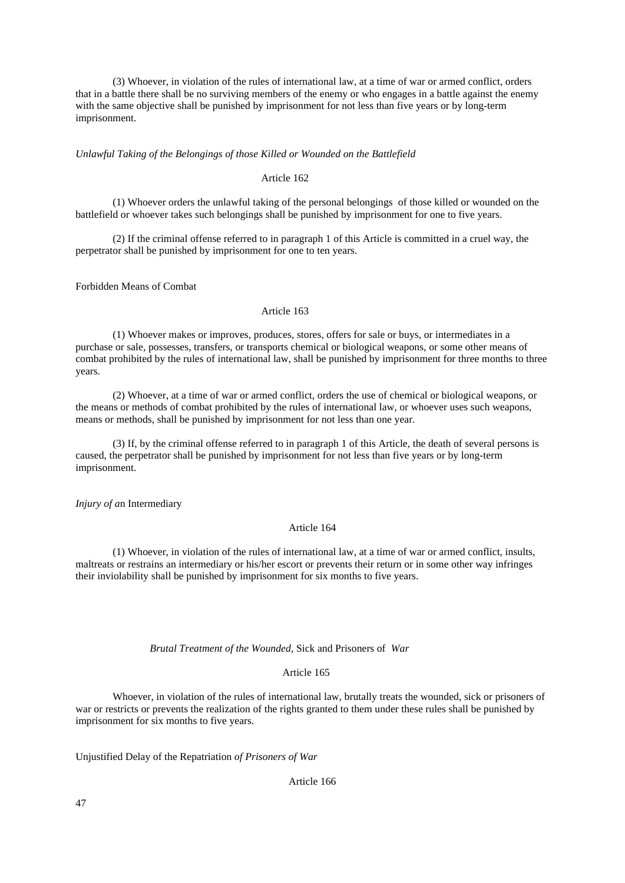(3) Whoever, in violation of the rules of international law, at a time of war or armed conflict, orders that in a battle there shall be no surviving members of the enemy or who engages in a battle against the enemy with the same objective shall be punished by imprisonment for not less than five years or by long-term imprisonment.

*Unlawful Taking of the Belongings of those Killed or Wounded on the Battlefield*

# Article 162

(1) Whoever orders the unlawful taking of the personal belongings of those killed or wounded on the battlefield or whoever takes such belongings shall be punished by imprisonment for one to five years.

(2) If the criminal offense referred to in paragraph 1 of this Article is committed in a cruel way, the perpetrator shall be punished by imprisonment for one to ten years.

Forbidden Means of Combat

#### Article 163

(1) Whoever makes or improves, produces, stores, offers for sale or buys, or intermediates in a purchase or sale, possesses, transfers, or transports chemical or biological weapons, or some other means of combat prohibited by the rules of international law, shall be punished by imprisonment for three months to three years.

(2) Whoever, at a time of war or armed conflict, orders the use of chemical or biological weapons, or the means or methods of combat prohibited by the rules of international law, or whoever uses such weapons, means or methods, shall be punished by imprisonment for not less than one year.

(3) If, by the criminal offense referred to in paragraph 1 of this Article, the death of several persons is caused, the perpetrator shall be punished by imprisonment for not less than five years or by long-term imprisonment.

*Injury of a*n Intermediary

# Article 164

(1) Whoever, in violation of the rules of international law, at a time of war or armed conflict, insults, maltreats or restrains an intermediary or his/her escort or prevents their return or in some other way infringes their inviolability shall be punished by imprisonment for six months to five years.

*Brutal Treatment of the Wounded*, Sick and Prisoners of *War*

# Article 165

Whoever, in violation of the rules of international law, brutally treats the wounded, sick or prisoners of war or restricts or prevents the realization of the rights granted to them under these rules shall be punished by imprisonment for six months to five years.

Unjustified Delay of the Repatriation *of Prisoners of War*

Article 166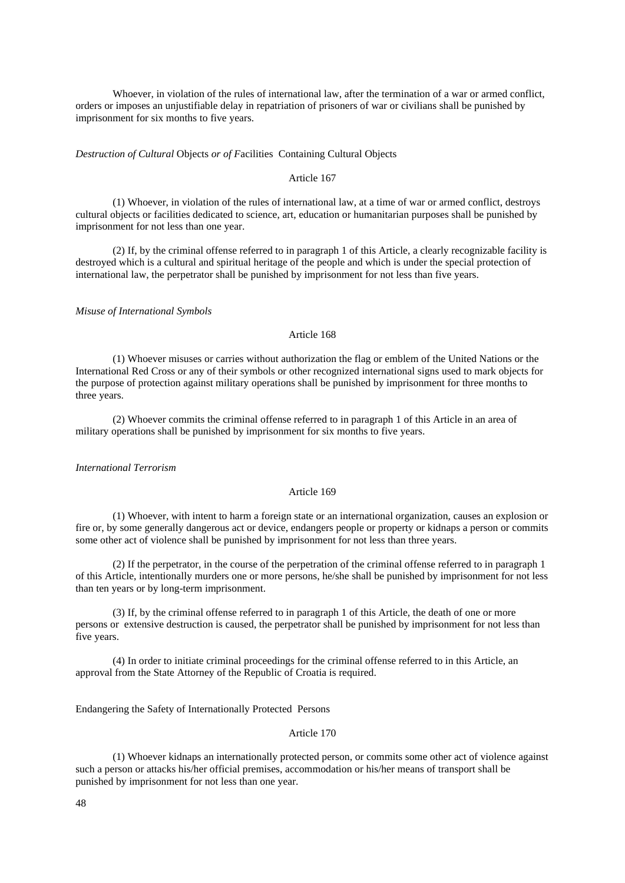Whoever, in violation of the rules of international law, after the termination of a war or armed conflict, orders or imposes an unjustifiable delay in repatriation of prisoners of war or civilians shall be punished by imprisonment for six months to five years.

*Destruction of Cultural* Objects *or of F*acilities Containing Cultural Objects

# Article 167

(1) Whoever, in violation of the rules of international law, at a time of war or armed conflict, destroys cultural objects or facilities dedicated to science, art, education or humanitarian purposes shall be punished by imprisonment for not less than one year.

(2) If, by the criminal offense referred to in paragraph 1 of this Article, a clearly recognizable facility is destroyed which is a cultural and spiritual heritage of the people and which is under the special protection of international law, the perpetrator shall be punished by imprisonment for not less than five years.

*Misuse of International Symbols*

### Article 168

(1) Whoever misuses or carries without authorization the flag or emblem of the United Nations or the International Red Cross or any of their symbols or other recognized international signs used to mark objects for the purpose of protection against military operations shall be punished by imprisonment for three months to three years.

(2) Whoever commits the criminal offense referred to in paragraph 1 of this Article in an area of military operations shall be punished by imprisonment for six months to five years.

*International Terrorism*

# Article 169

(1) Whoever, with intent to harm a foreign state or an international organization, causes an explosion or fire or, by some generally dangerous act or device, endangers people or property or kidnaps a person or commits some other act of violence shall be punished by imprisonment for not less than three years.

(2) If the perpetrator, in the course of the perpetration of the criminal offense referred to in paragraph 1 of this Article, intentionally murders one or more persons, he/she shall be punished by imprisonment for not less than ten years or by long-term imprisonment.

(3) If, by the criminal offense referred to in paragraph 1 of this Article, the death of one or more persons or extensive destruction is caused, the perpetrator shall be punished by imprisonment for not less than five years.

(4) In order to initiate criminal proceedings for the criminal offense referred to in this Article, an approval from the State Attorney of the Republic of Croatia is required.

Endangering the Safety of Internationally Protected Persons

# Article 170

(1) Whoever kidnaps an internationally protected person, or commits some other act of violence against such a person or attacks his/her official premises, accommodation or his/her means of transport shall be punished by imprisonment for not less than one year.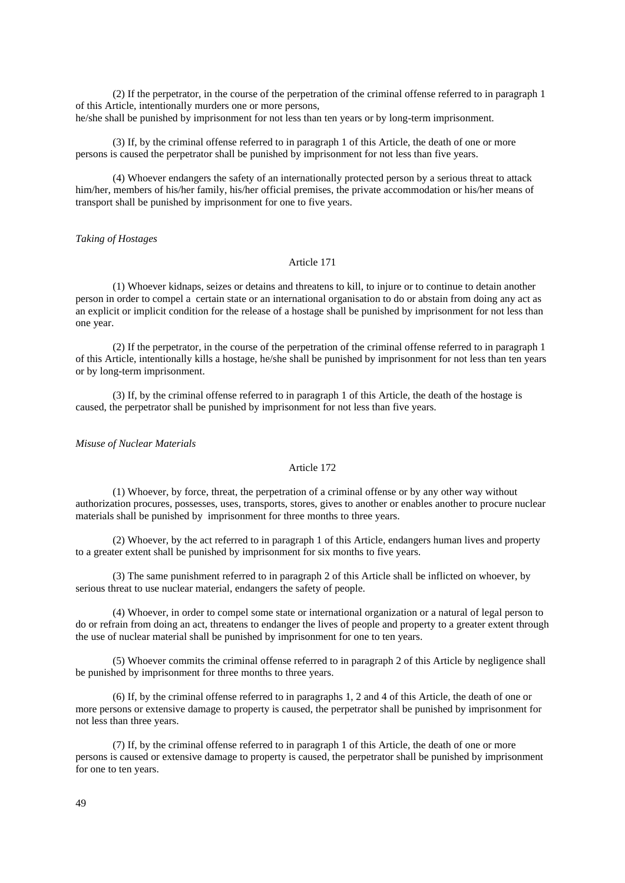(2) If the perpetrator, in the course of the perpetration of the criminal offense referred to in paragraph 1 of this Article, intentionally murders one or more persons,

he/she shall be punished by imprisonment for not less than ten years or by long-term imprisonment.

(3) If, by the criminal offense referred to in paragraph 1 of this Article, the death of one or more persons is caused the perpetrator shall be punished by imprisonment for not less than five years.

(4) Whoever endangers the safety of an internationally protected person by a serious threat to attack him/her, members of his/her family, his/her official premises, the private accommodation or his/her means of transport shall be punished by imprisonment for one to five years.

# *Taking of Hostages*

# Article 171

(1) Whoever kidnaps, seizes or detains and threatens to kill, to injure or to continue to detain another person in order to compel a certain state or an international organisation to do or abstain from doing any act as an explicit or implicit condition for the release of a hostage shall be punished by imprisonment for not less than one year.

(2) If the perpetrator, in the course of the perpetration of the criminal offense referred to in paragraph 1 of this Article, intentionally kills a hostage, he/she shall be punished by imprisonment for not less than ten years or by long-term imprisonment.

(3) If, by the criminal offense referred to in paragraph 1 of this Article, the death of the hostage is caused, the perpetrator shall be punished by imprisonment for not less than five years.

*Misuse of Nuclear Materials*

# Article 172

(1) Whoever, by force, threat, the perpetration of a criminal offense or by any other way without authorization procures, possesses, uses, transports, stores, gives to another or enables another to procure nuclear materials shall be punished by imprisonment for three months to three years.

(2) Whoever, by the act referred to in paragraph 1 of this Article, endangers human lives and property to a greater extent shall be punished by imprisonment for six months to five years.

(3) The same punishment referred to in paragraph 2 of this Article shall be inflicted on whoever, by serious threat to use nuclear material, endangers the safety of people.

(4) Whoever, in order to compel some state or international organization or a natural of legal person to do or refrain from doing an act, threatens to endanger the lives of people and property to a greater extent through the use of nuclear material shall be punished by imprisonment for one to ten years.

(5) Whoever commits the criminal offense referred to in paragraph 2 of this Article by negligence shall be punished by imprisonment for three months to three years.

(6) If, by the criminal offense referred to in paragraphs 1, 2 and 4 of this Article, the death of one or more persons or extensive damage to property is caused, the perpetrator shall be punished by imprisonment for not less than three years.

(7) If, by the criminal offense referred to in paragraph 1 of this Article, the death of one or more persons is caused or extensive damage to property is caused, the perpetrator shall be punished by imprisonment for one to ten years.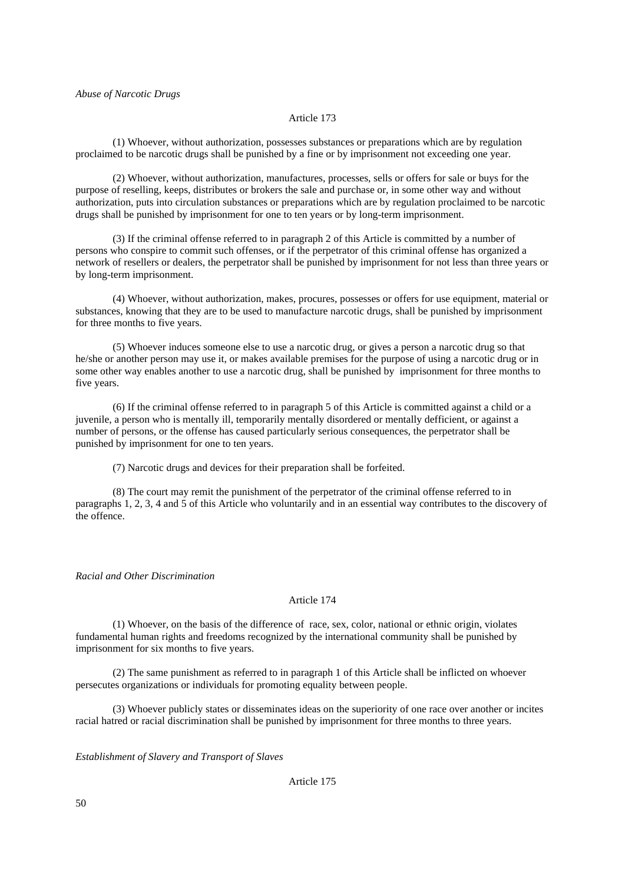## Article 173

(1) Whoever, without authorization, possesses substances or preparations which are by regulation proclaimed to be narcotic drugs shall be punished by a fine or by imprisonment not exceeding one year.

(2) Whoever, without authorization, manufactures, processes, sells or offers for sale or buys for the purpose of reselling, keeps, distributes or brokers the sale and purchase or, in some other way and without authorization, puts into circulation substances or preparations which are by regulation proclaimed to be narcotic drugs shall be punished by imprisonment for one to ten years or by long-term imprisonment.

(3) If the criminal offense referred to in paragraph 2 of this Article is committed by a number of persons who conspire to commit such offenses, or if the perpetrator of this criminal offense has organized a network of resellers or dealers, the perpetrator shall be punished by imprisonment for not less than three years or by long-term imprisonment.

(4) Whoever, without authorization, makes, procures, possesses or offers for use equipment, material or substances, knowing that they are to be used to manufacture narcotic drugs, shall be punished by imprisonment for three months to five years.

(5) Whoever induces someone else to use a narcotic drug, or gives a person a narcotic drug so that he/she or another person may use it, or makes available premises for the purpose of using a narcotic drug or in some other way enables another to use a narcotic drug, shall be punished by imprisonment for three months to five years.

(6) If the criminal offense referred to in paragraph 5 of this Article is committed against a child or a juvenile, a person who is mentally ill, temporarily mentally disordered or mentally defficient, or against a number of persons, or the offense has caused particularly serious consequences, the perpetrator shall be punished by imprisonment for one to ten years.

(7) Narcotic drugs and devices for their preparation shall be forfeited.

(8) The court may remit the punishment of the perpetrator of the criminal offense referred to in paragraphs 1, 2, 3, 4 and 5 of this Article who voluntarily and in an essential way contributes to the discovery of the offence.

*Racial and Other Discrimination*

### Article 174

(1) Whoever, on the basis of the difference of race, sex, color, national or ethnic origin, violates fundamental human rights and freedoms recognized by the international community shall be punished by imprisonment for six months to five years.

(2) The same punishment as referred to in paragraph 1 of this Article shall be inflicted on whoever persecutes organizations or individuals for promoting equality between people.

(3) Whoever publicly states or disseminates ideas on the superiority of one race over another or incites racial hatred or racial discrimination shall be punished by imprisonment for three months to three years.

*Establishment of Slavery and Transport of Slaves*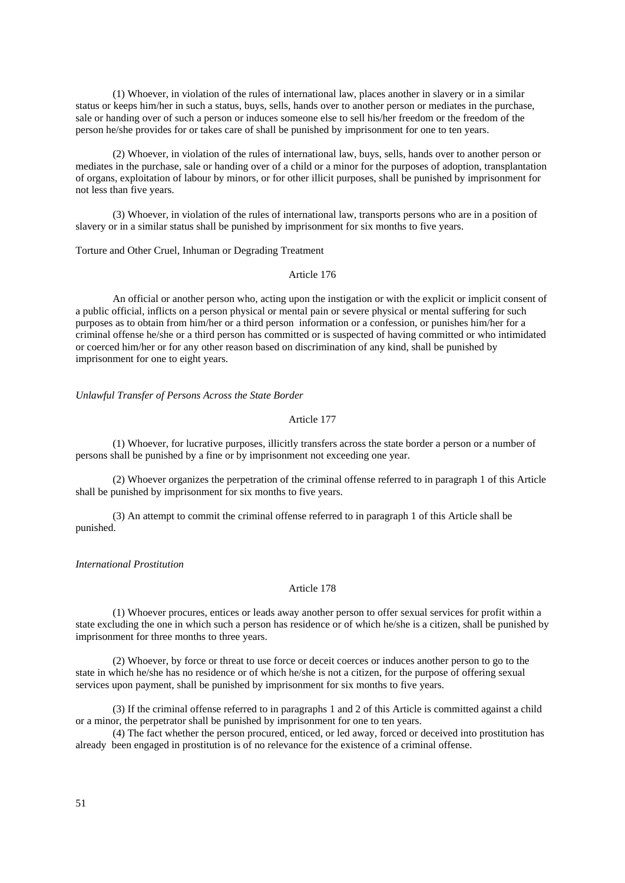(1) Whoever, in violation of the rules of international law, places another in slavery or in a similar status or keeps him/her in such a status, buys, sells, hands over to another person or mediates in the purchase, sale or handing over of such a person or induces someone else to sell his/her freedom or the freedom of the person he/she provides for or takes care of shall be punished by imprisonment for one to ten years.

(2) Whoever, in violation of the rules of international law, buys, sells, hands over to another person or mediates in the purchase, sale or handing over of a child or a minor for the purposes of adoption, transplantation of organs, exploitation of labour by minors, or for other illicit purposes, shall be punished by imprisonment for not less than five years.

(3) Whoever, in violation of the rules of international law, transports persons who are in a position of slavery or in a similar status shall be punished by imprisonment for six months to five years.

# Torture and Other Cruel, Inhuman or Degrading Treatment

### Article 176

An official or another person who, acting upon the instigation or with the explicit or implicit consent of a public official, inflicts on a person physical or mental pain or severe physical or mental suffering for such purposes as to obtain from him/her or a third person information or a confession, or punishes him/her for a criminal offense he/she or a third person has committed or is suspected of having committed or who intimidated or coerced him/her or for any other reason based on discrimination of any kind, shall be punished by imprisonment for one to eight years.

*Unlawful Transfer of Persons Across the State Border*

# Article 177

(1) Whoever, for lucrative purposes, illicitly transfers across the state border a person or a number of persons shall be punished by a fine or by imprisonment not exceeding one year.

(2) Whoever organizes the perpetration of the criminal offense referred to in paragraph 1 of this Article shall be punished by imprisonment for six months to five years.

(3) An attempt to commit the criminal offense referred to in paragraph 1 of this Article shall be punished.

# *International Prostitution*

# Article 178

(1) Whoever procures, entices or leads away another person to offer sexual services for profit within a state excluding the one in which such a person has residence or of which he/she is a citizen, shall be punished by imprisonment for three months to three years.

(2) Whoever, by force or threat to use force or deceit coerces or induces another person to go to the state in which he/she has no residence or of which he/she is not a citizen, for the purpose of offering sexual services upon payment, shall be punished by imprisonment for six months to five years.

(3) If the criminal offense referred to in paragraphs 1 and 2 of this Article is committed against a child or a minor, the perpetrator shall be punished by imprisonment for one to ten years.

(4) The fact whether the person procured, enticed, or led away, forced or deceived into prostitution has already been engaged in prostitution is of no relevance for the existence of a criminal offense.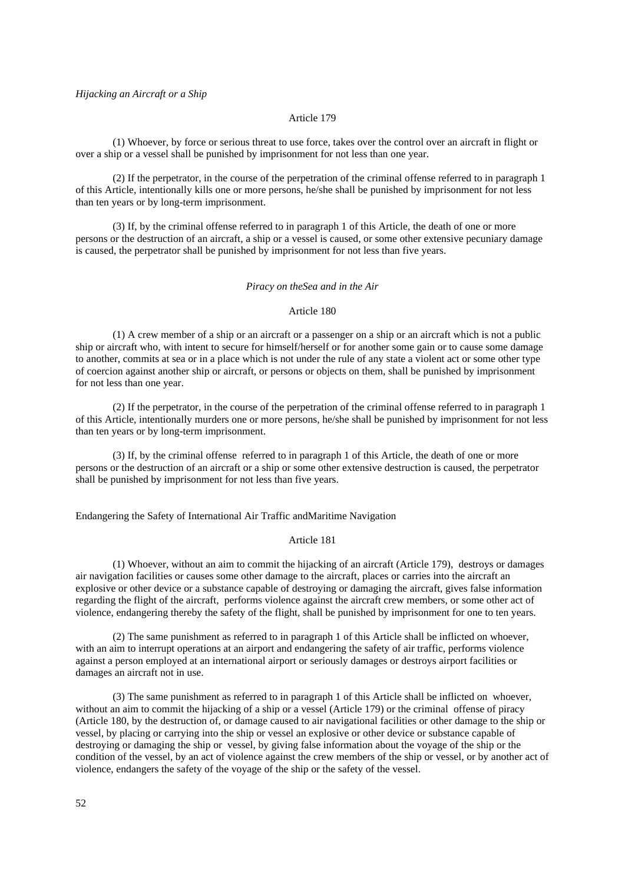### *Hijacking an Aircraft or a Ship*

#### Article 179

(1) Whoever, by force or serious threat to use force, takes over the control over an aircraft in flight or over a ship or a vessel shall be punished by imprisonment for not less than one year.

(2) If the perpetrator, in the course of the perpetration of the criminal offense referred to in paragraph 1 of this Article, intentionally kills one or more persons, he/she shall be punished by imprisonment for not less than ten years or by long-term imprisonment.

(3) If, by the criminal offense referred to in paragraph 1 of this Article, the death of one or more persons or the destruction of an aircraft, a ship or a vessel is caused, or some other extensive pecuniary damage is caused, the perpetrator shall be punished by imprisonment for not less than five years.

## *Piracy on theSea and in the Air*

### Article 180

(1) A crew member of a ship or an aircraft or a passenger on a ship or an aircraft which is not a public ship or aircraft who, with intent to secure for himself/herself or for another some gain or to cause some damage to another, commits at sea or in a place which is not under the rule of any state a violent act or some other type of coercion against another ship or aircraft, or persons or objects on them, shall be punished by imprisonment for not less than one year.

(2) If the perpetrator, in the course of the perpetration of the criminal offense referred to in paragraph 1 of this Article, intentionally murders one or more persons, he/she shall be punished by imprisonment for not less than ten years or by long-term imprisonment.

(3) If, by the criminal offense referred to in paragraph 1 of this Article, the death of one or more persons or the destruction of an aircraft or a ship or some other extensive destruction is caused, the perpetrator shall be punished by imprisonment for not less than five years.

Endangering the Safety of International Air Traffic andMaritime Navigation

# Article 181

(1) Whoever, without an aim to commit the hijacking of an aircraft (Article 179), destroys or damages air navigation facilities or causes some other damage to the aircraft, places or carries into the aircraft an explosive or other device or a substance capable of destroying or damaging the aircraft, gives false information regarding the flight of the aircraft, performs violence against the aircraft crew members, or some other act of violence, endangering thereby the safety of the flight, shall be punished by imprisonment for one to ten years.

(2) The same punishment as referred to in paragraph 1 of this Article shall be inflicted on whoever, with an aim to interrupt operations at an airport and endangering the safety of air traffic, performs violence against a person employed at an international airport or seriously damages or destroys airport facilities or damages an aircraft not in use.

(3) The same punishment as referred to in paragraph 1 of this Article shall be inflicted on whoever, without an aim to commit the hijacking of a ship or a vessel (Article 179) or the criminal offense of piracy (Article 180, by the destruction of, or damage caused to air navigational facilities or other damage to the ship or vessel, by placing or carrying into the ship or vessel an explosive or other device or substance capable of destroying or damaging the ship or vessel, by giving false information about the voyage of the ship or the condition of the vessel, by an act of violence against the crew members of the ship or vessel, or by another act of violence, endangers the safety of the voyage of the ship or the safety of the vessel.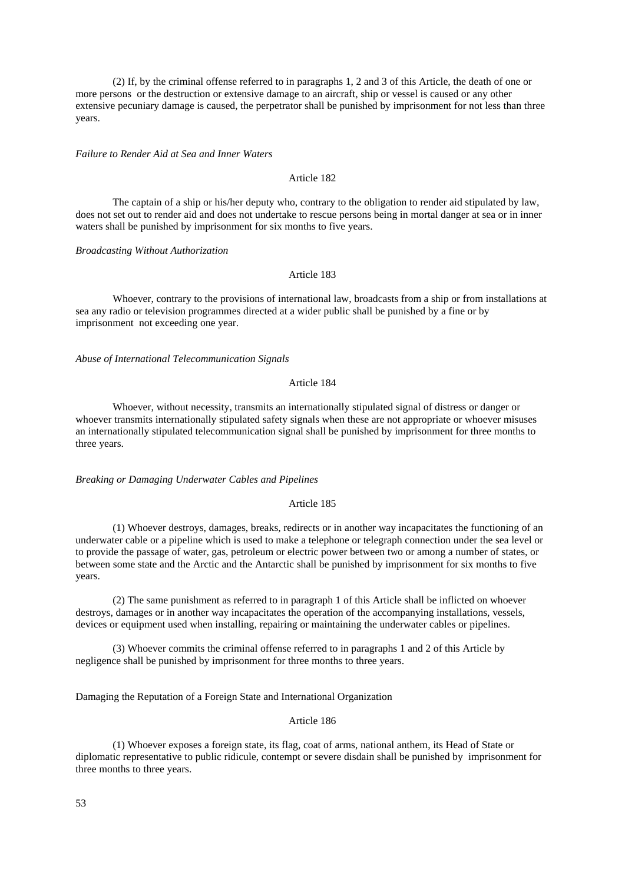(2) If, by the criminal offense referred to in paragraphs 1, 2 and 3 of this Article, the death of one or more persons or the destruction or extensive damage to an aircraft, ship or vessel is caused or any other extensive pecuniary damage is caused, the perpetrator shall be punished by imprisonment for not less than three years.

*Failure to Render Aid at Sea and Inner Waters*

# Article 182

The captain of a ship or his/her deputy who, contrary to the obligation to render aid stipulated by law, does not set out to render aid and does not undertake to rescue persons being in mortal danger at sea or in inner waters shall be punished by imprisonment for six months to five years.

*Broadcasting Without Authorization*

# Article 183

Whoever, contrary to the provisions of international law, broadcasts from a ship or from installations at sea any radio or television programmes directed at a wider public shall be punished by a fine or by imprisonment not exceeding one year.

*Abuse of International Telecommunication Signals*

# Article 184

Whoever, without necessity, transmits an internationally stipulated signal of distress or danger or whoever transmits internationally stipulated safety signals when these are not appropriate or whoever misuses an internationally stipulated telecommunication signal shall be punished by imprisonment for three months to three years.

*Breaking or Damaging Underwater Cables and Pipelines*

# Article 185

(1) Whoever destroys, damages, breaks, redirects or in another way incapacitates the functioning of an underwater cable or a pipeline which is used to make a telephone or telegraph connection under the sea level or to provide the passage of water, gas, petroleum or electric power between two or among a number of states, or between some state and the Arctic and the Antarctic shall be punished by imprisonment for six months to five years.

(2) The same punishment as referred to in paragraph 1 of this Article shall be inflicted on whoever destroys, damages or in another way incapacitates the operation of the accompanying installations, vessels, devices or equipment used when installing, repairing or maintaining the underwater cables or pipelines.

(3) Whoever commits the criminal offense referred to in paragraphs 1 and 2 of this Article by negligence shall be punished by imprisonment for three months to three years.

Damaging the Reputation of a Foreign State and International Organization

### Article 186

(1) Whoever exposes a foreign state, its flag, coat of arms, national anthem, its Head of State or diplomatic representative to public ridicule, contempt or severe disdain shall be punished by imprisonment for three months to three years.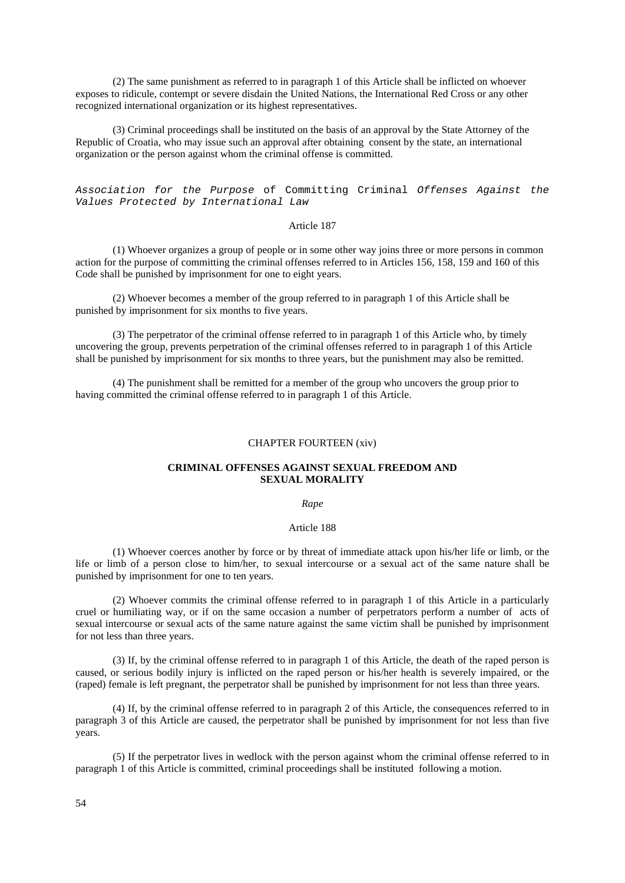(2) The same punishment as referred to in paragraph 1 of this Article shall be inflicted on whoever exposes to ridicule, contempt or severe disdain the United Nations, the International Red Cross or any other recognized international organization or its highest representatives.

(3) Criminal proceedings shall be instituted on the basis of an approval by the State Attorney of the Republic of Croatia, who may issue such an approval after obtaining consent by the state, an international organization or the person against whom the criminal offense is committed.

*Association for the Purpose* of Committing Criminal *Offenses Against the Values Protected by International Law*

### Article 187

(1) Whoever organizes a group of people or in some other way joins three or more persons in common action for the purpose of committing the criminal offenses referred to in Articles 156, 158, 159 and 160 of this Code shall be punished by imprisonment for one to eight years.

(2) Whoever becomes a member of the group referred to in paragraph 1 of this Article shall be punished by imprisonment for six months to five years.

(3) The perpetrator of the criminal offense referred to in paragraph 1 of this Article who, by timely uncovering the group, prevents perpetration of the criminal offenses referred to in paragraph 1 of this Article shall be punished by imprisonment for six months to three years, but the punishment may also be remitted.

(4) The punishment shall be remitted for a member of the group who uncovers the group prior to having committed the criminal offense referred to in paragraph 1 of this Article.

#### CHAPTER FOURTEEN (xiv)

# **CRIMINAL OFFENSES AGAINST SEXUAL FREEDOM AND SEXUAL MORALITY**

#### *Rape*

# Article 188

(1) Whoever coerces another by force or by threat of immediate attack upon his/her life or limb, or the life or limb of a person close to him/her, to sexual intercourse or a sexual act of the same nature shall be punished by imprisonment for one to ten years.

(2) Whoever commits the criminal offense referred to in paragraph 1 of this Article in a particularly cruel or humiliating way, or if on the same occasion a number of perpetrators perform a number of acts of sexual intercourse or sexual acts of the same nature against the same victim shall be punished by imprisonment for not less than three years.

(3) If, by the criminal offense referred to in paragraph 1 of this Article, the death of the raped person is caused, or serious bodily injury is inflicted on the raped person or his/her health is severely impaired, or the (raped) female is left pregnant, the perpetrator shall be punished by imprisonment for not less than three years.

(4) If, by the criminal offense referred to in paragraph 2 of this Article, the consequences referred to in paragraph 3 of this Article are caused, the perpetrator shall be punished by imprisonment for not less than five years.

(5) If the perpetrator lives in wedlock with the person against whom the criminal offense referred to in paragraph 1 of this Article is committed, criminal proceedings shall be instituted following a motion.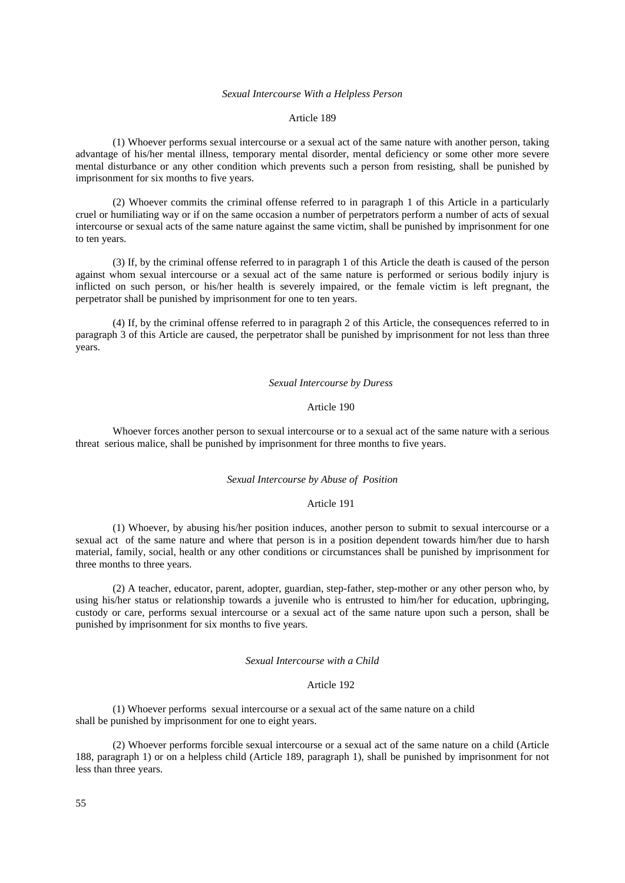### *Sexual Intercourse With a Helpless Person*

#### Article 189

(1) Whoever performs sexual intercourse or a sexual act of the same nature with another person, taking advantage of his/her mental illness, temporary mental disorder, mental deficiency or some other more severe mental disturbance or any other condition which prevents such a person from resisting, shall be punished by imprisonment for six months to five years.

(2) Whoever commits the criminal offense referred to in paragraph 1 of this Article in a particularly cruel or humiliating way or if on the same occasion a number of perpetrators perform a number of acts of sexual intercourse or sexual acts of the same nature against the same victim, shall be punished by imprisonment for one to ten years.

(3) If, by the criminal offense referred to in paragraph 1 of this Article the death is caused of the person against whom sexual intercourse or a sexual act of the same nature is performed or serious bodily injury is inflicted on such person, or his/her health is severely impaired, or the female victim is left pregnant, the perpetrator shall be punished by imprisonment for one to ten years.

(4) If, by the criminal offense referred to in paragraph 2 of this Article, the consequences referred to in paragraph 3 of this Article are caused, the perpetrator shall be punished by imprisonment for not less than three years.

### *Sexual Intercourse by Duress*

# Article 190

Whoever forces another person to sexual intercourse or to a sexual act of the same nature with a serious threat serious malice, shall be punished by imprisonment for three months to five years.

### *Sexual Intercourse by Abuse of Position*

# Article 191

(1) Whoever, by abusing his/her position induces, another person to submit to sexual intercourse or a sexual act of the same nature and where that person is in a position dependent towards him/her due to harsh material, family, social, health or any other conditions or circumstances shall be punished by imprisonment for three months to three years.

(2) A teacher, educator, parent, adopter, guardian, step-father, step-mother or any other person who, by using his/her status or relationship towards a juvenile who is entrusted to him/her for education, upbringing, custody or care, performs sexual intercourse or a sexual act of the same nature upon such a person, shall be punished by imprisonment for six months to five years.

# *Sexual Intercourse with a Child*

## Article 192

(1) Whoever performs sexual intercourse or a sexual act of the same nature on a child shall be punished by imprisonment for one to eight years.

(2) Whoever performs forcible sexual intercourse or a sexual act of the same nature on a child (Article 188, paragraph 1) or on a helpless child (Article 189, paragraph 1), shall be punished by imprisonment for not less than three years.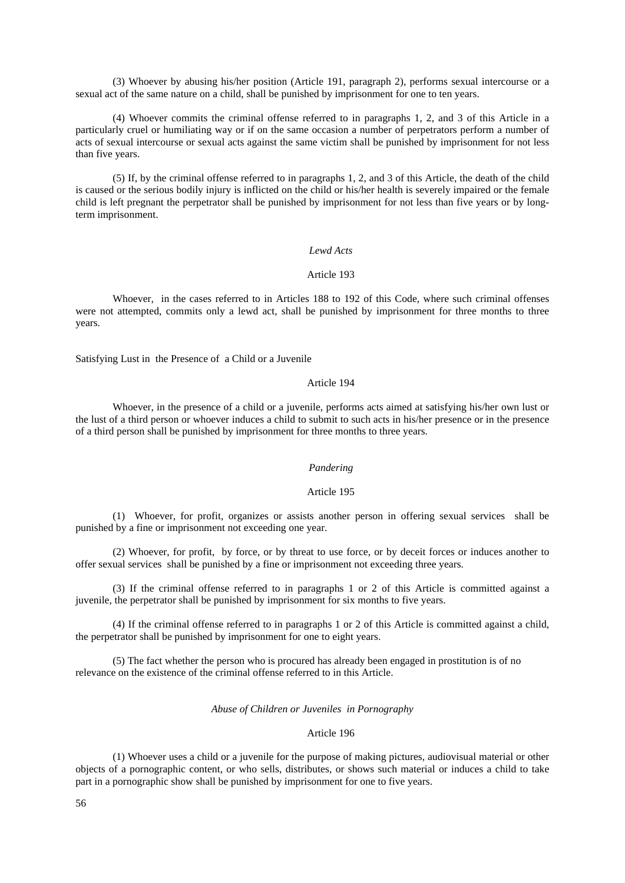(3) Whoever by abusing his/her position (Article 191, paragraph 2), performs sexual intercourse or a sexual act of the same nature on a child, shall be punished by imprisonment for one to ten years.

(4) Whoever commits the criminal offense referred to in paragraphs 1, 2, and 3 of this Article in a particularly cruel or humiliating way or if on the same occasion a number of perpetrators perform a number of acts of sexual intercourse or sexual acts against the same victim shall be punished by imprisonment for not less than five years.

(5) If, by the criminal offense referred to in paragraphs 1, 2, and 3 of this Article, the death of the child is caused or the serious bodily injury is inflicted on the child or his/her health is severely impaired or the female child is left pregnant the perpetrator shall be punished by imprisonment for not less than five years or by longterm imprisonment.

# *Lewd Acts*

# Article 193

Whoever, in the cases referred to in Articles 188 to 192 of this Code, where such criminal offenses were not attempted, commits only a lewd act, shall be punished by imprisonment for three months to three years.

Satisfying Lust in the Presence of a Child or a Juvenile

# Article 194

Whoever, in the presence of a child or a juvenile, performs acts aimed at satisfying his/her own lust or the lust of a third person or whoever induces a child to submit to such acts in his/her presence or in the presence of a third person shall be punished by imprisonment for three months to three years.

### *Pandering*

## Article 195

(1) Whoever, for profit, organizes or assists another person in offering sexual services shall be punished by a fine or imprisonment not exceeding one year.

(2) Whoever, for profit, by force, or by threat to use force, or by deceit forces or induces another to offer sexual services shall be punished by a fine or imprisonment not exceeding three years.

(3) If the criminal offense referred to in paragraphs 1 or 2 of this Article is committed against a juvenile, the perpetrator shall be punished by imprisonment for six months to five years.

(4) If the criminal offense referred to in paragraphs 1 or 2 of this Article is committed against a child, the perpetrator shall be punished by imprisonment for one to eight years.

(5) The fact whether the person who is procured has already been engaged in prostitution is of no relevance on the existence of the criminal offense referred to in this Article.

## *Abuse of Children or Juveniles in Pornography*

# Article 196

(1) Whoever uses a child or a juvenile for the purpose of making pictures, audiovisual material or other objects of a pornographic content, or who sells, distributes, or shows such material or induces a child to take part in a pornographic show shall be punished by imprisonment for one to five years.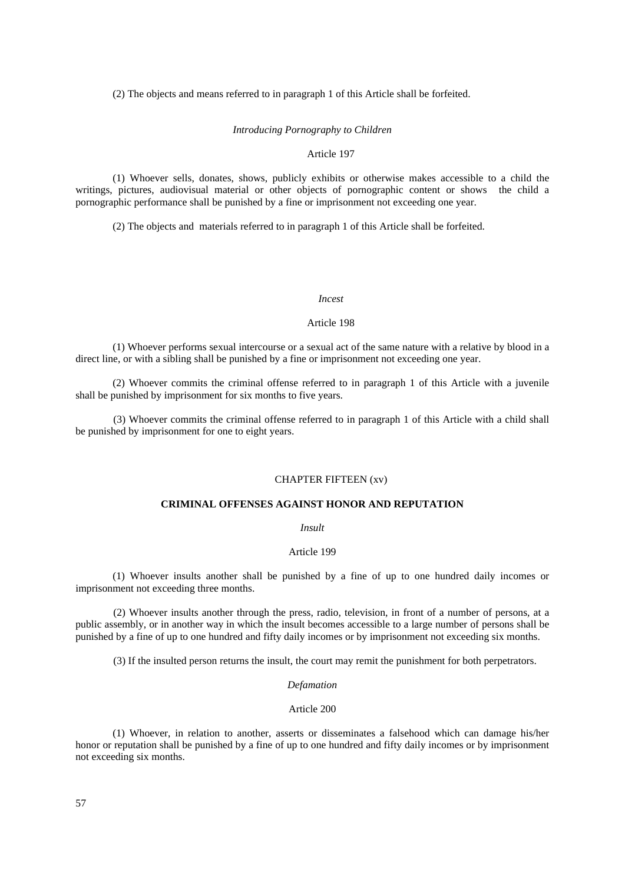(2) The objects and means referred to in paragraph 1 of this Article shall be forfeited.

#### *Introducing Pornography to Children*

## Article 197

(1) Whoever sells, donates, shows, publicly exhibits or otherwise makes accessible to a child the writings, pictures, audiovisual material or other objects of pornographic content or shows the child a pornographic performance shall be punished by a fine or imprisonment not exceeding one year.

(2) The objects and materials referred to in paragraph 1 of this Article shall be forfeited.

#### *Incest*

# Article 198

(1) Whoever performs sexual intercourse or a sexual act of the same nature with a relative by blood in a direct line, or with a sibling shall be punished by a fine or imprisonment not exceeding one year.

(2) Whoever commits the criminal offense referred to in paragraph 1 of this Article with a juvenile shall be punished by imprisonment for six months to five years.

(3) Whoever commits the criminal offense referred to in paragraph 1 of this Article with a child shall be punished by imprisonment for one to eight years.

# CHAPTER FIFTEEN (xv)

# **CRIMINAL OFFENSES AGAINST HONOR AND REPUTATION**

## *Insult*

# Article 199

(1) Whoever insults another shall be punished by a fine of up to one hundred daily incomes or imprisonment not exceeding three months.

(2) Whoever insults another through the press, radio, television, in front of a number of persons, at a public assembly, or in another way in which the insult becomes accessible to a large number of persons shall be punished by a fine of up to one hundred and fifty daily incomes or by imprisonment not exceeding six months.

(3) If the insulted person returns the insult, the court may remit the punishment for both perpetrators.

#### *Defamation*

#### Article 200

(1) Whoever, in relation to another, asserts or disseminates a falsehood which can damage his/her honor or reputation shall be punished by a fine of up to one hundred and fifty daily incomes or by imprisonment not exceeding six months.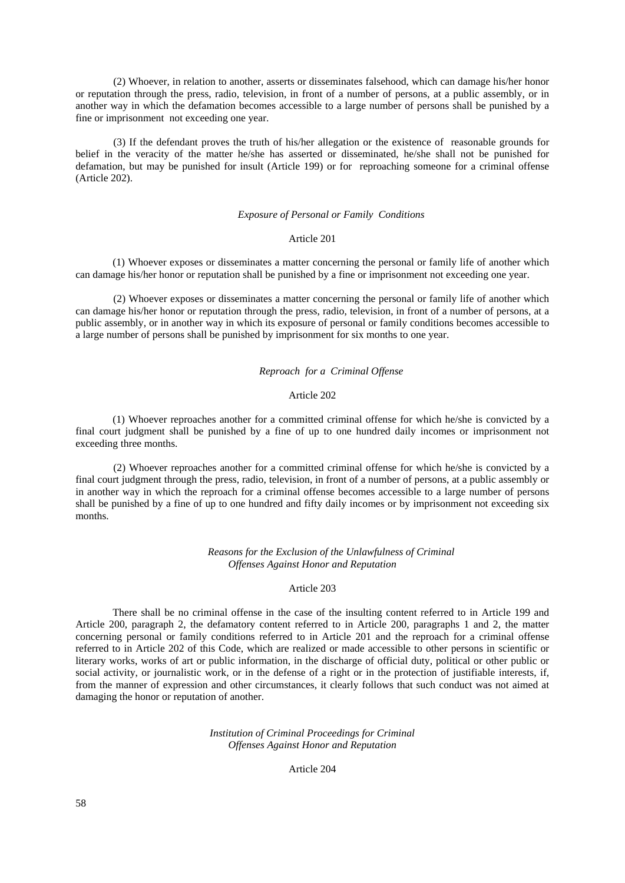(2) Whoever, in relation to another, asserts or disseminates falsehood, which can damage his/her honor or reputation through the press, radio, television, in front of a number of persons, at a public assembly, or in another way in which the defamation becomes accessible to a large number of persons shall be punished by a fine or imprisonment not exceeding one year.

(3) If the defendant proves the truth of his/her allegation or the existence of reasonable grounds for belief in the veracity of the matter he/she has asserted or disseminated, he/she shall not be punished for defamation, but may be punished for insult (Article 199) or for reproaching someone for a criminal offense (Article 202).

### *Exposure of Personal or Family Conditions*

# Article 201

(1) Whoever exposes or disseminates a matter concerning the personal or family life of another which can damage his/her honor or reputation shall be punished by a fine or imprisonment not exceeding one year.

(2) Whoever exposes or disseminates a matter concerning the personal or family life of another which can damage his/her honor or reputation through the press, radio, television, in front of a number of persons, at a public assembly, or in another way in which its exposure of personal or family conditions becomes accessible to a large number of persons shall be punished by imprisonment for six months to one year.

#### *Reproach for a Criminal Offense*

# Article 202

(1) Whoever reproaches another for a committed criminal offense for which he/she is convicted by a final court judgment shall be punished by a fine of up to one hundred daily incomes or imprisonment not exceeding three months.

(2) Whoever reproaches another for a committed criminal offense for which he/she is convicted by a final court judgment through the press, radio, television, in front of a number of persons, at a public assembly or in another way in which the reproach for a criminal offense becomes accessible to a large number of persons shall be punished by a fine of up to one hundred and fifty daily incomes or by imprisonment not exceeding six months.

> *Reasons for the Exclusion of the Unlawfulness of Criminal Offenses Against Honor and Reputation*

## Article 203

There shall be no criminal offense in the case of the insulting content referred to in Article 199 and Article 200, paragraph 2, the defamatory content referred to in Article 200, paragraphs 1 and 2, the matter concerning personal or family conditions referred to in Article 201 and the reproach for a criminal offense referred to in Article 202 of this Code, which are realized or made accessible to other persons in scientific or literary works, works of art or public information, in the discharge of official duty, political or other public or social activity, or journalistic work, or in the defense of a right or in the protection of justifiable interests, if, from the manner of expression and other circumstances, it clearly follows that such conduct was not aimed at damaging the honor or reputation of another.

> *Institution of Criminal Proceedings for Criminal Offenses Against Honor and Reputation*

> > Article 204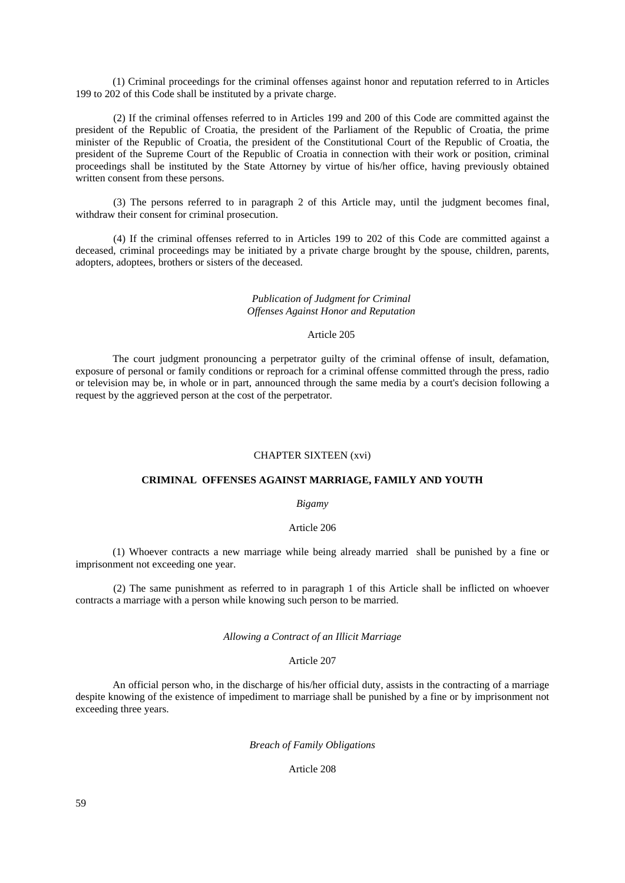(1) Criminal proceedings for the criminal offenses against honor and reputation referred to in Articles 199 to 202 of this Code shall be instituted by a private charge.

(2) If the criminal offenses referred to in Articles 199 and 200 of this Code are committed against the president of the Republic of Croatia, the president of the Parliament of the Republic of Croatia, the prime minister of the Republic of Croatia, the president of the Constitutional Court of the Republic of Croatia, the president of the Supreme Court of the Republic of Croatia in connection with their work or position, criminal proceedings shall be instituted by the State Attorney by virtue of his/her office, having previously obtained written consent from these persons.

(3) The persons referred to in paragraph 2 of this Article may, until the judgment becomes final, withdraw their consent for criminal prosecution.

(4) If the criminal offenses referred to in Articles 199 to 202 of this Code are committed against a deceased, criminal proceedings may be initiated by a private charge brought by the spouse, children, parents, adopters, adoptees, brothers or sisters of the deceased.

# *Publication of Judgment for Criminal Offenses Against Honor and Reputation*

#### Article 205

The court judgment pronouncing a perpetrator guilty of the criminal offense of insult, defamation, exposure of personal or family conditions or reproach for a criminal offense committed through the press, radio or television may be, in whole or in part, announced through the same media by a court's decision following a request by the aggrieved person at the cost of the perpetrator.

#### CHAPTER SIXTEEN (xvi)

# **CRIMINAL OFFENSES AGAINST MARRIAGE, FAMILY AND YOUTH**

## *Bigamy*

# Article 206

(1) Whoever contracts a new marriage while being already married shall be punished by a fine or imprisonment not exceeding one year.

(2) The same punishment as referred to in paragraph 1 of this Article shall be inflicted on whoever contracts a marriage with a person while knowing such person to be married.

# *Allowing a Contract of an Illicit Marriage*

# Article 207

An official person who, in the discharge of his/her official duty, assists in the contracting of a marriage despite knowing of the existence of impediment to marriage shall be punished by a fine or by imprisonment not exceeding three years.

*Breach of Family Obligations*

Article 208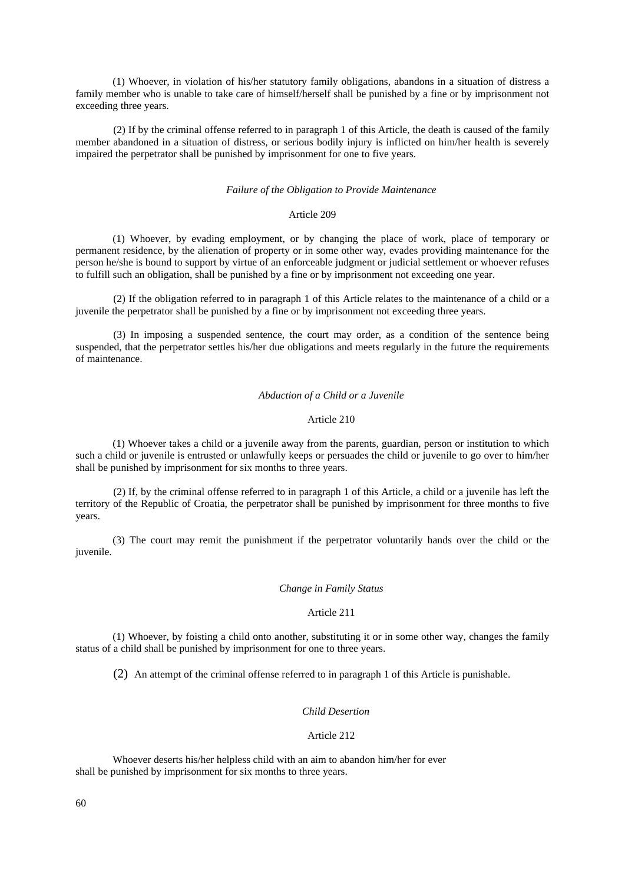(1) Whoever, in violation of his/her statutory family obligations, abandons in a situation of distress a family member who is unable to take care of himself/herself shall be punished by a fine or by imprisonment not exceeding three years.

(2) If by the criminal offense referred to in paragraph 1 of this Article, the death is caused of the family member abandoned in a situation of distress, or serious bodily injury is inflicted on him/her health is severely impaired the perpetrator shall be punished by imprisonment for one to five years.

# *Failure of the Obligation to Provide Maintenance*

# Article 209

(1) Whoever, by evading employment, or by changing the place of work, place of temporary or permanent residence, by the alienation of property or in some other way, evades providing maintenance for the person he/she is bound to support by virtue of an enforceable judgment or judicial settlement or whoever refuses to fulfill such an obligation, shall be punished by a fine or by imprisonment not exceeding one year.

(2) If the obligation referred to in paragraph 1 of this Article relates to the maintenance of a child or a juvenile the perpetrator shall be punished by a fine or by imprisonment not exceeding three years.

(3) In imposing a suspended sentence, the court may order, as a condition of the sentence being suspended, that the perpetrator settles his/her due obligations and meets regularly in the future the requirements of maintenance.

# *Abduction of a Child or a Juvenile*

# Article 210

(1) Whoever takes a child or a juvenile away from the parents, guardian, person or institution to which such a child or juvenile is entrusted or unlawfully keeps or persuades the child or juvenile to go over to him/her shall be punished by imprisonment for six months to three years.

(2) If, by the criminal offense referred to in paragraph 1 of this Article, a child or a juvenile has left the territory of the Republic of Croatia, the perpetrator shall be punished by imprisonment for three months to five years.

(3) The court may remit the punishment if the perpetrator voluntarily hands over the child or the juvenile.

#### *Change in Family Status*

# Article 211

(1) Whoever, by foisting a child onto another, substituting it or in some other way, changes the family status of a child shall be punished by imprisonment for one to three years.

(2) An attempt of the criminal offense referred to in paragraph 1 of this Article is punishable.

#### *Child Desertion*

#### Article 212

Whoever deserts his/her helpless child with an aim to abandon him/her for ever shall be punished by imprisonment for six months to three years.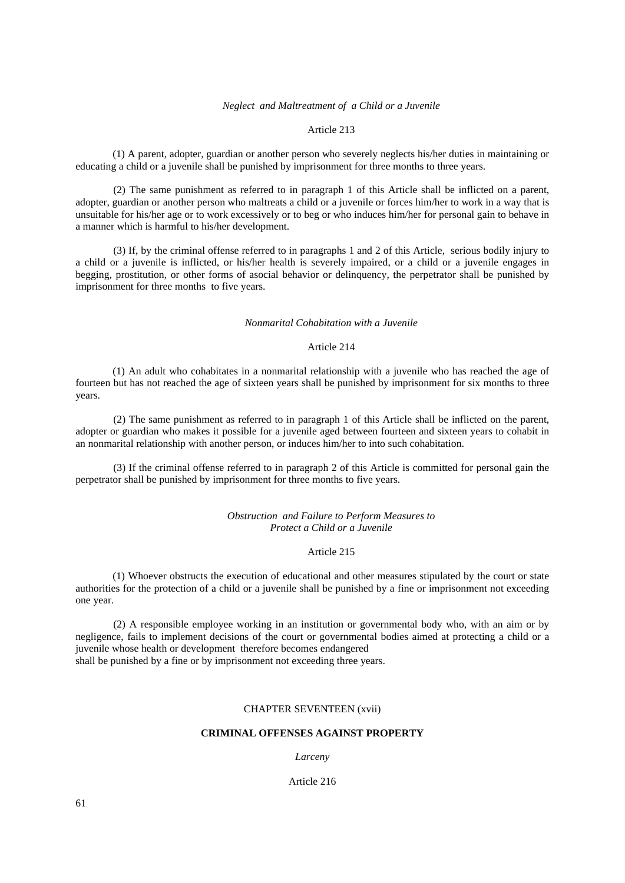### *Neglect and Maltreatment of a Child or a Juvenile*

#### Article 213

(1) A parent, adopter, guardian or another person who severely neglects his/her duties in maintaining or educating a child or a juvenile shall be punished by imprisonment for three months to three years.

(2) The same punishment as referred to in paragraph 1 of this Article shall be inflicted on a parent, adopter, guardian or another person who maltreats a child or a juvenile or forces him/her to work in a way that is unsuitable for his/her age or to work excessively or to beg or who induces him/her for personal gain to behave in a manner which is harmful to his/her development.

(3) If, by the criminal offense referred to in paragraphs 1 and 2 of this Article, serious bodily injury to a child or a juvenile is inflicted, or his/her health is severely impaired, or a child or a juvenile engages in begging, prostitution, or other forms of asocial behavior or delinquency, the perpetrator shall be punished by imprisonment for three months to five years.

#### *Nonmarital Cohabitation with a Juvenile*

## Article 214

(1) An adult who cohabitates in a nonmarital relationship with a juvenile who has reached the age of fourteen but has not reached the age of sixteen years shall be punished by imprisonment for six months to three years.

(2) The same punishment as referred to in paragraph 1 of this Article shall be inflicted on the parent, adopter or guardian who makes it possible for a juvenile aged between fourteen and sixteen years to cohabit in an nonmarital relationship with another person, or induces him/her to into such cohabitation.

(3) If the criminal offense referred to in paragraph 2 of this Article is committed for personal gain the perpetrator shall be punished by imprisonment for three months to five years.

## *Obstruction and Failure to Perform Measures to Protect a Child or a Juvenile*

# Article 215

(1) Whoever obstructs the execution of educational and other measures stipulated by the court or state authorities for the protection of a child or a juvenile shall be punished by a fine or imprisonment not exceeding one year.

(2) A responsible employee working in an institution or governmental body who, with an aim or by negligence, fails to implement decisions of the court or governmental bodies aimed at protecting a child or a juvenile whose health or development therefore becomes endangered shall be punished by a fine or by imprisonment not exceeding three years.

#### CHAPTER SEVENTEEN (xvii)

# **CRIMINAL OFFENSES AGAINST PROPERTY**

*Larceny*

Article 216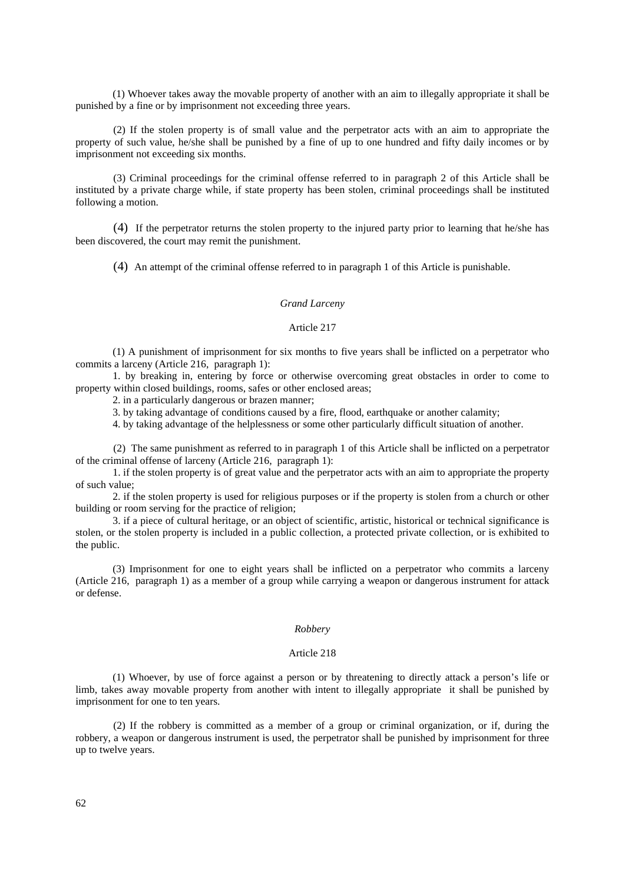(1) Whoever takes away the movable property of another with an aim to illegally appropriate it shall be punished by a fine or by imprisonment not exceeding three years.

(2) If the stolen property is of small value and the perpetrator acts with an aim to appropriate the property of such value, he/she shall be punished by a fine of up to one hundred and fifty daily incomes or by imprisonment not exceeding six months.

(3) Criminal proceedings for the criminal offense referred to in paragraph 2 of this Article shall be instituted by a private charge while, if state property has been stolen, criminal proceedings shall be instituted following a motion.

(4) If the perpetrator returns the stolen property to the injured party prior to learning that he/she has been discovered, the court may remit the punishment.

(4) An attempt of the criminal offense referred to in paragraph 1 of this Article is punishable.

### *Grand Larceny*

#### Article 217

(1) A punishment of imprisonment for six months to five years shall be inflicted on a perpetrator who commits a larceny (Article 216, paragraph 1):

1. by breaking in, entering by force or otherwise overcoming great obstacles in order to come to property within closed buildings, rooms, safes or other enclosed areas;

2. in a particularly dangerous or brazen manner;

3. by taking advantage of conditions caused by a fire, flood, earthquake or another calamity;

4. by taking advantage of the helplessness or some other particularly difficult situation of another.

(2) The same punishment as referred to in paragraph 1 of this Article shall be inflicted on a perpetrator of the criminal offense of larceny (Article 216, paragraph 1):

1. if the stolen property is of great value and the perpetrator acts with an aim to appropriate the property of such value;

2. if the stolen property is used for religious purposes or if the property is stolen from a church or other building or room serving for the practice of religion;

3. if a piece of cultural heritage, or an object of scientific, artistic, historical or technical significance is stolen, or the stolen property is included in a public collection, a protected private collection, or is exhibited to the public.

(3) Imprisonment for one to eight years shall be inflicted on a perpetrator who commits a larceny (Article 216, paragraph 1) as a member of a group while carrying a weapon or dangerous instrument for attack or defense.

#### *Robbery*

# Article 218

(1) Whoever, by use of force against a person or by threatening to directly attack a person's life or limb, takes away movable property from another with intent to illegally appropriate it shall be punished by imprisonment for one to ten years.

(2) If the robbery is committed as a member of a group or criminal organization, or if, during the robbery, a weapon or dangerous instrument is used, the perpetrator shall be punished by imprisonment for three up to twelve years.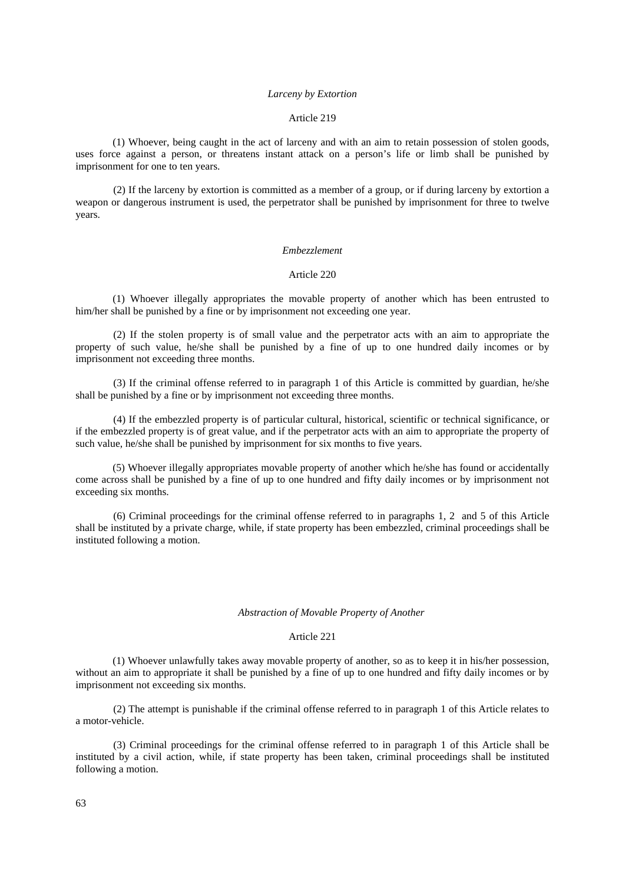### *Larceny by Extortion*

#### Article 219

(1) Whoever, being caught in the act of larceny and with an aim to retain possession of stolen goods, uses force against a person, or threatens instant attack on a person's life or limb shall be punished by imprisonment for one to ten years.

(2) If the larceny by extortion is committed as a member of a group, or if during larceny by extortion a weapon or dangerous instrument is used, the perpetrator shall be punished by imprisonment for three to twelve years.

## *Embezzlement*

# Article 220

(1) Whoever illegally appropriates the movable property of another which has been entrusted to him/her shall be punished by a fine or by imprisonment not exceeding one year.

(2) If the stolen property is of small value and the perpetrator acts with an aim to appropriate the property of such value, he/she shall be punished by a fine of up to one hundred daily incomes or by imprisonment not exceeding three months.

(3) If the criminal offense referred to in paragraph 1 of this Article is committed by guardian, he/she shall be punished by a fine or by imprisonment not exceeding three months.

(4) If the embezzled property is of particular cultural, historical, scientific or technical significance, or if the embezzled property is of great value, and if the perpetrator acts with an aim to appropriate the property of such value, he/she shall be punished by imprisonment for six months to five years.

(5) Whoever illegally appropriates movable property of another which he/she has found or accidentally come across shall be punished by a fine of up to one hundred and fifty daily incomes or by imprisonment not exceeding six months.

(6) Criminal proceedings for the criminal offense referred to in paragraphs 1, 2 and 5 of this Article shall be instituted by a private charge, while, if state property has been embezzled, criminal proceedings shall be instituted following a motion.

## *Abstraction of Movable Property of Another*

## Article 221

(1) Whoever unlawfully takes away movable property of another, so as to keep it in his/her possession, without an aim to appropriate it shall be punished by a fine of up to one hundred and fifty daily incomes or by imprisonment not exceeding six months.

(2) The attempt is punishable if the criminal offense referred to in paragraph 1 of this Article relates to a motor-vehicle.

(3) Criminal proceedings for the criminal offense referred to in paragraph 1 of this Article shall be instituted by a civil action, while, if state property has been taken, criminal proceedings shall be instituted following a motion.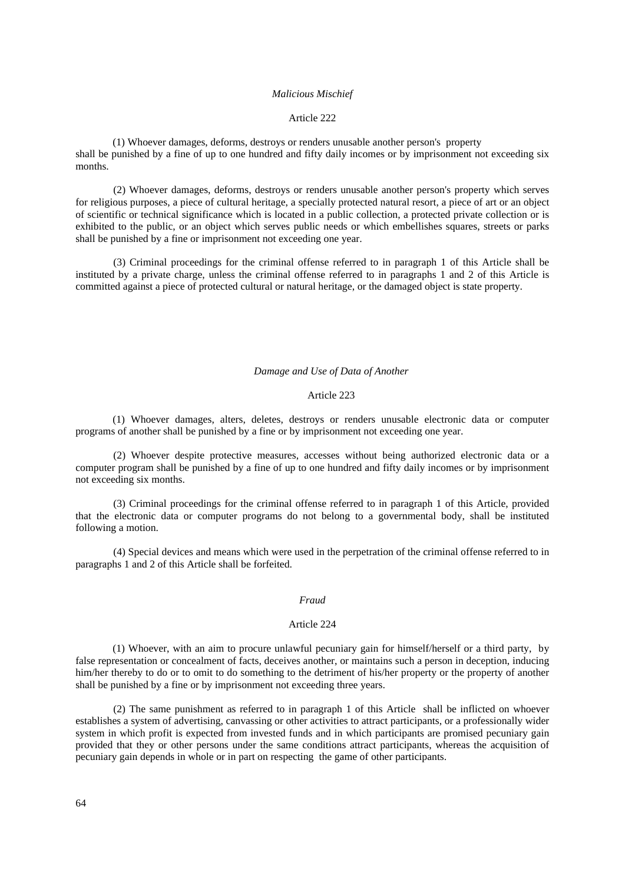#### *Malicious Mischief*

#### Article 222

(1) Whoever damages, deforms, destroys or renders unusable another person's property shall be punished by a fine of up to one hundred and fifty daily incomes or by imprisonment not exceeding six months.

(2) Whoever damages, deforms, destroys or renders unusable another person's property which serves for religious purposes, a piece of cultural heritage, a specially protected natural resort, a piece of art or an object of scientific or technical significance which is located in a public collection, a protected private collection or is exhibited to the public, or an object which serves public needs or which embellishes squares, streets or parks shall be punished by a fine or imprisonment not exceeding one year.

(3) Criminal proceedings for the criminal offense referred to in paragraph 1 of this Article shall be instituted by a private charge, unless the criminal offense referred to in paragraphs 1 and 2 of this Article is committed against a piece of protected cultural or natural heritage, or the damaged object is state property.

#### *Damage and Use of Data of Another*

# Article 223

(1) Whoever damages, alters, deletes, destroys or renders unusable electronic data or computer programs of another shall be punished by a fine or by imprisonment not exceeding one year.

(2) Whoever despite protective measures, accesses without being authorized electronic data or a computer program shall be punished by a fine of up to one hundred and fifty daily incomes or by imprisonment not exceeding six months.

(3) Criminal proceedings for the criminal offense referred to in paragraph 1 of this Article, provided that the electronic data or computer programs do not belong to a governmental body, shall be instituted following a motion.

(4) Special devices and means which were used in the perpetration of the criminal offense referred to in paragraphs 1 and 2 of this Article shall be forfeited.

### *Fraud*

# Article 224

(1) Whoever, with an aim to procure unlawful pecuniary gain for himself/herself or a third party, by false representation or concealment of facts, deceives another, or maintains such a person in deception, inducing him/her thereby to do or to omit to do something to the detriment of his/her property or the property of another shall be punished by a fine or by imprisonment not exceeding three years.

(2) The same punishment as referred to in paragraph 1 of this Article shall be inflicted on whoever establishes a system of advertising, canvassing or other activities to attract participants, or a professionally wider system in which profit is expected from invested funds and in which participants are promised pecuniary gain provided that they or other persons under the same conditions attract participants, whereas the acquisition of pecuniary gain depends in whole or in part on respecting the game of other participants.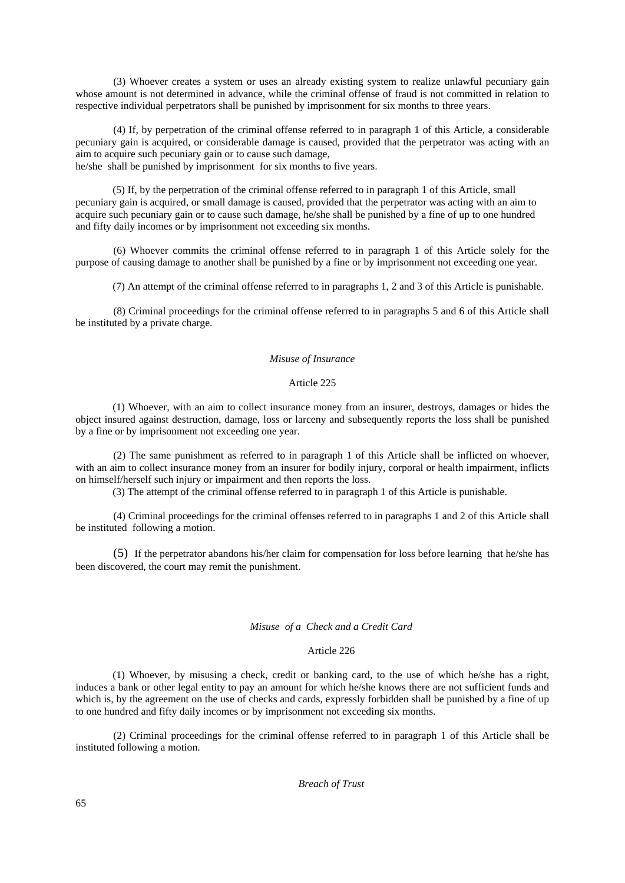(3) Whoever creates a system or uses an already existing system to realize unlawful pecuniary gain whose amount is not determined in advance, while the criminal offense of fraud is not committed in relation to respective individual perpetrators shall be punished by imprisonment for six months to three years.

(4) If, by perpetration of the criminal offense referred to in paragraph 1 of this Article, a considerable pecuniary gain is acquired, or considerable damage is caused, provided that the perpetrator was acting with an aim to acquire such pecuniary gain or to cause such damage,

he/she shall be punished by imprisonment for six months to five years.

(5) If, by the perpetration of the criminal offense referred to in paragraph 1 of this Article, small pecuniary gain is acquired, or small damage is caused, provided that the perpetrator was acting with an aim to acquire such pecuniary gain or to cause such damage, he/she shall be punished by a fine of up to one hundred and fifty daily incomes or by imprisonment not exceeding six months.

(6) Whoever commits the criminal offense referred to in paragraph 1 of this Article solely for the purpose of causing damage to another shall be punished by a fine or by imprisonment not exceeding one year.

(7) An attempt of the criminal offense referred to in paragraphs 1, 2 and 3 of this Article is punishable.

(8) Criminal proceedings for the criminal offense referred to in paragraphs 5 and 6 of this Article shall be instituted by a private charge.

# *Misuse of Insurance*

# Article 225

(1) Whoever, with an aim to collect insurance money from an insurer, destroys, damages or hides the object insured against destruction, damage, loss or larceny and subsequently reports the loss shall be punished by a fine or by imprisonment not exceeding one year.

(2) The same punishment as referred to in paragraph 1 of this Article shall be inflicted on whoever, with an aim to collect insurance money from an insurer for bodily injury, corporal or health impairment, inflicts on himself/herself such injury or impairment and then reports the loss.

(3) The attempt of the criminal offense referred to in paragraph 1 of this Article is punishable.

(4) Criminal proceedings for the criminal offenses referred to in paragraphs 1 and 2 of this Article shall be instituted following a motion.

(5) If the perpetrator abandons his/her claim for compensation for loss before learning that he/she has been discovered, the court may remit the punishment.

## *Misuse of a Check and a Credit Card*

# Article 226

(1) Whoever, by misusing a check, credit or banking card, to the use of which he/she has a right, induces a bank or other legal entity to pay an amount for which he/she knows there are not sufficient funds and which is, by the agreement on the use of checks and cards, expressly forbidden shall be punished by a fine of up to one hundred and fifty daily incomes or by imprisonment not exceeding six months.

(2) Criminal proceedings for the criminal offense referred to in paragraph 1 of this Article shall be instituted following a motion.

*Breach of Trust*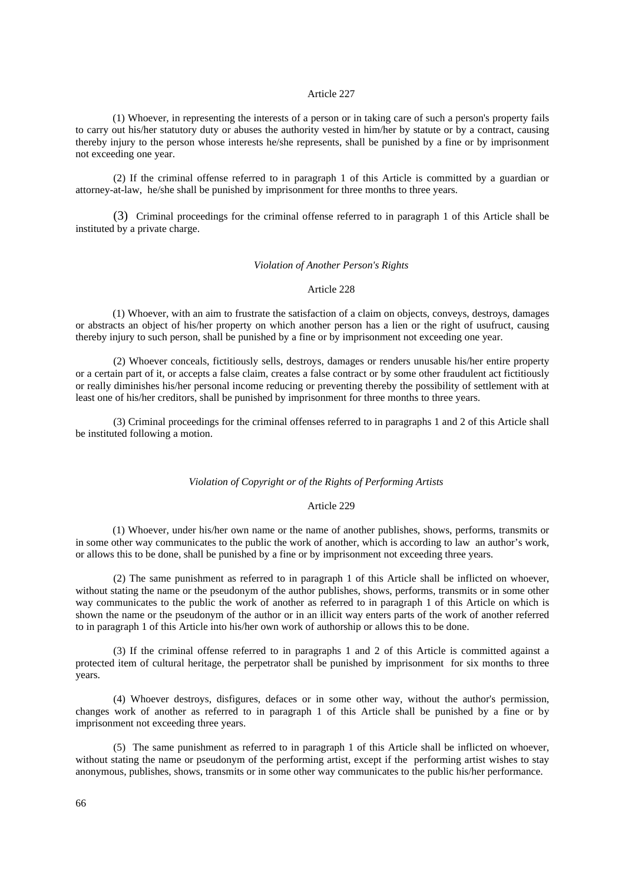### Article 227

(1) Whoever, in representing the interests of a person or in taking care of such a person's property fails to carry out his/her statutory duty or abuses the authority vested in him/her by statute or by a contract, causing thereby injury to the person whose interests he/she represents, shall be punished by a fine or by imprisonment not exceeding one year.

(2) If the criminal offense referred to in paragraph 1 of this Article is committed by a guardian or attorney-at-law, he/she shall be punished by imprisonment for three months to three years.

(3) Criminal proceedings for the criminal offense referred to in paragraph 1 of this Article shall be instituted by a private charge.

### *Violation of Another Person's Rights*

#### Article 228

(1) Whoever, with an aim to frustrate the satisfaction of a claim on objects, conveys, destroys, damages or abstracts an object of his/her property on which another person has a lien or the right of usufruct, causing thereby injury to such person, shall be punished by a fine or by imprisonment not exceeding one year.

(2) Whoever conceals, fictitiously sells, destroys, damages or renders unusable his/her entire property or a certain part of it, or accepts a false claim, creates a false contract or by some other fraudulent act fictitiously or really diminishes his/her personal income reducing or preventing thereby the possibility of settlement with at least one of his/her creditors, shall be punished by imprisonment for three months to three years.

(3) Criminal proceedings for the criminal offenses referred to in paragraphs 1 and 2 of this Article shall be instituted following a motion.

#### *Violation of Copyright or of the Rights of Performing Artists*

#### Article 229

(1) Whoever, under his/her own name or the name of another publishes, shows, performs, transmits or in some other way communicates to the public the work of another, which is according to law an author's work, or allows this to be done, shall be punished by a fine or by imprisonment not exceeding three years.

(2) The same punishment as referred to in paragraph 1 of this Article shall be inflicted on whoever, without stating the name or the pseudonym of the author publishes, shows, performs, transmits or in some other way communicates to the public the work of another as referred to in paragraph 1 of this Article on which is shown the name or the pseudonym of the author or in an illicit way enters parts of the work of another referred to in paragraph 1 of this Article into his/her own work of authorship or allows this to be done.

(3) If the criminal offense referred to in paragraphs 1 and 2 of this Article is committed against a protected item of cultural heritage, the perpetrator shall be punished by imprisonment for six months to three years.

(4) Whoever destroys, disfigures, defaces or in some other way, without the author's permission, changes work of another as referred to in paragraph 1 of this Article shall be punished by a fine or by imprisonment not exceeding three years.

(5) The same punishment as referred to in paragraph 1 of this Article shall be inflicted on whoever, without stating the name or pseudonym of the performing artist, except if the performing artist wishes to stay anonymous, publishes, shows, transmits or in some other way communicates to the public his/her performance.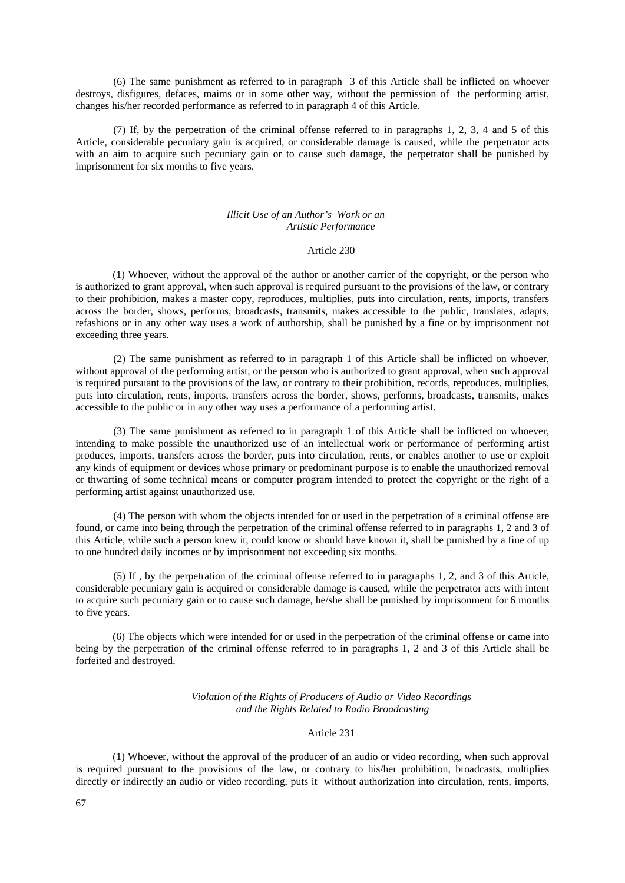(6) The same punishment as referred to in paragraph 3 of this Article shall be inflicted on whoever destroys, disfigures, defaces, maims or in some other way, without the permission of the performing artist, changes his/her recorded performance as referred to in paragraph 4 of this Article.

(7) If, by the perpetration of the criminal offense referred to in paragraphs 1, 2, 3, 4 and 5 of this Article, considerable pecuniary gain is acquired, or considerable damage is caused, while the perpetrator acts with an aim to acquire such pecuniary gain or to cause such damage, the perpetrator shall be punished by imprisonment for six months to five years.

### *Illicit Use of an Author's Work or an Artistic Performance*

# Article 230

(1) Whoever, without the approval of the author or another carrier of the copyright, or the person who is authorized to grant approval, when such approval is required pursuant to the provisions of the law, or contrary to their prohibition, makes a master copy, reproduces, multiplies, puts into circulation, rents, imports, transfers across the border, shows, performs, broadcasts, transmits, makes accessible to the public, translates, adapts, refashions or in any other way uses a work of authorship, shall be punished by a fine or by imprisonment not exceeding three years.

(2) The same punishment as referred to in paragraph 1 of this Article shall be inflicted on whoever, without approval of the performing artist, or the person who is authorized to grant approval, when such approval is required pursuant to the provisions of the law, or contrary to their prohibition, records, reproduces, multiplies, puts into circulation, rents, imports, transfers across the border, shows, performs, broadcasts, transmits, makes accessible to the public or in any other way uses a performance of a performing artist.

(3) The same punishment as referred to in paragraph 1 of this Article shall be inflicted on whoever, intending to make possible the unauthorized use of an intellectual work or performance of performing artist produces, imports, transfers across the border, puts into circulation, rents, or enables another to use or exploit any kinds of equipment or devices whose primary or predominant purpose is to enable the unauthorized removal or thwarting of some technical means or computer program intended to protect the copyright or the right of a performing artist against unauthorized use.

(4) The person with whom the objects intended for or used in the perpetration of a criminal offense are found, or came into being through the perpetration of the criminal offense referred to in paragraphs 1, 2 and 3 of this Article, while such a person knew it, could know or should have known it, shall be punished by a fine of up to one hundred daily incomes or by imprisonment not exceeding six months.

(5) If , by the perpetration of the criminal offense referred to in paragraphs 1, 2, and 3 of this Article, considerable pecuniary gain is acquired or considerable damage is caused, while the perpetrator acts with intent to acquire such pecuniary gain or to cause such damage, he/she shall be punished by imprisonment for 6 months to five years.

(6) The objects which were intended for or used in the perpetration of the criminal offense or came into being by the perpetration of the criminal offense referred to in paragraphs 1, 2 and 3 of this Article shall be forfeited and destroyed.

> *Violation of the Rights of Producers of Audio or Video Recordings and the Rights Related to Radio Broadcasting*

# Article 231

(1) Whoever, without the approval of the producer of an audio or video recording, when such approval is required pursuant to the provisions of the law, or contrary to his/her prohibition, broadcasts, multiplies directly or indirectly an audio or video recording, puts it without authorization into circulation, rents, imports,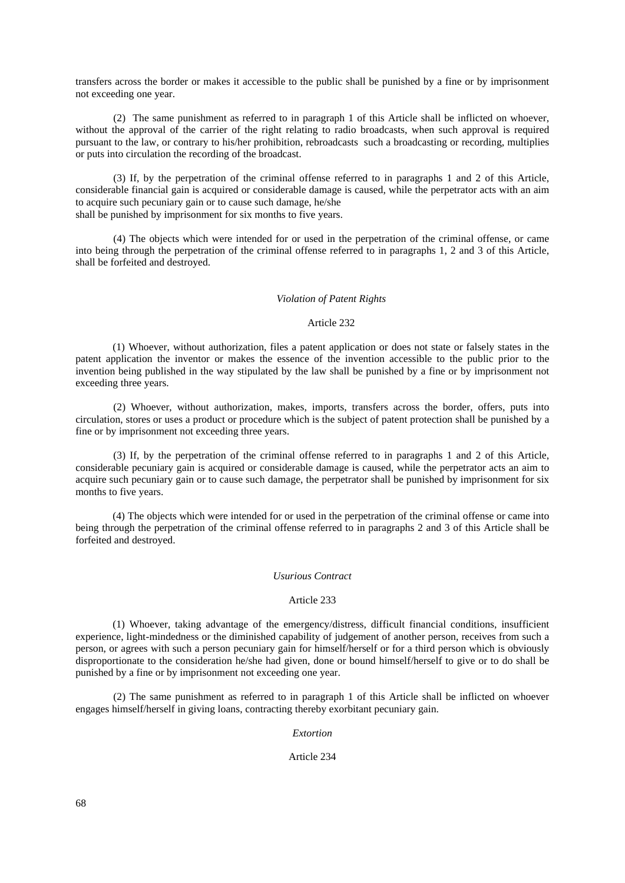transfers across the border or makes it accessible to the public shall be punished by a fine or by imprisonment not exceeding one year.

(2) The same punishment as referred to in paragraph 1 of this Article shall be inflicted on whoever, without the approval of the carrier of the right relating to radio broadcasts, when such approval is required pursuant to the law, or contrary to his/her prohibition, rebroadcasts such a broadcasting or recording, multiplies or puts into circulation the recording of the broadcast.

(3) If, by the perpetration of the criminal offense referred to in paragraphs 1 and 2 of this Article, considerable financial gain is acquired or considerable damage is caused, while the perpetrator acts with an aim to acquire such pecuniary gain or to cause such damage, he/she shall be punished by imprisonment for six months to five years.

(4) The objects which were intended for or used in the perpetration of the criminal offense, or came into being through the perpetration of the criminal offense referred to in paragraphs 1, 2 and 3 of this Article, shall be forfeited and destroyed.

# *Violation of Patent Rights*

### Article 232

(1) Whoever, without authorization, files a patent application or does not state or falsely states in the patent application the inventor or makes the essence of the invention accessible to the public prior to the invention being published in the way stipulated by the law shall be punished by a fine or by imprisonment not exceeding three years.

(2) Whoever, without authorization, makes, imports, transfers across the border, offers, puts into circulation, stores or uses a product or procedure which is the subject of patent protection shall be punished by a fine or by imprisonment not exceeding three years.

(3) If, by the perpetration of the criminal offense referred to in paragraphs 1 and 2 of this Article, considerable pecuniary gain is acquired or considerable damage is caused, while the perpetrator acts an aim to acquire such pecuniary gain or to cause such damage, the perpetrator shall be punished by imprisonment for six months to five years.

(4) The objects which were intended for or used in the perpetration of the criminal offense or came into being through the perpetration of the criminal offense referred to in paragraphs 2 and 3 of this Article shall be forfeited and destroyed.

#### *Usurious Contract*

#### Article 233

(1) Whoever, taking advantage of the emergency/distress, difficult financial conditions, insufficient experience, light-mindedness or the diminished capability of judgement of another person, receives from such a person, or agrees with such a person pecuniary gain for himself/herself or for a third person which is obviously disproportionate to the consideration he/she had given, done or bound himself/herself to give or to do shall be punished by a fine or by imprisonment not exceeding one year.

(2) The same punishment as referred to in paragraph 1 of this Article shall be inflicted on whoever engages himself/herself in giving loans, contracting thereby exorbitant pecuniary gain.

#### *Extortion*

Article 234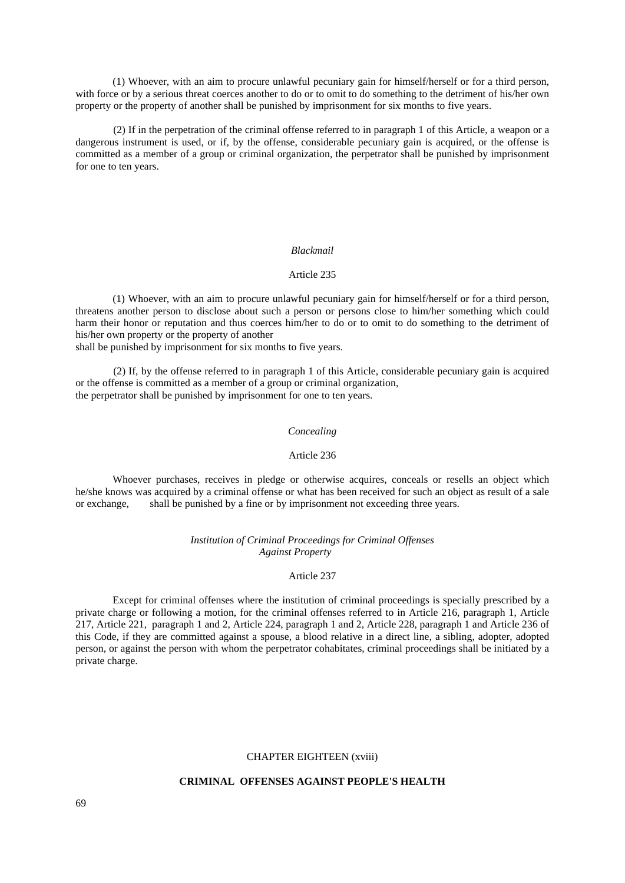(1) Whoever, with an aim to procure unlawful pecuniary gain for himself/herself or for a third person, with force or by a serious threat coerces another to do or to omit to do something to the detriment of his/her own property or the property of another shall be punished by imprisonment for six months to five years.

(2) If in the perpetration of the criminal offense referred to in paragraph 1 of this Article, a weapon or a dangerous instrument is used, or if, by the offense, considerable pecuniary gain is acquired, or the offense is committed as a member of a group or criminal organization, the perpetrator shall be punished by imprisonment for one to ten years.

## *Blackmail*

# Article 235

(1) Whoever, with an aim to procure unlawful pecuniary gain for himself/herself or for a third person, threatens another person to disclose about such a person or persons close to him/her something which could harm their honor or reputation and thus coerces him/her to do or to omit to do something to the detriment of his/her own property or the property of another

shall be punished by imprisonment for six months to five years.

(2) If, by the offense referred to in paragraph 1 of this Article, considerable pecuniary gain is acquired or the offense is committed as a member of a group or criminal organization, the perpetrator shall be punished by imprisonment for one to ten years.

### *Concealing*

## Article 236

Whoever purchases, receives in pledge or otherwise acquires, conceals or resells an object which he/she knows was acquired by a criminal offense or what has been received for such an object as result of a sale or exchange, shall be punished by a fine or by imprisonment not exceeding three years.

> *Institution of Criminal Proceedings for Criminal Offenses Against Property*

#### Article 237

Except for criminal offenses where the institution of criminal proceedings is specially prescribed by a private charge or following a motion, for the criminal offenses referred to in Article 216, paragraph 1, Article 217, Article 221, paragraph 1 and 2, Article 224, paragraph 1 and 2, Article 228, paragraph 1 and Article 236 of this Code, if they are committed against a spouse, a blood relative in a direct line, a sibling, adopter, adopted person, or against the person with whom the perpetrator cohabitates, criminal proceedings shall be initiated by a private charge.

#### CHAPTER EIGHTEEN (xviii)

# **CRIMINAL OFFENSES AGAINST PEOPLE'S HEALTH**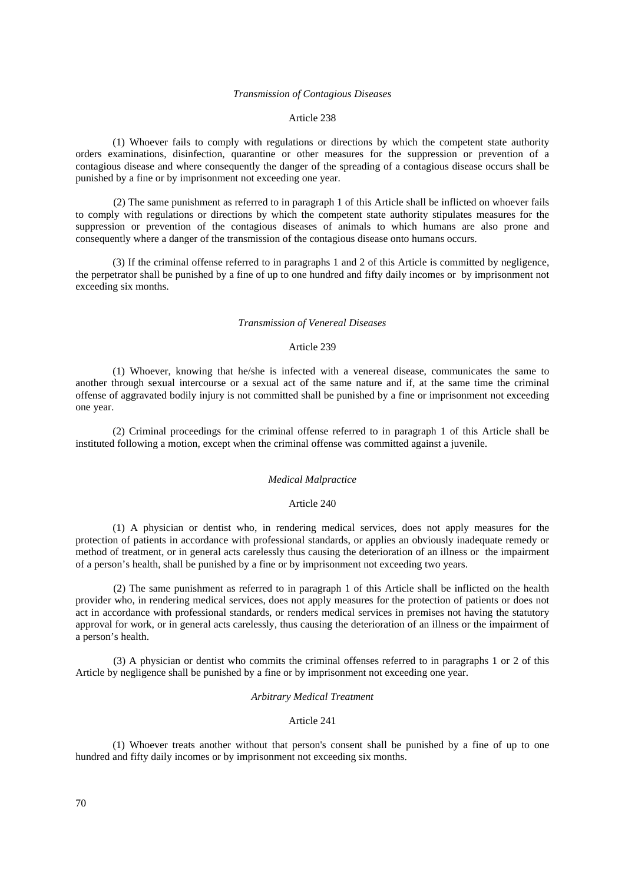## *Transmission of Contagious Diseases*

#### Article 238

(1) Whoever fails to comply with regulations or directions by which the competent state authority orders examinations, disinfection, quarantine or other measures for the suppression or prevention of a contagious disease and where consequently the danger of the spreading of a contagious disease occurs shall be punished by a fine or by imprisonment not exceeding one year.

(2) The same punishment as referred to in paragraph 1 of this Article shall be inflicted on whoever fails to comply with regulations or directions by which the competent state authority stipulates measures for the suppression or prevention of the contagious diseases of animals to which humans are also prone and consequently where a danger of the transmission of the contagious disease onto humans occurs.

(3) If the criminal offense referred to in paragraphs 1 and 2 of this Article is committed by negligence, the perpetrator shall be punished by a fine of up to one hundred and fifty daily incomes or by imprisonment not exceeding six months.

#### *Transmission of Venereal Diseases*

### Article 239

(1) Whoever, knowing that he/she is infected with a venereal disease, communicates the same to another through sexual intercourse or a sexual act of the same nature and if, at the same time the criminal offense of aggravated bodily injury is not committed shall be punished by a fine or imprisonment not exceeding one year.

(2) Criminal proceedings for the criminal offense referred to in paragraph 1 of this Article shall be instituted following a motion, except when the criminal offense was committed against a juvenile.

### *Medical Malpractice*

# Article 240

(1) A physician or dentist who, in rendering medical services, does not apply measures for the protection of patients in accordance with professional standards, or applies an obviously inadequate remedy or method of treatment, or in general acts carelessly thus causing the deterioration of an illness or the impairment of a person's health, shall be punished by a fine or by imprisonment not exceeding two years.

(2) The same punishment as referred to in paragraph 1 of this Article shall be inflicted on the health provider who, in rendering medical services, does not apply measures for the protection of patients or does not act in accordance with professional standards, or renders medical services in premises not having the statutory approval for work, or in general acts carelessly, thus causing the deterioration of an illness or the impairment of a person's health.

(3) A physician or dentist who commits the criminal offenses referred to in paragraphs 1 or 2 of this Article by negligence shall be punished by a fine or by imprisonment not exceeding one year.

### *Arbitrary Medical Treatment*

### Article 241

(1) Whoever treats another without that person's consent shall be punished by a fine of up to one hundred and fifty daily incomes or by imprisonment not exceeding six months.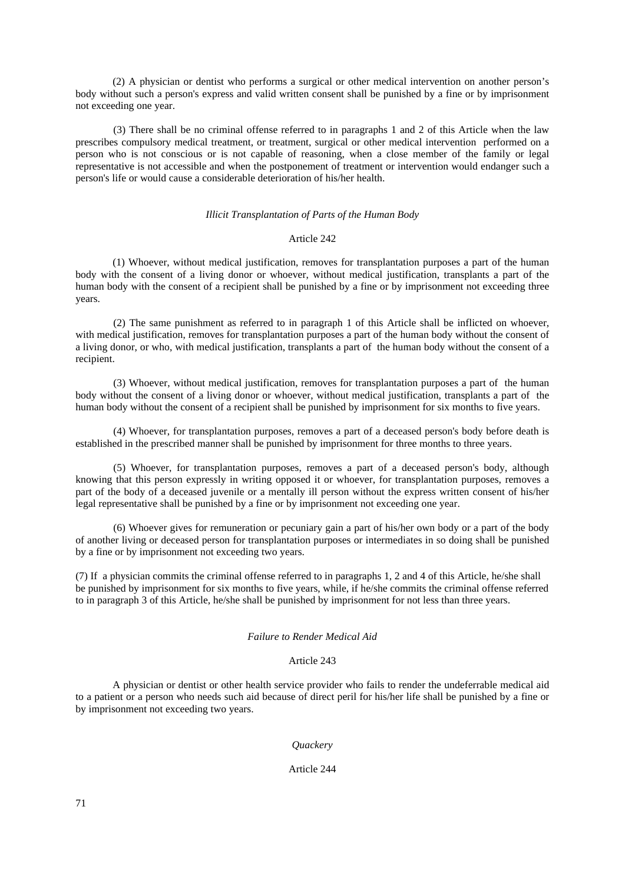(2) A physician or dentist who performs a surgical or other medical intervention on another person's body without such a person's express and valid written consent shall be punished by a fine or by imprisonment not exceeding one year.

(3) There shall be no criminal offense referred to in paragraphs 1 and 2 of this Article when the law prescribes compulsory medical treatment, or treatment, surgical or other medical intervention performed on a person who is not conscious or is not capable of reasoning, when a close member of the family or legal representative is not accessible and when the postponement of treatment or intervention would endanger such a person's life or would cause a considerable deterioration of his/her health.

## *Illicit Transplantation of Parts of the Human Body*

# Article 242

(1) Whoever, without medical justification, removes for transplantation purposes a part of the human body with the consent of a living donor or whoever, without medical justification, transplants a part of the human body with the consent of a recipient shall be punished by a fine or by imprisonment not exceeding three years.

(2) The same punishment as referred to in paragraph 1 of this Article shall be inflicted on whoever, with medical justification, removes for transplantation purposes a part of the human body without the consent of a living donor, or who, with medical justification, transplants a part of the human body without the consent of a recipient.

(3) Whoever, without medical justification, removes for transplantation purposes a part of the human body without the consent of a living donor or whoever, without medical justification, transplants a part of the human body without the consent of a recipient shall be punished by imprisonment for six months to five years.

(4) Whoever, for transplantation purposes, removes a part of a deceased person's body before death is established in the prescribed manner shall be punished by imprisonment for three months to three years.

(5) Whoever, for transplantation purposes, removes a part of a deceased person's body, although knowing that this person expressly in writing opposed it or whoever, for transplantation purposes, removes a part of the body of a deceased juvenile or a mentally ill person without the express written consent of his/her legal representative shall be punished by a fine or by imprisonment not exceeding one year.

(6) Whoever gives for remuneration or pecuniary gain a part of his/her own body or a part of the body of another living or deceased person for transplantation purposes or intermediates in so doing shall be punished by a fine or by imprisonment not exceeding two years.

(7) If a physician commits the criminal offense referred to in paragraphs 1, 2 and 4 of this Article, he/she shall be punished by imprisonment for six months to five years, while, if he/she commits the criminal offense referred to in paragraph 3 of this Article, he/she shall be punished by imprisonment for not less than three years.

# *Failure to Render Medical Aid*

# Article 243

A physician or dentist or other health service provider who fails to render the undeferrable medical aid to a patient or a person who needs such aid because of direct peril for his/her life shall be punished by a fine or by imprisonment not exceeding two years.

*Quackery*

Article 244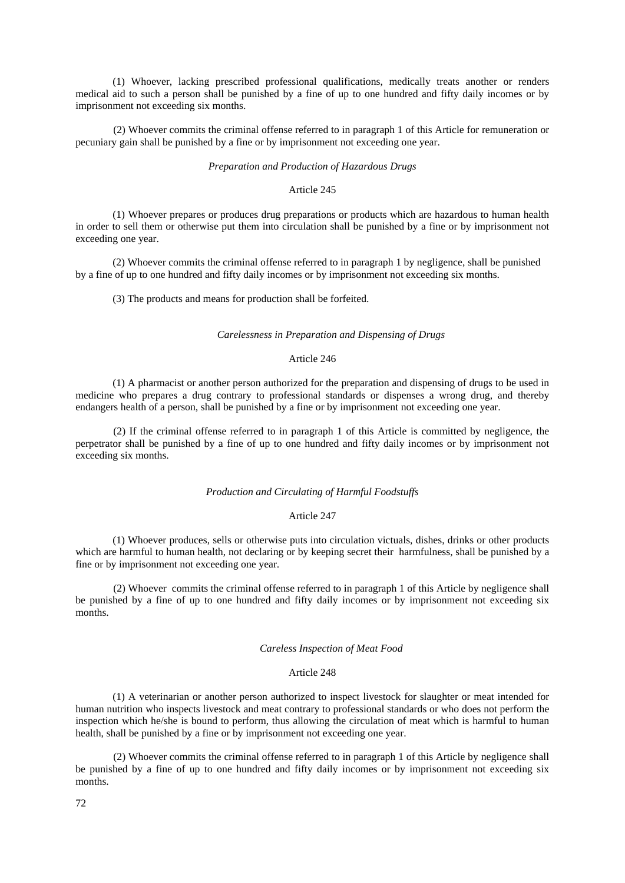(1) Whoever, lacking prescribed professional qualifications, medically treats another or renders medical aid to such a person shall be punished by a fine of up to one hundred and fifty daily incomes or by imprisonment not exceeding six months.

(2) Whoever commits the criminal offense referred to in paragraph 1 of this Article for remuneration or pecuniary gain shall be punished by a fine or by imprisonment not exceeding one year.

# *Preparation and Production of Hazardous Drugs*

### Article 245

(1) Whoever prepares or produces drug preparations or products which are hazardous to human health in order to sell them or otherwise put them into circulation shall be punished by a fine or by imprisonment not exceeding one year.

(2) Whoever commits the criminal offense referred to in paragraph 1 by negligence, shall be punished by a fine of up to one hundred and fifty daily incomes or by imprisonment not exceeding six months.

(3) The products and means for production shall be forfeited.

#### *Carelessness in Preparation and Dispensing of Drugs*

### Article 246

(1) A pharmacist or another person authorized for the preparation and dispensing of drugs to be used in medicine who prepares a drug contrary to professional standards or dispenses a wrong drug, and thereby endangers health of a person, shall be punished by a fine or by imprisonment not exceeding one year.

(2) If the criminal offense referred to in paragraph 1 of this Article is committed by negligence, the perpetrator shall be punished by a fine of up to one hundred and fifty daily incomes or by imprisonment not exceeding six months.

## *Production and Circulating of Harmful Foodstuffs*

# Article 247

(1) Whoever produces, sells or otherwise puts into circulation victuals, dishes, drinks or other products which are harmful to human health, not declaring or by keeping secret their harmfulness, shall be punished by a fine or by imprisonment not exceeding one year.

(2) Whoever commits the criminal offense referred to in paragraph 1 of this Article by negligence shall be punished by a fine of up to one hundred and fifty daily incomes or by imprisonment not exceeding six months.

## *Careless Inspection of Meat Food*

### Article 248

(1) A veterinarian or another person authorized to inspect livestock for slaughter or meat intended for human nutrition who inspects livestock and meat contrary to professional standards or who does not perform the inspection which he/she is bound to perform, thus allowing the circulation of meat which is harmful to human health, shall be punished by a fine or by imprisonment not exceeding one year.

(2) Whoever commits the criminal offense referred to in paragraph 1 of this Article by negligence shall be punished by a fine of up to one hundred and fifty daily incomes or by imprisonment not exceeding six months.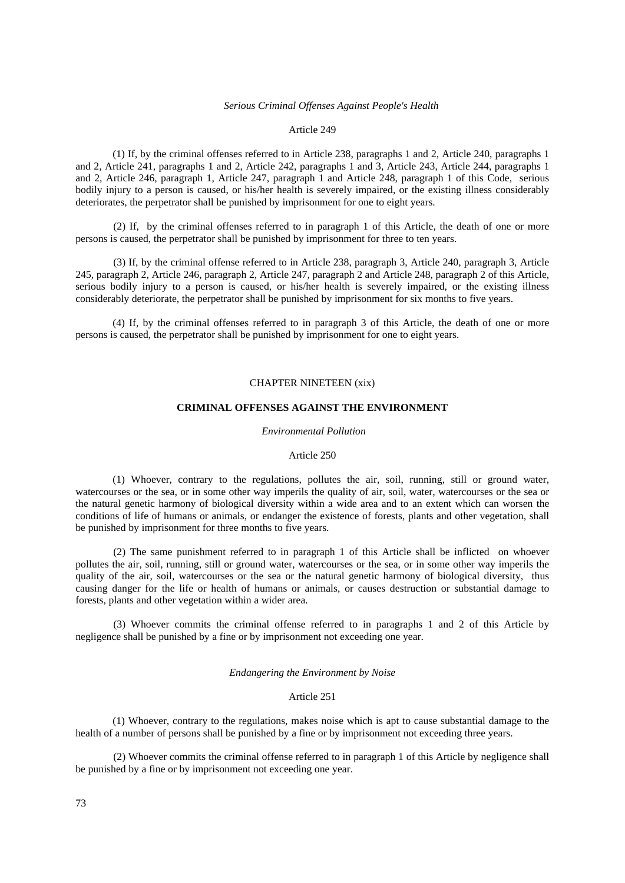#### *Serious Criminal Offenses Against People's Health*

#### Article 249

(1) If, by the criminal offenses referred to in Article 238, paragraphs 1 and 2, Article 240, paragraphs 1 and 2, Article 241, paragraphs 1 and 2, Article 242, paragraphs 1 and 3, Article 243, Article 244, paragraphs 1 and 2, Article 246, paragraph 1, Article 247, paragraph 1 and Article 248, paragraph 1 of this Code, serious bodily injury to a person is caused, or his/her health is severely impaired, or the existing illness considerably deteriorates, the perpetrator shall be punished by imprisonment for one to eight years.

(2) If, by the criminal offenses referred to in paragraph 1 of this Article, the death of one or more persons is caused, the perpetrator shall be punished by imprisonment for three to ten years.

(3) If, by the criminal offense referred to in Article 238, paragraph 3, Article 240, paragraph 3, Article 245, paragraph 2, Article 246, paragraph 2, Article 247, paragraph 2 and Article 248, paragraph 2 of this Article, serious bodily injury to a person is caused, or his/her health is severely impaired, or the existing illness considerably deteriorate, the perpetrator shall be punished by imprisonment for six months to five years.

(4) If, by the criminal offenses referred to in paragraph 3 of this Article, the death of one or more persons is caused, the perpetrator shall be punished by imprisonment for one to eight years.

# CHAPTER NINETEEN (xix)

# **CRIMINAL OFFENSES AGAINST THE ENVIRONMENT**

## *Environmental Pollution*

#### Article 250

(1) Whoever, contrary to the regulations, pollutes the air, soil, running, still or ground water, watercourses or the sea, or in some other way imperils the quality of air, soil, water, watercourses or the sea or the natural genetic harmony of biological diversity within a wide area and to an extent which can worsen the conditions of life of humans or animals, or endanger the existence of forests, plants and other vegetation, shall be punished by imprisonment for three months to five years.

(2) The same punishment referred to in paragraph 1 of this Article shall be inflicted on whoever pollutes the air, soil, running, still or ground water, watercourses or the sea, or in some other way imperils the quality of the air, soil, watercourses or the sea or the natural genetic harmony of biological diversity, thus causing danger for the life or health of humans or animals, or causes destruction or substantial damage to forests, plants and other vegetation within a wider area.

(3) Whoever commits the criminal offense referred to in paragraphs 1 and 2 of this Article by negligence shall be punished by a fine or by imprisonment not exceeding one year.

#### *Endangering the Environment by Noise*

### Article 251

(1) Whoever, contrary to the regulations, makes noise which is apt to cause substantial damage to the health of a number of persons shall be punished by a fine or by imprisonment not exceeding three years.

(2) Whoever commits the criminal offense referred to in paragraph 1 of this Article by negligence shall be punished by a fine or by imprisonment not exceeding one year.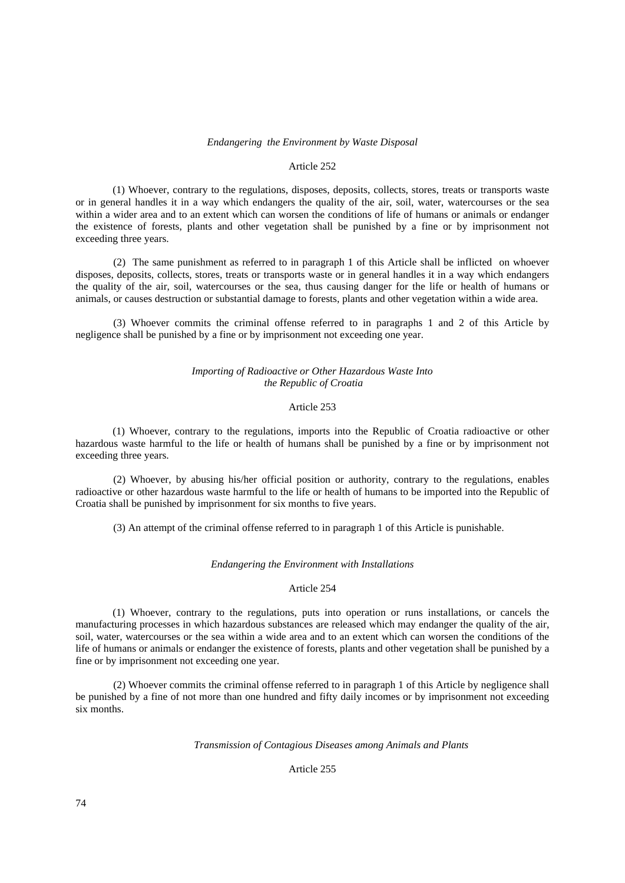#### *Endangering the Environment by Waste Disposal*

## Article 252

(1) Whoever, contrary to the regulations, disposes, deposits, collects, stores, treats or transports waste or in general handles it in a way which endangers the quality of the air, soil, water, watercourses or the sea within a wider area and to an extent which can worsen the conditions of life of humans or animals or endanger the existence of forests, plants and other vegetation shall be punished by a fine or by imprisonment not exceeding three years.

(2) The same punishment as referred to in paragraph 1 of this Article shall be inflicted on whoever disposes, deposits, collects, stores, treats or transports waste or in general handles it in a way which endangers the quality of the air, soil, watercourses or the sea, thus causing danger for the life or health of humans or animals, or causes destruction or substantial damage to forests, plants and other vegetation within a wide area.

(3) Whoever commits the criminal offense referred to in paragraphs 1 and 2 of this Article by negligence shall be punished by a fine or by imprisonment not exceeding one year.

## *Importing of Radioactive or Other Hazardous Waste Into the Republic of Croatia*

# Article 253

(1) Whoever, contrary to the regulations, imports into the Republic of Croatia radioactive or other hazardous waste harmful to the life or health of humans shall be punished by a fine or by imprisonment not exceeding three years.

(2) Whoever, by abusing his/her official position or authority, contrary to the regulations, enables radioactive or other hazardous waste harmful to the life or health of humans to be imported into the Republic of Croatia shall be punished by imprisonment for six months to five years.

(3) An attempt of the criminal offense referred to in paragraph 1 of this Article is punishable.

### *Endangering the Environment with Installations*

#### Article 254

(1) Whoever, contrary to the regulations, puts into operation or runs installations, or cancels the manufacturing processes in which hazardous substances are released which may endanger the quality of the air, soil, water, watercourses or the sea within a wide area and to an extent which can worsen the conditions of the life of humans or animals or endanger the existence of forests, plants and other vegetation shall be punished by a fine or by imprisonment not exceeding one year.

(2) Whoever commits the criminal offense referred to in paragraph 1 of this Article by negligence shall be punished by a fine of not more than one hundred and fifty daily incomes or by imprisonment not exceeding six months.

#### *Transmission of Contagious Diseases among Animals and Plants*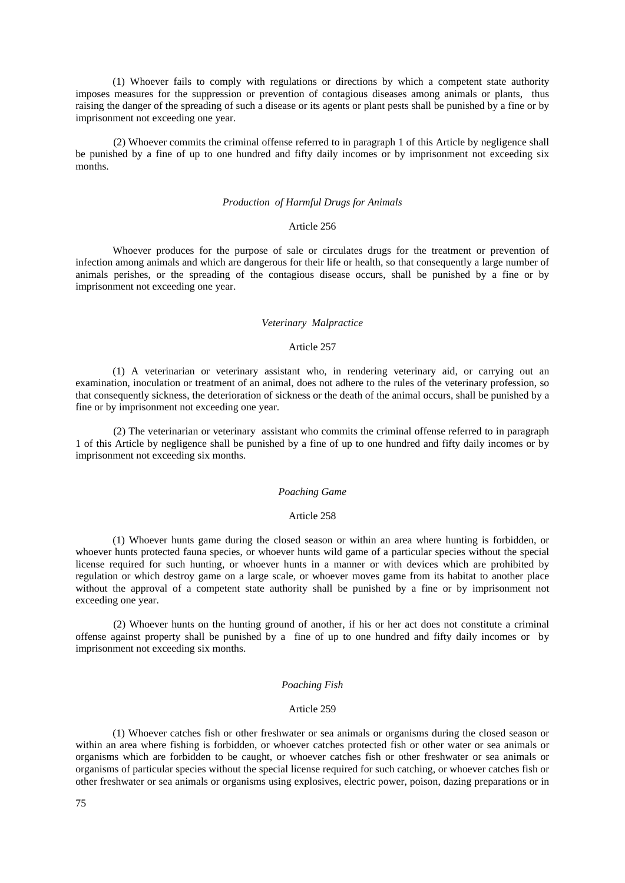(1) Whoever fails to comply with regulations or directions by which a competent state authority imposes measures for the suppression or prevention of contagious diseases among animals or plants, thus raising the danger of the spreading of such a disease or its agents or plant pests shall be punished by a fine or by imprisonment not exceeding one year.

(2) Whoever commits the criminal offense referred to in paragraph 1 of this Article by negligence shall be punished by a fine of up to one hundred and fifty daily incomes or by imprisonment not exceeding six months.

#### *Production of Harmful Drugs for Animals*

# Article 256

Whoever produces for the purpose of sale or circulates drugs for the treatment or prevention of infection among animals and which are dangerous for their life or health, so that consequently a large number of animals perishes, or the spreading of the contagious disease occurs, shall be punished by a fine or by imprisonment not exceeding one year.

#### *Veterinary Malpractice*

### Article 257

(1) A veterinarian or veterinary assistant who, in rendering veterinary aid, or carrying out an examination, inoculation or treatment of an animal, does not adhere to the rules of the veterinary profession, so that consequently sickness, the deterioration of sickness or the death of the animal occurs, shall be punished by a fine or by imprisonment not exceeding one year.

(2) The veterinarian or veterinary assistant who commits the criminal offense referred to in paragraph 1 of this Article by negligence shall be punished by a fine of up to one hundred and fifty daily incomes or by imprisonment not exceeding six months.

### *Poaching Game*

## Article 258

(1) Whoever hunts game during the closed season or within an area where hunting is forbidden, or whoever hunts protected fauna species, or whoever hunts wild game of a particular species without the special license required for such hunting, or whoever hunts in a manner or with devices which are prohibited by regulation or which destroy game on a large scale, or whoever moves game from its habitat to another place without the approval of a competent state authority shall be punished by a fine or by imprisonment not exceeding one year.

(2) Whoever hunts on the hunting ground of another, if his or her act does not constitute a criminal offense against property shall be punished by a fine of up to one hundred and fifty daily incomes or by imprisonment not exceeding six months.

## *Poaching Fish*

#### Article 259

(1) Whoever catches fish or other freshwater or sea animals or organisms during the closed season or within an area where fishing is forbidden, or whoever catches protected fish or other water or sea animals or organisms which are forbidden to be caught, or whoever catches fish or other freshwater or sea animals or organisms of particular species without the special license required for such catching, or whoever catches fish or other freshwater or sea animals or organisms using explosives, electric power, poison, dazing preparations or in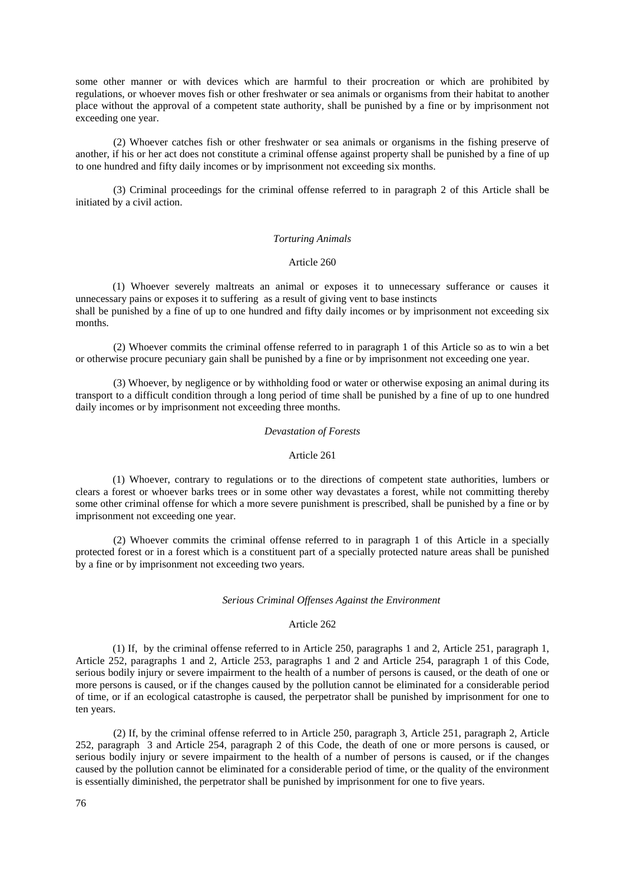some other manner or with devices which are harmful to their procreation or which are prohibited by regulations, or whoever moves fish or other freshwater or sea animals or organisms from their habitat to another place without the approval of a competent state authority, shall be punished by a fine or by imprisonment not exceeding one year.

(2) Whoever catches fish or other freshwater or sea animals or organisms in the fishing preserve of another, if his or her act does not constitute a criminal offense against property shall be punished by a fine of up to one hundred and fifty daily incomes or by imprisonment not exceeding six months.

(3) Criminal proceedings for the criminal offense referred to in paragraph 2 of this Article shall be initiated by a civil action.

# *Torturing Animals*

### Article 260

(1) Whoever severely maltreats an animal or exposes it to unnecessary sufferance or causes it unnecessary pains or exposes it to suffering as a result of giving vent to base instincts shall be punished by a fine of up to one hundred and fifty daily incomes or by imprisonment not exceeding six months.

(2) Whoever commits the criminal offense referred to in paragraph 1 of this Article so as to win a bet or otherwise procure pecuniary gain shall be punished by a fine or by imprisonment not exceeding one year.

(3) Whoever, by negligence or by withholding food or water or otherwise exposing an animal during its transport to a difficult condition through a long period of time shall be punished by a fine of up to one hundred daily incomes or by imprisonment not exceeding three months.

### *Devastation of Forests*

### Article 261

(1) Whoever, contrary to regulations or to the directions of competent state authorities, lumbers or clears a forest or whoever barks trees or in some other way devastates a forest, while not committing thereby some other criminal offense for which a more severe punishment is prescribed, shall be punished by a fine or by imprisonment not exceeding one year.

(2) Whoever commits the criminal offense referred to in paragraph 1 of this Article in a specially protected forest or in a forest which is a constituent part of a specially protected nature areas shall be punished by a fine or by imprisonment not exceeding two years.

#### *Serious Criminal Offenses Against the Environment*

## Article 262

(1) If, by the criminal offense referred to in Article 250, paragraphs 1 and 2, Article 251, paragraph 1, Article 252, paragraphs 1 and 2, Article 253, paragraphs 1 and 2 and Article 254, paragraph 1 of this Code, serious bodily injury or severe impairment to the health of a number of persons is caused, or the death of one or more persons is caused, or if the changes caused by the pollution cannot be eliminated for a considerable period of time, or if an ecological catastrophe is caused, the perpetrator shall be punished by imprisonment for one to ten years.

(2) If, by the criminal offense referred to in Article 250, paragraph 3, Article 251, paragraph 2, Article 252, paragraph 3 and Article 254, paragraph 2 of this Code, the death of one or more persons is caused, or serious bodily injury or severe impairment to the health of a number of persons is caused, or if the changes caused by the pollution cannot be eliminated for a considerable period of time, or the quality of the environment is essentially diminished, the perpetrator shall be punished by imprisonment for one to five years.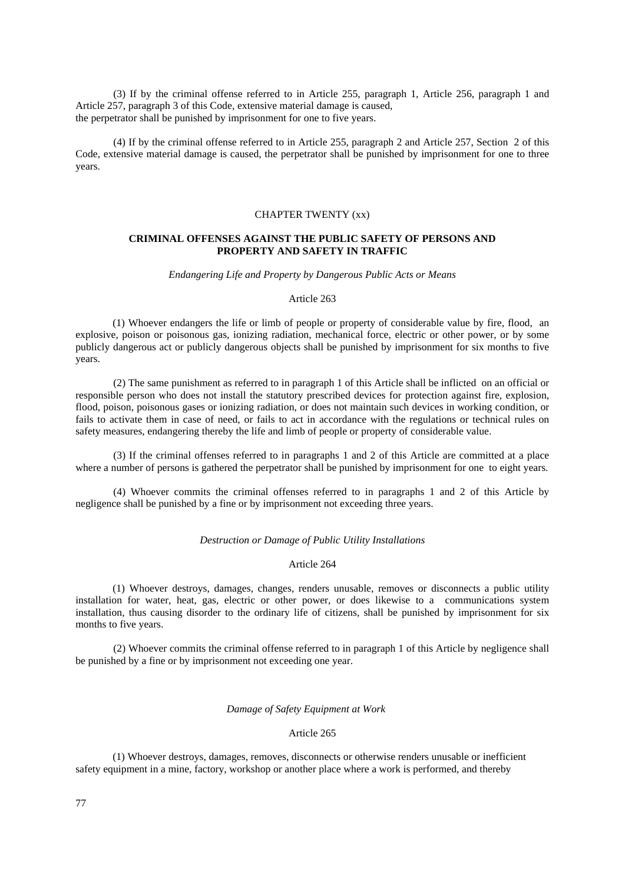(3) If by the criminal offense referred to in Article 255, paragraph 1, Article 256, paragraph 1 and Article 257, paragraph 3 of this Code, extensive material damage is caused, the perpetrator shall be punished by imprisonment for one to five years.

(4) If by the criminal offense referred to in Article 255, paragraph 2 and Article 257, Section 2 of this Code, extensive material damage is caused, the perpetrator shall be punished by imprisonment for one to three years.

#### CHAPTER TWENTY (xx)

# **CRIMINAL OFFENSES AGAINST THE PUBLIC SAFETY OF PERSONS AND PROPERTY AND SAFETY IN TRAFFIC**

*Endangering Life and Property by Dangerous Public Acts or Means*

## Article 263

(1) Whoever endangers the life or limb of people or property of considerable value by fire, flood, an explosive, poison or poisonous gas, ionizing radiation, mechanical force, electric or other power, or by some publicly dangerous act or publicly dangerous objects shall be punished by imprisonment for six months to five years.

(2) The same punishment as referred to in paragraph 1 of this Article shall be inflicted on an official or responsible person who does not install the statutory prescribed devices for protection against fire, explosion, flood, poison, poisonous gases or ionizing radiation, or does not maintain such devices in working condition, or fails to activate them in case of need, or fails to act in accordance with the regulations or technical rules on safety measures, endangering thereby the life and limb of people or property of considerable value.

(3) If the criminal offenses referred to in paragraphs 1 and 2 of this Article are committed at a place where a number of persons is gathered the perpetrator shall be punished by imprisonment for one to eight years.

(4) Whoever commits the criminal offenses referred to in paragraphs 1 and 2 of this Article by negligence shall be punished by a fine or by imprisonment not exceeding three years.

## *Destruction or Damage of Public Utility Installations*

### Article 264

(1) Whoever destroys, damages, changes, renders unusable, removes or disconnects a public utility installation for water, heat, gas, electric or other power, or does likewise to a communications system installation, thus causing disorder to the ordinary life of citizens, shall be punished by imprisonment for six months to five years.

(2) Whoever commits the criminal offense referred to in paragraph 1 of this Article by negligence shall be punished by a fine or by imprisonment not exceeding one year.

#### *Damage of Safety Equipment at Work*

## Article 265

(1) Whoever destroys, damages, removes, disconnects or otherwise renders unusable or inefficient safety equipment in a mine, factory, workshop or another place where a work is performed, and thereby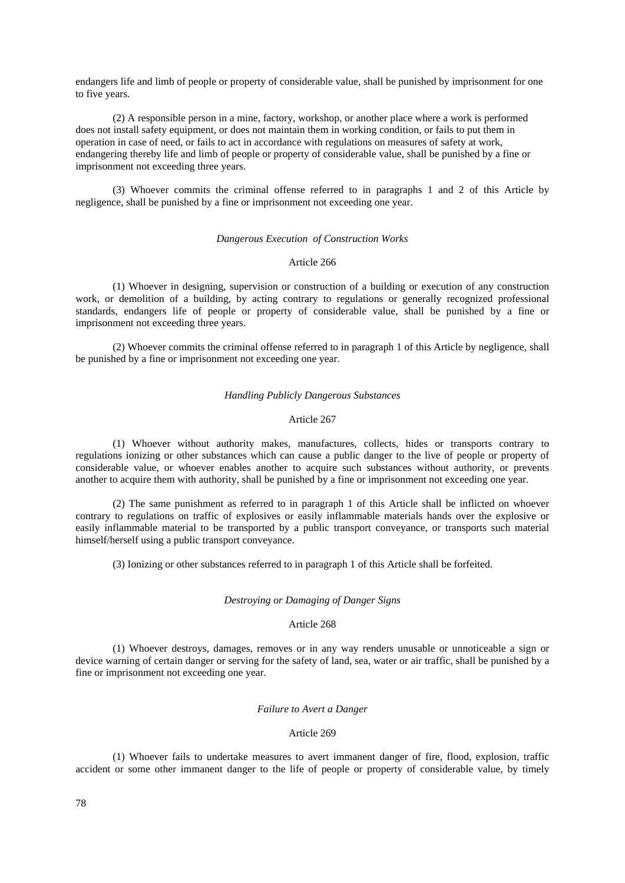endangers life and limb of people or property of considerable value, shall be punished by imprisonment for one to five years.

(2) A responsible person in a mine, factory, workshop, or another place where a work is performed does not install safety equipment, or does not maintain them in working condition, or fails to put them in operation in case of need, or fails to act in accordance with regulations on measures of safety at work, endangering thereby life and limb of people or property of considerable value, shall be punished by a fine or imprisonment not exceeding three years.

(3) Whoever commits the criminal offense referred to in paragraphs 1 and 2 of this Article by negligence, shall be punished by a fine or imprisonment not exceeding one year.

## *Dangerous Execution of Construction Works*

### Article 266

(1) Whoever in designing, supervision or construction of a building or execution of any construction work, or demolition of a building, by acting contrary to regulations or generally recognized professional standards, endangers life of people or property of considerable value, shall be punished by a fine or imprisonment not exceeding three years.

(2) Whoever commits the criminal offense referred to in paragraph 1 of this Article by negligence, shall be punished by a fine or imprisonment not exceeding one year.

## *Handling Publicly Dangerous Substances*

## Article 267

(1) Whoever without authority makes, manufactures, collects, hides or transports contrary to regulations ionizing or other substances which can cause a public danger to the live of people or property of considerable value, or whoever enables another to acquire such substances without authority, or prevents another to acquire them with authority, shall be punished by a fine or imprisonment not exceeding one year.

(2) The same punishment as referred to in paragraph 1 of this Article shall be inflicted on whoever contrary to regulations on traffic of explosives or easily inflammable materials hands over the explosive or easily inflammable material to be transported by a public transport conveyance, or transports such material himself/herself using a public transport conveyance.

(3) Ionizing or other substances referred to in paragraph 1 of this Article shall be forfeited.

#### *Destroying or Damaging of Danger Signs*

# Article 268

(1) Whoever destroys, damages, removes or in any way renders unusable or unnoticeable a sign or device warning of certain danger or serving for the safety of land, sea, water or air traffic, shall be punished by a fine or imprisonment not exceeding one year.

#### *Failure to Avert a Danger*

### Article 269

(1) Whoever fails to undertake measures to avert immanent danger of fire, flood, explosion, traffic accident or some other immanent danger to the life of people or property of considerable value, by timely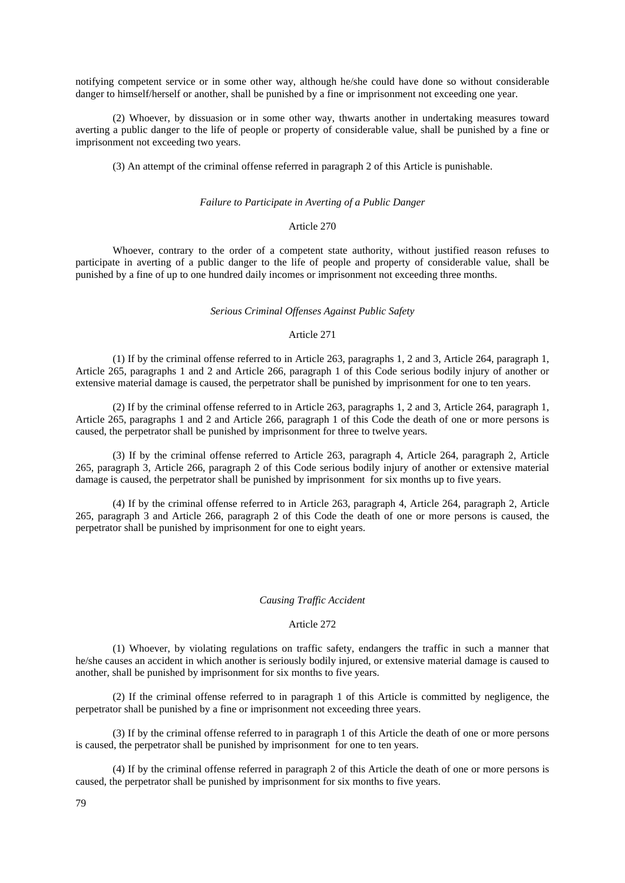notifying competent service or in some other way, although he/she could have done so without considerable danger to himself/herself or another, shall be punished by a fine or imprisonment not exceeding one year.

(2) Whoever, by dissuasion or in some other way, thwarts another in undertaking measures toward averting a public danger to the life of people or property of considerable value, shall be punished by a fine or imprisonment not exceeding two years.

(3) An attempt of the criminal offense referred in paragraph 2 of this Article is punishable.

### *Failure to Participate in Averting of a Public Danger*

## Article 270

Whoever, contrary to the order of a competent state authority, without justified reason refuses to participate in averting of a public danger to the life of people and property of considerable value, shall be punished by a fine of up to one hundred daily incomes or imprisonment not exceeding three months.

## *Serious Criminal Offenses Against Public Safety*

#### Article 271

(1) If by the criminal offense referred to in Article 263, paragraphs 1, 2 and 3, Article 264, paragraph 1, Article 265, paragraphs 1 and 2 and Article 266, paragraph 1 of this Code serious bodily injury of another or extensive material damage is caused, the perpetrator shall be punished by imprisonment for one to ten years.

(2) If by the criminal offense referred to in Article 263, paragraphs 1, 2 and 3, Article 264, paragraph 1, Article 265, paragraphs 1 and 2 and Article 266, paragraph 1 of this Code the death of one or more persons is caused, the perpetrator shall be punished by imprisonment for three to twelve years.

(3) If by the criminal offense referred to Article 263, paragraph 4, Article 264, paragraph 2, Article 265, paragraph 3, Article 266, paragraph 2 of this Code serious bodily injury of another or extensive material damage is caused, the perpetrator shall be punished by imprisonment for six months up to five years.

(4) If by the criminal offense referred to in Article 263, paragraph 4, Article 264, paragraph 2, Article 265, paragraph 3 and Article 266, paragraph 2 of this Code the death of one or more persons is caused, the perpetrator shall be punished by imprisonment for one to eight years.

#### *Causing Traffic Accident*

# Article 272

(1) Whoever, by violating regulations on traffic safety, endangers the traffic in such a manner that he/she causes an accident in which another is seriously bodily injured, or extensive material damage is caused to another, shall be punished by imprisonment for six months to five years.

(2) If the criminal offense referred to in paragraph 1 of this Article is committed by negligence, the perpetrator shall be punished by a fine or imprisonment not exceeding three years.

(3) If by the criminal offense referred to in paragraph 1 of this Article the death of one or more persons is caused, the perpetrator shall be punished by imprisonment for one to ten years.

(4) If by the criminal offense referred in paragraph 2 of this Article the death of one or more persons is caused, the perpetrator shall be punished by imprisonment for six months to five years.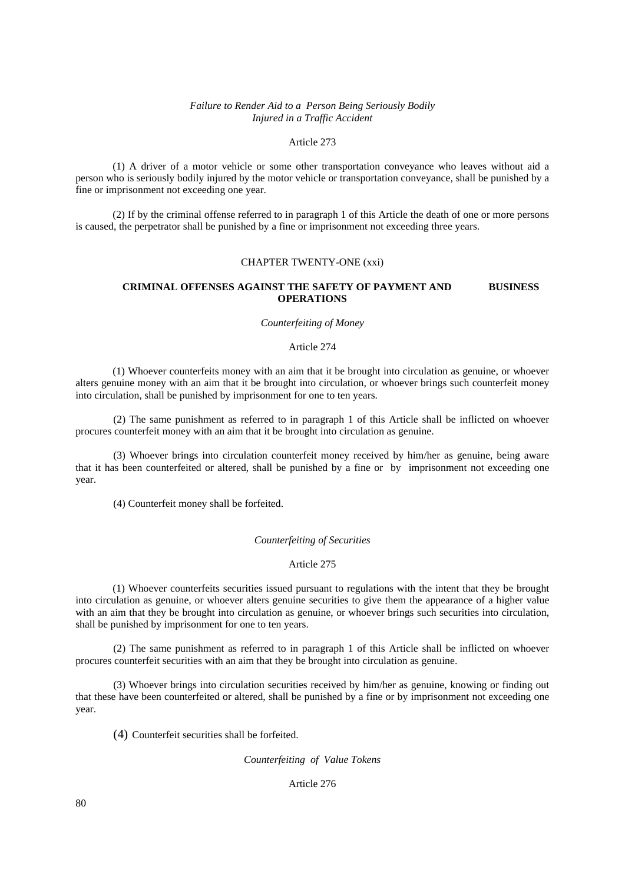## *Failure to Render Aid to a Person Being Seriously Bodily Injured in a Traffic Accident*

### Article 273

(1) A driver of a motor vehicle or some other transportation conveyance who leaves without aid a person who is seriously bodily injured by the motor vehicle or transportation conveyance, shall be punished by a fine or imprisonment not exceeding one year.

(2) If by the criminal offense referred to in paragraph 1 of this Article the death of one or more persons is caused, the perpetrator shall be punished by a fine or imprisonment not exceeding three years.

### CHAPTER TWENTY-ONE (xxi)

## **CRIMINAL OFFENSES AGAINST THE SAFETY OF PAYMENT AND BUSINESS OPERATIONS**

#### *Counterfeiting of Money*

### Article 274

(1) Whoever counterfeits money with an aim that it be brought into circulation as genuine, or whoever alters genuine money with an aim that it be brought into circulation, or whoever brings such counterfeit money into circulation, shall be punished by imprisonment for one to ten years.

(2) The same punishment as referred to in paragraph 1 of this Article shall be inflicted on whoever procures counterfeit money with an aim that it be brought into circulation as genuine.

(3) Whoever brings into circulation counterfeit money received by him/her as genuine, being aware that it has been counterfeited or altered, shall be punished by a fine or by imprisonment not exceeding one year.

(4) Counterfeit money shall be forfeited.

### *Counterfeiting of Securities*

## Article 275

(1) Whoever counterfeits securities issued pursuant to regulations with the intent that they be brought into circulation as genuine, or whoever alters genuine securities to give them the appearance of a higher value with an aim that they be brought into circulation as genuine, or whoever brings such securities into circulation, shall be punished by imprisonment for one to ten years.

(2) The same punishment as referred to in paragraph 1 of this Article shall be inflicted on whoever procures counterfeit securities with an aim that they be brought into circulation as genuine.

(3) Whoever brings into circulation securities received by him/her as genuine, knowing or finding out that these have been counterfeited or altered, shall be punished by a fine or by imprisonment not exceeding one year.

(4) Counterfeit securities shall be forfeited.

*Counterfeiting of Value Tokens*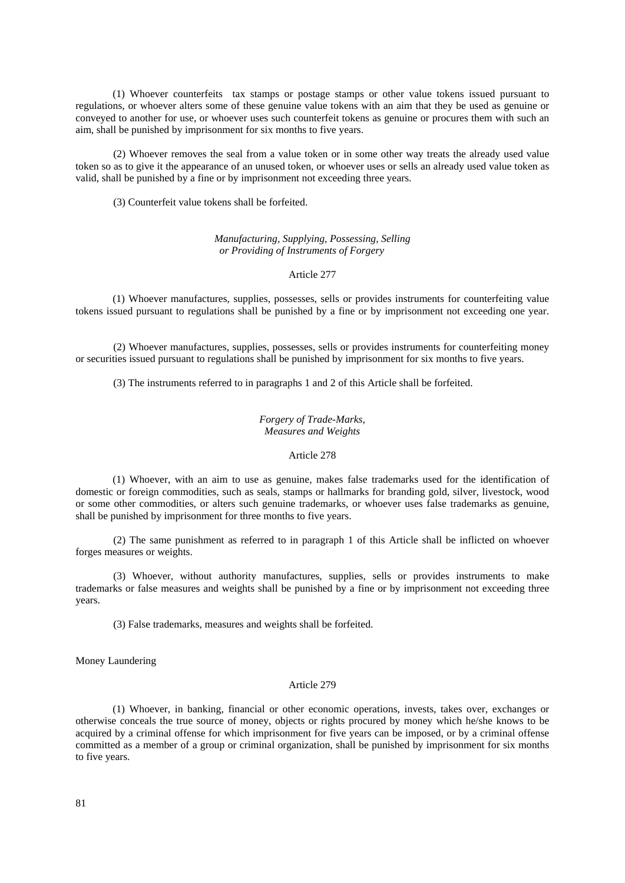(1) Whoever counterfeits tax stamps or postage stamps or other value tokens issued pursuant to regulations, or whoever alters some of these genuine value tokens with an aim that they be used as genuine or conveyed to another for use, or whoever uses such counterfeit tokens as genuine or procures them with such an aim, shall be punished by imprisonment for six months to five years.

(2) Whoever removes the seal from a value token or in some other way treats the already used value token so as to give it the appearance of an unused token, or whoever uses or sells an already used value token as valid, shall be punished by a fine or by imprisonment not exceeding three years.

(3) Counterfeit value tokens shall be forfeited.

# *Manufacturing, Supplying, Possessing, Selling or Providing of Instruments of Forgery*

# Article 277

(1) Whoever manufactures, supplies, possesses, sells or provides instruments for counterfeiting value tokens issued pursuant to regulations shall be punished by a fine or by imprisonment not exceeding one year.

(2) Whoever manufactures, supplies, possesses, sells or provides instruments for counterfeiting money or securities issued pursuant to regulations shall be punished by imprisonment for six months to five years.

(3) The instruments referred to in paragraphs 1 and 2 of this Article shall be forfeited.

## *Forgery of Trade-Marks, Measures and Weights*

### Article 278

(1) Whoever, with an aim to use as genuine, makes false trademarks used for the identification of domestic or foreign commodities, such as seals, stamps or hallmarks for branding gold, silver, livestock, wood or some other commodities, or alters such genuine trademarks, or whoever uses false trademarks as genuine, shall be punished by imprisonment for three months to five years.

(2) The same punishment as referred to in paragraph 1 of this Article shall be inflicted on whoever forges measures or weights.

(3) Whoever, without authority manufactures, supplies, sells or provides instruments to make trademarks or false measures and weights shall be punished by a fine or by imprisonment not exceeding three years.

(3) False trademarks, measures and weights shall be forfeited.

Money Laundering

# Article 279

(1) Whoever, in banking, financial or other economic operations, invests, takes over, exchanges or otherwise conceals the true source of money, objects or rights procured by money which he/she knows to be acquired by a criminal offense for which imprisonment for five years can be imposed, or by a criminal offense committed as a member of a group or criminal organization, shall be punished by imprisonment for six months to five years.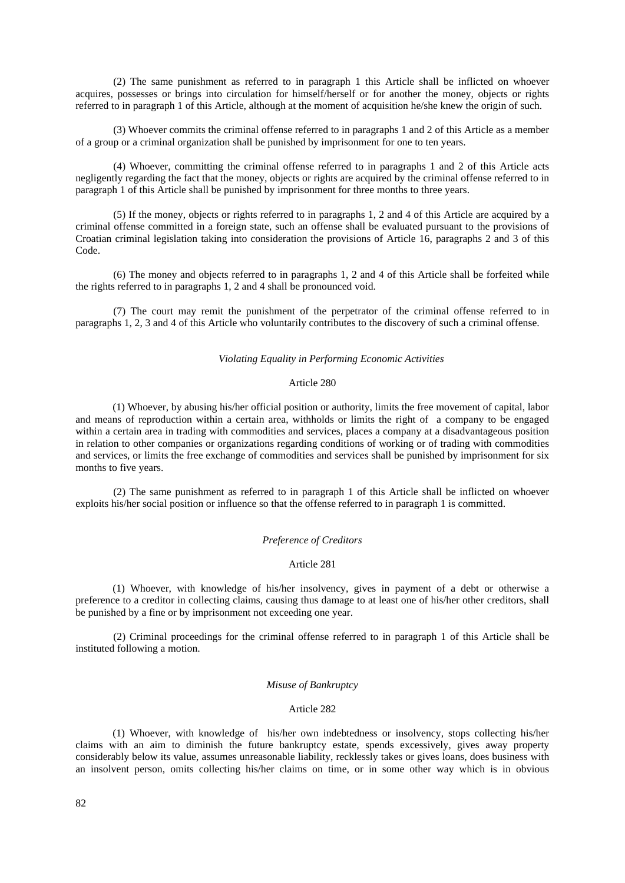(2) The same punishment as referred to in paragraph 1 this Article shall be inflicted on whoever acquires, possesses or brings into circulation for himself/herself or for another the money, objects or rights referred to in paragraph 1 of this Article, although at the moment of acquisition he/she knew the origin of such.

(3) Whoever commits the criminal offense referred to in paragraphs 1 and 2 of this Article as a member of a group or a criminal organization shall be punished by imprisonment for one to ten years.

(4) Whoever, committing the criminal offense referred to in paragraphs 1 and 2 of this Article acts negligently regarding the fact that the money, objects or rights are acquired by the criminal offense referred to in paragraph 1 of this Article shall be punished by imprisonment for three months to three years.

(5) If the money, objects or rights referred to in paragraphs 1, 2 and 4 of this Article are acquired by a criminal offense committed in a foreign state, such an offense shall be evaluated pursuant to the provisions of Croatian criminal legislation taking into consideration the provisions of Article 16, paragraphs 2 and 3 of this Code.

(6) The money and objects referred to in paragraphs 1, 2 and 4 of this Article shall be forfeited while the rights referred to in paragraphs 1, 2 and 4 shall be pronounced void.

(7) The court may remit the punishment of the perpetrator of the criminal offense referred to in paragraphs 1, 2, 3 and 4 of this Article who voluntarily contributes to the discovery of such a criminal offense.

#### *Violating Equality in Performing Economic Activities*

# Article 280

(1) Whoever, by abusing his/her official position or authority, limits the free movement of capital, labor and means of reproduction within a certain area, withholds or limits the right of a company to be engaged within a certain area in trading with commodities and services, places a company at a disadvantageous position in relation to other companies or organizations regarding conditions of working or of trading with commodities and services, or limits the free exchange of commodities and services shall be punished by imprisonment for six months to five years.

(2) The same punishment as referred to in paragraph 1 of this Article shall be inflicted on whoever exploits his/her social position or influence so that the offense referred to in paragraph 1 is committed.

### *Preference of Creditors*

## Article 281

(1) Whoever, with knowledge of his/her insolvency, gives in payment of a debt or otherwise a preference to a creditor in collecting claims, causing thus damage to at least one of his/her other creditors, shall be punished by a fine or by imprisonment not exceeding one year.

(2) Criminal proceedings for the criminal offense referred to in paragraph 1 of this Article shall be instituted following a motion.

### *Misuse of Bankruptcy*

#### Article 282

(1) Whoever, with knowledge of his/her own indebtedness or insolvency, stops collecting his/her claims with an aim to diminish the future bankruptcy estate, spends excessively, gives away property considerably below its value, assumes unreasonable liability, recklessly takes or gives loans, does business with an insolvent person, omits collecting his/her claims on time, or in some other way which is in obvious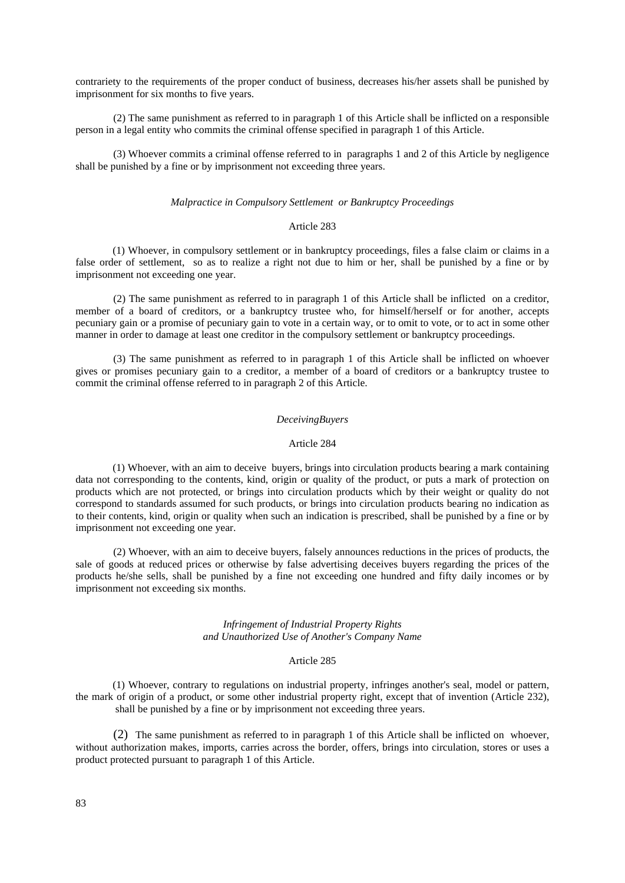contrariety to the requirements of the proper conduct of business, decreases his/her assets shall be punished by imprisonment for six months to five years.

(2) The same punishment as referred to in paragraph 1 of this Article shall be inflicted on a responsible person in a legal entity who commits the criminal offense specified in paragraph 1 of this Article.

(3) Whoever commits a criminal offense referred to in paragraphs 1 and 2 of this Article by negligence shall be punished by a fine or by imprisonment not exceeding three years.

## *Malpractice in Compulsory Settlement or Bankruptcy Proceedings*

## Article 283

(1) Whoever, in compulsory settlement or in bankruptcy proceedings, files a false claim or claims in a false order of settlement, so as to realize a right not due to him or her, shall be punished by a fine or by imprisonment not exceeding one year.

(2) The same punishment as referred to in paragraph 1 of this Article shall be inflicted on a creditor, member of a board of creditors, or a bankruptcy trustee who, for himself/herself or for another, accepts pecuniary gain or a promise of pecuniary gain to vote in a certain way, or to omit to vote, or to act in some other manner in order to damage at least one creditor in the compulsory settlement or bankruptcy proceedings.

(3) The same punishment as referred to in paragraph 1 of this Article shall be inflicted on whoever gives or promises pecuniary gain to a creditor, a member of a board of creditors or a bankruptcy trustee to commit the criminal offense referred to in paragraph 2 of this Article.

# *DeceivingBuyers*

## Article 284

(1) Whoever, with an aim to deceive buyers, brings into circulation products bearing a mark containing data not corresponding to the contents, kind, origin or quality of the product, or puts a mark of protection on products which are not protected, or brings into circulation products which by their weight or quality do not correspond to standards assumed for such products, or brings into circulation products bearing no indication as to their contents, kind, origin or quality when such an indication is prescribed, shall be punished by a fine or by imprisonment not exceeding one year.

(2) Whoever, with an aim to deceive buyers, falsely announces reductions in the prices of products, the sale of goods at reduced prices or otherwise by false advertising deceives buyers regarding the prices of the products he/she sells, shall be punished by a fine not exceeding one hundred and fifty daily incomes or by imprisonment not exceeding six months.

# *Infringement of Industrial Property Rights and Unauthorized Use of Another's Company Name*

# Article 285

(1) Whoever, contrary to regulations on industrial property, infringes another's seal, model or pattern, the mark of origin of a product, or some other industrial property right, except that of invention (Article 232), shall be punished by a fine or by imprisonment not exceeding three years.

(2) The same punishment as referred to in paragraph 1 of this Article shall be inflicted on whoever, without authorization makes, imports, carries across the border, offers, brings into circulation, stores or uses a product protected pursuant to paragraph 1 of this Article.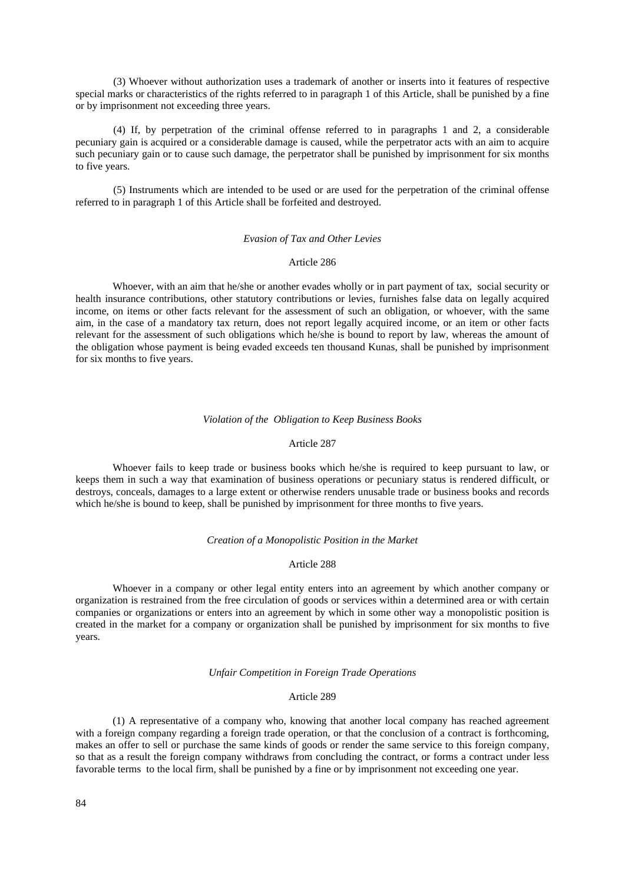(3) Whoever without authorization uses a trademark of another or inserts into it features of respective special marks or characteristics of the rights referred to in paragraph 1 of this Article, shall be punished by a fine or by imprisonment not exceeding three years.

(4) If, by perpetration of the criminal offense referred to in paragraphs 1 and 2, a considerable pecuniary gain is acquired or a considerable damage is caused, while the perpetrator acts with an aim to acquire such pecuniary gain or to cause such damage, the perpetrator shall be punished by imprisonment for six months to five years.

(5) Instruments which are intended to be used or are used for the perpetration of the criminal offense referred to in paragraph 1 of this Article shall be forfeited and destroyed.

## *Evasion of Tax and Other Levies*

### Article 286

Whoever, with an aim that he/she or another evades wholly or in part payment of tax, social security or health insurance contributions, other statutory contributions or levies, furnishes false data on legally acquired income, on items or other facts relevant for the assessment of such an obligation, or whoever, with the same aim, in the case of a mandatory tax return, does not report legally acquired income, or an item or other facts relevant for the assessment of such obligations which he/she is bound to report by law, whereas the amount of the obligation whose payment is being evaded exceeds ten thousand Kunas, shall be punished by imprisonment for six months to five years.

## *Violation of the Obligation to Keep Business Books*

# Article 287

Whoever fails to keep trade or business books which he/she is required to keep pursuant to law, or keeps them in such a way that examination of business operations or pecuniary status is rendered difficult, or destroys, conceals, damages to a large extent or otherwise renders unusable trade or business books and records which he/she is bound to keep, shall be punished by imprisonment for three months to five years.

## *Creation of a Monopolistic Position in the Market*

### Article 288

Whoever in a company or other legal entity enters into an agreement by which another company or organization is restrained from the free circulation of goods or services within a determined area or with certain companies or organizations or enters into an agreement by which in some other way a monopolistic position is created in the market for a company or organization shall be punished by imprisonment for six months to five years.

## *Unfair Competition in Foreign Trade Operations*

### Article 289

(1) A representative of a company who, knowing that another local company has reached agreement with a foreign company regarding a foreign trade operation, or that the conclusion of a contract is forthcoming, makes an offer to sell or purchase the same kinds of goods or render the same service to this foreign company, so that as a result the foreign company withdraws from concluding the contract, or forms a contract under less favorable terms to the local firm, shall be punished by a fine or by imprisonment not exceeding one year.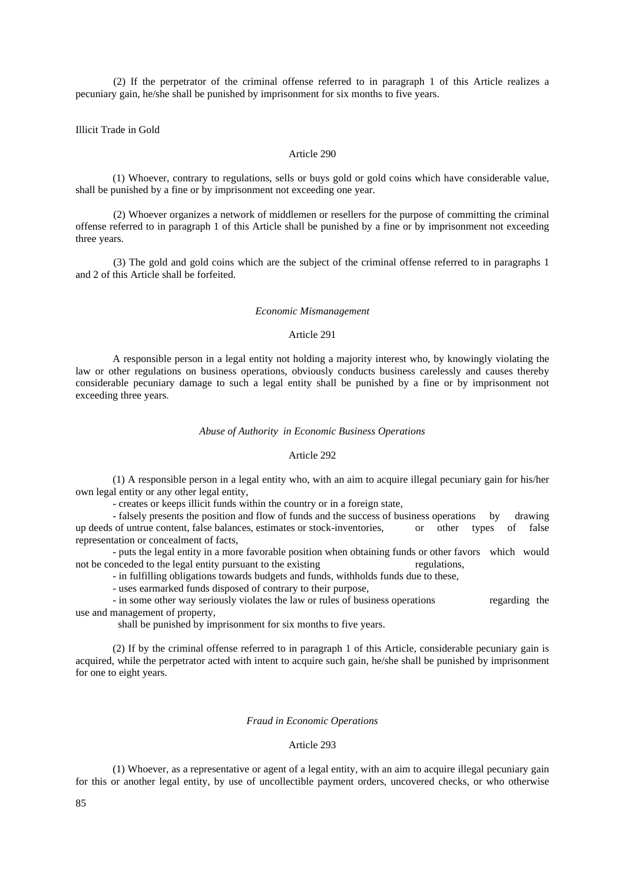(2) If the perpetrator of the criminal offense referred to in paragraph 1 of this Article realizes a pecuniary gain, he/she shall be punished by imprisonment for six months to five years.

Illicit Trade in Gold

## Article 290

(1) Whoever, contrary to regulations, sells or buys gold or gold coins which have considerable value, shall be punished by a fine or by imprisonment not exceeding one year.

(2) Whoever organizes a network of middlemen or resellers for the purpose of committing the criminal offense referred to in paragraph 1 of this Article shall be punished by a fine or by imprisonment not exceeding three years.

(3) The gold and gold coins which are the subject of the criminal offense referred to in paragraphs 1 and 2 of this Article shall be forfeited.

#### *Economic Mismanagement*

#### Article 291

A responsible person in a legal entity not holding a majority interest who, by knowingly violating the law or other regulations on business operations, obviously conducts business carelessly and causes thereby considerable pecuniary damage to such a legal entity shall be punished by a fine or by imprisonment not exceeding three years.

## *Abuse of Authority in Economic Business Operations*

### Article 292

(1) A responsible person in a legal entity who, with an aim to acquire illegal pecuniary gain for his/her own legal entity or any other legal entity,

- creates or keeps illicit funds within the country or in a foreign state,

- falsely presents the position and flow of funds and the success of business operations by drawing up deeds of untrue content, false balances, estimates or stock-inventories, or other types of false representation or concealment of facts,

- puts the legal entity in a more favorable position when obtaining funds or other favors which would not be conceded to the legal entity pursuant to the existing regulations,

- in fulfilling obligations towards budgets and funds, withholds funds due to these,

- uses earmarked funds disposed of contrary to their purpose,

- in some other way seriously violates the law or rules of business operations regarding the use and management of property,

shall be punished by imprisonment for six months to five years.

(2) If by the criminal offense referred to in paragraph 1 of this Article, considerable pecuniary gain is acquired, while the perpetrator acted with intent to acquire such gain, he/she shall be punished by imprisonment for one to eight years.

#### *Fraud in Economic Operations*

## Article 293

(1) Whoever, as a representative or agent of a legal entity, with an aim to acquire illegal pecuniary gain for this or another legal entity, by use of uncollectible payment orders, uncovered checks, or who otherwise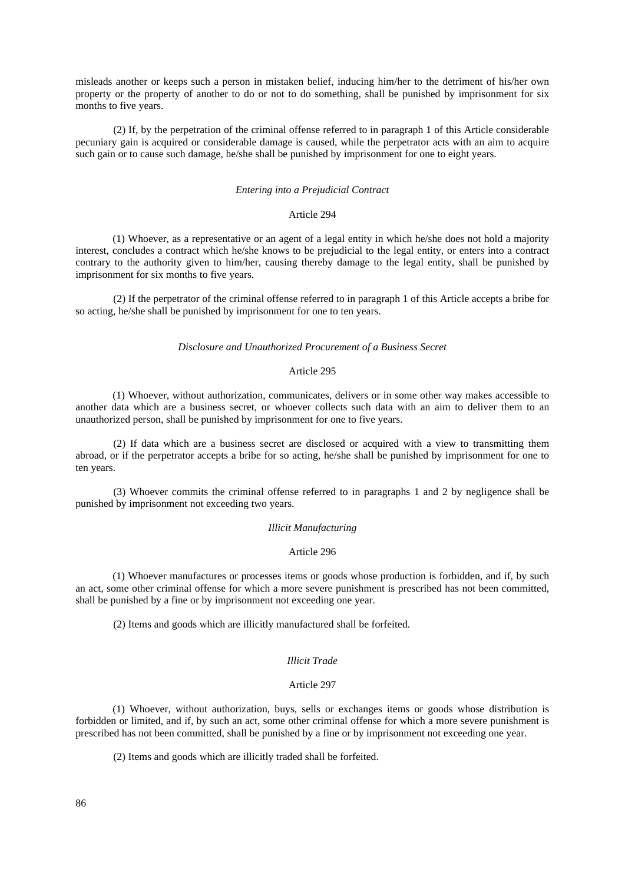misleads another or keeps such a person in mistaken belief, inducing him/her to the detriment of his/her own property or the property of another to do or not to do something, shall be punished by imprisonment for six months to five years.

(2) If, by the perpetration of the criminal offense referred to in paragraph 1 of this Article considerable pecuniary gain is acquired or considerable damage is caused, while the perpetrator acts with an aim to acquire such gain or to cause such damage, he/she shall be punished by imprisonment for one to eight years.

## *Entering into a Prejudicial Contract*

# Article 294

(1) Whoever, as a representative or an agent of a legal entity in which he/she does not hold a majority interest, concludes a contract which he/she knows to be prejudicial to the legal entity, or enters into a contract contrary to the authority given to him/her, causing thereby damage to the legal entity, shall be punished by imprisonment for six months to five years.

(2) If the perpetrator of the criminal offense referred to in paragraph 1 of this Article accepts a bribe for so acting, he/she shall be punished by imprisonment for one to ten years.

#### *Disclosure and Unauthorized Procurement of a Business Secret*

### Article 295

(1) Whoever, without authorization, communicates, delivers or in some other way makes accessible to another data which are a business secret, or whoever collects such data with an aim to deliver them to an unauthorized person, shall be punished by imprisonment for one to five years.

(2) If data which are a business secret are disclosed or acquired with a view to transmitting them abroad, or if the perpetrator accepts a bribe for so acting, he/she shall be punished by imprisonment for one to ten years.

(3) Whoever commits the criminal offense referred to in paragraphs 1 and 2 by negligence shall be punished by imprisonment not exceeding two years.

## *Illicit Manufacturing*

#### Article 296

(1) Whoever manufactures or processes items or goods whose production is forbidden, and if, by such an act, some other criminal offense for which a more severe punishment is prescribed has not been committed, shall be punished by a fine or by imprisonment not exceeding one year.

(2) Items and goods which are illicitly manufactured shall be forfeited.

# *Illicit Trade*

## Article 297

(1) Whoever, without authorization, buys, sells or exchanges items or goods whose distribution is forbidden or limited, and if, by such an act, some other criminal offense for which a more severe punishment is prescribed has not been committed, shall be punished by a fine or by imprisonment not exceeding one year.

(2) Items and goods which are illicitly traded shall be forfeited.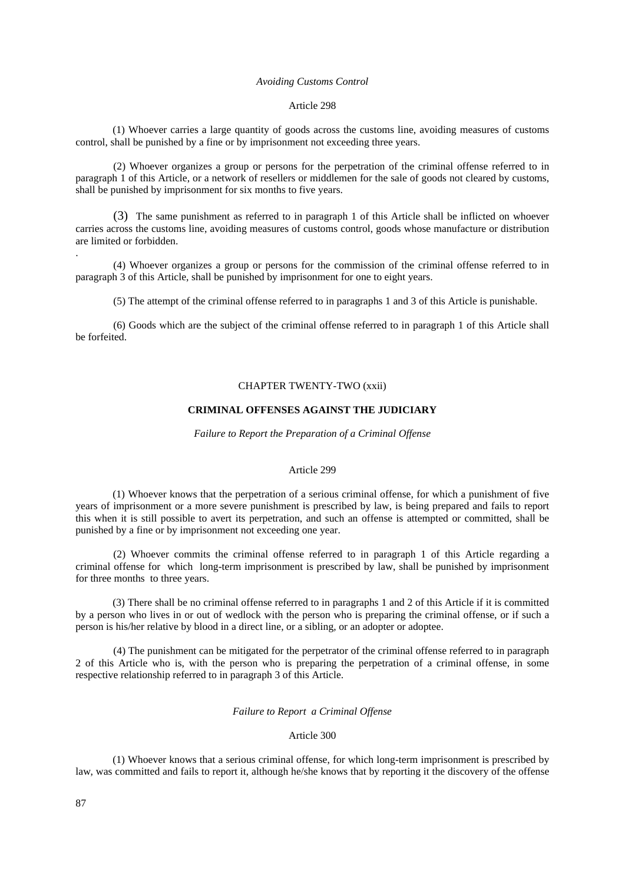### *Avoiding Customs Control*

### Article 298

(1) Whoever carries a large quantity of goods across the customs line, avoiding measures of customs control, shall be punished by a fine or by imprisonment not exceeding three years.

(2) Whoever organizes a group or persons for the perpetration of the criminal offense referred to in paragraph 1 of this Article, or a network of resellers or middlemen for the sale of goods not cleared by customs, shall be punished by imprisonment for six months to five years.

(3) The same punishment as referred to in paragraph 1 of this Article shall be inflicted on whoever carries across the customs line, avoiding measures of customs control, goods whose manufacture or distribution are limited or forbidden.

(4) Whoever organizes a group or persons for the commission of the criminal offense referred to in paragraph 3 of this Article, shall be punished by imprisonment for one to eight years.

(5) The attempt of the criminal offense referred to in paragraphs 1 and 3 of this Article is punishable.

(6) Goods which are the subject of the criminal offense referred to in paragraph 1 of this Article shall be forfeited.

# CHAPTER TWENTY-TWO (xxii)

# **CRIMINAL OFFENSES AGAINST THE JUDICIARY**

*Failure to Report the Preparation of a Criminal Offense*

## Article 299

(1) Whoever knows that the perpetration of a serious criminal offense, for which a punishment of five years of imprisonment or a more severe punishment is prescribed by law, is being prepared and fails to report this when it is still possible to avert its perpetration, and such an offense is attempted or committed, shall be punished by a fine or by imprisonment not exceeding one year.

(2) Whoever commits the criminal offense referred to in paragraph 1 of this Article regarding a criminal offense for which long-term imprisonment is prescribed by law, shall be punished by imprisonment for three months to three years.

(3) There shall be no criminal offense referred to in paragraphs 1 and 2 of this Article if it is committed by a person who lives in or out of wedlock with the person who is preparing the criminal offense, or if such a person is his/her relative by blood in a direct line, or a sibling, or an adopter or adoptee.

(4) The punishment can be mitigated for the perpetrator of the criminal offense referred to in paragraph 2 of this Article who is, with the person who is preparing the perpetration of a criminal offense, in some respective relationship referred to in paragraph 3 of this Article.

# *Failure to Report a Criminal Offense*

### Article 300

(1) Whoever knows that a serious criminal offense, for which long-term imprisonment is prescribed by law, was committed and fails to report it, although he/she knows that by reporting it the discovery of the offense

.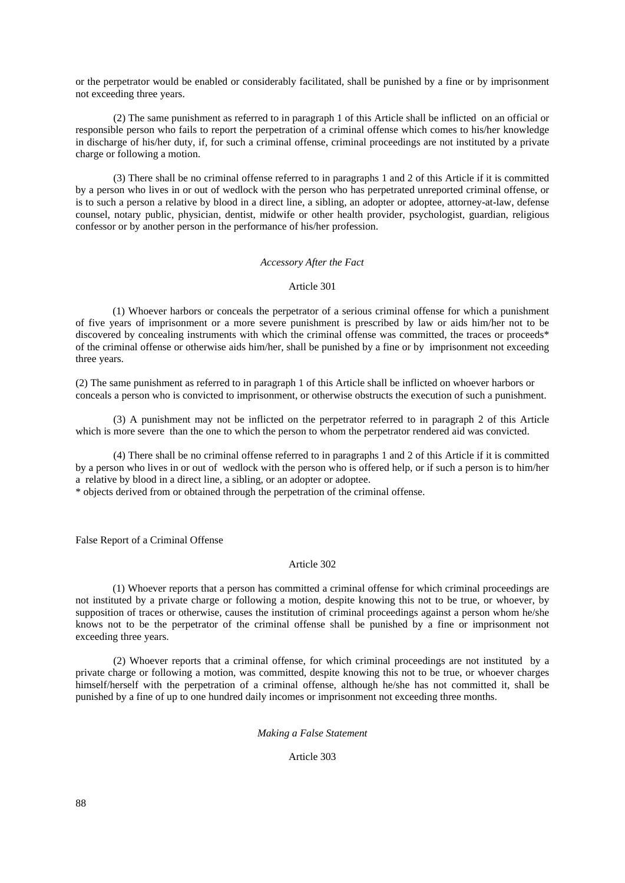or the perpetrator would be enabled or considerably facilitated, shall be punished by a fine or by imprisonment not exceeding three years.

(2) The same punishment as referred to in paragraph 1 of this Article shall be inflicted on an official or responsible person who fails to report the perpetration of a criminal offense which comes to his/her knowledge in discharge of his/her duty, if, for such a criminal offense, criminal proceedings are not instituted by a private charge or following a motion.

(3) There shall be no criminal offense referred to in paragraphs 1 and 2 of this Article if it is committed by a person who lives in or out of wedlock with the person who has perpetrated unreported criminal offense, or is to such a person a relative by blood in a direct line, a sibling, an adopter or adoptee, attorney-at-law, defense counsel, notary public, physician, dentist, midwife or other health provider, psychologist, guardian, religious confessor or by another person in the performance of his/her profession.

## *Accessory After the Fact*

## Article 301

(1) Whoever harbors or conceals the perpetrator of a serious criminal offense for which a punishment of five years of imprisonment or a more severe punishment is prescribed by law or aids him/her not to be discovered by concealing instruments with which the criminal offense was committed, the traces or proceeds\* of the criminal offense or otherwise aids him/her, shall be punished by a fine or by imprisonment not exceeding three years.

(2) The same punishment as referred to in paragraph 1 of this Article shall be inflicted on whoever harbors or conceals a person who is convicted to imprisonment, or otherwise obstructs the execution of such a punishment.

(3) A punishment may not be inflicted on the perpetrator referred to in paragraph 2 of this Article which is more severe than the one to which the person to whom the perpetrator rendered aid was convicted.

(4) There shall be no criminal offense referred to in paragraphs 1 and 2 of this Article if it is committed by a person who lives in or out of wedlock with the person who is offered help, or if such a person is to him/her a relative by blood in a direct line, a sibling, or an adopter or adoptee.

\* objects derived from or obtained through the perpetration of the criminal offense.

False Report of a Criminal Offense

### Article 302

(1) Whoever reports that a person has committed a criminal offense for which criminal proceedings are not instituted by a private charge or following a motion, despite knowing this not to be true, or whoever, by supposition of traces or otherwise, causes the institution of criminal proceedings against a person whom he/she knows not to be the perpetrator of the criminal offense shall be punished by a fine or imprisonment not exceeding three years.

(2) Whoever reports that a criminal offense, for which criminal proceedings are not instituted by a private charge or following a motion, was committed, despite knowing this not to be true, or whoever charges himself/herself with the perpetration of a criminal offense, although he/she has not committed it, shall be punished by a fine of up to one hundred daily incomes or imprisonment not exceeding three months.

### *Making a False Statement*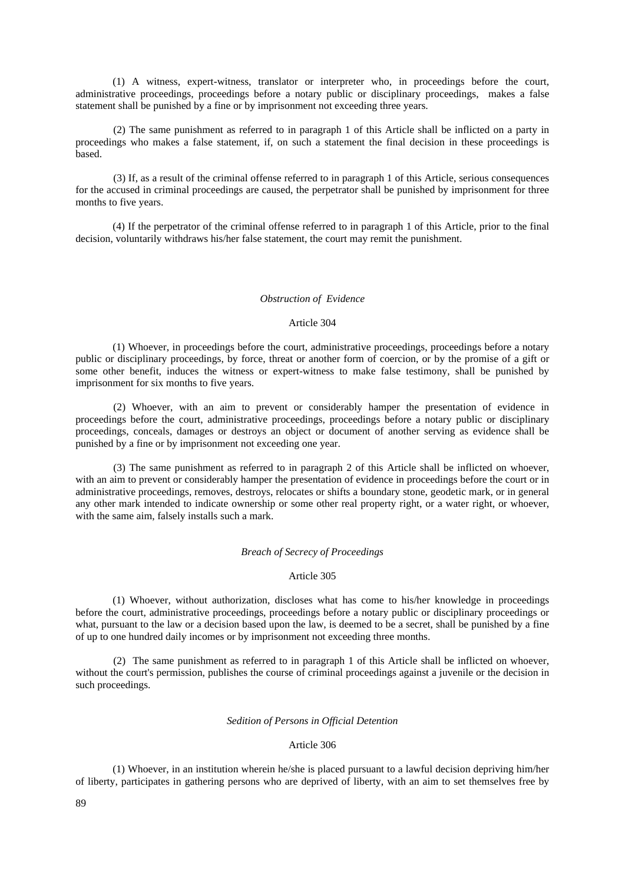(1) A witness, expert-witness, translator or interpreter who, in proceedings before the court, administrative proceedings, proceedings before a notary public or disciplinary proceedings, makes a false statement shall be punished by a fine or by imprisonment not exceeding three years.

(2) The same punishment as referred to in paragraph 1 of this Article shall be inflicted on a party in proceedings who makes a false statement, if, on such a statement the final decision in these proceedings is based.

(3) If, as a result of the criminal offense referred to in paragraph 1 of this Article, serious consequences for the accused in criminal proceedings are caused, the perpetrator shall be punished by imprisonment for three months to five years.

(4) If the perpetrator of the criminal offense referred to in paragraph 1 of this Article, prior to the final decision, voluntarily withdraws his/her false statement, the court may remit the punishment.

## *Obstruction of Evidence*

#### Article 304

(1) Whoever, in proceedings before the court, administrative proceedings, proceedings before a notary public or disciplinary proceedings, by force, threat or another form of coercion, or by the promise of a gift or some other benefit, induces the witness or expert-witness to make false testimony, shall be punished by imprisonment for six months to five years.

(2) Whoever, with an aim to prevent or considerably hamper the presentation of evidence in proceedings before the court, administrative proceedings, proceedings before a notary public or disciplinary proceedings, conceals, damages or destroys an object or document of another serving as evidence shall be punished by a fine or by imprisonment not exceeding one year.

(3) The same punishment as referred to in paragraph 2 of this Article shall be inflicted on whoever, with an aim to prevent or considerably hamper the presentation of evidence in proceedings before the court or in administrative proceedings, removes, destroys, relocates or shifts a boundary stone, geodetic mark, or in general any other mark intended to indicate ownership or some other real property right, or a water right, or whoever, with the same aim, falsely installs such a mark.

#### *Breach of Secrecy of Proceedings*

### Article 305

(1) Whoever, without authorization, discloses what has come to his/her knowledge in proceedings before the court, administrative proceedings, proceedings before a notary public or disciplinary proceedings or what, pursuant to the law or a decision based upon the law, is deemed to be a secret, shall be punished by a fine of up to one hundred daily incomes or by imprisonment not exceeding three months.

(2) The same punishment as referred to in paragraph 1 of this Article shall be inflicted on whoever, without the court's permission, publishes the course of criminal proceedings against a juvenile or the decision in such proceedings.

### *Sedition of Persons in Official Detention*

## Article 306

(1) Whoever, in an institution wherein he/she is placed pursuant to a lawful decision depriving him/her of liberty, participates in gathering persons who are deprived of liberty, with an aim to set themselves free by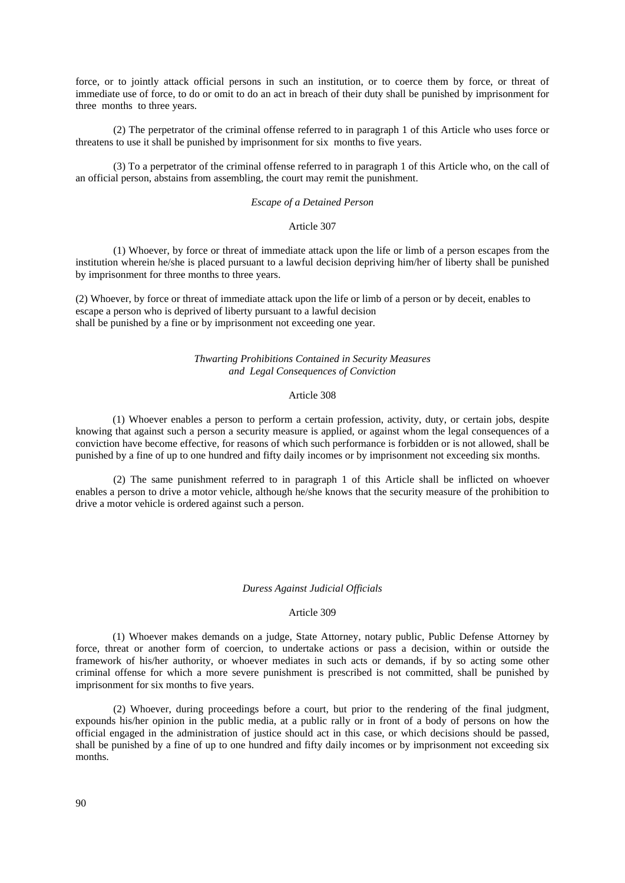force, or to jointly attack official persons in such an institution, or to coerce them by force, or threat of immediate use of force, to do or omit to do an act in breach of their duty shall be punished by imprisonment for three months to three years.

(2) The perpetrator of the criminal offense referred to in paragraph 1 of this Article who uses force or threatens to use it shall be punished by imprisonment for six months to five years.

(3) To a perpetrator of the criminal offense referred to in paragraph 1 of this Article who, on the call of an official person, abstains from assembling, the court may remit the punishment.

## *Escape of a Detained Person*

## Article 307

(1) Whoever, by force or threat of immediate attack upon the life or limb of a person escapes from the institution wherein he/she is placed pursuant to a lawful decision depriving him/her of liberty shall be punished by imprisonment for three months to three years.

(2) Whoever, by force or threat of immediate attack upon the life or limb of a person or by deceit, enables to escape a person who is deprived of liberty pursuant to a lawful decision shall be punished by a fine or by imprisonment not exceeding one year.

# *Thwarting Prohibitions Contained in Security Measures and Legal Consequences of Conviction*

## Article 308

(1) Whoever enables a person to perform a certain profession, activity, duty, or certain jobs, despite knowing that against such a person a security measure is applied, or against whom the legal consequences of a conviction have become effective, for reasons of which such performance is forbidden or is not allowed, shall be punished by a fine of up to one hundred and fifty daily incomes or by imprisonment not exceeding six months.

(2) The same punishment referred to in paragraph 1 of this Article shall be inflicted on whoever enables a person to drive a motor vehicle, although he/she knows that the security measure of the prohibition to drive a motor vehicle is ordered against such a person.

#### *Duress Against Judicial Officials*

## Article 309

(1) Whoever makes demands on a judge, State Attorney, notary public, Public Defense Attorney by force, threat or another form of coercion, to undertake actions or pass a decision, within or outside the framework of his/her authority, or whoever mediates in such acts or demands, if by so acting some other criminal offense for which a more severe punishment is prescribed is not committed, shall be punished by imprisonment for six months to five years.

(2) Whoever, during proceedings before a court, but prior to the rendering of the final judgment, expounds his/her opinion in the public media, at a public rally or in front of a body of persons on how the official engaged in the administration of justice should act in this case, or which decisions should be passed, shall be punished by a fine of up to one hundred and fifty daily incomes or by imprisonment not exceeding six months.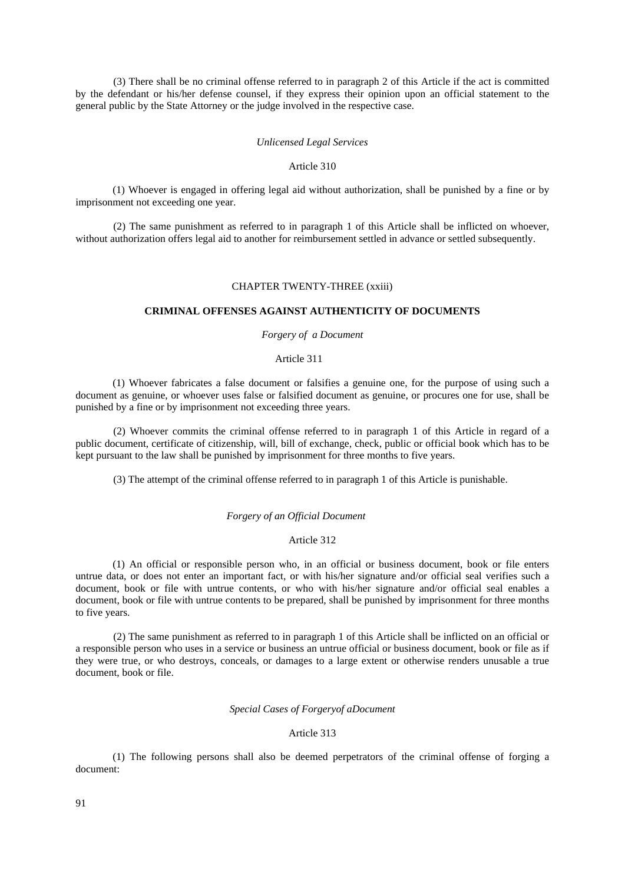(3) There shall be no criminal offense referred to in paragraph 2 of this Article if the act is committed by the defendant or his/her defense counsel, if they express their opinion upon an official statement to the general public by the State Attorney or the judge involved in the respective case.

#### *Unlicensed Legal Services*

## Article 310

(1) Whoever is engaged in offering legal aid without authorization, shall be punished by a fine or by imprisonment not exceeding one year.

(2) The same punishment as referred to in paragraph 1 of this Article shall be inflicted on whoever, without authorization offers legal aid to another for reimbursement settled in advance or settled subsequently.

### CHAPTER TWENTY-THREE (xxiii)

# **CRIMINAL OFFENSES AGAINST AUTHENTICITY OF DOCUMENTS**

#### *Forgery of a Document*

#### Article 311

(1) Whoever fabricates a false document or falsifies a genuine one, for the purpose of using such a document as genuine, or whoever uses false or falsified document as genuine, or procures one for use, shall be punished by a fine or by imprisonment not exceeding three years.

(2) Whoever commits the criminal offense referred to in paragraph 1 of this Article in regard of a public document, certificate of citizenship, will, bill of exchange, check, public or official book which has to be kept pursuant to the law shall be punished by imprisonment for three months to five years.

(3) The attempt of the criminal offense referred to in paragraph 1 of this Article is punishable.

## *Forgery of an Official Document*

## Article 312

(1) An official or responsible person who, in an official or business document, book or file enters untrue data, or does not enter an important fact, or with his/her signature and/or official seal verifies such a document, book or file with untrue contents, or who with his/her signature and/or official seal enables a document, book or file with untrue contents to be prepared, shall be punished by imprisonment for three months to five years.

(2) The same punishment as referred to in paragraph 1 of this Article shall be inflicted on an official or a responsible person who uses in a service or business an untrue official or business document, book or file as if they were true, or who destroys, conceals, or damages to a large extent or otherwise renders unusable a true document, book or file.

## *Special Cases of Forgeryof aDocument*

## Article 313

(1) The following persons shall also be deemed perpetrators of the criminal offense of forging a document: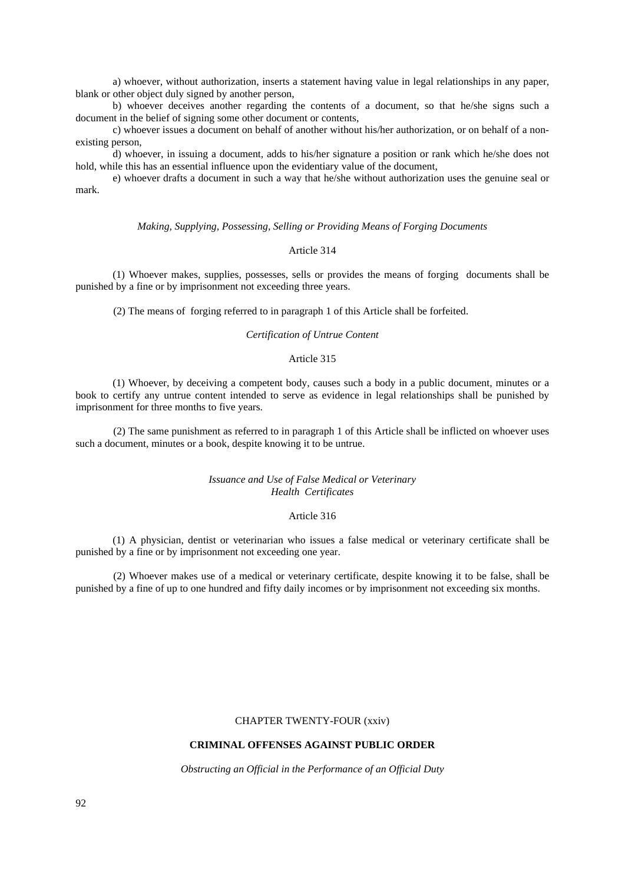a) whoever, without authorization, inserts a statement having value in legal relationships in any paper, blank or other object duly signed by another person,

b) whoever deceives another regarding the contents of a document, so that he/she signs such a document in the belief of signing some other document or contents,

c) whoever issues a document on behalf of another without his/her authorization, or on behalf of a nonexisting person,

d) whoever, in issuing a document, adds to his/her signature a position or rank which he/she does not hold, while this has an essential influence upon the evidentiary value of the document,

e) whoever drafts a document in such a way that he/she without authorization uses the genuine seal or mark.

### *Making, Supplying, Possessing, Selling or Providing Means of Forging Documents*

# Article 314

(1) Whoever makes, supplies, possesses, sells or provides the means of forging documents shall be punished by a fine or by imprisonment not exceeding three years.

(2) The means of forging referred to in paragraph 1 of this Article shall be forfeited.

### *Certification of Untrue Content*

#### Article 315

(1) Whoever, by deceiving a competent body, causes such a body in a public document, minutes or a book to certify any untrue content intended to serve as evidence in legal relationships shall be punished by imprisonment for three months to five years.

(2) The same punishment as referred to in paragraph 1 of this Article shall be inflicted on whoever uses such a document, minutes or a book, despite knowing it to be untrue.

## *Issuance and Use of False Medical or Veterinary Health Certificates*

# Article 316

(1) A physician, dentist or veterinarian who issues a false medical or veterinary certificate shall be punished by a fine or by imprisonment not exceeding one year.

(2) Whoever makes use of a medical or veterinary certificate, despite knowing it to be false, shall be punished by a fine of up to one hundred and fifty daily incomes or by imprisonment not exceeding six months.

#### CHAPTER TWENTY-FOUR (xxiv)

# **CRIMINAL OFFENSES AGAINST PUBLIC ORDER**

*Obstructing an Official in the Performance of an Official Duty*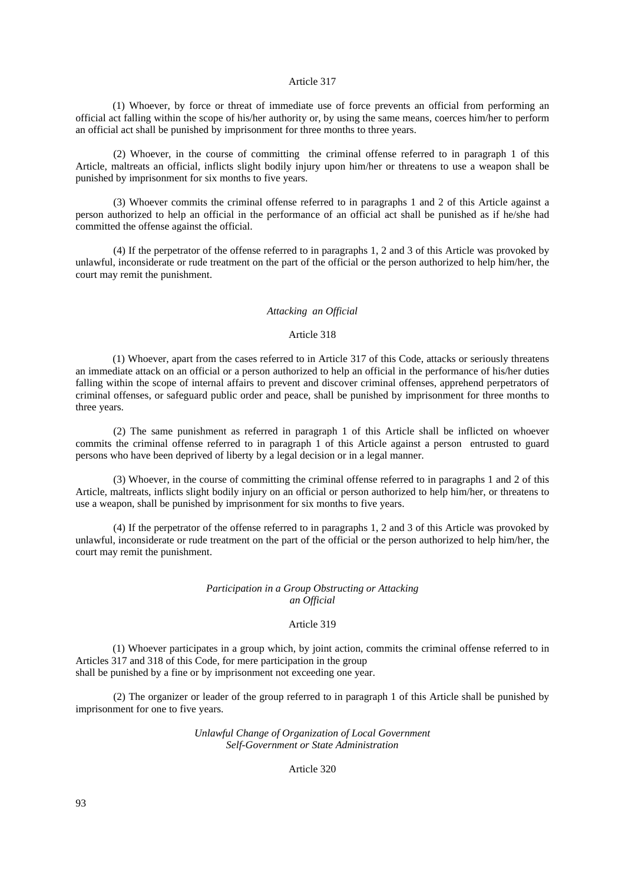#### Article 317

(1) Whoever, by force or threat of immediate use of force prevents an official from performing an official act falling within the scope of his/her authority or, by using the same means, coerces him/her to perform an official act shall be punished by imprisonment for three months to three years.

(2) Whoever, in the course of committing the criminal offense referred to in paragraph 1 of this Article, maltreats an official, inflicts slight bodily injury upon him/her or threatens to use a weapon shall be punished by imprisonment for six months to five years.

(3) Whoever commits the criminal offense referred to in paragraphs 1 and 2 of this Article against a person authorized to help an official in the performance of an official act shall be punished as if he/she had committed the offense against the official.

(4) If the perpetrator of the offense referred to in paragraphs 1, 2 and 3 of this Article was provoked by unlawful, inconsiderate or rude treatment on the part of the official or the person authorized to help him/her, the court may remit the punishment.

## *Attacking an Official*

### Article 318

(1) Whoever, apart from the cases referred to in Article 317 of this Code, attacks or seriously threatens an immediate attack on an official or a person authorized to help an official in the performance of his/her duties falling within the scope of internal affairs to prevent and discover criminal offenses, apprehend perpetrators of criminal offenses, or safeguard public order and peace, shall be punished by imprisonment for three months to three years.

(2) The same punishment as referred in paragraph 1 of this Article shall be inflicted on whoever commits the criminal offense referred to in paragraph 1 of this Article against a person entrusted to guard persons who have been deprived of liberty by a legal decision or in a legal manner.

(3) Whoever, in the course of committing the criminal offense referred to in paragraphs 1 and 2 of this Article, maltreats, inflicts slight bodily injury on an official or person authorized to help him/her, or threatens to use a weapon, shall be punished by imprisonment for six months to five years.

(4) If the perpetrator of the offense referred to in paragraphs 1, 2 and 3 of this Article was provoked by unlawful, inconsiderate or rude treatment on the part of the official or the person authorized to help him/her, the court may remit the punishment.

### *Participation in a Group Obstructing or Attacking an Official*

# Article 319

(1) Whoever participates in a group which, by joint action, commits the criminal offense referred to in Articles 317 and 318 of this Code, for mere participation in the group shall be punished by a fine or by imprisonment not exceeding one year.

(2) The organizer or leader of the group referred to in paragraph 1 of this Article shall be punished by imprisonment for one to five years.

> *Unlawful Change of Organization of Local Government Self-Government or State Administration*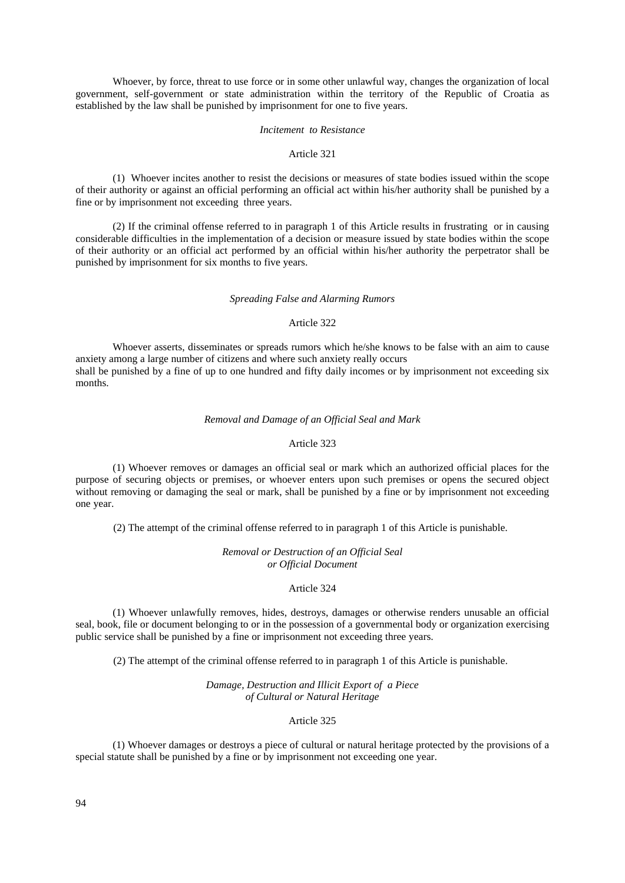Whoever, by force, threat to use force or in some other unlawful way, changes the organization of local government, self-government or state administration within the territory of the Republic of Croatia as established by the law shall be punished by imprisonment for one to five years.

#### *Incitement to Resistance*

## Article 321

(1) Whoever incites another to resist the decisions or measures of state bodies issued within the scope of their authority or against an official performing an official act within his/her authority shall be punished by a fine or by imprisonment not exceeding three years.

(2) If the criminal offense referred to in paragraph 1 of this Article results in frustrating or in causing considerable difficulties in the implementation of a decision or measure issued by state bodies within the scope of their authority or an official act performed by an official within his/her authority the perpetrator shall be punished by imprisonment for six months to five years.

#### *Spreading False and Alarming Rumors*

Article 322

Whoever asserts, disseminates or spreads rumors which he/she knows to be false with an aim to cause anxiety among a large number of citizens and where such anxiety really occurs shall be punished by a fine of up to one hundred and fifty daily incomes or by imprisonment not exceeding six months.

### *Removal and Damage of an Official Seal and Mark*

# Article 323

(1) Whoever removes or damages an official seal or mark which an authorized official places for the purpose of securing objects or premises, or whoever enters upon such premises or opens the secured object without removing or damaging the seal or mark, shall be punished by a fine or by imprisonment not exceeding one year.

(2) The attempt of the criminal offense referred to in paragraph 1 of this Article is punishable.

*Removal or Destruction of an Official Seal or Official Document*

#### Article 324

(1) Whoever unlawfully removes, hides, destroys, damages or otherwise renders unusable an official seal, book, file or document belonging to or in the possession of a governmental body or organization exercising public service shall be punished by a fine or imprisonment not exceeding three years.

(2) The attempt of the criminal offense referred to in paragraph 1 of this Article is punishable.

*Damage, Destruction and Illicit Export of a Piece of Cultural or Natural Heritage*

# Article 325

(1) Whoever damages or destroys a piece of cultural or natural heritage protected by the provisions of a special statute shall be punished by a fine or by imprisonment not exceeding one year.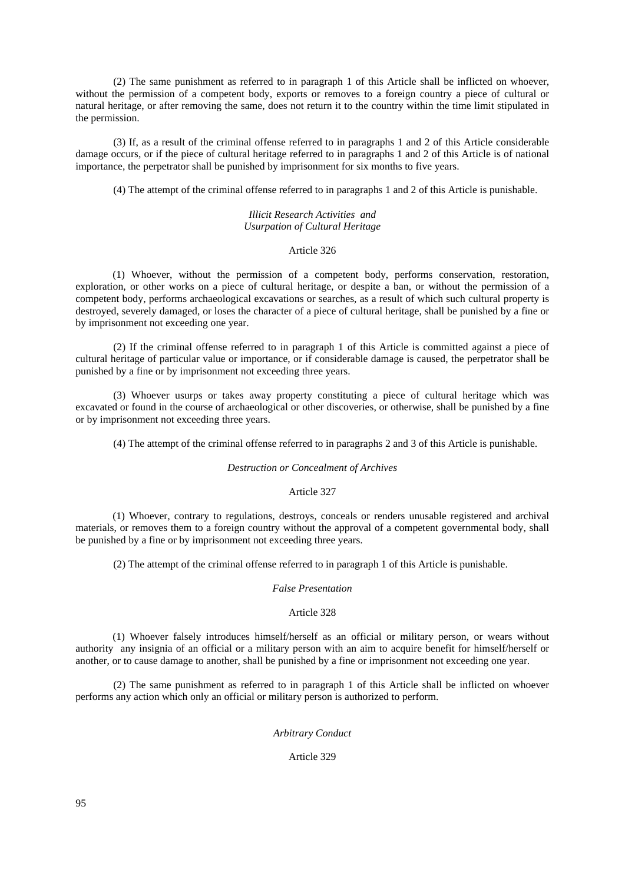(2) The same punishment as referred to in paragraph 1 of this Article shall be inflicted on whoever, without the permission of a competent body, exports or removes to a foreign country a piece of cultural or natural heritage, or after removing the same, does not return it to the country within the time limit stipulated in the permission.

(3) If, as a result of the criminal offense referred to in paragraphs 1 and 2 of this Article considerable damage occurs, or if the piece of cultural heritage referred to in paragraphs 1 and 2 of this Article is of national importance, the perpetrator shall be punished by imprisonment for six months to five years.

(4) The attempt of the criminal offense referred to in paragraphs 1 and 2 of this Article is punishable.

# *Illicit Research Activities and Usurpation of Cultural Heritage*

# Article 326

(1) Whoever, without the permission of a competent body, performs conservation, restoration, exploration, or other works on a piece of cultural heritage, or despite a ban, or without the permission of a competent body, performs archaeological excavations or searches, as a result of which such cultural property is destroyed, severely damaged, or loses the character of a piece of cultural heritage, shall be punished by a fine or by imprisonment not exceeding one year.

(2) If the criminal offense referred to in paragraph 1 of this Article is committed against a piece of cultural heritage of particular value or importance, or if considerable damage is caused, the perpetrator shall be punished by a fine or by imprisonment not exceeding three years.

(3) Whoever usurps or takes away property constituting a piece of cultural heritage which was excavated or found in the course of archaeological or other discoveries, or otherwise, shall be punished by a fine or by imprisonment not exceeding three years.

(4) The attempt of the criminal offense referred to in paragraphs 2 and 3 of this Article is punishable.

#### *Destruction or Concealment of Archives*

## Article 327

(1) Whoever, contrary to regulations, destroys, conceals or renders unusable registered and archival materials, or removes them to a foreign country without the approval of a competent governmental body, shall be punished by a fine or by imprisonment not exceeding three years.

(2) The attempt of the criminal offense referred to in paragraph 1 of this Article is punishable.

### *False Presentation*

## Article 328

(1) Whoever falsely introduces himself/herself as an official or military person, or wears without authority any insignia of an official or a military person with an aim to acquire benefit for himself/herself or another, or to cause damage to another, shall be punished by a fine or imprisonment not exceeding one year.

(2) The same punishment as referred to in paragraph 1 of this Article shall be inflicted on whoever performs any action which only an official or military person is authorized to perform.

## *Arbitrary Conduct*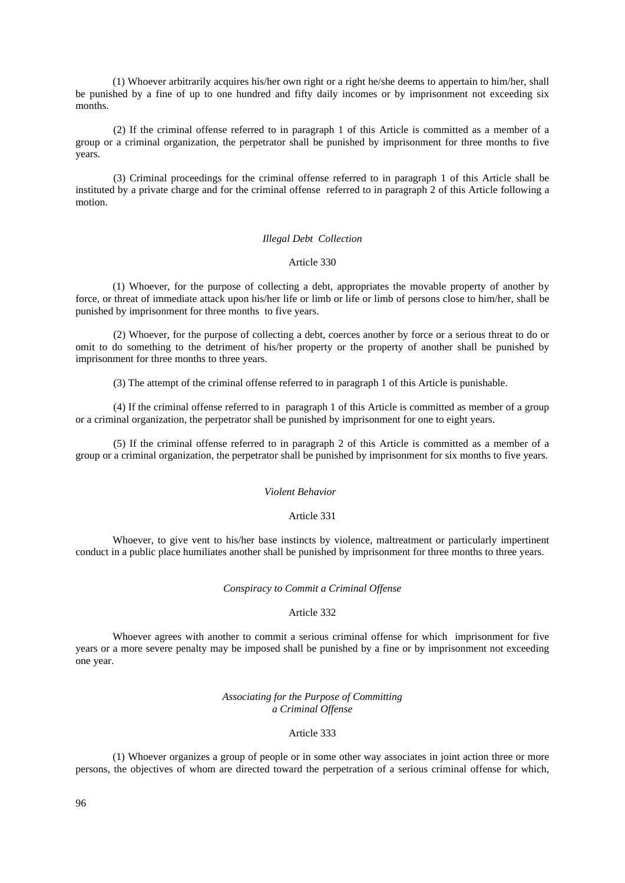(1) Whoever arbitrarily acquires his/her own right or a right he/she deems to appertain to him/her, shall be punished by a fine of up to one hundred and fifty daily incomes or by imprisonment not exceeding six months.

(2) If the criminal offense referred to in paragraph 1 of this Article is committed as a member of a group or a criminal organization, the perpetrator shall be punished by imprisonment for three months to five years.

(3) Criminal proceedings for the criminal offense referred to in paragraph 1 of this Article shall be instituted by a private charge and for the criminal offense referred to in paragraph 2 of this Article following a motion.

## *Illegal Debt Collection*

### Article 330

(1) Whoever, for the purpose of collecting a debt, appropriates the movable property of another by force, or threat of immediate attack upon his/her life or limb or life or limb of persons close to him/her, shall be punished by imprisonment for three months to five years.

(2) Whoever, for the purpose of collecting a debt, coerces another by force or a serious threat to do or omit to do something to the detriment of his/her property or the property of another shall be punished by imprisonment for three months to three years.

(3) The attempt of the criminal offense referred to in paragraph 1 of this Article is punishable.

(4) If the criminal offense referred to in paragraph 1 of this Article is committed as member of a group or a criminal organization, the perpetrator shall be punished by imprisonment for one to eight years.

(5) If the criminal offense referred to in paragraph 2 of this Article is committed as a member of a group or a criminal organization, the perpetrator shall be punished by imprisonment for six months to five years.

### *Violent Behavior*

## Article 331

Whoever, to give vent to his/her base instincts by violence, maltreatment or particularly impertinent conduct in a public place humiliates another shall be punished by imprisonment for three months to three years.

#### *Conspiracy to Commit a Criminal Offense*

# Article 332

Whoever agrees with another to commit a serious criminal offense for which imprisonment for five years or a more severe penalty may be imposed shall be punished by a fine or by imprisonment not exceeding one year.

> *Associating for the Purpose of Committing a Criminal Offense*

# Article 333

(1) Whoever organizes a group of people or in some other way associates in joint action three or more persons, the objectives of whom are directed toward the perpetration of a serious criminal offense for which,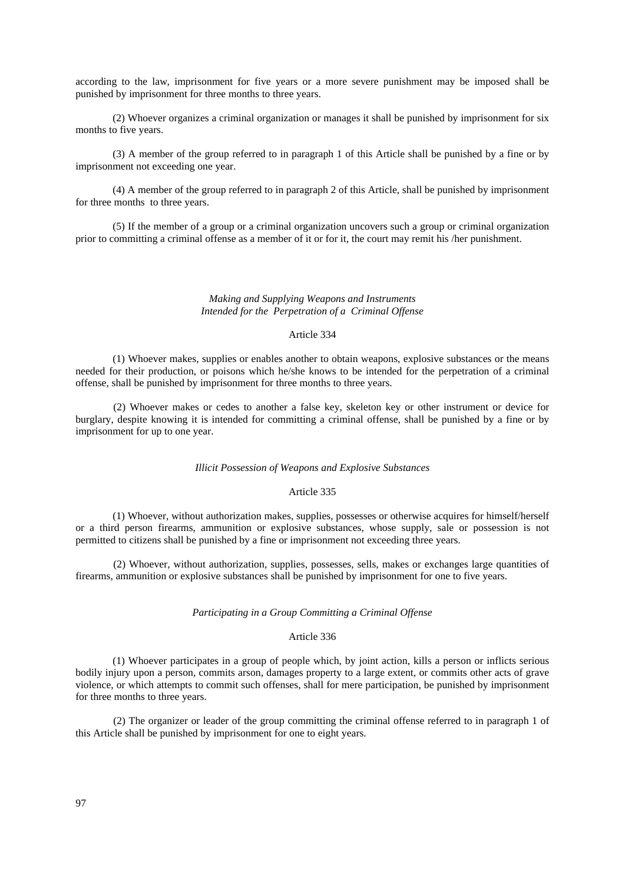according to the law, imprisonment for five years or a more severe punishment may be imposed shall be punished by imprisonment for three months to three years.

(2) Whoever organizes a criminal organization or manages it shall be punished by imprisonment for six months to five years.

(3) A member of the group referred to in paragraph 1 of this Article shall be punished by a fine or by imprisonment not exceeding one year.

(4) A member of the group referred to in paragraph 2 of this Article, shall be punished by imprisonment for three months to three years.

(5) If the member of a group or a criminal organization uncovers such a group or criminal organization prior to committing a criminal offense as a member of it or for it, the court may remit his /her punishment.

## *Making and Supplying Weapons and Instruments Intended for the Perpetration of a Criminal Offense*

#### Article 334

(1) Whoever makes, supplies or enables another to obtain weapons, explosive substances or the means needed for their production, or poisons which he/she knows to be intended for the perpetration of a criminal offense, shall be punished by imprisonment for three months to three years.

(2) Whoever makes or cedes to another a false key, skeleton key or other instrument or device for burglary, despite knowing it is intended for committing a criminal offense, shall be punished by a fine or by imprisonment for up to one year.

#### *Illicit Possession of Weapons and Explosive Substances*

## Article 335

(1) Whoever, without authorization makes, supplies, possesses or otherwise acquires for himself/herself or a third person firearms, ammunition or explosive substances, whose supply, sale or possession is not permitted to citizens shall be punished by a fine or imprisonment not exceeding three years.

(2) Whoever, without authorization, supplies, possesses, sells, makes or exchanges large quantities of firearms, ammunition or explosive substances shall be punished by imprisonment for one to five years.

## *Participating in a Group Committing a Criminal Offense*

## Article 336

(1) Whoever participates in a group of people which, by joint action, kills a person or inflicts serious bodily injury upon a person, commits arson, damages property to a large extent, or commits other acts of grave violence, or which attempts to commit such offenses, shall for mere participation, be punished by imprisonment for three months to three years.

(2) The organizer or leader of the group committing the criminal offense referred to in paragraph 1 of this Article shall be punished by imprisonment for one to eight years.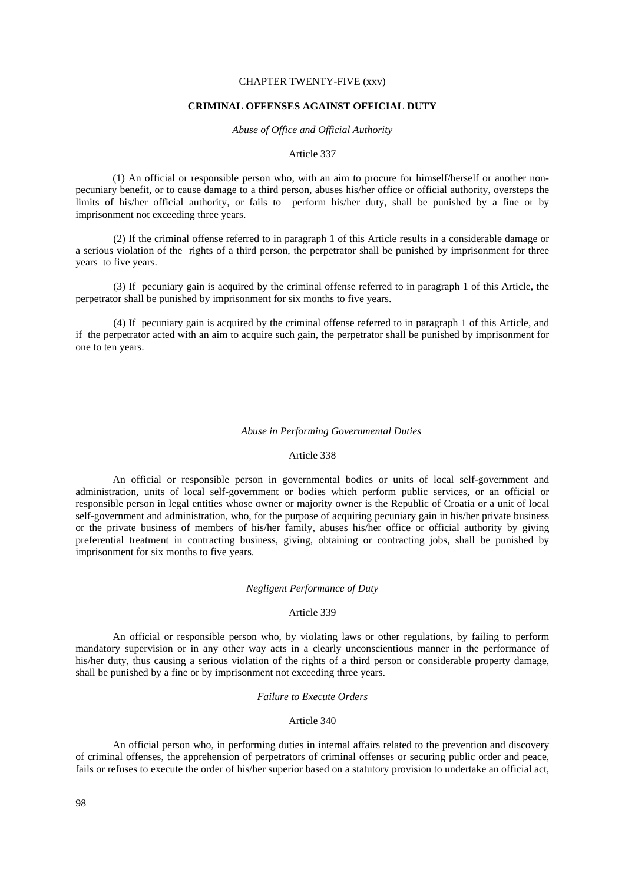#### CHAPTER TWENTY-FIVE (xxv)

### **CRIMINAL OFFENSES AGAINST OFFICIAL DUTY**

#### *Abuse of Office and Official Authority*

## Article 337

(1) An official or responsible person who, with an aim to procure for himself/herself or another nonpecuniary benefit, or to cause damage to a third person, abuses his/her office or official authority, oversteps the limits of his/her official authority, or fails to perform his/her duty, shall be punished by a fine or by imprisonment not exceeding three years.

(2) If the criminal offense referred to in paragraph 1 of this Article results in a considerable damage or a serious violation of the rights of a third person, the perpetrator shall be punished by imprisonment for three years to five years.

(3) If pecuniary gain is acquired by the criminal offense referred to in paragraph 1 of this Article, the perpetrator shall be punished by imprisonment for six months to five years.

(4) If pecuniary gain is acquired by the criminal offense referred to in paragraph 1 of this Article, and if the perpetrator acted with an aim to acquire such gain, the perpetrator shall be punished by imprisonment for one to ten years.

### *Abuse in Performing Governmental Duties*

#### Article 338

An official or responsible person in governmental bodies or units of local self-government and administration, units of local self-government or bodies which perform public services, or an official or responsible person in legal entities whose owner or majority owner is the Republic of Croatia or a unit of local self-government and administration, who, for the purpose of acquiring pecuniary gain in his/her private business or the private business of members of his/her family, abuses his/her office or official authority by giving preferential treatment in contracting business, giving, obtaining or contracting jobs, shall be punished by imprisonment for six months to five years.

#### *Negligent Performance of Duty*

## Article 339

An official or responsible person who, by violating laws or other regulations, by failing to perform mandatory supervision or in any other way acts in a clearly unconscientious manner in the performance of his/her duty, thus causing a serious violation of the rights of a third person or considerable property damage, shall be punished by a fine or by imprisonment not exceeding three years.

### *Failure to Execute Orders*

## Article 340

An official person who, in performing duties in internal affairs related to the prevention and discovery of criminal offenses, the apprehension of perpetrators of criminal offenses or securing public order and peace, fails or refuses to execute the order of his/her superior based on a statutory provision to undertake an official act,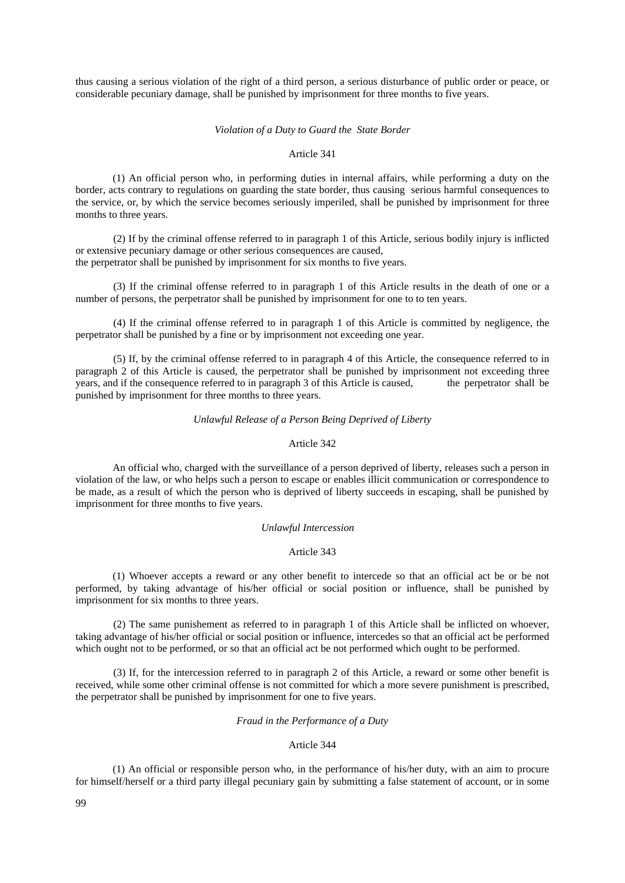thus causing a serious violation of the right of a third person, a serious disturbance of public order or peace, or considerable pecuniary damage, shall be punished by imprisonment for three months to five years.

### *Violation of a Duty to Guard the State Border*

## Article 341

(1) An official person who, in performing duties in internal affairs, while performing a duty on the border, acts contrary to regulations on guarding the state border, thus causing serious harmful consequences to the service, or, by which the service becomes seriously imperiled, shall be punished by imprisonment for three months to three years.

(2) If by the criminal offense referred to in paragraph 1 of this Article, serious bodily injury is inflicted or extensive pecuniary damage or other serious consequences are caused, the perpetrator shall be punished by imprisonment for six months to five years.

(3) If the criminal offense referred to in paragraph 1 of this Article results in the death of one or a number of persons, the perpetrator shall be punished by imprisonment for one to to ten years.

(4) If the criminal offense referred to in paragraph 1 of this Article is committed by negligence, the perpetrator shall be punished by a fine or by imprisonment not exceeding one year.

(5) If, by the criminal offense referred to in paragraph 4 of this Article, the consequence referred to in paragraph 2 of this Article is caused, the perpetrator shall be punished by imprisonment not exceeding three years, and if the consequence referred to in paragraph 3 of this Article is caused, the perpetrator shall be punished by imprisonment for three months to three years.

## *Unlawful Release of a Person Being Deprived of Liberty*

## Article 342

An official who, charged with the surveillance of a person deprived of liberty, releases such a person in violation of the law, or who helps such a person to escape or enables illicit communication or correspondence to be made, as a result of which the person who is deprived of liberty succeeds in escaping, shall be punished by imprisonment for three months to five years.

#### *Unlawful Intercession*

## Article 343

(1) Whoever accepts a reward or any other benefit to intercede so that an official act be or be not performed, by taking advantage of his/her official or social position or influence, shall be punished by imprisonment for six months to three years.

(2) The same punishement as referred to in paragraph 1 of this Article shall be inflicted on whoever, taking advantage of his/her official or social position or influence, intercedes so that an official act be performed which ought not to be performed, or so that an official act be not performed which ought to be performed.

(3) If, for the intercession referred to in paragraph 2 of this Article, a reward or some other benefit is received, while some other criminal offense is not committed for which a more severe punishment is prescribed, the perpetrator shall be punished by imprisonment for one to five years.

# *Fraud in the Performance of a Duty*

## Article 344

(1) An official or responsible person who, in the performance of his/her duty, with an aim to procure for himself/herself or a third party illegal pecuniary gain by submitting a false statement of account, or in some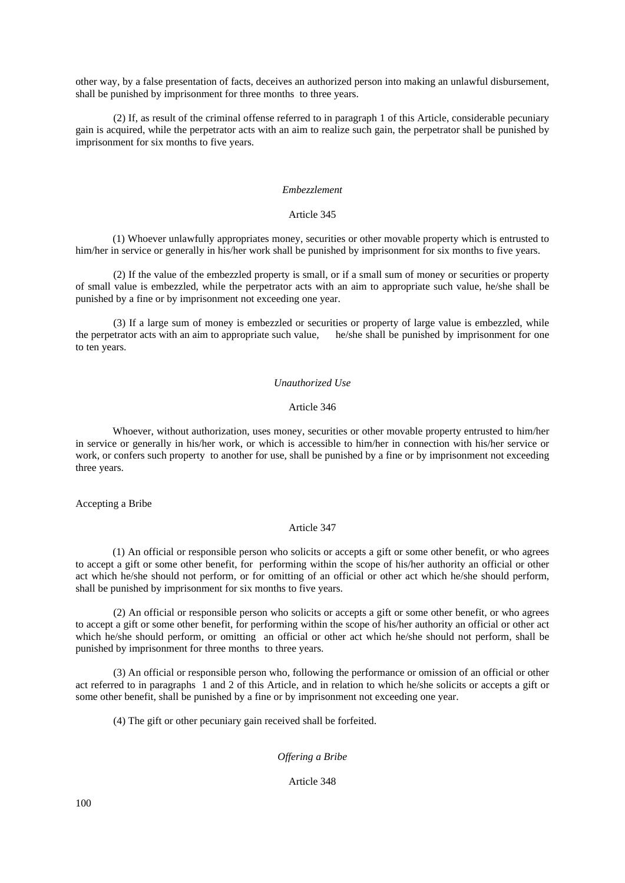other way, by a false presentation of facts, deceives an authorized person into making an unlawful disbursement, shall be punished by imprisonment for three months to three years.

(2) If, as result of the criminal offense referred to in paragraph 1 of this Article, considerable pecuniary gain is acquired, while the perpetrator acts with an aim to realize such gain, the perpetrator shall be punished by imprisonment for six months to five years.

## *Embezzlement*

# Article 345

(1) Whoever unlawfully appropriates money, securities or other movable property which is entrusted to him/her in service or generally in his/her work shall be punished by imprisonment for six months to five years.

(2) If the value of the embezzled property is small, or if a small sum of money or securities or property of small value is embezzled, while the perpetrator acts with an aim to appropriate such value, he/she shall be punished by a fine or by imprisonment not exceeding one year.

(3) If a large sum of money is embezzled or securities or property of large value is embezzled, while the perpetrator acts with an aim to appropriate such value, he/she shall be punished by imprisonment for one to ten years.

### *Unauthorized Use*

## Article 346

Whoever, without authorization, uses money, securities or other movable property entrusted to him/her in service or generally in his/her work, or which is accessible to him/her in connection with his/her service or work, or confers such property to another for use, shall be punished by a fine or by imprisonment not exceeding three years.

Accepting a Bribe

## Article 347

(1) An official or responsible person who solicits or accepts a gift or some other benefit, or who agrees to accept a gift or some other benefit, for performing within the scope of his/her authority an official or other act which he/she should not perform, or for omitting of an official or other act which he/she should perform, shall be punished by imprisonment for six months to five years.

(2) An official or responsible person who solicits or accepts a gift or some other benefit, or who agrees to accept a gift or some other benefit, for performing within the scope of his/her authority an official or other act which he/she should perform, or omitting an official or other act which he/she should not perform, shall be punished by imprisonment for three months to three years.

(3) An official or responsible person who, following the performance or omission of an official or other act referred to in paragraphs 1 and 2 of this Article, and in relation to which he/she solicits or accepts a gift or some other benefit, shall be punished by a fine or by imprisonment not exceeding one year.

(4) The gift or other pecuniary gain received shall be forfeited.

*Offering a Bribe*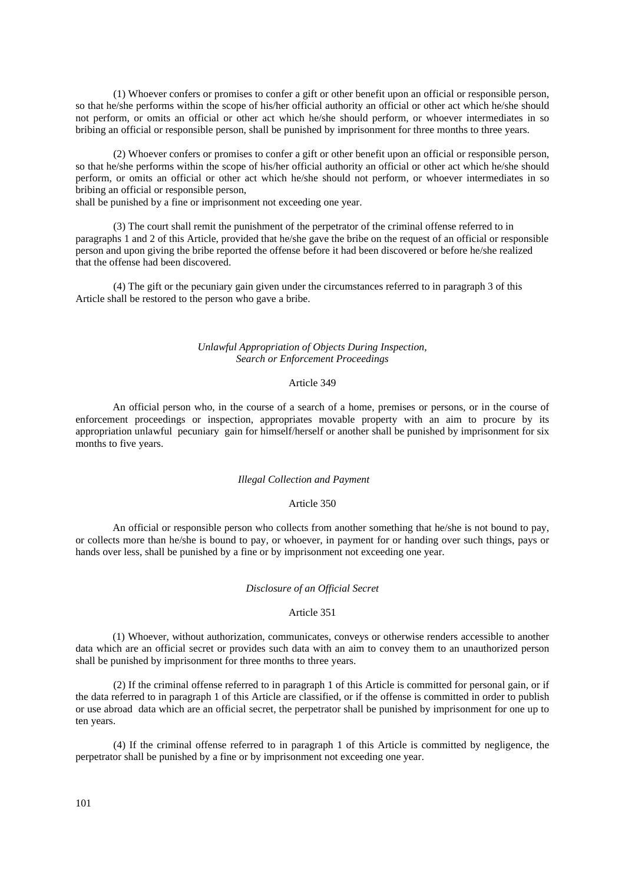(1) Whoever confers or promises to confer a gift or other benefit upon an official or responsible person, so that he/she performs within the scope of his/her official authority an official or other act which he/she should not perform, or omits an official or other act which he/she should perform, or whoever intermediates in so bribing an official or responsible person, shall be punished by imprisonment for three months to three years.

(2) Whoever confers or promises to confer a gift or other benefit upon an official or responsible person, so that he/she performs within the scope of his/her official authority an official or other act which he/she should perform, or omits an official or other act which he/she should not perform, or whoever intermediates in so bribing an official or responsible person,

shall be punished by a fine or imprisonment not exceeding one year.

(3) The court shall remit the punishment of the perpetrator of the criminal offense referred to in paragraphs 1 and 2 of this Article, provided that he/she gave the bribe on the request of an official or responsible person and upon giving the bribe reported the offense before it had been discovered or before he/she realized that the offense had been discovered.

(4) The gift or the pecuniary gain given under the circumstances referred to in paragraph 3 of this Article shall be restored to the person who gave a bribe.

## *Unlawful Appropriation of Objects During Inspection, Search or Enforcement Proceedings*

## Article 349

An official person who, in the course of a search of a home, premises or persons, or in the course of enforcement proceedings or inspection, appropriates movable property with an aim to procure by its appropriation unlawful pecuniary gain for himself/herself or another shall be punished by imprisonment for six months to five years.

#### *Illegal Collection and Payment*

## Article 350

An official or responsible person who collects from another something that he/she is not bound to pay, or collects more than he/she is bound to pay, or whoever, in payment for or handing over such things, pays or hands over less, shall be punished by a fine or by imprisonment not exceeding one year.

#### *Disclosure of an Official Secret*

## Article 351

(1) Whoever, without authorization, communicates, conveys or otherwise renders accessible to another data which are an official secret or provides such data with an aim to convey them to an unauthorized person shall be punished by imprisonment for three months to three years.

(2) If the criminal offense referred to in paragraph 1 of this Article is committed for personal gain, or if the data referred to in paragraph 1 of this Article are classified, or if the offense is committed in order to publish or use abroad data which are an official secret, the perpetrator shall be punished by imprisonment for one up to ten years.

(4) If the criminal offense referred to in paragraph 1 of this Article is committed by negligence, the perpetrator shall be punished by a fine or by imprisonment not exceeding one year.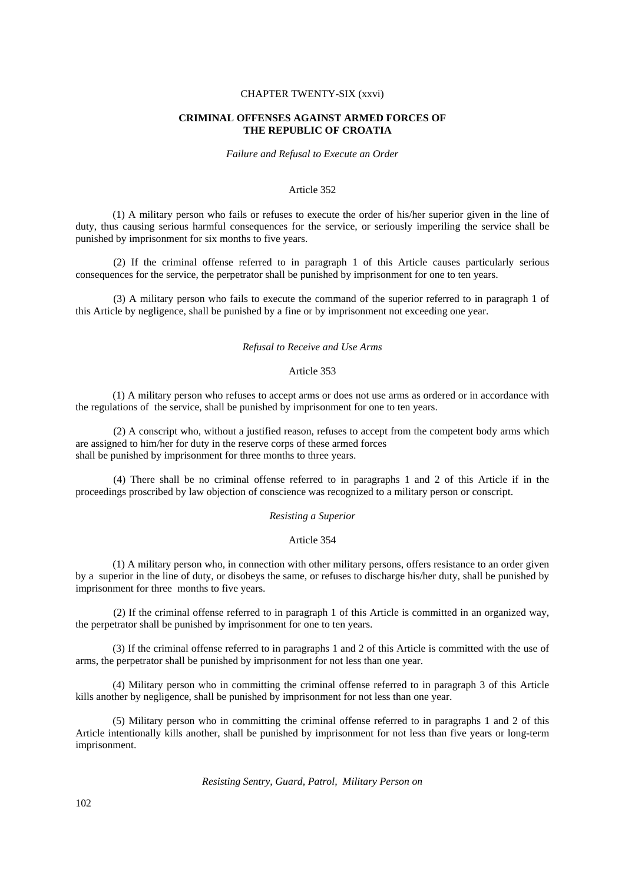#### CHAPTER TWENTY-SIX (xxvi)

### **CRIMINAL OFFENSES AGAINST ARMED FORCES OF THE REPUBLIC OF CROATIA**

*Failure and Refusal to Execute an Order*

# Article 352

(1) A military person who fails or refuses to execute the order of his/her superior given in the line of duty, thus causing serious harmful consequences for the service, or seriously imperiling the service shall be punished by imprisonment for six months to five years.

(2) If the criminal offense referred to in paragraph 1 of this Article causes particularly serious consequences for the service, the perpetrator shall be punished by imprisonment for one to ten years.

(3) A military person who fails to execute the command of the superior referred to in paragraph 1 of this Article by negligence, shall be punished by a fine or by imprisonment not exceeding one year.

#### *Refusal to Receive and Use Arms*

### Article 353

(1) A military person who refuses to accept arms or does not use arms as ordered or in accordance with the regulations of the service, shall be punished by imprisonment for one to ten years.

(2) A conscript who, without a justified reason, refuses to accept from the competent body arms which are assigned to him/her for duty in the reserve corps of these armed forces shall be punished by imprisonment for three months to three years.

(4) There shall be no criminal offense referred to in paragraphs 1 and 2 of this Article if in the proceedings proscribed by law objection of conscience was recognized to a military person or conscript.

### *Resisting a Superior*

## Article 354

(1) A military person who, in connection with other military persons, offers resistance to an order given by a superior in the line of duty, or disobeys the same, or refuses to discharge his/her duty, shall be punished by imprisonment for three months to five years.

(2) If the criminal offense referred to in paragraph 1 of this Article is committed in an organized way, the perpetrator shall be punished by imprisonment for one to ten years.

(3) If the criminal offense referred to in paragraphs 1 and 2 of this Article is committed with the use of arms, the perpetrator shall be punished by imprisonment for not less than one year.

(4) Military person who in committing the criminal offense referred to in paragraph 3 of this Article kills another by negligence, shall be punished by imprisonment for not less than one year.

(5) Military person who in committing the criminal offense referred to in paragraphs 1 and 2 of this Article intentionally kills another, shall be punished by imprisonment for not less than five years or long-term imprisonment.

*Resisting Sentry, Guard, Patrol, Military Person on*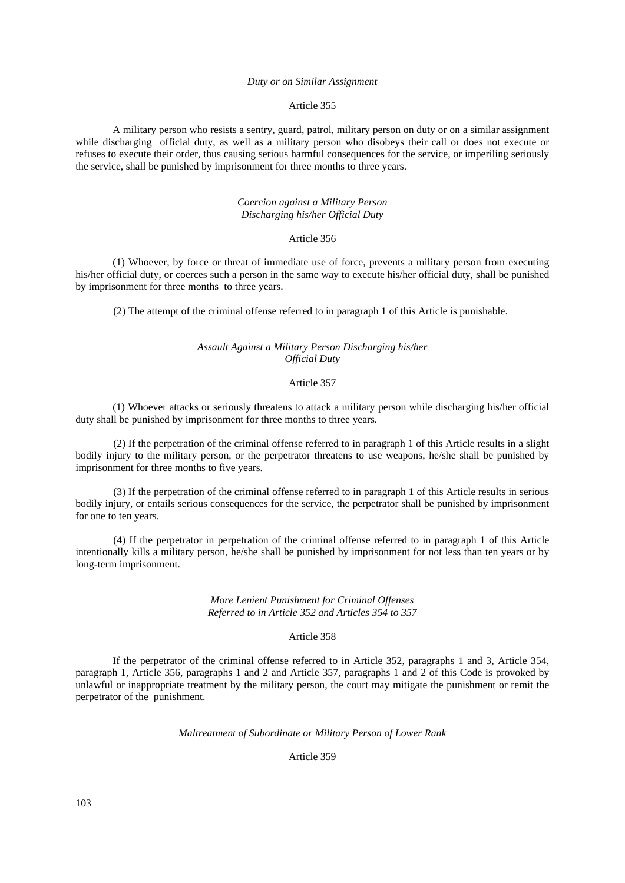### *Duty or on Similar Assignment*

### Article 355

A military person who resists a sentry, guard, patrol, military person on duty or on a similar assignment while discharging official duty, as well as a military person who disobeys their call or does not execute or refuses to execute their order, thus causing serious harmful consequences for the service, or imperiling seriously the service, shall be punished by imprisonment for three months to three years.

### *Coercion against a Military Person Discharging his/her Official Duty*

## Article 356

(1) Whoever, by force or threat of immediate use of force, prevents a military person from executing his/her official duty, or coerces such a person in the same way to execute his/her official duty, shall be punished by imprisonment for three months to three years.

(2) The attempt of the criminal offense referred to in paragraph 1 of this Article is punishable.

## *Assault Against a Military Person Discharging his/her Official Duty*

## Article 357

(1) Whoever attacks or seriously threatens to attack a military person while discharging his/her official duty shall be punished by imprisonment for three months to three years.

(2) If the perpetration of the criminal offense referred to in paragraph 1 of this Article results in a slight bodily injury to the military person, or the perpetrator threatens to use weapons, he/she shall be punished by imprisonment for three months to five years.

(3) If the perpetration of the criminal offense referred to in paragraph 1 of this Article results in serious bodily injury, or entails serious consequences for the service, the perpetrator shall be punished by imprisonment for one to ten years.

(4) If the perpetrator in perpetration of the criminal offense referred to in paragraph 1 of this Article intentionally kills a military person, he/she shall be punished by imprisonment for not less than ten years or by long-term imprisonment.

### *More Lenient Punishment for Criminal Offenses Referred to in Article 352 and Articles 354 to 357*

## Article 358

If the perpetrator of the criminal offense referred to in Article 352, paragraphs 1 and 3, Article 354, paragraph 1, Article 356, paragraphs 1 and 2 and Article 357, paragraphs 1 and 2 of this Code is provoked by unlawful or inappropriate treatment by the military person, the court may mitigate the punishment or remit the perpetrator of the punishment.

## *Maltreatment of Subordinate or Military Person of Lower Rank*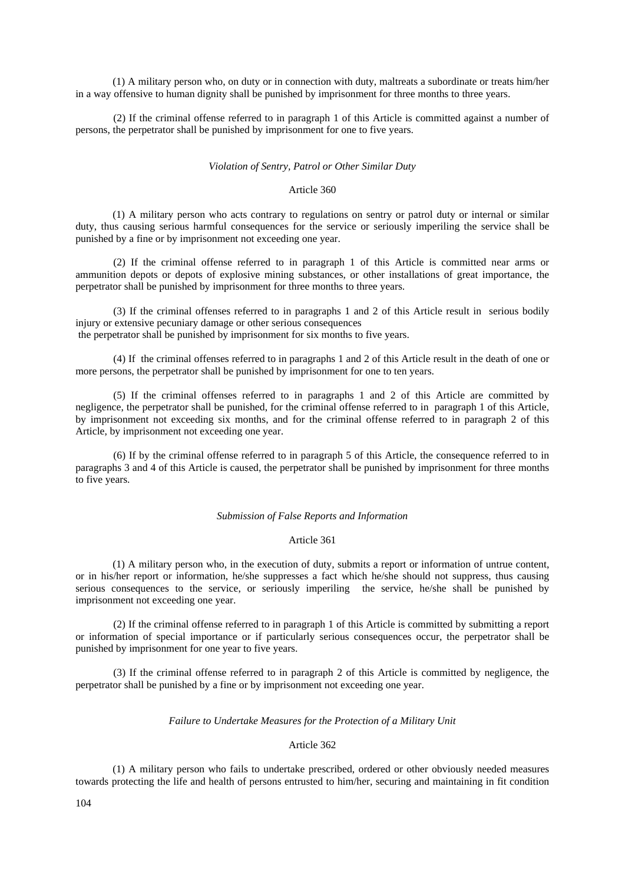(1) A military person who, on duty or in connection with duty, maltreats a subordinate or treats him/her in a way offensive to human dignity shall be punished by imprisonment for three months to three years.

(2) If the criminal offense referred to in paragraph 1 of this Article is committed against a number of persons, the perpetrator shall be punished by imprisonment for one to five years.

### *Violation of Sentry, Patrol or Other Similar Duty*

## Article 360

(1) A military person who acts contrary to regulations on sentry or patrol duty or internal or similar duty, thus causing serious harmful consequences for the service or seriously imperiling the service shall be punished by a fine or by imprisonment not exceeding one year.

(2) If the criminal offense referred to in paragraph 1 of this Article is committed near arms or ammunition depots or depots of explosive mining substances, or other installations of great importance, the perpetrator shall be punished by imprisonment for three months to three years.

(3) If the criminal offenses referred to in paragraphs 1 and 2 of this Article result in serious bodily injury or extensive pecuniary damage or other serious consequences the perpetrator shall be punished by imprisonment for six months to five years.

(4) If the criminal offenses referred to in paragraphs 1 and 2 of this Article result in the death of one or more persons, the perpetrator shall be punished by imprisonment for one to ten years.

(5) If the criminal offenses referred to in paragraphs 1 and 2 of this Article are committed by negligence, the perpetrator shall be punished, for the criminal offense referred to in paragraph 1 of this Article, by imprisonment not exceeding six months, and for the criminal offense referred to in paragraph 2 of this Article, by imprisonment not exceeding one year.

(6) If by the criminal offense referred to in paragraph 5 of this Article, the consequence referred to in paragraphs 3 and 4 of this Article is caused, the perpetrator shall be punished by imprisonment for three months to five years.

## *Submission of False Reports and Information*

# Article 361

(1) A military person who, in the execution of duty, submits a report or information of untrue content, or in his/her report or information, he/she suppresses a fact which he/she should not suppress, thus causing serious consequences to the service, or seriously imperiling the service, he/she shall be punished by imprisonment not exceeding one year.

(2) If the criminal offense referred to in paragraph 1 of this Article is committed by submitting a report or information of special importance or if particularly serious consequences occur, the perpetrator shall be punished by imprisonment for one year to five years.

(3) If the criminal offense referred to in paragraph 2 of this Article is committed by negligence, the perpetrator shall be punished by a fine or by imprisonment not exceeding one year.

### *Failure to Undertake Measures for the Protection of a Military Unit*

## Article 362

(1) A military person who fails to undertake prescribed, ordered or other obviously needed measures towards protecting the life and health of persons entrusted to him/her, securing and maintaining in fit condition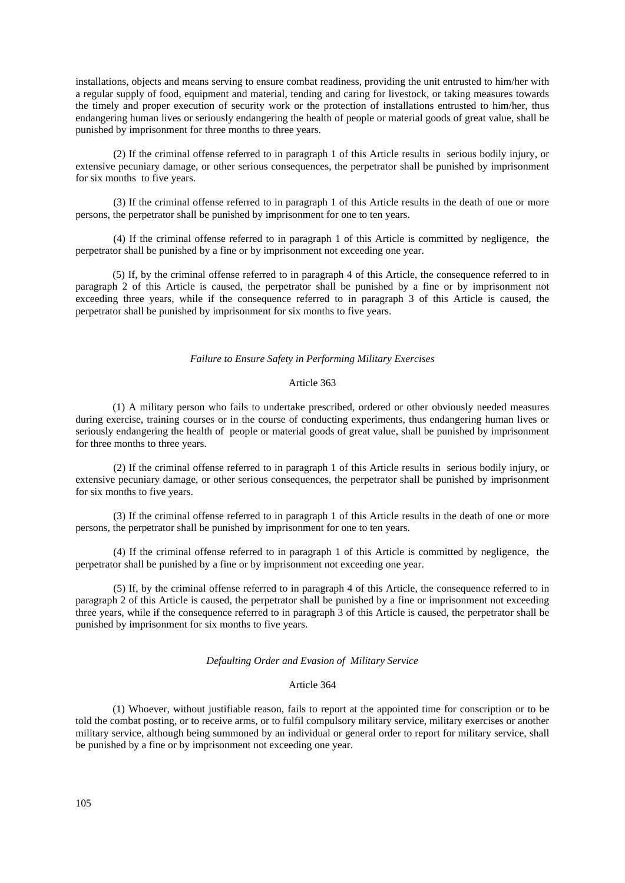installations, objects and means serving to ensure combat readiness, providing the unit entrusted to him/her with a regular supply of food, equipment and material, tending and caring for livestock, or taking measures towards the timely and proper execution of security work or the protection of installations entrusted to him/her, thus endangering human lives or seriously endangering the health of people or material goods of great value, shall be punished by imprisonment for three months to three years.

(2) If the criminal offense referred to in paragraph 1 of this Article results in serious bodily injury, or extensive pecuniary damage, or other serious consequences, the perpetrator shall be punished by imprisonment for six months to five years.

(3) If the criminal offense referred to in paragraph 1 of this Article results in the death of one or more persons, the perpetrator shall be punished by imprisonment for one to ten years.

(4) If the criminal offense referred to in paragraph 1 of this Article is committed by negligence, the perpetrator shall be punished by a fine or by imprisonment not exceeding one year.

(5) If, by the criminal offense referred to in paragraph 4 of this Article, the consequence referred to in paragraph 2 of this Article is caused, the perpetrator shall be punished by a fine or by imprisonment not exceeding three years, while if the consequence referred to in paragraph 3 of this Article is caused, the perpetrator shall be punished by imprisonment for six months to five years.

#### *Failure to Ensure Safety in Performing Military Exercises*

## Article 363

(1) A military person who fails to undertake prescribed, ordered or other obviously needed measures during exercise, training courses or in the course of conducting experiments, thus endangering human lives or seriously endangering the health of people or material goods of great value, shall be punished by imprisonment for three months to three years.

(2) If the criminal offense referred to in paragraph 1 of this Article results in serious bodily injury, or extensive pecuniary damage, or other serious consequences, the perpetrator shall be punished by imprisonment for six months to five years.

(3) If the criminal offense referred to in paragraph 1 of this Article results in the death of one or more persons, the perpetrator shall be punished by imprisonment for one to ten years.

(4) If the criminal offense referred to in paragraph 1 of this Article is committed by negligence, the perpetrator shall be punished by a fine or by imprisonment not exceeding one year.

(5) If, by the criminal offense referred to in paragraph 4 of this Article, the consequence referred to in paragraph 2 of this Article is caused, the perpetrator shall be punished by a fine or imprisonment not exceeding three years, while if the consequence referred to in paragraph 3 of this Article is caused, the perpetrator shall be punished by imprisonment for six months to five years.

## *Defaulting Order and Evasion of Military Service*

## Article 364

(1) Whoever, without justifiable reason, fails to report at the appointed time for conscription or to be told the combat posting, or to receive arms, or to fulfil compulsory military service, military exercises or another military service, although being summoned by an individual or general order to report for military service, shall be punished by a fine or by imprisonment not exceeding one year.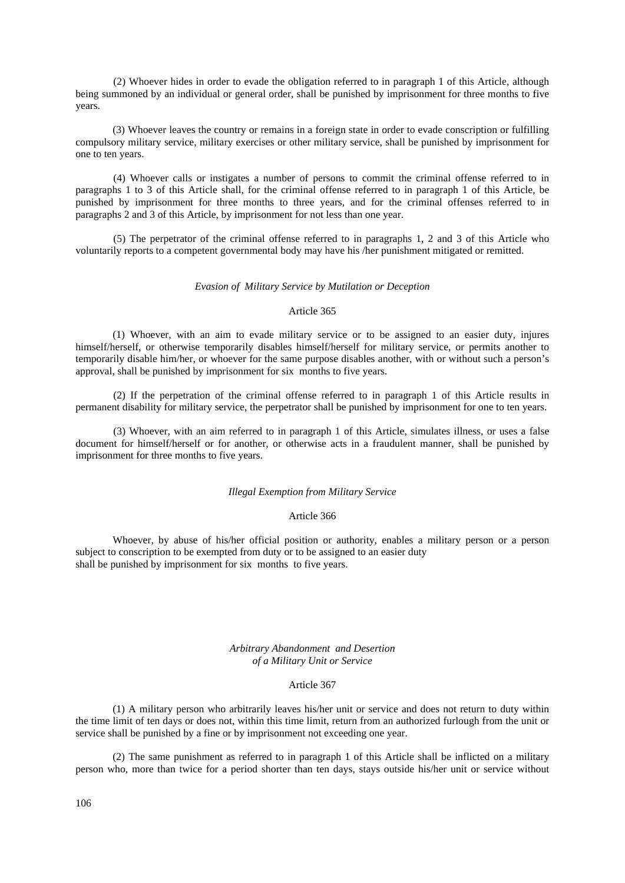(2) Whoever hides in order to evade the obligation referred to in paragraph 1 of this Article, although being summoned by an individual or general order, shall be punished by imprisonment for three months to five years.

(3) Whoever leaves the country or remains in a foreign state in order to evade conscription or fulfilling compulsory military service, military exercises or other military service, shall be punished by imprisonment for one to ten years.

(4) Whoever calls or instigates a number of persons to commit the criminal offense referred to in paragraphs 1 to 3 of this Article shall, for the criminal offense referred to in paragraph 1 of this Article, be punished by imprisonment for three months to three years, and for the criminal offenses referred to in paragraphs 2 and 3 of this Article, by imprisonment for not less than one year.

(5) The perpetrator of the criminal offense referred to in paragraphs 1, 2 and 3 of this Article who voluntarily reports to a competent governmental body may have his /her punishment mitigated or remitted.

## *Evasion of Military Service by Mutilation or Deception*

## Article 365

(1) Whoever, with an aim to evade military service or to be assigned to an easier duty, injures himself/herself, or otherwise temporarily disables himself/herself for military service, or permits another to temporarily disable him/her, or whoever for the same purpose disables another, with or without such a person's approval, shall be punished by imprisonment for six months to five years.

(2) If the perpetration of the criminal offense referred to in paragraph 1 of this Article results in permanent disability for military service, the perpetrator shall be punished by imprisonment for one to ten years.

(3) Whoever, with an aim referred to in paragraph 1 of this Article, simulates illness, or uses a false document for himself/herself or for another, or otherwise acts in a fraudulent manner, shall be punished by imprisonment for three months to five years.

### *Illegal Exemption from Military Service*

# Article 366

Whoever, by abuse of his/her official position or authority, enables a military person or a person subject to conscription to be exempted from duty or to be assigned to an easier duty shall be punished by imprisonment for six months to five years.

# *Arbitrary Abandonment and Desertion of a Military Unit or Service*

# Article 367

(1) A military person who arbitrarily leaves his/her unit or service and does not return to duty within the time limit of ten days or does not, within this time limit, return from an authorized furlough from the unit or service shall be punished by a fine or by imprisonment not exceeding one year.

(2) The same punishment as referred to in paragraph 1 of this Article shall be inflicted on a military person who, more than twice for a period shorter than ten days, stays outside his/her unit or service without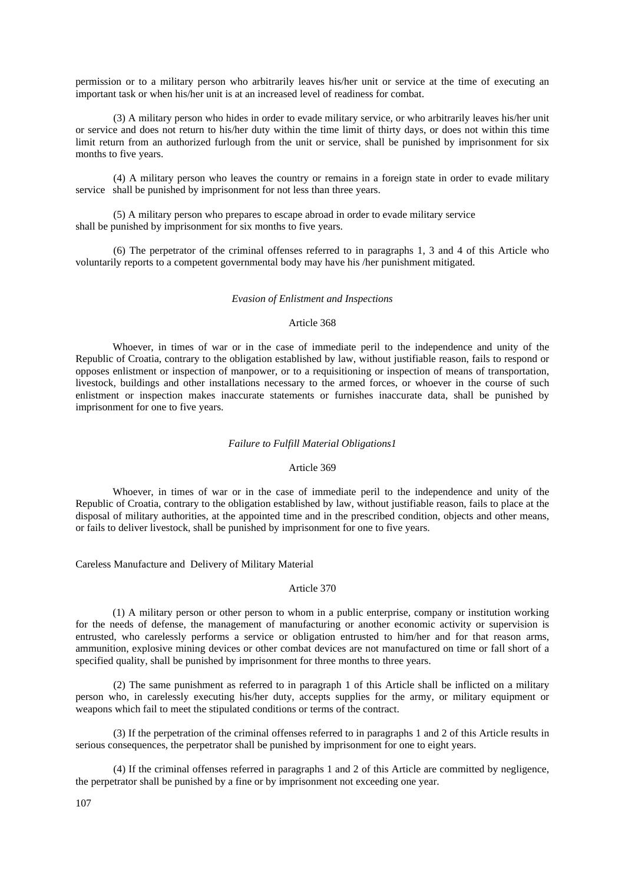permission or to a military person who arbitrarily leaves his/her unit or service at the time of executing an important task or when his/her unit is at an increased level of readiness for combat.

(3) A military person who hides in order to evade military service, or who arbitrarily leaves his/her unit or service and does not return to his/her duty within the time limit of thirty days, or does not within this time limit return from an authorized furlough from the unit or service, shall be punished by imprisonment for six months to five years.

(4) A military person who leaves the country or remains in a foreign state in order to evade military service shall be punished by imprisonment for not less than three years.

(5) A military person who prepares to escape abroad in order to evade military service shall be punished by imprisonment for six months to five years.

(6) The perpetrator of the criminal offenses referred to in paragraphs 1, 3 and 4 of this Article who voluntarily reports to a competent governmental body may have his /her punishment mitigated.

#### *Evasion of Enlistment and Inspections*

### Article 368

Whoever, in times of war or in the case of immediate peril to the independence and unity of the Republic of Croatia, contrary to the obligation established by law, without justifiable reason, fails to respond or opposes enlistment or inspection of manpower, or to a requisitioning or inspection of means of transportation, livestock, buildings and other installations necessary to the armed forces, or whoever in the course of such enlistment or inspection makes inaccurate statements or furnishes inaccurate data, shall be punished by imprisonment for one to five years.

### *Failure to Fulfill Material Obligations1*

# Article 369

Whoever, in times of war or in the case of immediate peril to the independence and unity of the Republic of Croatia, contrary to the obligation established by law, without justifiable reason, fails to place at the disposal of military authorities, at the appointed time and in the prescribed condition, objects and other means, or fails to deliver livestock, shall be punished by imprisonment for one to five years.

Careless Manufacture and Delivery of Military Material

#### Article 370

(1) A military person or other person to whom in a public enterprise, company or institution working for the needs of defense, the management of manufacturing or another economic activity or supervision is entrusted, who carelessly performs a service or obligation entrusted to him/her and for that reason arms, ammunition, explosive mining devices or other combat devices are not manufactured on time or fall short of a specified quality, shall be punished by imprisonment for three months to three years.

(2) The same punishment as referred to in paragraph 1 of this Article shall be inflicted on a military person who, in carelessly executing his/her duty, accepts supplies for the army, or military equipment or weapons which fail to meet the stipulated conditions or terms of the contract.

(3) If the perpetration of the criminal offenses referred to in paragraphs 1 and 2 of this Article results in serious consequences, the perpetrator shall be punished by imprisonment for one to eight years.

(4) If the criminal offenses referred in paragraphs 1 and 2 of this Article are committed by negligence, the perpetrator shall be punished by a fine or by imprisonment not exceeding one year.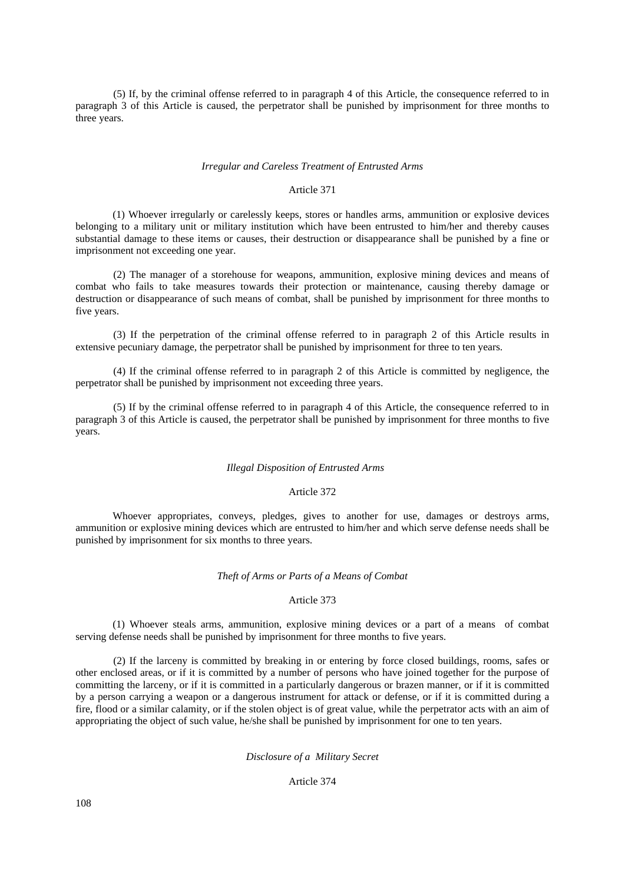(5) If, by the criminal offense referred to in paragraph 4 of this Article, the consequence referred to in paragraph 3 of this Article is caused, the perpetrator shall be punished by imprisonment for three months to three years.

### *Irregular and Careless Treatment of Entrusted Arms*

## Article 371

(1) Whoever irregularly or carelessly keeps, stores or handles arms, ammunition or explosive devices belonging to a military unit or military institution which have been entrusted to him/her and thereby causes substantial damage to these items or causes, their destruction or disappearance shall be punished by a fine or imprisonment not exceeding one year.

(2) The manager of a storehouse for weapons, ammunition, explosive mining devices and means of combat who fails to take measures towards their protection or maintenance, causing thereby damage or destruction or disappearance of such means of combat, shall be punished by imprisonment for three months to five years.

(3) If the perpetration of the criminal offense referred to in paragraph 2 of this Article results in extensive pecuniary damage, the perpetrator shall be punished by imprisonment for three to ten years.

(4) If the criminal offense referred to in paragraph 2 of this Article is committed by negligence, the perpetrator shall be punished by imprisonment not exceeding three years.

(5) If by the criminal offense referred to in paragraph 4 of this Article, the consequence referred to in paragraph 3 of this Article is caused, the perpetrator shall be punished by imprisonment for three months to five years.

# *Illegal Disposition of Entrusted Arms*

# Article 372

Whoever appropriates, conveys, pledges, gives to another for use, damages or destroys arms, ammunition or explosive mining devices which are entrusted to him/her and which serve defense needs shall be punished by imprisonment for six months to three years.

### *Theft of Arms or Parts of a Means of Combat*

#### Article 373

(1) Whoever steals arms, ammunition, explosive mining devices or a part of a means of combat serving defense needs shall be punished by imprisonment for three months to five years.

(2) If the larceny is committed by breaking in or entering by force closed buildings, rooms, safes or other enclosed areas, or if it is committed by a number of persons who have joined together for the purpose of committing the larceny, or if it is committed in a particularly dangerous or brazen manner, or if it is committed by a person carrying a weapon or a dangerous instrument for attack or defense, or if it is committed during a fire, flood or a similar calamity, or if the stolen object is of great value, while the perpetrator acts with an aim of appropriating the object of such value, he/she shall be punished by imprisonment for one to ten years.

# *Disclosure of a Military Secret*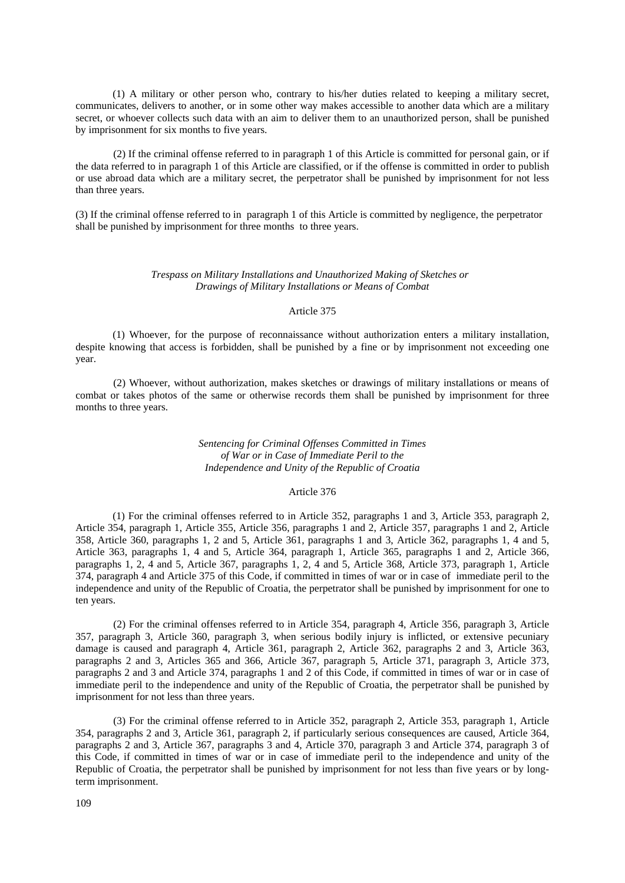(1) A military or other person who, contrary to his/her duties related to keeping a military secret, communicates, delivers to another, or in some other way makes accessible to another data which are a military secret, or whoever collects such data with an aim to deliver them to an unauthorized person, shall be punished by imprisonment for six months to five years.

(2) If the criminal offense referred to in paragraph 1 of this Article is committed for personal gain, or if the data referred to in paragraph 1 of this Article are classified, or if the offense is committed in order to publish or use abroad data which are a military secret, the perpetrator shall be punished by imprisonment for not less than three years.

(3) If the criminal offense referred to in paragraph 1 of this Article is committed by negligence, the perpetrator shall be punished by imprisonment for three months to three years.

# *Trespass on Military Installations and Unauthorized Making of Sketches or Drawings of Military Installations or Means of Combat*

#### Article 375

(1) Whoever, for the purpose of reconnaissance without authorization enters a military installation, despite knowing that access is forbidden, shall be punished by a fine or by imprisonment not exceeding one year.

(2) Whoever, without authorization, makes sketches or drawings of military installations or means of combat or takes photos of the same or otherwise records them shall be punished by imprisonment for three months to three years.

> *Sentencing for Criminal Offenses Committed in Times of War or in Case of Immediate Peril to the Independence and Unity of the Republic of Croatia*

# Article 376

(1) For the criminal offenses referred to in Article 352, paragraphs 1 and 3, Article 353, paragraph 2, Article 354, paragraph 1, Article 355, Article 356, paragraphs 1 and 2, Article 357, paragraphs 1 and 2, Article 358, Article 360, paragraphs 1, 2 and 5, Article 361, paragraphs 1 and 3, Article 362, paragraphs 1, 4 and 5, Article 363, paragraphs 1, 4 and 5, Article 364, paragraph 1, Article 365, paragraphs 1 and 2, Article 366, paragraphs 1, 2, 4 and 5, Article 367, paragraphs 1, 2, 4 and 5, Article 368, Article 373, paragraph 1, Article 374, paragraph 4 and Article 375 of this Code, if committed in times of war or in case of immediate peril to the independence and unity of the Republic of Croatia, the perpetrator shall be punished by imprisonment for one to ten years.

(2) For the criminal offenses referred to in Article 354, paragraph 4, Article 356, paragraph 3, Article 357, paragraph 3, Article 360, paragraph 3, when serious bodily injury is inflicted, or extensive pecuniary damage is caused and paragraph 4, Article 361, paragraph 2, Article 362, paragraphs 2 and 3, Article 363, paragraphs 2 and 3, Articles 365 and 366, Article 367, paragraph 5, Article 371, paragraph 3, Article 373, paragraphs 2 and 3 and Article 374, paragraphs 1 and 2 of this Code, if committed in times of war or in case of immediate peril to the independence and unity of the Republic of Croatia, the perpetrator shall be punished by imprisonment for not less than three years.

(3) For the criminal offense referred to in Article 352, paragraph 2, Article 353, paragraph 1, Article 354, paragraphs 2 and 3, Article 361, paragraph 2, if particularly serious consequences are caused, Article 364, paragraphs 2 and 3, Article 367, paragraphs 3 and 4, Article 370, paragraph 3 and Article 374, paragraph 3 of this Code, if committed in times of war or in case of immediate peril to the independence and unity of the Republic of Croatia, the perpetrator shall be punished by imprisonment for not less than five years or by longterm imprisonment.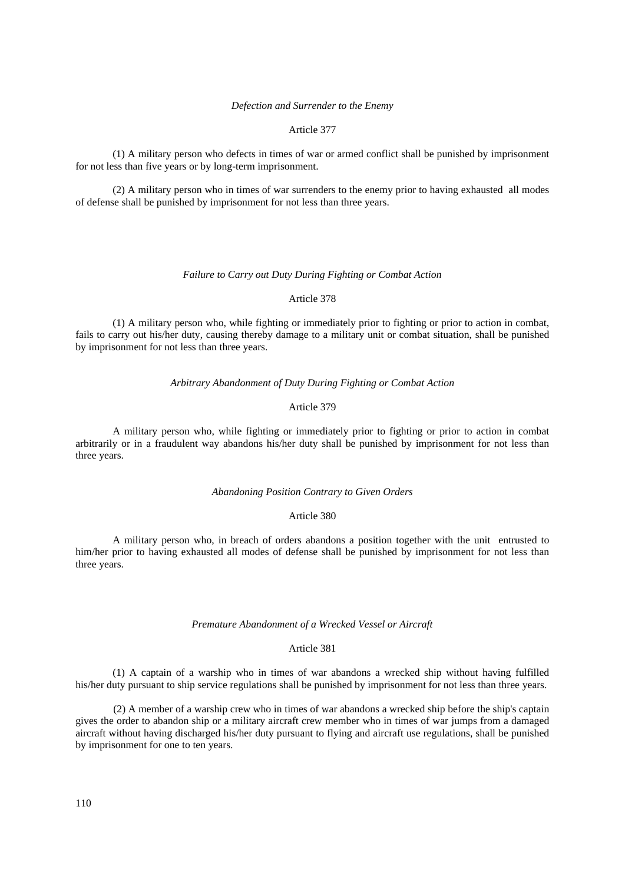#### *Defection and Surrender to the Enemy*

Article 377

(1) A military person who defects in times of war or armed conflict shall be punished by imprisonment for not less than five years or by long-term imprisonment.

(2) A military person who in times of war surrenders to the enemy prior to having exhausted all modes of defense shall be punished by imprisonment for not less than three years.

### *Failure to Carry out Duty During Fighting or Combat Action*

# Article 378

(1) A military person who, while fighting or immediately prior to fighting or prior to action in combat, fails to carry out his/her duty, causing thereby damage to a military unit or combat situation, shall be punished by imprisonment for not less than three years.

### *Arbitrary Abandonment of Duty During Fighting or Combat Action*

# Article 379

A military person who, while fighting or immediately prior to fighting or prior to action in combat arbitrarily or in a fraudulent way abandons his/her duty shall be punished by imprisonment for not less than three years.

### *Abandoning Position Contrary to Given Orders*

## Article 380

A military person who, in breach of orders abandons a position together with the unit entrusted to him/her prior to having exhausted all modes of defense shall be punished by imprisonment for not less than three years.

### *Premature Abandonment of a Wrecked Vessel or Aircraft*

# Article 381

(1) A captain of a warship who in times of war abandons a wrecked ship without having fulfilled his/her duty pursuant to ship service regulations shall be punished by imprisonment for not less than three years.

(2) A member of a warship crew who in times of war abandons a wrecked ship before the ship's captain gives the order to abandon ship or a military aircraft crew member who in times of war jumps from a damaged aircraft without having discharged his/her duty pursuant to flying and aircraft use regulations, shall be punished by imprisonment for one to ten years.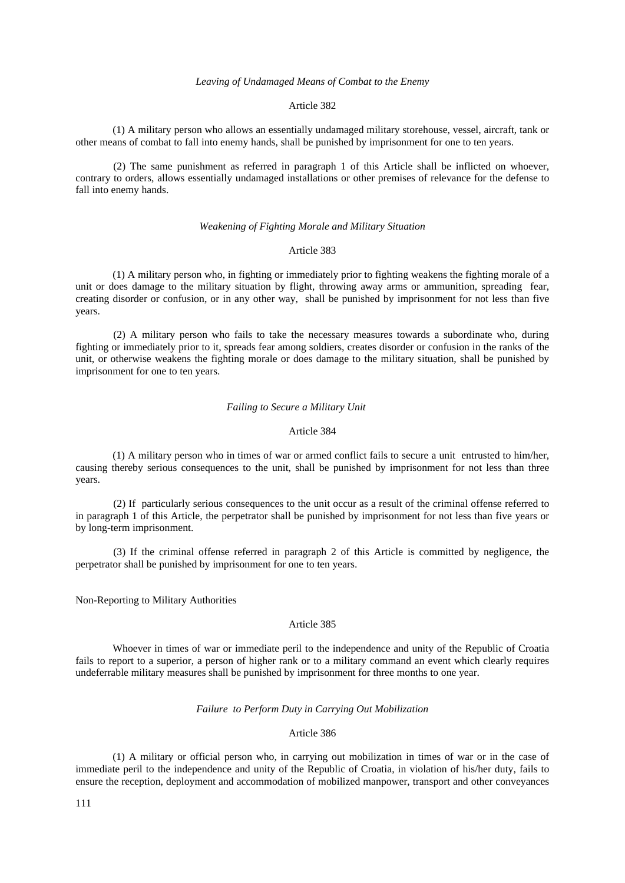### *Leaving of Undamaged Means of Combat to the Enemy*

### Article 382

(1) A military person who allows an essentially undamaged military storehouse, vessel, aircraft, tank or other means of combat to fall into enemy hands, shall be punished by imprisonment for one to ten years.

(2) The same punishment as referred in paragraph 1 of this Article shall be inflicted on whoever, contrary to orders, allows essentially undamaged installations or other premises of relevance for the defense to fall into enemy hands.

# *Weakening of Fighting Morale and Military Situation*

# Article 383

(1) A military person who, in fighting or immediately prior to fighting weakens the fighting morale of a unit or does damage to the military situation by flight, throwing away arms or ammunition, spreading fear, creating disorder or confusion, or in any other way, shall be punished by imprisonment for not less than five years.

(2) A military person who fails to take the necessary measures towards a subordinate who, during fighting or immediately prior to it, spreads fear among soldiers, creates disorder or confusion in the ranks of the unit, or otherwise weakens the fighting morale or does damage to the military situation, shall be punished by imprisonment for one to ten years.

### *Failing to Secure a Military Unit*

## Article 384

(1) A military person who in times of war or armed conflict fails to secure a unit entrusted to him/her, causing thereby serious consequences to the unit, shall be punished by imprisonment for not less than three years.

(2) If particularly serious consequences to the unit occur as a result of the criminal offense referred to in paragraph 1 of this Article, the perpetrator shall be punished by imprisonment for not less than five years or by long-term imprisonment.

(3) If the criminal offense referred in paragraph 2 of this Article is committed by negligence, the perpetrator shall be punished by imprisonment for one to ten years.

Non-Reporting to Military Authorities

# Article 385

Whoever in times of war or immediate peril to the independence and unity of the Republic of Croatia fails to report to a superior, a person of higher rank or to a military command an event which clearly requires undeferrable military measures shall be punished by imprisonment for three months to one year.

# *Failure to Perform Duty in Carrying Out Mobilization*

### Article 386

(1) A military or official person who, in carrying out mobilization in times of war or in the case of immediate peril to the independence and unity of the Republic of Croatia, in violation of his/her duty, fails to ensure the reception, deployment and accommodation of mobilized manpower, transport and other conveyances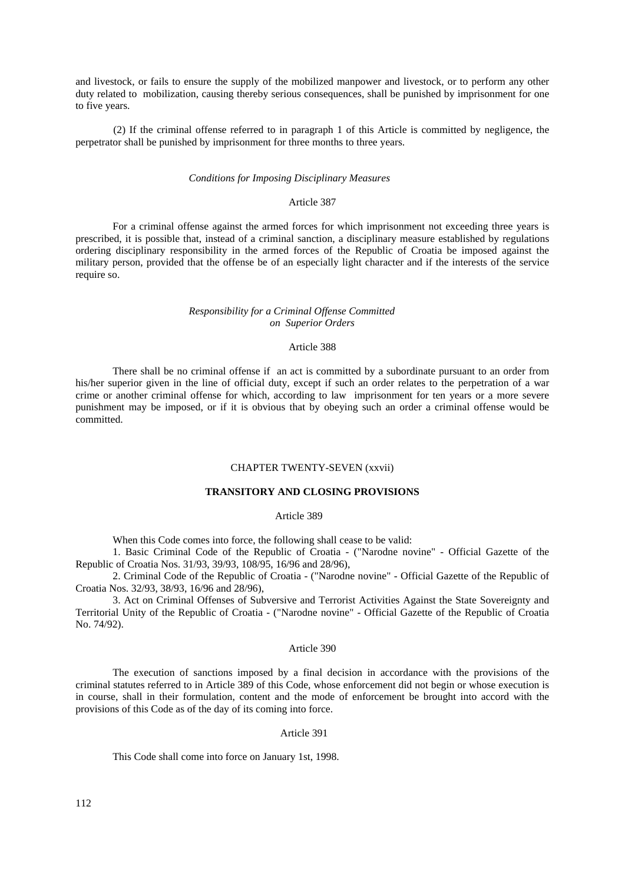and livestock, or fails to ensure the supply of the mobilized manpower and livestock, or to perform any other duty related to mobilization, causing thereby serious consequences, shall be punished by imprisonment for one to five years.

(2) If the criminal offense referred to in paragraph 1 of this Article is committed by negligence, the perpetrator shall be punished by imprisonment for three months to three years.

# *Conditions for Imposing Disciplinary Measures*

#### Article 387

For a criminal offense against the armed forces for which imprisonment not exceeding three years is prescribed, it is possible that, instead of a criminal sanction, a disciplinary measure established by regulations ordering disciplinary responsibility in the armed forces of the Republic of Croatia be imposed against the military person, provided that the offense be of an especially light character and if the interests of the service require so.

### *Responsibility for a Criminal Offense Committed on Superior Orders*

#### Article 388

There shall be no criminal offense if an act is committed by a subordinate pursuant to an order from his/her superior given in the line of official duty, except if such an order relates to the perpetration of a war crime or another criminal offense for which, according to law imprisonment for ten years or a more severe punishment may be imposed, or if it is obvious that by obeying such an order a criminal offense would be committed.

#### CHAPTER TWENTY-SEVEN (xxvii)

### **TRANSITORY AND CLOSING PROVISIONS**

## Article 389

When this Code comes into force, the following shall cease to be valid:

1. Basic Criminal Code of the Republic of Croatia - ("Narodne novine" - Official Gazette of the Republic of Croatia Nos. 31/93, 39/93, 108/95, 16/96 and 28/96),

2. Criminal Code of the Republic of Croatia - ("Narodne novine" - Official Gazette of the Republic of Croatia Nos. 32/93, 38/93, 16/96 and 28/96),

3. Act on Criminal Offenses of Subversive and Terrorist Activities Against the State Sovereignty and Territorial Unity of the Republic of Croatia - ("Narodne novine" - Official Gazette of the Republic of Croatia No. 74/92).

#### Article 390

The execution of sanctions imposed by a final decision in accordance with the provisions of the criminal statutes referred to in Article 389 of this Code, whose enforcement did not begin or whose execution is in course, shall in their formulation, content and the mode of enforcement be brought into accord with the provisions of this Code as of the day of its coming into force.

#### Article 391

This Code shall come into force on January 1st, 1998.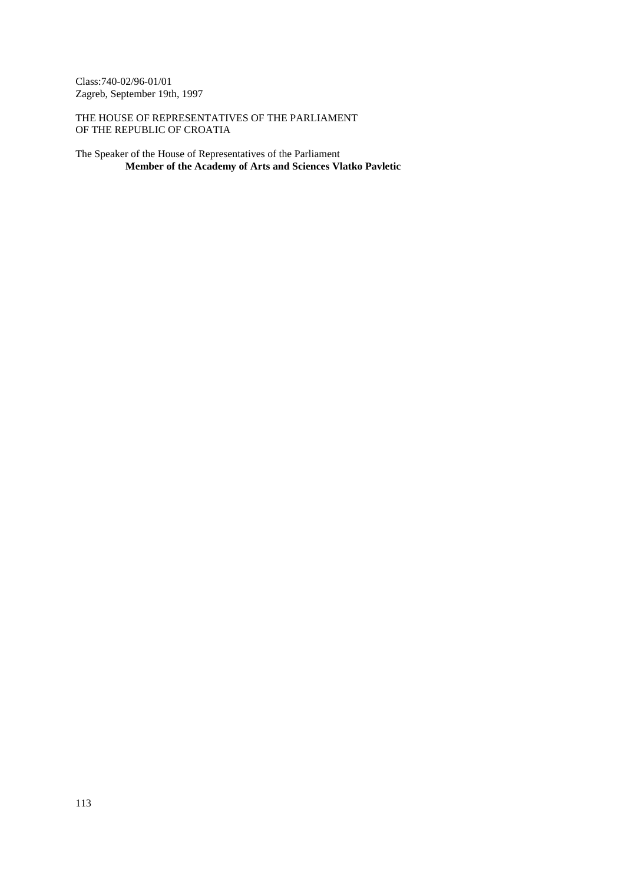Class:740-02/96-01/01 Zagreb, September 19th, 1997

THE HOUSE OF REPRESENTATIVES OF THE PARLIAMENT OF THE REPUBLIC OF CROATIA

The Speaker of the House of Representatives of the Parliament **Member of the Academy of Arts and Sciences Vlatko Pavletic**